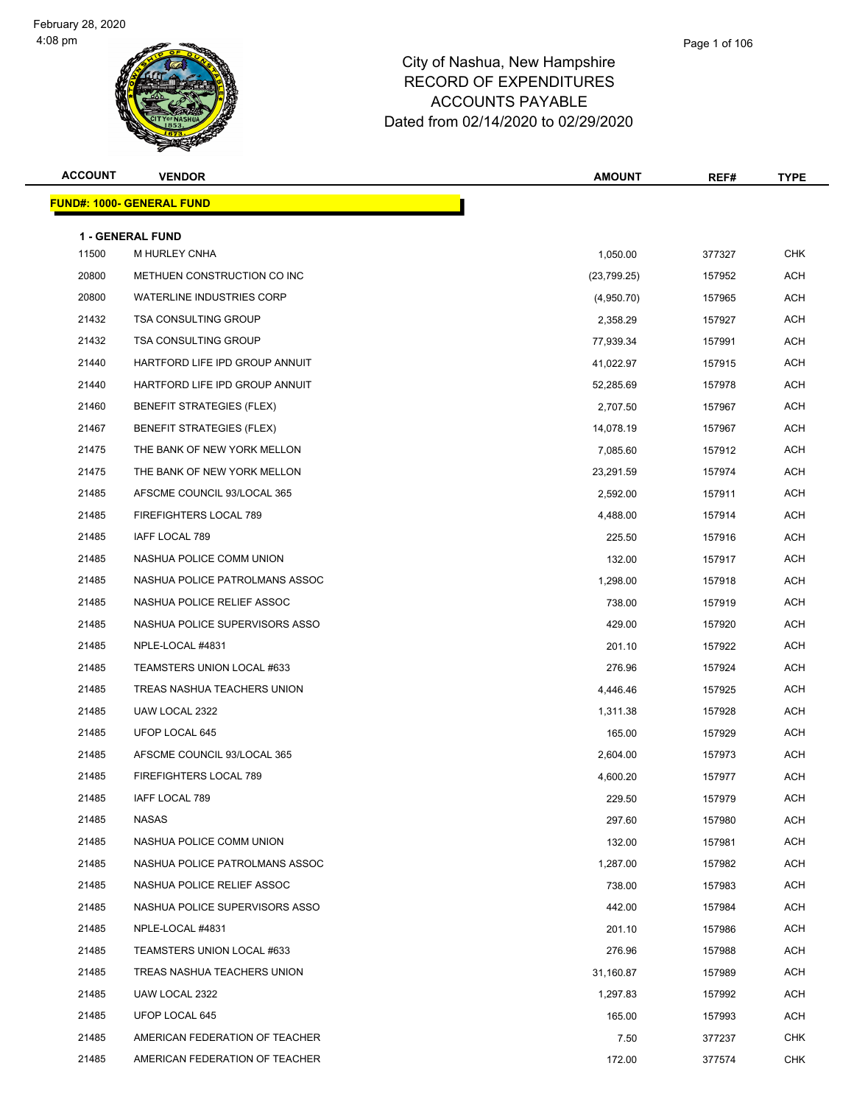#### Page 1 of 106

| <b>ACCOUNT</b> | <b>VENDOR</b>                            | <b>AMOUNT</b> | REF#   | <b>TYPE</b> |
|----------------|------------------------------------------|---------------|--------|-------------|
|                | <b>FUND#: 1000- GENERAL FUND</b>         |               |        |             |
|                |                                          |               |        |             |
| 11500          | <b>1 - GENERAL FUND</b><br>M HURLEY CNHA | 1,050.00      | 377327 | <b>CHK</b>  |
| 20800          | METHUEN CONSTRUCTION CO INC              | (23,799.25)   | 157952 | ACH         |
| 20800          | <b>WATERLINE INDUSTRIES CORP</b>         | (4,950.70)    | 157965 | ACH         |
| 21432          | <b>TSA CONSULTING GROUP</b>              | 2,358.29      | 157927 | <b>ACH</b>  |
| 21432          | <b>TSA CONSULTING GROUP</b>              | 77,939.34     | 157991 | <b>ACH</b>  |
| 21440          | HARTFORD LIFE IPD GROUP ANNUIT           | 41,022.97     | 157915 | ACH         |
| 21440          | HARTFORD LIFE IPD GROUP ANNUIT           | 52,285.69     | 157978 | ACH         |
| 21460          | <b>BENEFIT STRATEGIES (FLEX)</b>         | 2,707.50      | 157967 | <b>ACH</b>  |
| 21467          | <b>BENEFIT STRATEGIES (FLEX)</b>         | 14,078.19     | 157967 | <b>ACH</b>  |
| 21475          | THE BANK OF NEW YORK MELLON              | 7,085.60      | 157912 | <b>ACH</b>  |
| 21475          | THE BANK OF NEW YORK MELLON              | 23,291.59     | 157974 | <b>ACH</b>  |
| 21485          | AFSCME COUNCIL 93/LOCAL 365              | 2,592.00      | 157911 | ACH         |
| 21485          | FIREFIGHTERS LOCAL 789                   | 4,488.00      | 157914 | ACH         |
| 21485          | IAFF LOCAL 789                           | 225.50        | 157916 | <b>ACH</b>  |
| 21485          | NASHUA POLICE COMM UNION                 | 132.00        | 157917 | <b>ACH</b>  |
| 21485          | NASHUA POLICE PATROLMANS ASSOC           | 1,298.00      | 157918 | ACH         |
| 21485          | NASHUA POLICE RELIEF ASSOC               | 738.00        | 157919 | ACH         |
| 21485          | NASHUA POLICE SUPERVISORS ASSO           | 429.00        | 157920 | <b>ACH</b>  |
| 21485          | NPLE-LOCAL #4831                         | 201.10        | 157922 | <b>ACH</b>  |
| 21485          | TEAMSTERS UNION LOCAL #633               | 276.96        | 157924 | <b>ACH</b>  |
| 21485          | TREAS NASHUA TEACHERS UNION              | 4,446.46      | 157925 | <b>ACH</b>  |
| 21485          | UAW LOCAL 2322                           | 1,311.38      | 157928 | ACH         |
| 21485          | UFOP LOCAL 645                           | 165.00        | 157929 | ACH         |
| 21485          | AFSCME COUNCIL 93/LOCAL 365              | 2,604.00      | 157973 | <b>ACH</b>  |
| 21485          | FIREFIGHTERS LOCAL 789                   | 4,600.20      | 157977 | <b>ACH</b>  |
| 21485          | IAFF LOCAL 789                           | 229.50        | 157979 | ACH         |
| 21485          | <b>NASAS</b>                             | 297.60        | 157980 | ACH         |
| 21485          | NASHUA POLICE COMM UNION                 | 132.00        | 157981 | ACH         |
| 21485          | NASHUA POLICE PATROLMANS ASSOC           | 1,287.00      | 157982 | ACH         |
| 21485          | NASHUA POLICE RELIEF ASSOC               | 738.00        | 157983 | ACH         |
| 21485          | NASHUA POLICE SUPERVISORS ASSO           | 442.00        | 157984 | ACH         |
| 21485          | NPLE-LOCAL #4831                         | 201.10        | 157986 | ACH         |
| 21485          | TEAMSTERS UNION LOCAL #633               | 276.96        | 157988 | ACH         |
| 21485          | TREAS NASHUA TEACHERS UNION              | 31,160.87     | 157989 | ACH         |
| 21485          | UAW LOCAL 2322                           | 1,297.83      | 157992 | ACH         |
| 21485          | UFOP LOCAL 645                           | 165.00        | 157993 | ACH         |
| 21485          | AMERICAN FEDERATION OF TEACHER           | 7.50          | 377237 | <b>CHK</b>  |
| 21485          | AMERICAN FEDERATION OF TEACHER           | 172.00        | 377574 | <b>CHK</b>  |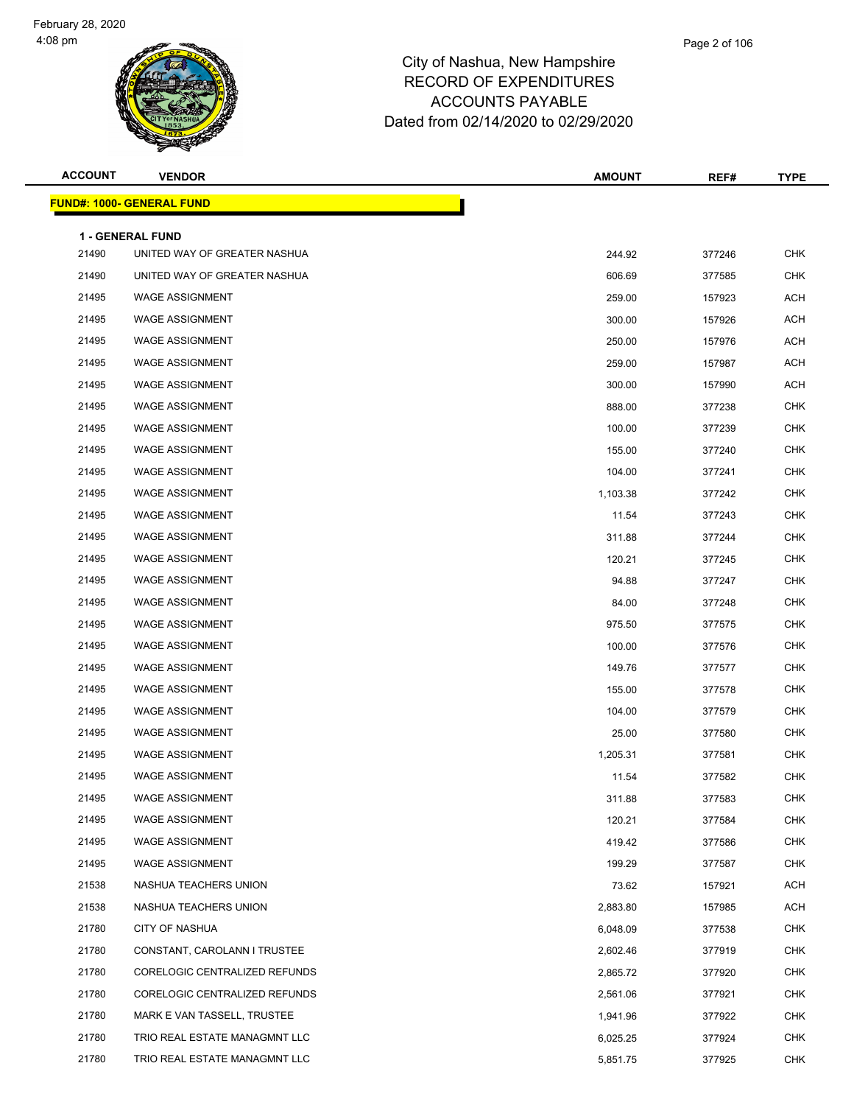

| <b>ACCOUNT</b> | <b>VENDOR</b>                     | <b>AMOUNT</b> | REF#   | <b>TYPE</b> |
|----------------|-----------------------------------|---------------|--------|-------------|
|                | <u> FUND#: 1000- GENERAL FUND</u> |               |        |             |
|                | 1 - GENERAL FUND                  |               |        |             |
| 21490          | UNITED WAY OF GREATER NASHUA      | 244.92        | 377246 | <b>CHK</b>  |
| 21490          | UNITED WAY OF GREATER NASHUA      | 606.69        | 377585 | <b>CHK</b>  |
| 21495          | <b>WAGE ASSIGNMENT</b>            | 259.00        | 157923 | <b>ACH</b>  |
| 21495          | <b>WAGE ASSIGNMENT</b>            | 300.00        | 157926 | <b>ACH</b>  |
| 21495          | <b>WAGE ASSIGNMENT</b>            | 250.00        | 157976 | <b>ACH</b>  |
| 21495          | <b>WAGE ASSIGNMENT</b>            | 259.00        | 157987 | <b>ACH</b>  |
| 21495          | <b>WAGE ASSIGNMENT</b>            | 300.00        | 157990 | ACH         |
| 21495          | <b>WAGE ASSIGNMENT</b>            | 888.00        | 377238 | <b>CHK</b>  |
| 21495          | <b>WAGE ASSIGNMENT</b>            | 100.00        | 377239 | <b>CHK</b>  |
| 21495          | <b>WAGE ASSIGNMENT</b>            | 155.00        | 377240 | CHK         |
| 21495          | <b>WAGE ASSIGNMENT</b>            | 104.00        | 377241 | <b>CHK</b>  |
| 21495          | <b>WAGE ASSIGNMENT</b>            | 1,103.38      | 377242 | <b>CHK</b>  |
| 21495          | <b>WAGE ASSIGNMENT</b>            | 11.54         | 377243 | <b>CHK</b>  |
| 21495          | <b>WAGE ASSIGNMENT</b>            | 311.88        | 377244 | <b>CHK</b>  |
| 21495          | <b>WAGE ASSIGNMENT</b>            | 120.21        | 377245 | <b>CHK</b>  |
| 21495          | <b>WAGE ASSIGNMENT</b>            | 94.88         | 377247 | <b>CHK</b>  |
| 21495          | <b>WAGE ASSIGNMENT</b>            | 84.00         | 377248 | CHK         |
| 21495          | <b>WAGE ASSIGNMENT</b>            | 975.50        | 377575 | <b>CHK</b>  |
| 21495          | <b>WAGE ASSIGNMENT</b>            | 100.00        | 377576 | <b>CHK</b>  |
| 21495          | <b>WAGE ASSIGNMENT</b>            | 149.76        | 377577 | CHK         |
| 21495          | <b>WAGE ASSIGNMENT</b>            | 155.00        | 377578 | <b>CHK</b>  |
| 21495          | <b>WAGE ASSIGNMENT</b>            | 104.00        | 377579 | <b>CHK</b>  |
| 21495          | <b>WAGE ASSIGNMENT</b>            | 25.00         | 377580 | <b>CHK</b>  |
| 21495          | <b>WAGE ASSIGNMENT</b>            | 1,205.31      | 377581 | <b>CHK</b>  |
| 21495          | <b>WAGE ASSIGNMENT</b>            | 11.54         | 377582 | CHK         |
| 21495          | <b>WAGE ASSIGNMENT</b>            | 311.88        | 377583 | <b>CHK</b>  |
| 21495          | <b>WAGE ASSIGNMENT</b>            | 120.21        | 377584 | <b>CHK</b>  |
| 21495          | <b>WAGE ASSIGNMENT</b>            | 419.42        | 377586 | <b>CHK</b>  |
| 21495          | <b>WAGE ASSIGNMENT</b>            | 199.29        | 377587 | <b>CHK</b>  |
| 21538          | NASHUA TEACHERS UNION             | 73.62         | 157921 | ACH         |
| 21538          | NASHUA TEACHERS UNION             | 2,883.80      | 157985 | ACH         |
| 21780          | CITY OF NASHUA                    | 6,048.09      | 377538 | <b>CHK</b>  |
| 21780          | CONSTANT, CAROLANN I TRUSTEE      | 2,602.46      | 377919 | <b>CHK</b>  |
| 21780          | CORELOGIC CENTRALIZED REFUNDS     | 2,865.72      | 377920 | <b>CHK</b>  |
| 21780          | CORELOGIC CENTRALIZED REFUNDS     | 2,561.06      | 377921 | <b>CHK</b>  |
| 21780          | MARK E VAN TASSELL, TRUSTEE       | 1,941.96      | 377922 | <b>CHK</b>  |
| 21780          | TRIO REAL ESTATE MANAGMNT LLC     | 6,025.25      | 377924 | <b>CHK</b>  |
| 21780          | TRIO REAL ESTATE MANAGMNT LLC     | 5,851.75      | 377925 | <b>CHK</b>  |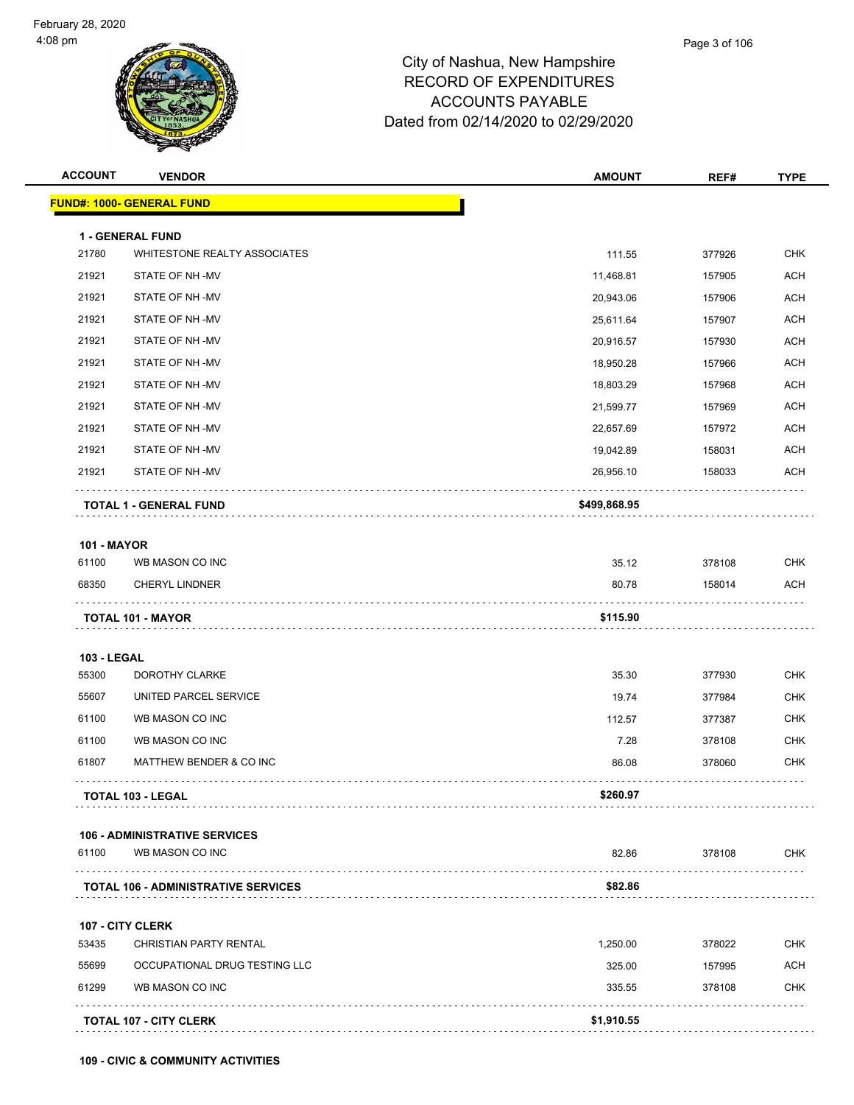|                                            | <b>AMOUNT</b>                 | REF#   | <b>TYPE</b> |
|--------------------------------------------|-------------------------------|--------|-------------|
|                                            |                               |        |             |
|                                            |                               |        |             |
| WHITESTONE REALTY ASSOCIATES               | 111.55                        | 377926 | <b>CHK</b>  |
|                                            | 11,468.81                     | 157905 | <b>ACH</b>  |
|                                            | 20,943.06                     | 157906 | <b>ACH</b>  |
|                                            | 25,611.64                     | 157907 | <b>ACH</b>  |
|                                            | 20,916.57                     | 157930 | <b>ACH</b>  |
|                                            | 18,950.28                     | 157966 | <b>ACH</b>  |
|                                            | 18,803.29                     | 157968 | <b>ACH</b>  |
|                                            | 21,599.77                     | 157969 | <b>ACH</b>  |
|                                            | 22,657.69                     | 157972 | <b>ACH</b>  |
|                                            | 19,042.89                     | 158031 | <b>ACH</b>  |
|                                            | 26,956.10                     | 158033 | <b>ACH</b>  |
|                                            | \$499,868.95                  |        |             |
|                                            |                               |        |             |
|                                            | 35.12                         | 378108 | <b>CHK</b>  |
|                                            | 80.78                         | 158014 | <b>ACH</b>  |
|                                            | \$115.90                      |        |             |
|                                            |                               |        |             |
|                                            | 35.30                         | 377930 | <b>CHK</b>  |
| UNITED PARCEL SERVICE                      | 19.74                         | 377984 | <b>CHK</b>  |
|                                            | 112.57                        | 377387 | <b>CHK</b>  |
|                                            | 7.28                          | 378108 | <b>CHK</b>  |
| MATTHEW BENDER & CO INC                    | 86.08                         | 378060 | <b>CHK</b>  |
|                                            | \$260.97                      |        |             |
| <b>106 - ADMINISTRATIVE SERVICES</b>       |                               |        |             |
|                                            | 82.86                         | 378108 | <b>CHK</b>  |
| <b>TOTAL 106 - ADMINISTRATIVE SERVICES</b> | \$82.86                       |        |             |
|                                            |                               |        |             |
| <b>CHRISTIAN PARTY RENTAL</b>              | 1,250.00                      | 378022 | <b>CHK</b>  |
|                                            | 325.00                        | 157995 | ACH         |
|                                            | 335.55                        | 378108 | <b>CHK</b>  |
|                                            | \$1,910.55                    |        |             |
| WB MASON CO INC                            | OCCUPATIONAL DRUG TESTING LLC |        |             |

**109 - CIVIC & COMMUNITY ACTIVITIES**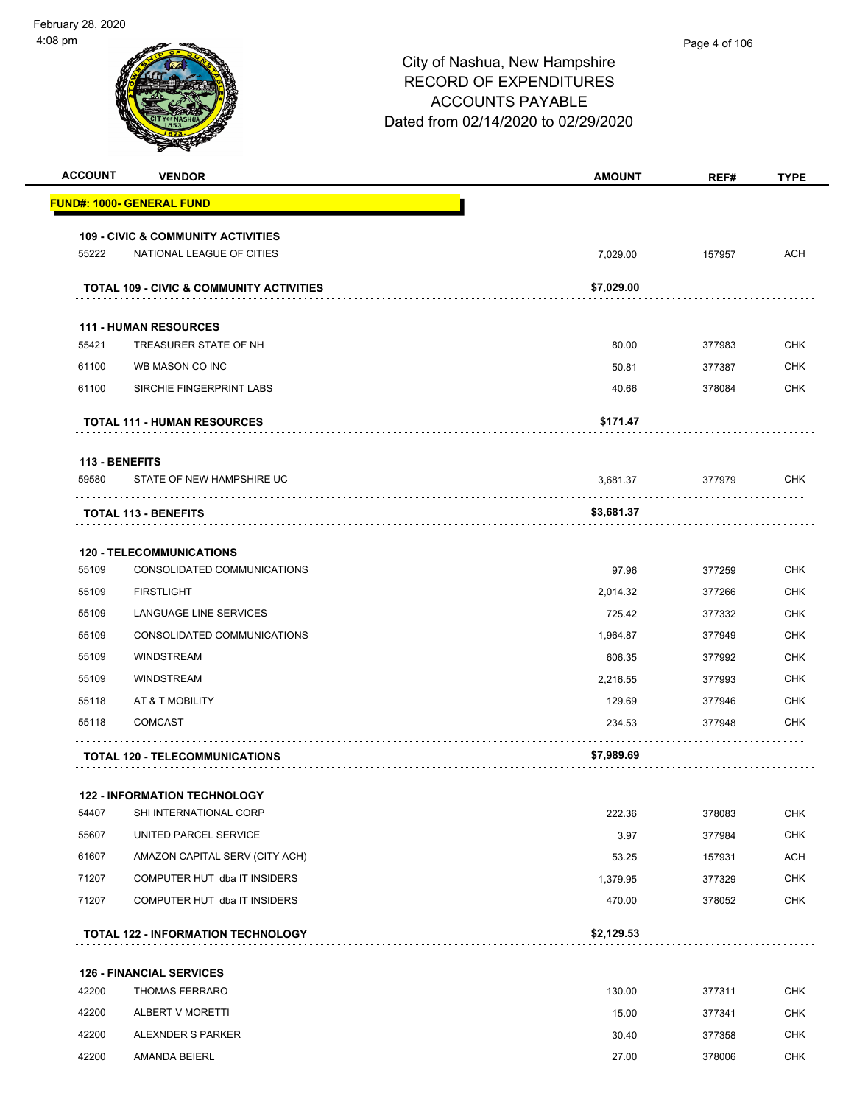| <b>ACCOUNT</b> | <b>VENDOR</b>                                                  | <b>AMOUNT</b>  | REF#             | <b>TYPE</b> |
|----------------|----------------------------------------------------------------|----------------|------------------|-------------|
|                | <u> FUND#: 1000- GENERAL FUND</u>                              |                |                  |             |
|                | <b>109 - CIVIC &amp; COMMUNITY ACTIVITIES</b>                  |                |                  |             |
| 55222          | NATIONAL LEAGUE OF CITIES                                      | 7,029.00       | 157957           | ACH         |
|                | <b>TOTAL 109 - CIVIC &amp; COMMUNITY ACTIVITIES</b>            | \$7,029.00     |                  |             |
|                |                                                                |                |                  |             |
| 55421          | <b>111 - HUMAN RESOURCES</b><br>TREASURER STATE OF NH          |                |                  | <b>CHK</b>  |
| 61100          | WB MASON CO INC                                                | 80.00          | 377983           | <b>CHK</b>  |
| 61100          | SIRCHIE FINGERPRINT LABS                                       | 50.81<br>40.66 | 377387<br>378084 | CHK         |
|                |                                                                |                |                  |             |
|                | <b>TOTAL 111 - HUMAN RESOURCES</b>                             | \$171.47       |                  |             |
| 113 - BENEFITS |                                                                |                |                  |             |
| 59580          | STATE OF NEW HAMPSHIRE UC                                      | 3,681.37       | 377979           | <b>CHK</b>  |
|                | <b>TOTAL 113 - BENEFITS</b>                                    | \$3,681.37     |                  |             |
|                |                                                                |                |                  |             |
| 55109          | <b>120 - TELECOMMUNICATIONS</b><br>CONSOLIDATED COMMUNICATIONS | 97.96          | 377259           | <b>CHK</b>  |
| 55109          | <b>FIRSTLIGHT</b>                                              | 2,014.32       | 377266           | <b>CHK</b>  |
| 55109          | LANGUAGE LINE SERVICES                                         | 725.42         | 377332           | <b>CHK</b>  |
| 55109          | CONSOLIDATED COMMUNICATIONS                                    | 1,964.87       | 377949           | <b>CHK</b>  |
| 55109          | <b>WINDSTREAM</b>                                              | 606.35         | 377992           | <b>CHK</b>  |
| 55109          | <b>WINDSTREAM</b>                                              | 2,216.55       | 377993           | <b>CHK</b>  |
| 55118          | AT & T MOBILITY                                                | 129.69         | 377946           | <b>CHK</b>  |
| 55118          | <b>COMCAST</b>                                                 | 234.53         | 377948           | <b>CHK</b>  |
|                |                                                                |                |                  |             |
|                | <b>TOTAL 120 - TELECOMMUNICATIONS</b>                          | \$7,989.69     |                  |             |
|                | <b>122 - INFORMATION TECHNOLOGY</b>                            |                |                  |             |
| 54407          | SHI INTERNATIONAL CORP                                         | 222.36         | 378083           | <b>CHK</b>  |
| 55607          | UNITED PARCEL SERVICE                                          | 3.97           | 377984           | <b>CHK</b>  |
| 61607          | AMAZON CAPITAL SERV (CITY ACH)                                 | 53.25          | 157931           | <b>ACH</b>  |
| 71207          | COMPUTER HUT dba IT INSIDERS                                   | 1,379.95       | 377329           | <b>CHK</b>  |
| 71207          | COMPUTER HUT dba IT INSIDERS                                   | 470.00         | 378052           | <b>CHK</b>  |
|                | <b>TOTAL 122 - INFORMATION TECHNOLOGY</b>                      | \$2,129.53     |                  | .           |
|                |                                                                |                |                  |             |
|                | <b>126 - FINANCIAL SERVICES</b>                                |                |                  |             |
| 42200          | <b>THOMAS FERRARO</b>                                          | 130.00         | 377311           | CHK         |
| 42200          | ALBERT V MORETTI                                               | 15.00          | 377341           | <b>CHK</b>  |
| 42200          | ALEXNDER S PARKER                                              | 30.40          | 377358           | <b>CHK</b>  |
| 42200          | AMANDA BEIERL                                                  | 27.00          | 378006           | CHK         |
|                |                                                                |                |                  |             |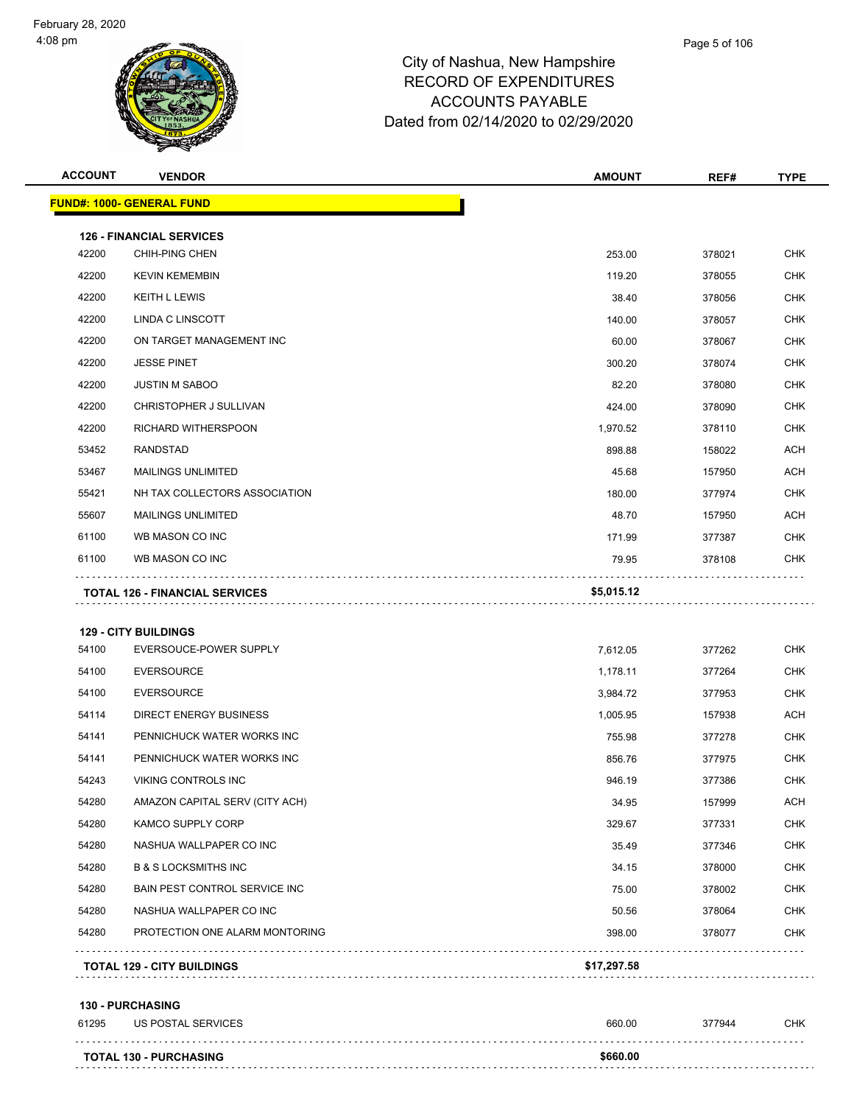

| <b>ACCOUNT</b> | <b>VENDOR</b>                         | <b>AMOUNT</b> | REF#   | <b>TYPE</b> |
|----------------|---------------------------------------|---------------|--------|-------------|
|                | FUND#: 1000- GENERAL FUND             |               |        |             |
|                | <b>126 - FINANCIAL SERVICES</b>       |               |        |             |
| 42200          | CHIH-PING CHEN                        | 253.00        | 378021 | <b>CHK</b>  |
| 42200          | <b>KEVIN KEMEMBIN</b>                 | 119.20        | 378055 | <b>CHK</b>  |
| 42200          | <b>KEITH L LEWIS</b>                  | 38.40         | 378056 | <b>CHK</b>  |
| 42200          | LINDA C LINSCOTT                      | 140.00        | 378057 | <b>CHK</b>  |
| 42200          | ON TARGET MANAGEMENT INC              | 60.00         | 378067 | <b>CHK</b>  |
| 42200          | <b>JESSE PINET</b>                    | 300.20        | 378074 | CHK         |
| 42200          | <b>JUSTIN M SABOO</b>                 | 82.20         | 378080 | <b>CHK</b>  |
| 42200          | CHRISTOPHER J SULLIVAN                | 424.00        | 378090 | <b>CHK</b>  |
| 42200          | RICHARD WITHERSPOON                   | 1,970.52      | 378110 | <b>CHK</b>  |
| 53452          | <b>RANDSTAD</b>                       | 898.88        | 158022 | <b>ACH</b>  |
| 53467          | <b>MAILINGS UNLIMITED</b>             | 45.68         | 157950 | <b>ACH</b>  |
| 55421          | NH TAX COLLECTORS ASSOCIATION         | 180.00        | 377974 | <b>CHK</b>  |
| 55607          | <b>MAILINGS UNLIMITED</b>             | 48.70         | 157950 | <b>ACH</b>  |
| 61100          | WB MASON CO INC                       | 171.99        | 377387 | <b>CHK</b>  |
| 61100          | WB MASON CO INC                       | 79.95         | 378108 | <b>CHK</b>  |
|                | <b>TOTAL 126 - FINANCIAL SERVICES</b> | \$5,015.12    |        |             |
|                |                                       |               |        |             |
|                | <b>129 - CITY BUILDINGS</b>           |               |        |             |
| 54100          | EVERSOUCE-POWER SUPPLY                | 7,612.05      | 377262 | <b>CHK</b>  |
| 54100          | <b>EVERSOURCE</b>                     | 1,178.11      | 377264 | <b>CHK</b>  |
| 54100          | <b>EVERSOURCE</b>                     | 3,984.72      | 377953 | <b>CHK</b>  |
| 54114          | DIRECT ENERGY BUSINESS                | 1,005.95      | 157938 | <b>ACH</b>  |
| 54141          | PENNICHUCK WATER WORKS INC            | 755.98        | 377278 | <b>CHK</b>  |
| 54141          | PENNICHUCK WATER WORKS INC            | 856.76        | 377975 | CHK         |
| 54243          | VIKING CONTROLS INC                   | 946.19        | 377386 | <b>CHK</b>  |
| 54280          | AMAZON CAPITAL SERV (CITY ACH)        | 34.95         | 157999 | <b>ACH</b>  |
| 54280          | KAMCO SUPPLY CORP                     | 329.67        | 377331 | <b>CHK</b>  |
| 54280          | NASHUA WALLPAPER CO INC               | 35.49         | 377346 | <b>CHK</b>  |
| 54280          | <b>B &amp; S LOCKSMITHS INC</b>       | 34.15         | 378000 | CHK         |
| 54280          | BAIN PEST CONTROL SERVICE INC         | 75.00         | 378002 | <b>CHK</b>  |
| 54280          | NASHUA WALLPAPER CO INC               | 50.56         | 378064 | CHK         |
| 54280          | PROTECTION ONE ALARM MONTORING        | 398.00        | 378077 | <b>CHK</b>  |
|                | <b>TOTAL 129 - CITY BUILDINGS</b>     | \$17,297.58   |        |             |
|                | <b>130 - PURCHASING</b>               |               |        |             |
| 61295          | US POSTAL SERVICES                    | 660.00        | 377944 | <b>CHK</b>  |
|                | <b>TOTAL 130 - PURCHASING</b>         | \$660.00      |        |             |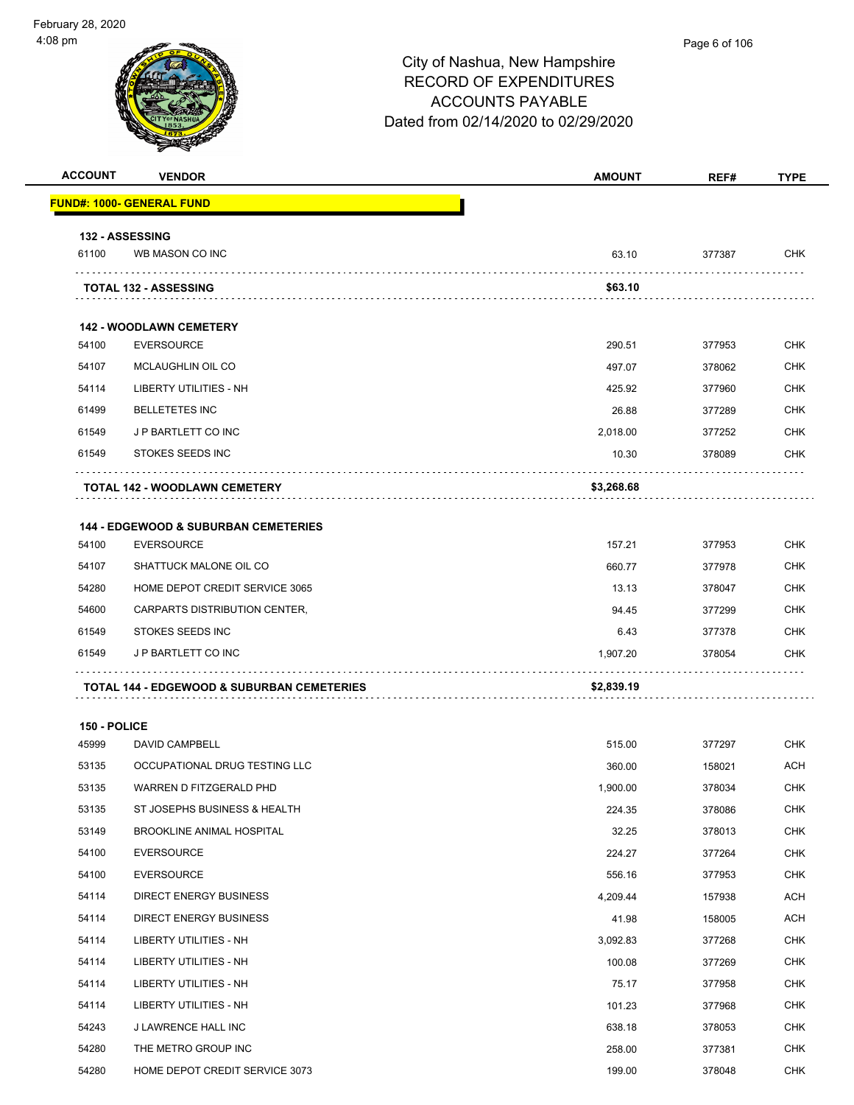| <b>ACCOUNT</b>        | <b>VENDOR</b>                                         | <b>AMOUNT</b> | REF#   | <b>TYPE</b>       |
|-----------------------|-------------------------------------------------------|---------------|--------|-------------------|
|                       | <b>FUND#: 1000- GENERAL FUND</b>                      |               |        |                   |
|                       | <b>132 - ASSESSING</b>                                |               |        |                   |
| 61100                 | WB MASON CO INC                                       | 63.10         | 377387 | <b>CHK</b>        |
|                       | <b>TOTAL 132 - ASSESSING</b>                          | \$63.10       |        |                   |
|                       |                                                       |               |        |                   |
| 54100                 | <b>142 - WOODLAWN CEMETERY</b><br>EVERSOURCE          | 290.51        | 377953 | <b>CHK</b>        |
| 54107                 | <b>MCLAUGHLIN OIL CO</b>                              | 497.07        | 378062 | <b>CHK</b>        |
| 54114                 | LIBERTY UTILITIES - NH                                | 425.92        | 377960 | <b>CHK</b>        |
| 61499                 | <b>BELLETETES INC</b>                                 | 26.88         | 377289 | <b>CHK</b>        |
| 61549                 | J P BARTLETT CO INC                                   | 2,018.00      | 377252 | <b>CHK</b>        |
| 61549                 | <b>STOKES SEEDS INC</b>                               | 10.30         | 378089 | CHK               |
|                       |                                                       |               |        |                   |
|                       | <b>TOTAL 142 - WOODLAWN CEMETERY</b>                  | \$3,268.68    |        |                   |
|                       | <b>144 - EDGEWOOD &amp; SUBURBAN CEMETERIES</b>       |               |        |                   |
| 54100                 | <b>EVERSOURCE</b>                                     | 157.21        | 377953 | <b>CHK</b>        |
| 54107                 | SHATTUCK MALONE OIL CO                                | 660.77        | 377978 | <b>CHK</b>        |
| 54280                 | HOME DEPOT CREDIT SERVICE 3065                        | 13.13         | 378047 | <b>CHK</b>        |
| 54600                 | CARPARTS DISTRIBUTION CENTER,                         | 94.45         | 377299 | <b>CHK</b>        |
| 61549                 | STOKES SEEDS INC                                      | 6.43          | 377378 | <b>CHK</b>        |
| 61549                 | J P BARTLETT CO INC                                   | 1,907.20      | 378054 | <b>CHK</b>        |
|                       | <b>TOTAL 144 - EDGEWOOD &amp; SUBURBAN CEMETERIES</b> | \$2,839.19    |        |                   |
|                       |                                                       |               |        |                   |
| 150 - POLICE<br>45999 | DAVID CAMPBELL                                        | 515.00        | 377297 |                   |
| 53135                 | OCCUPATIONAL DRUG TESTING LLC                         | 360.00        | 158021 | <b>CHK</b><br>ACH |
| 53135                 | WARREN D FITZGERALD PHD                               | 1,900.00      | 378034 | <b>CHK</b>        |
| 53135                 | ST JOSEPHS BUSINESS & HEALTH                          | 224.35        | 378086 | <b>CHK</b>        |
| 53149                 | <b>BROOKLINE ANIMAL HOSPITAL</b>                      | 32.25         | 378013 | <b>CHK</b>        |
| 54100                 | <b>EVERSOURCE</b>                                     | 224.27        | 377264 | <b>CHK</b>        |
| 54100                 | <b>EVERSOURCE</b>                                     | 556.16        | 377953 | <b>CHK</b>        |
| 54114                 | <b>DIRECT ENERGY BUSINESS</b>                         | 4,209.44      | 157938 | ACH               |
| 54114                 | <b>DIRECT ENERGY BUSINESS</b>                         | 41.98         | 158005 | <b>ACH</b>        |
| 54114                 | LIBERTY UTILITIES - NH                                | 3,092.83      | 377268 | <b>CHK</b>        |
| 54114                 | LIBERTY UTILITIES - NH                                | 100.08        | 377269 | <b>CHK</b>        |
| 54114                 | LIBERTY UTILITIES - NH                                | 75.17         | 377958 | <b>CHK</b>        |
| 54114                 | LIBERTY UTILITIES - NH                                | 101.23        | 377968 | <b>CHK</b>        |
| 54243                 | J LAWRENCE HALL INC                                   | 638.18        | 378053 | <b>CHK</b>        |
| 54280                 | THE METRO GROUP INC                                   | 258.00        | 377381 | <b>CHK</b>        |
| 54280                 | HOME DEPOT CREDIT SERVICE 3073                        | 199.00        | 378048 | <b>CHK</b>        |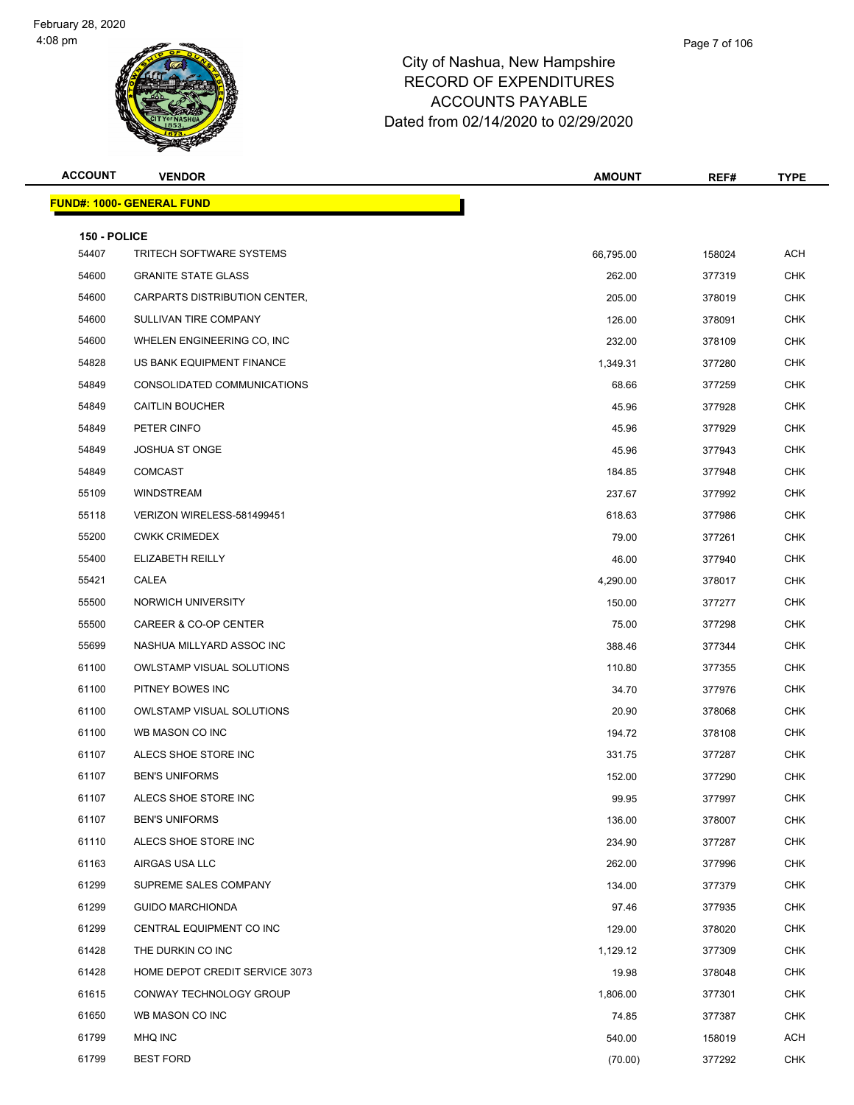

| <b>ACCOUNT</b>        | <b>VENDOR</b>                     | <b>AMOUNT</b> | REF#   | <b>TYPE</b> |
|-----------------------|-----------------------------------|---------------|--------|-------------|
|                       | <u> FUND#: 1000- GENERAL FUND</u> |               |        |             |
|                       |                                   |               |        |             |
| 150 - POLICE<br>54407 | <b>TRITECH SOFTWARE SYSTEMS</b>   | 66,795.00     | 158024 | <b>ACH</b>  |
| 54600                 | <b>GRANITE STATE GLASS</b>        | 262.00        | 377319 | <b>CHK</b>  |
| 54600                 | CARPARTS DISTRIBUTION CENTER,     | 205.00        | 378019 | <b>CHK</b>  |
| 54600                 | SULLIVAN TIRE COMPANY             | 126.00        | 378091 | <b>CHK</b>  |
| 54600                 | WHELEN ENGINEERING CO, INC        | 232.00        | 378109 | <b>CHK</b>  |
| 54828                 | US BANK EQUIPMENT FINANCE         | 1,349.31      | 377280 | <b>CHK</b>  |
| 54849                 | CONSOLIDATED COMMUNICATIONS       |               |        | <b>CHK</b>  |
|                       |                                   | 68.66         | 377259 | <b>CHK</b>  |
| 54849                 | <b>CAITLIN BOUCHER</b>            | 45.96         | 377928 |             |
| 54849                 | PETER CINFO                       | 45.96         | 377929 | <b>CHK</b>  |
| 54849                 | <b>JOSHUA ST ONGE</b>             | 45.96         | 377943 | <b>CHK</b>  |
| 54849                 | <b>COMCAST</b>                    | 184.85        | 377948 | <b>CHK</b>  |
| 55109                 | WINDSTREAM                        | 237.67        | 377992 | <b>CHK</b>  |
| 55118                 | VERIZON WIRELESS-581499451        | 618.63        | 377986 | <b>CHK</b>  |
| 55200                 | <b>CWKK CRIMEDEX</b>              | 79.00         | 377261 | <b>CHK</b>  |
| 55400                 | ELIZABETH REILLY                  | 46.00         | 377940 | <b>CHK</b>  |
| 55421                 | CALEA                             | 4,290.00      | 378017 | <b>CHK</b>  |
| 55500                 | NORWICH UNIVERSITY                | 150.00        | 377277 | <b>CHK</b>  |
| 55500                 | CAREER & CO-OP CENTER             | 75.00         | 377298 | <b>CHK</b>  |
| 55699                 | NASHUA MILLYARD ASSOC INC         | 388.46        | 377344 | <b>CHK</b>  |
| 61100                 | <b>OWLSTAMP VISUAL SOLUTIONS</b>  | 110.80        | 377355 | <b>CHK</b>  |
| 61100                 | PITNEY BOWES INC                  | 34.70         | 377976 | <b>CHK</b>  |
| 61100                 | <b>OWLSTAMP VISUAL SOLUTIONS</b>  | 20.90         | 378068 | <b>CHK</b>  |
| 61100                 | WB MASON CO INC                   | 194.72        | 378108 | <b>CHK</b>  |
| 61107                 | ALECS SHOE STORE INC              | 331.75        | 377287 | <b>CHK</b>  |
| 61107                 | <b>BEN'S UNIFORMS</b>             | 152.00        | 377290 | <b>CHK</b>  |
| 61107                 | ALECS SHOE STORE INC              | 99.95         | 377997 | CHK         |
| 61107                 | <b>BEN'S UNIFORMS</b>             | 136.00        | 378007 | <b>CHK</b>  |
| 61110                 | ALECS SHOE STORE INC              | 234.90        | 377287 | <b>CHK</b>  |
| 61163                 | AIRGAS USA LLC                    | 262.00        | 377996 | <b>CHK</b>  |
| 61299                 | SUPREME SALES COMPANY             | 134.00        | 377379 | <b>CHK</b>  |
| 61299                 | <b>GUIDO MARCHIONDA</b>           | 97.46         | 377935 | <b>CHK</b>  |
| 61299                 | CENTRAL EQUIPMENT CO INC          | 129.00        | 378020 | <b>CHK</b>  |
| 61428                 | THE DURKIN CO INC                 | 1,129.12      | 377309 | <b>CHK</b>  |
| 61428                 | HOME DEPOT CREDIT SERVICE 3073    | 19.98         | 378048 | <b>CHK</b>  |
| 61615                 | CONWAY TECHNOLOGY GROUP           | 1,806.00      | 377301 | <b>CHK</b>  |
| 61650                 | WB MASON CO INC                   | 74.85         | 377387 | <b>CHK</b>  |
| 61799                 | MHQ INC                           | 540.00        | 158019 | ACH         |
| 61799                 | <b>BEST FORD</b>                  | (70.00)       | 377292 | <b>CHK</b>  |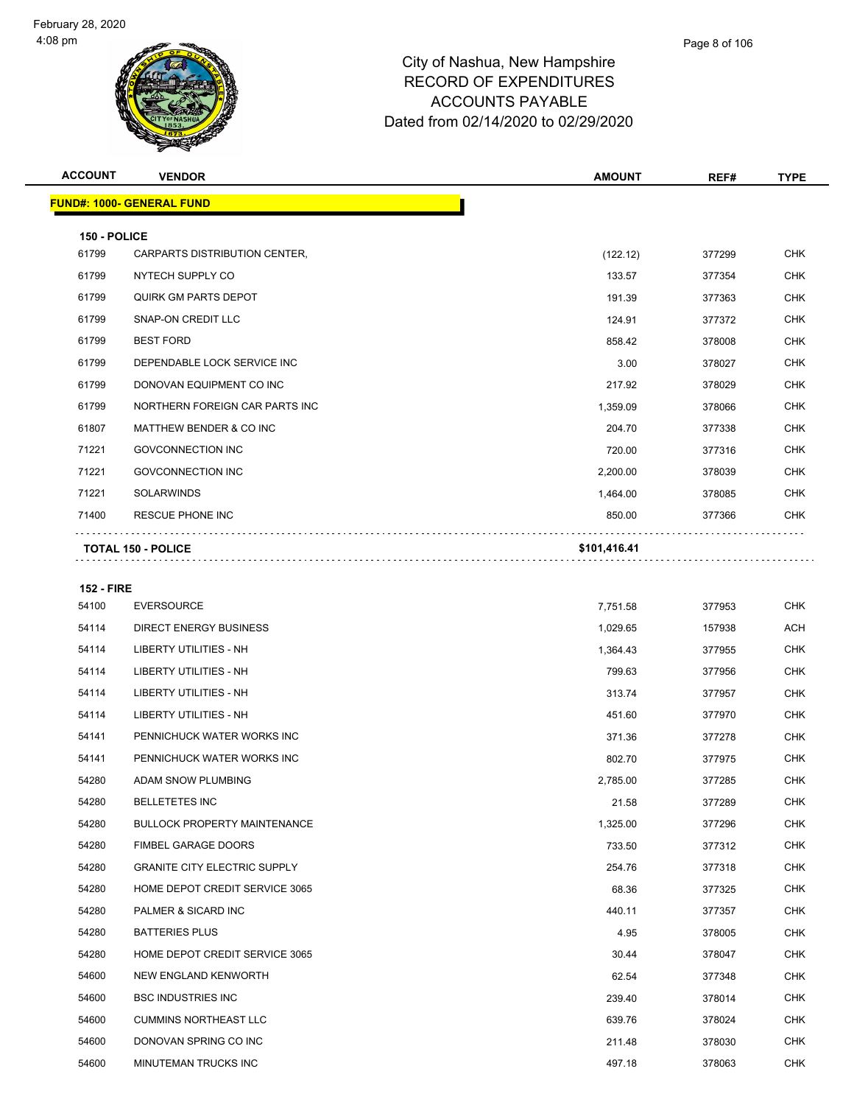| <b>ACCOUNT</b>    | <b>VENDOR</b>                       | <b>AMOUNT</b> | REF#   | <b>TYPE</b> |
|-------------------|-------------------------------------|---------------|--------|-------------|
|                   | <u> FUND#: 1000- GENERAL FUND</u>   |               |        |             |
| 150 - POLICE      |                                     |               |        |             |
| 61799             | CARPARTS DISTRIBUTION CENTER,       | (122.12)      | 377299 | <b>CHK</b>  |
| 61799             | NYTECH SUPPLY CO                    | 133.57        | 377354 | <b>CHK</b>  |
| 61799             | <b>QUIRK GM PARTS DEPOT</b>         | 191.39        | 377363 | <b>CHK</b>  |
| 61799             | SNAP-ON CREDIT LLC                  | 124.91        | 377372 | <b>CHK</b>  |
| 61799             | <b>BEST FORD</b>                    | 858.42        | 378008 | <b>CHK</b>  |
| 61799             | DEPENDABLE LOCK SERVICE INC         | 3.00          | 378027 | <b>CHK</b>  |
| 61799             | DONOVAN EQUIPMENT CO INC            | 217.92        | 378029 | <b>CHK</b>  |
| 61799             | NORTHERN FOREIGN CAR PARTS INC      | 1,359.09      | 378066 | CHK         |
| 61807             | MATTHEW BENDER & CO INC             | 204.70        | 377338 | <b>CHK</b>  |
| 71221             | <b>GOVCONNECTION INC</b>            | 720.00        | 377316 | <b>CHK</b>  |
| 71221             | <b>GOVCONNECTION INC</b>            | 2,200.00      | 378039 | <b>CHK</b>  |
| 71221             | <b>SOLARWINDS</b>                   | 1,464.00      | 378085 | <b>CHK</b>  |
| 71400             | RESCUE PHONE INC                    | 850.00        | 377366 | CHK         |
|                   | <b>TOTAL 150 - POLICE</b>           | \$101,416.41  |        |             |
|                   |                                     |               |        |             |
| <b>152 - FIRE</b> |                                     |               |        |             |
| 54100             | <b>EVERSOURCE</b>                   | 7,751.58      | 377953 | <b>CHK</b>  |
| 54114             | <b>DIRECT ENERGY BUSINESS</b>       | 1,029.65      | 157938 | ACH         |
| 54114             | LIBERTY UTILITIES - NH              | 1,364.43      | 377955 | <b>CHK</b>  |
| 54114             | LIBERTY UTILITIES - NH              | 799.63        | 377956 | <b>CHK</b>  |
| 54114             | LIBERTY UTILITIES - NH              | 313.74        | 377957 | CHK         |
| 54114             | LIBERTY UTILITIES - NH              | 451.60        | 377970 | <b>CHK</b>  |
| 54141             | PENNICHUCK WATER WORKS INC          | 371.36        | 377278 | <b>CHK</b>  |
| 54141             | PENNICHUCK WATER WORKS INC          | 802.70        | 377975 | <b>CHK</b>  |
| 54280             | ADAM SNOW PLUMBING                  | 2,785.00      | 377285 | <b>CHK</b>  |
| 54280             | <b>BELLETETES INC</b>               | 21.58         | 377289 | <b>CHK</b>  |
| 54280             | <b>BULLOCK PROPERTY MAINTENANCE</b> | 1,325.00      | 377296 | <b>CHK</b>  |
| 54280             | FIMBEL GARAGE DOORS                 | 733.50        | 377312 | CHK         |
| 54280             | <b>GRANITE CITY ELECTRIC SUPPLY</b> | 254.76        | 377318 | <b>CHK</b>  |
| 54280             | HOME DEPOT CREDIT SERVICE 3065      | 68.36         | 377325 | <b>CHK</b>  |
| 54280             | PALMER & SICARD INC                 | 440.11        | 377357 | CHK         |
| 54280             | <b>BATTERIES PLUS</b>               | 4.95          | 378005 | <b>CHK</b>  |
| 54280             | HOME DEPOT CREDIT SERVICE 3065      | 30.44         | 378047 | CHK         |
| 54600             | NEW ENGLAND KENWORTH                | 62.54         | 377348 | <b>CHK</b>  |
| 54600             | <b>BSC INDUSTRIES INC</b>           | 239.40        | 378014 | <b>CHK</b>  |
| 54600             | <b>CUMMINS NORTHEAST LLC</b>        | 639.76        | 378024 | <b>CHK</b>  |
| 54600             | DONOVAN SPRING CO INC               | 211.48        | 378030 | <b>CHK</b>  |
| 54600             | MINUTEMAN TRUCKS INC                | 497.18        | 378063 | <b>CHK</b>  |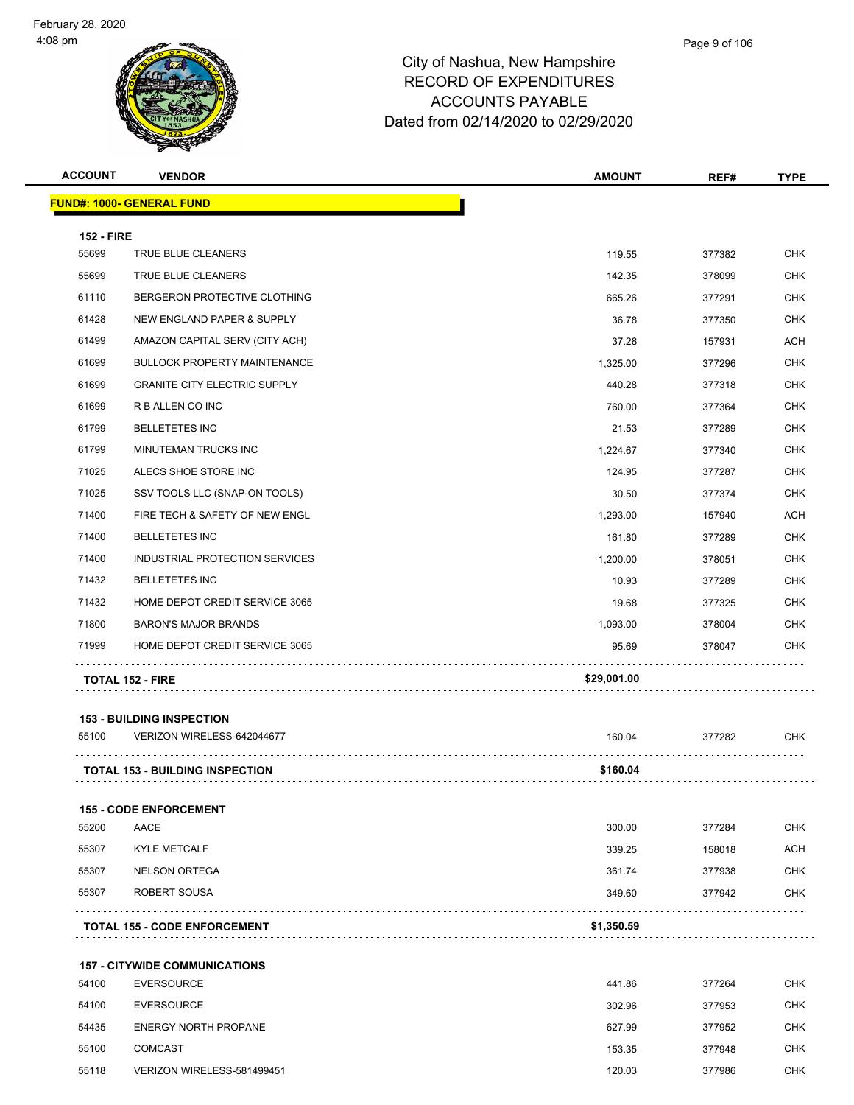

| <b>ACCOUNT</b>    | <b>VENDOR</b>                          | <b>AMOUNT</b> | REF#   | <b>TYPE</b> |
|-------------------|----------------------------------------|---------------|--------|-------------|
|                   | <b>FUND#: 1000- GENERAL FUND</b>       |               |        |             |
| <b>152 - FIRE</b> |                                        |               |        |             |
| 55699             | TRUE BLUE CLEANERS                     | 119.55        | 377382 | <b>CHK</b>  |
| 55699             | TRUE BLUE CLEANERS                     | 142.35        | 378099 | <b>CHK</b>  |
| 61110             | BERGERON PROTECTIVE CLOTHING           | 665.26        | 377291 | <b>CHK</b>  |
| 61428             | <b>NEW ENGLAND PAPER &amp; SUPPLY</b>  | 36.78         | 377350 | <b>CHK</b>  |
| 61499             | AMAZON CAPITAL SERV (CITY ACH)         | 37.28         | 157931 | <b>ACH</b>  |
| 61699             | <b>BULLOCK PROPERTY MAINTENANCE</b>    | 1,325.00      | 377296 | <b>CHK</b>  |
| 61699             | <b>GRANITE CITY ELECTRIC SUPPLY</b>    | 440.28        | 377318 | <b>CHK</b>  |
| 61699             | R B ALLEN CO INC                       | 760.00        | 377364 | <b>CHK</b>  |
| 61799             | <b>BELLETETES INC</b>                  | 21.53         | 377289 | <b>CHK</b>  |
| 61799             | <b>MINUTEMAN TRUCKS INC</b>            | 1,224.67      | 377340 | <b>CHK</b>  |
| 71025             | ALECS SHOE STORE INC                   | 124.95        | 377287 | <b>CHK</b>  |
| 71025             | SSV TOOLS LLC (SNAP-ON TOOLS)          | 30.50         | 377374 | <b>CHK</b>  |
| 71400             | FIRE TECH & SAFETY OF NEW ENGL         | 1,293.00      | 157940 | <b>ACH</b>  |
| 71400             | <b>BELLETETES INC</b>                  | 161.80        | 377289 | <b>CHK</b>  |
| 71400             | INDUSTRIAL PROTECTION SERVICES         | 1,200.00      | 378051 | <b>CHK</b>  |
| 71432             | <b>BELLETETES INC</b>                  | 10.93         | 377289 | <b>CHK</b>  |
| 71432             | HOME DEPOT CREDIT SERVICE 3065         | 19.68         | 377325 | <b>CHK</b>  |
| 71800             | <b>BARON'S MAJOR BRANDS</b>            | 1,093.00      | 378004 | <b>CHK</b>  |
| 71999             | HOME DEPOT CREDIT SERVICE 3065         | 95.69         | 378047 | <b>CHK</b>  |
|                   | <b>TOTAL 152 - FIRE</b>                | \$29,001.00   |        |             |
|                   | <b>153 - BUILDING INSPECTION</b>       |               |        |             |
| 55100             | VERIZON WIRELESS-642044677             | 160.04        | 377282 | <b>CHK</b>  |
|                   | <b>TOTAL 153 - BUILDING INSPECTION</b> | \$160.04      |        |             |
|                   | <b>155 - CODE ENFORCEMENT</b>          |               |        |             |
| 55200             | AACE                                   | 300.00        | 377284 | <b>CHK</b>  |
| 55307             | <b>KYLE METCALF</b>                    | 339.25        | 158018 | <b>ACH</b>  |
| 55307             | <b>NELSON ORTEGA</b>                   | 361.74        | 377938 | <b>CHK</b>  |
| 55307             | ROBERT SOUSA                           | 349.60        | 377942 | <b>CHK</b>  |
|                   | <b>TOTAL 155 - CODE ENFORCEMENT</b>    | \$1,350.59    |        |             |

|       | <b>TOTAL 155 - CODE ENFORCEMENT</b>  | \$1,350.59 |        |            |
|-------|--------------------------------------|------------|--------|------------|
|       | <b>157 - CITYWIDE COMMUNICATIONS</b> |            |        |            |
| 54100 | <b>EVERSOURCE</b>                    | 441.86     | 377264 | <b>CHK</b> |
| 54100 | EVERSOURCE                           | 302.96     | 377953 | <b>CHK</b> |
| 54435 | <b>ENERGY NORTH PROPANE</b>          | 627.99     | 377952 | <b>CHK</b> |
| 55100 | <b>COMCAST</b>                       | 153.35     | 377948 | <b>CHK</b> |

VERIZON WIRELESS-581499451 120.03 377986 CHK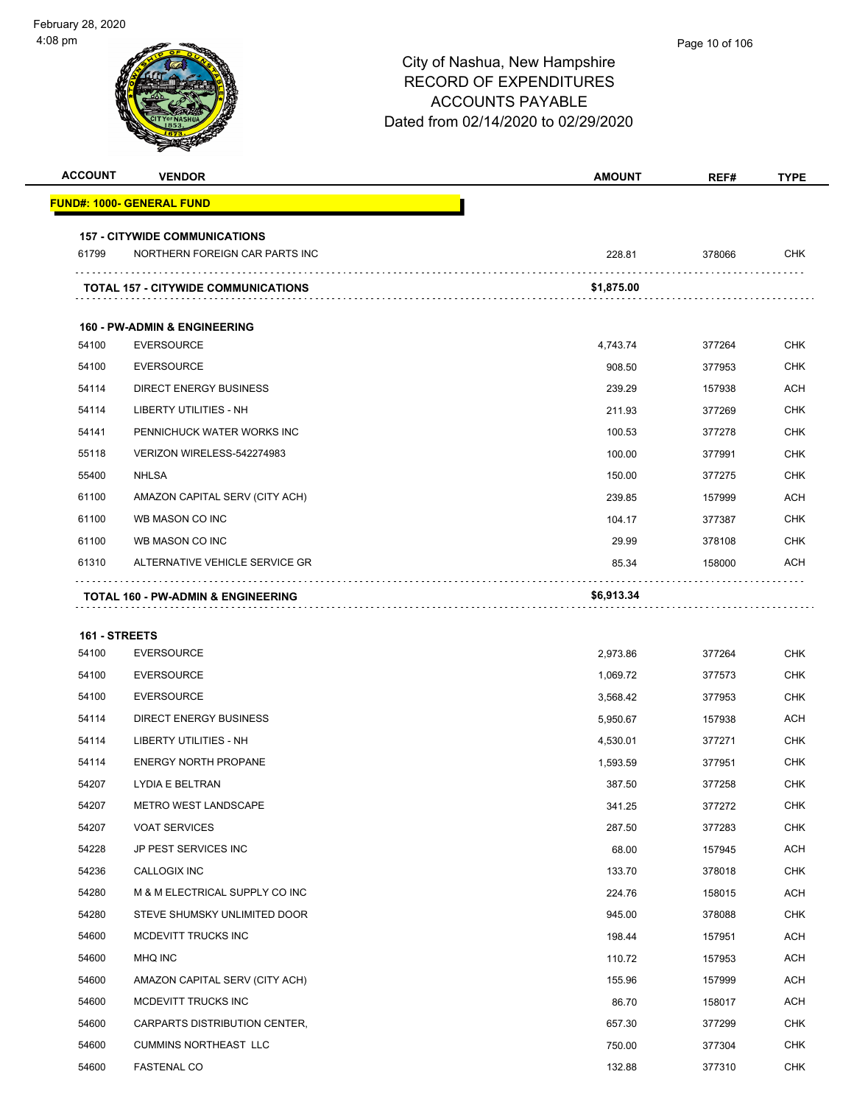| <b>ACCOUNT</b> | <b>VENDOR</b>                              | <b>AMOUNT</b> | REF#   | <b>TYPE</b> |
|----------------|--------------------------------------------|---------------|--------|-------------|
|                | <u> FUND#: 1000- GENERAL FUND</u>          |               |        |             |
|                | <b>157 - CITYWIDE COMMUNICATIONS</b>       |               |        |             |
| 61799          | NORTHERN FOREIGN CAR PARTS INC             | 228.81        | 378066 | <b>CHK</b>  |
|                | <b>TOTAL 157 - CITYWIDE COMMUNICATIONS</b> | \$1,875.00    | .      |             |
|                |                                            |               |        |             |
|                | <b>160 - PW-ADMIN &amp; ENGINEERING</b>    |               |        |             |
| 54100          | <b>EVERSOURCE</b>                          | 4,743.74      | 377264 | <b>CHK</b>  |
| 54100          | <b>EVERSOURCE</b>                          | 908.50        | 377953 | CHK         |
| 54114          | <b>DIRECT ENERGY BUSINESS</b>              | 239.29        | 157938 | <b>ACH</b>  |
| 54114          | LIBERTY UTILITIES - NH                     | 211.93        | 377269 | CHK         |
| 54141          | PENNICHUCK WATER WORKS INC                 | 100.53        | 377278 | <b>CHK</b>  |
| 55118          | VERIZON WIRELESS-542274983                 | 100.00        | 377991 | <b>CHK</b>  |
| 55400          | <b>NHLSA</b>                               | 150.00        | 377275 | CHK         |
| 61100          | AMAZON CAPITAL SERV (CITY ACH)             | 239.85        | 157999 | <b>ACH</b>  |
| 61100          | WB MASON CO INC                            | 104.17        | 377387 | CHK         |
| 61100          | WB MASON CO INC                            | 29.99         | 378108 | <b>CHK</b>  |
| 61310          | ALTERNATIVE VEHICLE SERVICE GR             | 85.34         | 158000 | <b>ACH</b>  |
|                | TOTAL 160 - PW-ADMIN & ENGINEERING         | \$6,913.34    |        |             |
|                |                                            |               |        |             |
| 161 - STREETS  |                                            |               |        |             |
| 54100          | <b>EVERSOURCE</b>                          | 2,973.86      | 377264 | <b>CHK</b>  |
| 54100          | <b>EVERSOURCE</b>                          | 1,069.72      | 377573 | <b>CHK</b>  |
| 54100          | <b>EVERSOURCE</b>                          | 3,568.42      | 377953 | <b>CHK</b>  |
| 54114          | <b>DIRECT ENERGY BUSINESS</b>              | 5,950.67      | 157938 | <b>ACH</b>  |
| 54114          | LIBERTY UTILITIES - NH                     | 4,530.01      | 377271 | <b>CHK</b>  |
| 54114          | <b>ENERGY NORTH PROPANE</b>                | 1,593.59      | 377951 | <b>CHK</b>  |
| 54207          | LYDIA E BELTRAN                            | 387.50        | 377258 | <b>CHK</b>  |
| 54207          | METRO WEST LANDSCAPE                       | 341.25        | 377272 | <b>CHK</b>  |
| 54207          | <b>VOAT SERVICES</b>                       | 287.50        | 377283 | <b>CHK</b>  |
| 54228          | JP PEST SERVICES INC                       | 68.00         | 157945 | ACH         |
| 54236          | CALLOGIX INC                               | 133.70        | 378018 | <b>CHK</b>  |
| 54280          | M & M ELECTRICAL SUPPLY CO INC             | 224.76        | 158015 | ACH         |
| 54280          | STEVE SHUMSKY UNLIMITED DOOR               | 945.00        | 378088 | <b>CHK</b>  |
| 54600          | MCDEVITT TRUCKS INC                        | 198.44        | 157951 | <b>ACH</b>  |
| 54600          | MHQ INC                                    | 110.72        | 157953 | <b>ACH</b>  |
| 54600          | AMAZON CAPITAL SERV (CITY ACH)             | 155.96        | 157999 | <b>ACH</b>  |
| 54600          | MCDEVITT TRUCKS INC                        | 86.70         | 158017 | ACH         |
| 54600          | CARPARTS DISTRIBUTION CENTER,              | 657.30        | 377299 | <b>CHK</b>  |
| 54600          | <b>CUMMINS NORTHEAST LLC</b>               | 750.00        | 377304 | <b>CHK</b>  |
| 54600          | <b>FASTENAL CO</b>                         | 132.88        | 377310 | <b>CHK</b>  |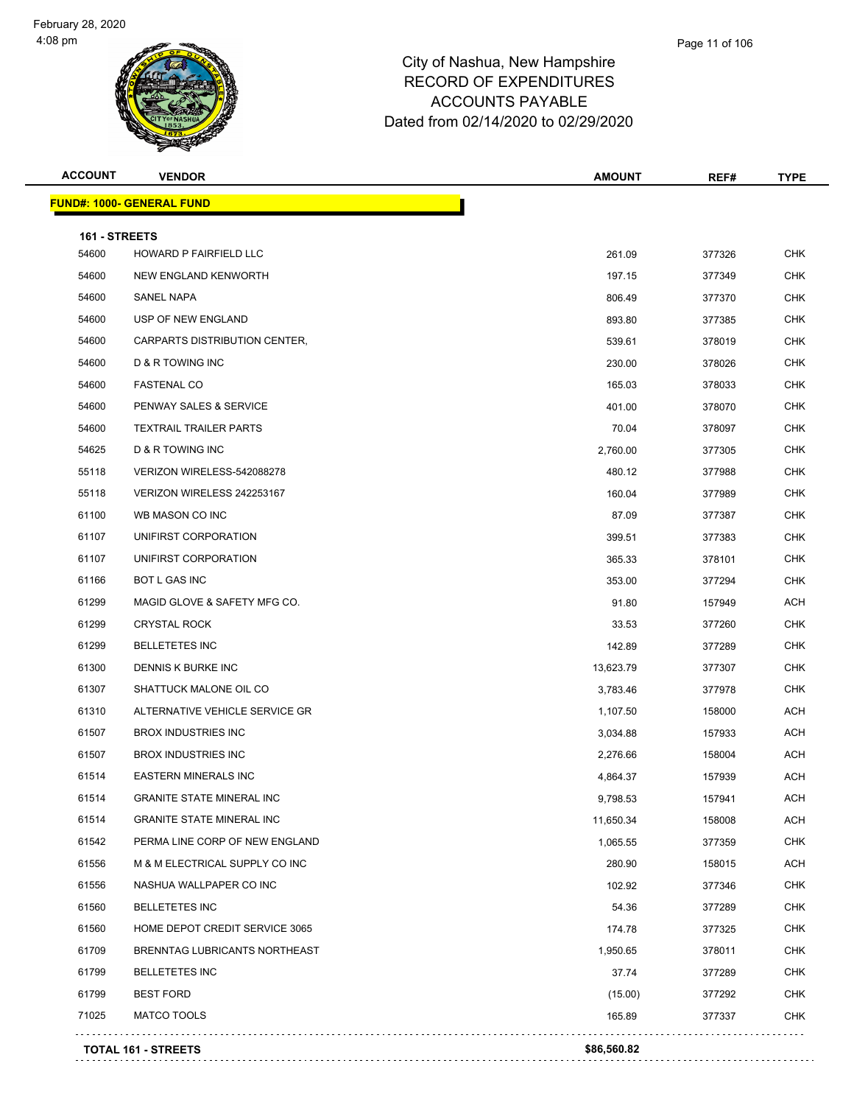

| <b>ACCOUNT</b> | <b>VENDOR</b>                        | <b>AMOUNT</b> | REF#   | <b>TYPE</b> |
|----------------|--------------------------------------|---------------|--------|-------------|
|                | <u> FUND#: 1000- GENERAL FUND</u>    |               |        |             |
| 161 - STREETS  |                                      |               |        |             |
| 54600          | HOWARD P FAIRFIELD LLC               | 261.09        | 377326 | <b>CHK</b>  |
| 54600          | NEW ENGLAND KENWORTH                 | 197.15        | 377349 | <b>CHK</b>  |
| 54600          | SANEL NAPA                           | 806.49        | 377370 | <b>CHK</b>  |
| 54600          | USP OF NEW ENGLAND                   | 893.80        | 377385 | <b>CHK</b>  |
| 54600          | <b>CARPARTS DISTRIBUTION CENTER.</b> | 539.61        | 378019 | <b>CHK</b>  |
| 54600          | <b>D &amp; R TOWING INC</b>          | 230.00        | 378026 | <b>CHK</b>  |
| 54600          | <b>FASTENAL CO</b>                   | 165.03        | 378033 | CHK         |
| 54600          | PENWAY SALES & SERVICE               | 401.00        | 378070 | <b>CHK</b>  |
| 54600          | <b>TEXTRAIL TRAILER PARTS</b>        | 70.04         | 378097 | <b>CHK</b>  |
| 54625          | D & R TOWING INC                     | 2,760.00      | 377305 | <b>CHK</b>  |
| 55118          | VERIZON WIRELESS-542088278           | 480.12        | 377988 | <b>CHK</b>  |
| 55118          | VERIZON WIRELESS 242253167           | 160.04        | 377989 | <b>CHK</b>  |
| 61100          | WB MASON CO INC                      | 87.09         | 377387 | <b>CHK</b>  |
| 61107          | UNIFIRST CORPORATION                 | 399.51        | 377383 | <b>CHK</b>  |
| 61107          | UNIFIRST CORPORATION                 | 365.33        | 378101 | <b>CHK</b>  |
| 61166          | <b>BOT L GAS INC</b>                 | 353.00        | 377294 | <b>CHK</b>  |
| 61299          | MAGID GLOVE & SAFETY MFG CO.         | 91.80         | 157949 | ACH         |
| 61299          | <b>CRYSTAL ROCK</b>                  | 33.53         | 377260 | <b>CHK</b>  |
| 61299          | <b>BELLETETES INC</b>                | 142.89        | 377289 | <b>CHK</b>  |
| 61300          | DENNIS K BURKE INC                   | 13,623.79     | 377307 | <b>CHK</b>  |
| 61307          | SHATTUCK MALONE OIL CO               | 3,783.46      | 377978 | <b>CHK</b>  |
| 61310          | ALTERNATIVE VEHICLE SERVICE GR       | 1,107.50      | 158000 | <b>ACH</b>  |
| 61507          | <b>BROX INDUSTRIES INC</b>           | 3,034.88      | 157933 | ACH         |
| 61507          | <b>BROX INDUSTRIES INC</b>           | 2,276.66      | 158004 | ACH         |
| 61514          | <b>EASTERN MINERALS INC</b>          | 4,864.37      | 157939 | ACH         |
| 61514          | <b>GRANITE STATE MINERAL INC</b>     | 9,798.53      | 157941 | <b>ACH</b>  |
| 61514          | <b>GRANITE STATE MINERAL INC</b>     | 11,650.34     | 158008 | <b>ACH</b>  |
| 61542          | PERMA LINE CORP OF NEW ENGLAND       | 1,065.55      | 377359 | <b>CHK</b>  |
| 61556          | M & M ELECTRICAL SUPPLY CO INC       | 280.90        | 158015 | <b>ACH</b>  |
| 61556          | NASHUA WALLPAPER CO INC              | 102.92        | 377346 | <b>CHK</b>  |
| 61560          | <b>BELLETETES INC</b>                | 54.36         | 377289 | <b>CHK</b>  |
| 61560          | HOME DEPOT CREDIT SERVICE 3065       | 174.78        | 377325 | <b>CHK</b>  |
| 61709          | BRENNTAG LUBRICANTS NORTHEAST        | 1,950.65      | 378011 | <b>CHK</b>  |
| 61799          | <b>BELLETETES INC</b>                | 37.74         | 377289 | <b>CHK</b>  |
| 61799          | <b>BEST FORD</b>                     | (15.00)       | 377292 | <b>CHK</b>  |
| 71025          | MATCO TOOLS                          | 165.89        | 377337 | <b>CHK</b>  |
|                | <b>TOTAL 161 - STREETS</b>           | \$86,560.82   |        |             |
|                |                                      |               |        |             |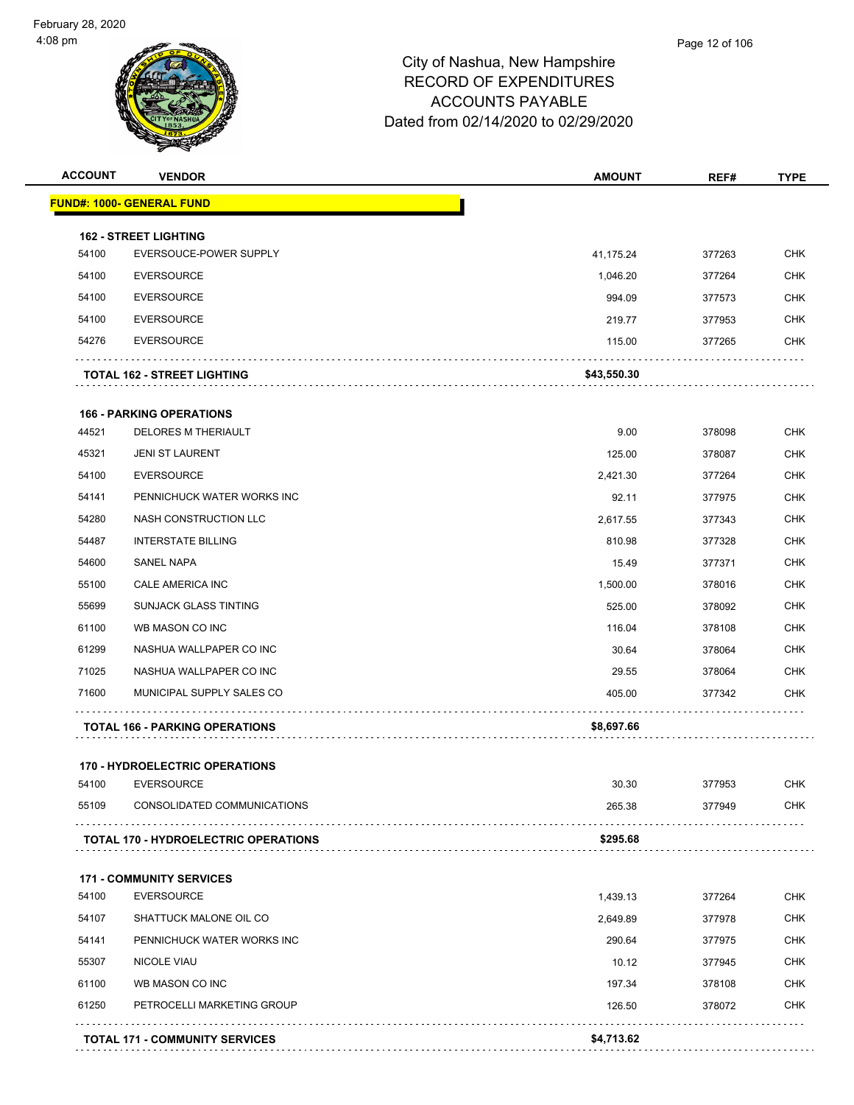| <b>ACCOUNT</b> | <b>VENDOR</b>                                              | <b>AMOUNT</b> | REF#   | <b>TYPE</b> |
|----------------|------------------------------------------------------------|---------------|--------|-------------|
|                | <u> FUND#: 1000- GENERAL FUND</u>                          |               |        |             |
|                | <b>162 - STREET LIGHTING</b>                               |               |        |             |
| 54100          | EVERSOUCE-POWER SUPPLY                                     | 41,175.24     | 377263 | <b>CHK</b>  |
| 54100          | <b>EVERSOURCE</b>                                          | 1,046.20      | 377264 | <b>CHK</b>  |
| 54100          | <b>EVERSOURCE</b>                                          | 994.09        | 377573 | <b>CHK</b>  |
| 54100          | <b>EVERSOURCE</b>                                          | 219.77        | 377953 | <b>CHK</b>  |
| 54276          | <b>EVERSOURCE</b>                                          | 115.00        | 377265 | <b>CHK</b>  |
|                | <b>TOTAL 162 - STREET LIGHTING</b>                         | \$43,550.30   |        |             |
|                | <b>166 - PARKING OPERATIONS</b>                            |               |        |             |
| 44521          | <b>DELORES M THERIAULT</b>                                 | 9.00          | 378098 | <b>CHK</b>  |
| 45321          | <b>JENI ST LAURENT</b>                                     | 125.00        | 378087 | <b>CHK</b>  |
| 54100          | <b>EVERSOURCE</b>                                          | 2,421.30      | 377264 | <b>CHK</b>  |
| 54141          | PENNICHUCK WATER WORKS INC                                 | 92.11         | 377975 | <b>CHK</b>  |
| 54280          | NASH CONSTRUCTION LLC                                      | 2,617.55      | 377343 | <b>CHK</b>  |
| 54487          | <b>INTERSTATE BILLING</b>                                  | 810.98        | 377328 | <b>CHK</b>  |
| 54600          | SANEL NAPA                                                 | 15.49         | 377371 | <b>CHK</b>  |
| 55100          | CALE AMERICA INC                                           | 1,500.00      | 378016 | <b>CHK</b>  |
| 55699          | <b>SUNJACK GLASS TINTING</b>                               | 525.00        | 378092 | <b>CHK</b>  |
| 61100          | WB MASON CO INC                                            | 116.04        | 378108 | <b>CHK</b>  |
| 61299          | NASHUA WALLPAPER CO INC                                    | 30.64         | 378064 | <b>CHK</b>  |
| 71025          | NASHUA WALLPAPER CO INC                                    | 29.55         | 378064 | <b>CHK</b>  |
| 71600          | MUNICIPAL SUPPLY SALES CO                                  | 405.00        | 377342 | <b>CHK</b>  |
|                | <b>TOTAL 166 - PARKING OPERATIONS</b>                      | \$8,697.66    |        |             |
|                |                                                            |               |        |             |
| 54100          | <b>170 - HYDROELECTRIC OPERATIONS</b><br><b>EVERSOURCE</b> | 30.30         | 377953 | <b>CHK</b>  |
| 55109          | CONSOLIDATED COMMUNICATIONS                                | 265.38        | 377949 | <b>CHK</b>  |
|                | <b>TOTAL 170 - HYDROELECTRIC OPERATIONS</b>                | \$295.68      |        |             |
|                | <b>171 - COMMUNITY SERVICES</b>                            |               |        |             |
| 54100          | <b>EVERSOURCE</b>                                          | 1,439.13      | 377264 | <b>CHK</b>  |
| 54107          | SHATTUCK MALONE OIL CO                                     | 2,649.89      | 377978 | <b>CHK</b>  |
|                | PENNICHUCK WATER WORKS INC                                 | 290.64        | 377975 | <b>CHK</b>  |
| 54141          |                                                            |               | 377945 | <b>CHK</b>  |
| 55307          | <b>NICOLE VIAU</b>                                         | 10.12         |        |             |
| 61100          | WB MASON CO INC                                            | 197.34        | 378108 | <b>CHK</b>  |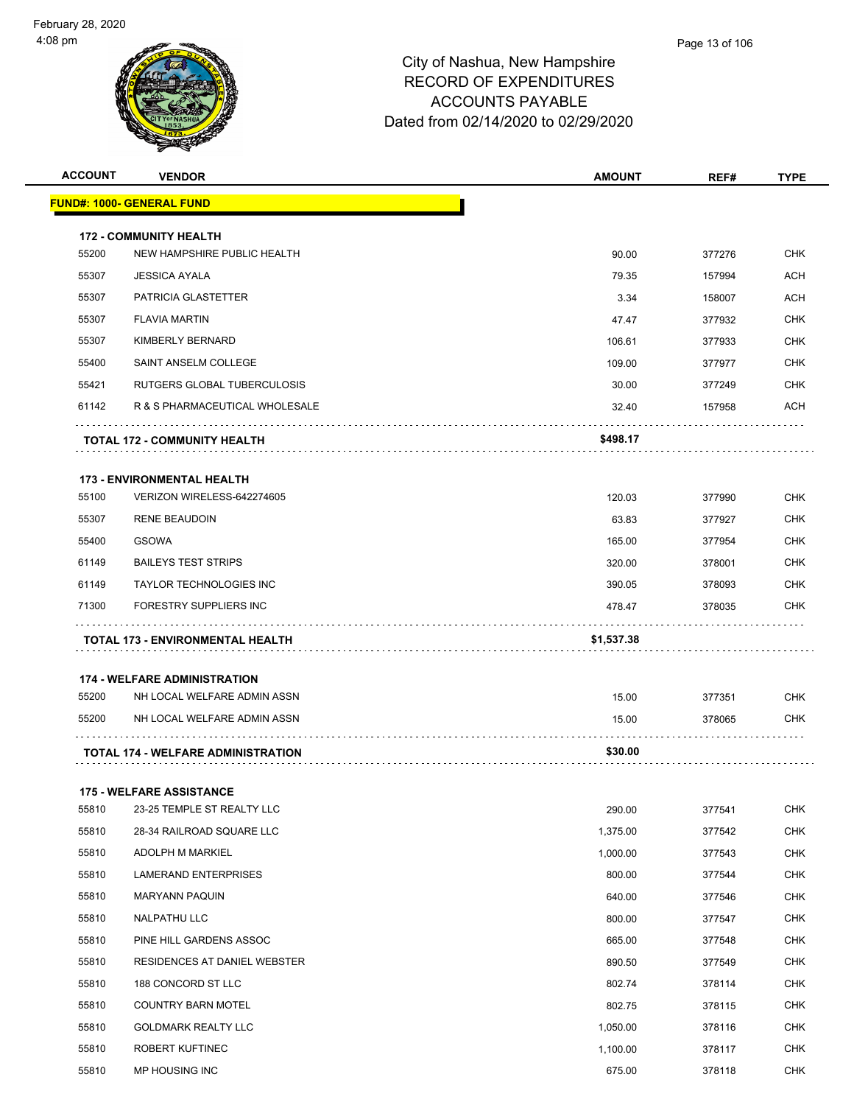| <b>ACCOUNT</b> | <b>VENDOR</b>                             | <b>AMOUNT</b> | REF#   | <b>TYPE</b> |
|----------------|-------------------------------------------|---------------|--------|-------------|
|                | <u> FUND#: 1000- GENERAL FUND</u>         |               |        |             |
|                | <b>172 - COMMUNITY HEALTH</b>             |               |        |             |
| 55200          | NEW HAMPSHIRE PUBLIC HEALTH               | 90.00         | 377276 | <b>CHK</b>  |
| 55307          | <b>JESSICA AYALA</b>                      | 79.35         | 157994 | <b>ACH</b>  |
| 55307          | PATRICIA GLASTETTER                       | 3.34          | 158007 | ACH         |
| 55307          | <b>FLAVIA MARTIN</b>                      | 47.47         | 377932 | <b>CHK</b>  |
| 55307          | KIMBERLY BERNARD                          | 106.61        | 377933 | <b>CHK</b>  |
| 55400          | SAINT ANSELM COLLEGE                      | 109.00        | 377977 | <b>CHK</b>  |
| 55421          | RUTGERS GLOBAL TUBERCULOSIS               | 30.00         | 377249 | <b>CHK</b>  |
| 61142          | R & S PHARMACEUTICAL WHOLESALE            | 32.40         | 157958 | ACH         |
|                | <b>TOTAL 172 - COMMUNITY HEALTH</b>       | \$498.17      |        |             |
|                | <b>173 - ENVIRONMENTAL HEALTH</b>         |               |        |             |
| 55100          | VERIZON WIRELESS-642274605                | 120.03        | 377990 | <b>CHK</b>  |
| 55307          | <b>RENE BEAUDOIN</b>                      | 63.83         | 377927 | <b>CHK</b>  |
| 55400          | <b>GSOWA</b>                              | 165.00        | 377954 | <b>CHK</b>  |
| 61149          | <b>BAILEYS TEST STRIPS</b>                | 320.00        | 378001 | <b>CHK</b>  |
| 61149          | TAYLOR TECHNOLOGIES INC                   | 390.05        | 378093 | <b>CHK</b>  |
| 71300          | <b>FORESTRY SUPPLIERS INC</b>             | 478.47        | 378035 | <b>CHK</b>  |
|                | TOTAL 173 - ENVIRONMENTAL HEALTH          | \$1,537.38    |        |             |
|                | <b>174 - WELFARE ADMINISTRATION</b>       |               |        |             |
| 55200          | NH LOCAL WELFARE ADMIN ASSN               | 15.00         | 377351 | <b>CHK</b>  |
| 55200          | NH LOCAL WELFARE ADMIN ASSN               | 15.00         | 378065 | CHK         |
|                | <b>TOTAL 174 - WELFARE ADMINISTRATION</b> | \$30.00       |        |             |
|                | <b>175 - WELFARE ASSISTANCE</b>           |               |        |             |
| 55810          | 23-25 TEMPLE ST REALTY LLC                | 290.00        | 377541 | <b>CHK</b>  |
| 55810          | 28-34 RAILROAD SQUARE LLC                 | 1,375.00      | 377542 | <b>CHK</b>  |
| 55810          | ADOLPH M MARKIEL                          | 1,000.00      | 377543 | <b>CHK</b>  |
| 55810          | LAMERAND ENTERPRISES                      | 800.00        | 377544 | <b>CHK</b>  |
| 55810          | <b>MARYANN PAQUIN</b>                     | 640.00        | 377546 | <b>CHK</b>  |
| 55810          | NALPATHU LLC                              | 800.00        | 377547 | <b>CHK</b>  |
| 55810          | PINE HILL GARDENS ASSOC                   | 665.00        | 377548 | <b>CHK</b>  |
| 55810          | RESIDENCES AT DANIEL WEBSTER              | 890.50        | 377549 | <b>CHK</b>  |
| 55810          | 188 CONCORD ST LLC                        | 802.74        | 378114 | <b>CHK</b>  |
| 55810          | <b>COUNTRY BARN MOTEL</b>                 | 802.75        | 378115 | <b>CHK</b>  |
| 55810          | <b>GOLDMARK REALTY LLC</b>                | 1,050.00      | 378116 | <b>CHK</b>  |
| 55810          | ROBERT KUFTINEC                           | 1,100.00      | 378117 | <b>CHK</b>  |
| 55810          | MP HOUSING INC                            | 675.00        | 378118 | <b>CHK</b>  |
|                |                                           |               |        |             |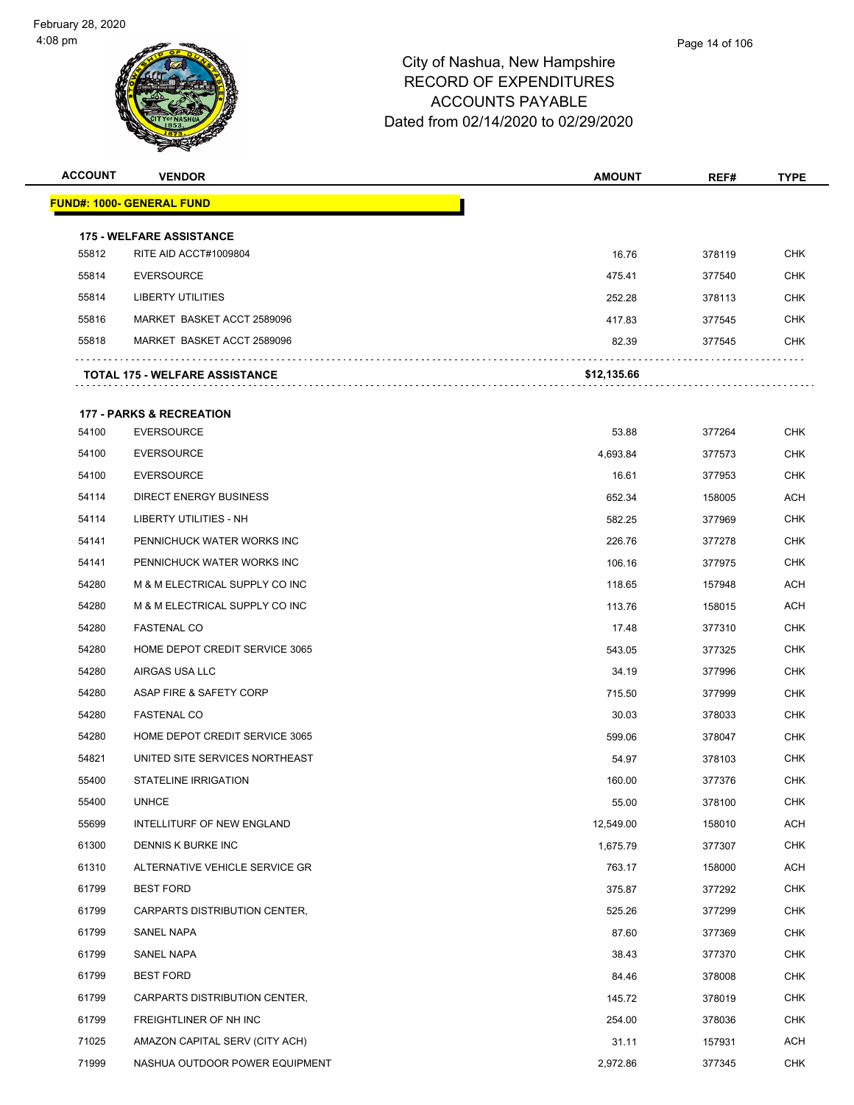| <b>ACCOUNT</b> | <b>VENDOR</b>                                            | <b>AMOUNT</b> | REF#   | <b>TYPE</b> |
|----------------|----------------------------------------------------------|---------------|--------|-------------|
|                | <b>FUND#: 1000- GENERAL FUND</b>                         |               |        |             |
|                |                                                          |               |        |             |
| 55812          | <b>175 - WELFARE ASSISTANCE</b><br>RITE AID ACCT#1009804 | 16.76         | 378119 | <b>CHK</b>  |
| 55814          | <b>EVERSOURCE</b>                                        | 475.41        | 377540 | <b>CHK</b>  |
| 55814          | <b>LIBERTY UTILITIES</b>                                 | 252.28        | 378113 | CHK         |
| 55816          | MARKET BASKET ACCT 2589096                               | 417.83        | 377545 | <b>CHK</b>  |
| 55818          | MARKET BASKET ACCT 2589096                               | 82.39         | 377545 | <b>CHK</b>  |
|                | <b>TOTAL 175 - WELFARE ASSISTANCE</b>                    | \$12,135.66   |        |             |
|                | <b>177 - PARKS &amp; RECREATION</b>                      |               |        |             |
| 54100          | <b>EVERSOURCE</b>                                        | 53.88         | 377264 | <b>CHK</b>  |
| 54100          | <b>EVERSOURCE</b>                                        | 4,693.84      | 377573 | <b>CHK</b>  |
| 54100          | <b>EVERSOURCE</b>                                        | 16.61         | 377953 | CHK         |
| 54114          | <b>DIRECT ENERGY BUSINESS</b>                            | 652.34        | 158005 | <b>ACH</b>  |
| 54114          | LIBERTY UTILITIES - NH                                   | 582.25        | 377969 | <b>CHK</b>  |
| 54141          | PENNICHUCK WATER WORKS INC                               | 226.76        | 377278 | <b>CHK</b>  |
| 54141          | PENNICHUCK WATER WORKS INC                               | 106.16        | 377975 | <b>CHK</b>  |
| 54280          | M & M ELECTRICAL SUPPLY CO INC                           | 118.65        | 157948 | ACH         |
| 54280          | M & M ELECTRICAL SUPPLY CO INC                           | 113.76        | 158015 | <b>ACH</b>  |
| 54280          | <b>FASTENAL CO</b>                                       | 17.48         | 377310 | <b>CHK</b>  |
| 54280          | HOME DEPOT CREDIT SERVICE 3065                           | 543.05        | 377325 | <b>CHK</b>  |
| 54280          | AIRGAS USA LLC                                           | 34.19         | 377996 | <b>CHK</b>  |
| 54280          | ASAP FIRE & SAFETY CORP                                  | 715.50        | 377999 | CHK         |
| 54280          | <b>FASTENAL CO</b>                                       | 30.03         | 378033 | <b>CHK</b>  |
| 54280          | HOME DEPOT CREDIT SERVICE 3065                           | 599.06        | 378047 | <b>CHK</b>  |
| 54821          | UNITED SITE SERVICES NORTHEAST                           | 54.97         | 378103 | <b>CHK</b>  |
| 55400          | <b>STATELINE IRRIGATION</b>                              | 160.00        | 377376 | <b>CHK</b>  |
| 55400          | <b>UNHCE</b>                                             | 55.00         | 378100 | <b>CHK</b>  |
| 55699          | INTELLITURF OF NEW ENGLAND                               | 12,549.00     | 158010 | ACH         |
| 61300          | DENNIS K BURKE INC                                       | 1,675.79      | 377307 | <b>CHK</b>  |
| 61310          | ALTERNATIVE VEHICLE SERVICE GR                           | 763.17        | 158000 | ACH         |
| 61799          | <b>BEST FORD</b>                                         | 375.87        | 377292 | <b>CHK</b>  |
| 61799          | CARPARTS DISTRIBUTION CENTER,                            | 525.26        | 377299 | <b>CHK</b>  |
| 61799          | <b>SANEL NAPA</b>                                        | 87.60         | 377369 | <b>CHK</b>  |
| 61799          | SANEL NAPA                                               | 38.43         | 377370 | <b>CHK</b>  |
| 61799          | <b>BEST FORD</b>                                         | 84.46         | 378008 | <b>CHK</b>  |
| 61799          | CARPARTS DISTRIBUTION CENTER,                            | 145.72        | 378019 | <b>CHK</b>  |
| 61799          | FREIGHTLINER OF NH INC                                   | 254.00        | 378036 | <b>CHK</b>  |
| 71025          | AMAZON CAPITAL SERV (CITY ACH)                           | 31.11         | 157931 | ACH         |
| 71999          | NASHUA OUTDOOR POWER EQUIPMENT                           | 2,972.86      | 377345 | <b>CHK</b>  |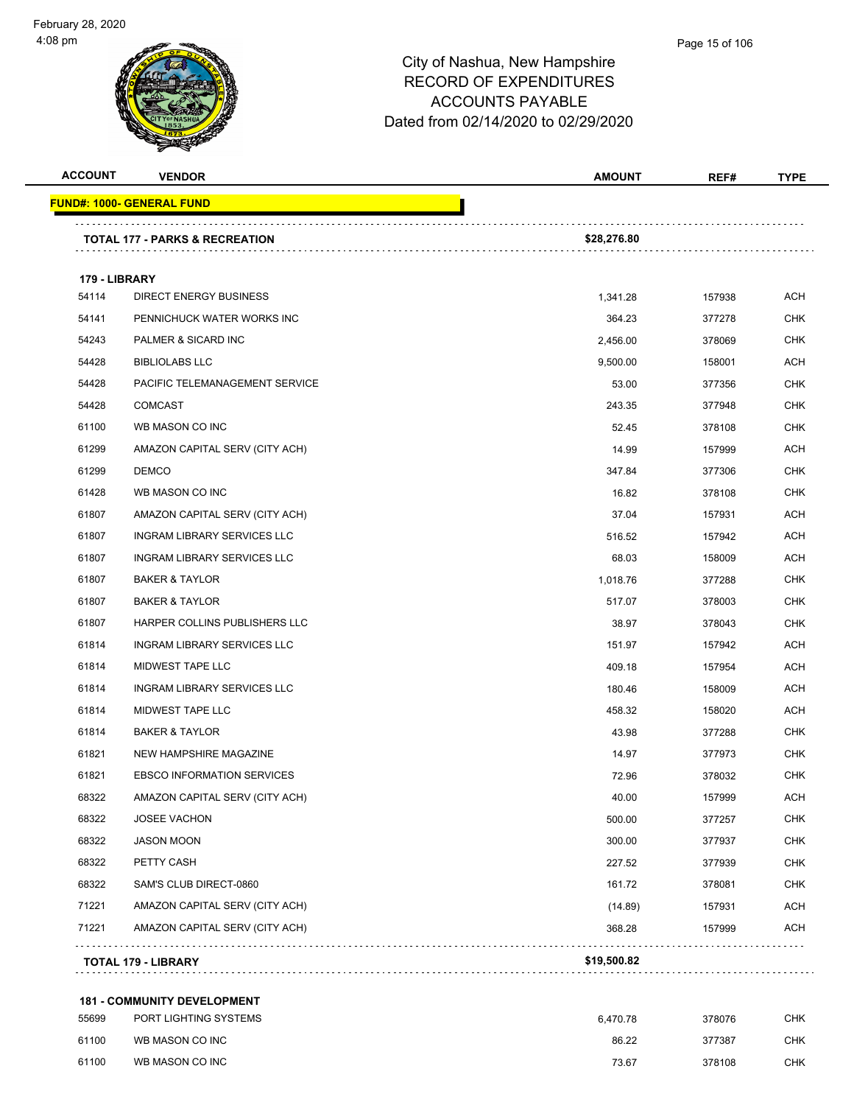#### Page 15 of 106

| <b>ACCOUNT</b> | <b>VENDOR</b>                             | <b>AMOUNT</b> | REF#   | <b>TYPE</b> |
|----------------|-------------------------------------------|---------------|--------|-------------|
|                | <b>FUND#: 1000- GENERAL FUND</b>          |               |        |             |
|                |                                           |               |        |             |
|                | <b>TOTAL 177 - PARKS &amp; RECREATION</b> | \$28,276.80   |        |             |
| 179 - LIBRARY  |                                           |               |        |             |
| 54114          | <b>DIRECT ENERGY BUSINESS</b>             | 1,341.28      | 157938 | <b>ACH</b>  |
| 54141          | PENNICHUCK WATER WORKS INC                | 364.23        | 377278 | <b>CHK</b>  |
| 54243          | PALMER & SICARD INC                       | 2,456.00      | 378069 | <b>CHK</b>  |
| 54428          | <b>BIBLIOLABS LLC</b>                     | 9,500.00      | 158001 | <b>ACH</b>  |
| 54428          | PACIFIC TELEMANAGEMENT SERVICE            | 53.00         | 377356 | <b>CHK</b>  |
| 54428          | <b>COMCAST</b>                            | 243.35        | 377948 | <b>CHK</b>  |
| 61100          | WB MASON CO INC                           | 52.45         | 378108 | <b>CHK</b>  |
| 61299          | AMAZON CAPITAL SERV (CITY ACH)            | 14.99         | 157999 | <b>ACH</b>  |
| 61299          | <b>DEMCO</b>                              | 347.84        | 377306 | <b>CHK</b>  |
| 61428          | WB MASON CO INC                           | 16.82         | 378108 | <b>CHK</b>  |
| 61807          | AMAZON CAPITAL SERV (CITY ACH)            | 37.04         | 157931 | <b>ACH</b>  |
| 61807          | <b>INGRAM LIBRARY SERVICES LLC</b>        | 516.52        | 157942 | <b>ACH</b>  |
| 61807          | INGRAM LIBRARY SERVICES LLC               | 68.03         | 158009 | <b>ACH</b>  |
| 61807          | <b>BAKER &amp; TAYLOR</b>                 | 1,018.76      | 377288 | <b>CHK</b>  |
| 61807          | <b>BAKER &amp; TAYLOR</b>                 | 517.07        | 378003 | <b>CHK</b>  |
| 61807          | HARPER COLLINS PUBLISHERS LLC             | 38.97         | 378043 | <b>CHK</b>  |
| 61814          | INGRAM LIBRARY SERVICES LLC               | 151.97        | 157942 | <b>ACH</b>  |
| 61814          | MIDWEST TAPE LLC                          | 409.18        | 157954 | <b>ACH</b>  |
| 61814          | INGRAM LIBRARY SERVICES LLC               | 180.46        | 158009 | <b>ACH</b>  |
| 61814          | MIDWEST TAPE LLC                          | 458.32        | 158020 | <b>ACH</b>  |
| 61814          | <b>BAKER &amp; TAYLOR</b>                 | 43.98         | 377288 | <b>CHK</b>  |
| 61821          | NEW HAMPSHIRE MAGAZINE                    | 14.97         | 377973 | <b>CHK</b>  |
| 61821          | <b>EBSCO INFORMATION SERVICES</b>         | 72.96         | 378032 | <b>CHK</b>  |
| 68322          | AMAZON CAPITAL SERV (CITY ACH)            | 40.00         | 157999 | <b>ACH</b>  |
| 68322          | <b>JOSEE VACHON</b>                       | 500.00        | 377257 | <b>CHK</b>  |
| 68322          | <b>JASON MOON</b>                         | 300.00        | 377937 | <b>CHK</b>  |
| 68322          | PETTY CASH                                | 227.52        | 377939 | <b>CHK</b>  |
| 68322          | SAM'S CLUB DIRECT-0860                    | 161.72        | 378081 | <b>CHK</b>  |
| 71221          | AMAZON CAPITAL SERV (CITY ACH)            | (14.89)       | 157931 | <b>ACH</b>  |
| 71221          | AMAZON CAPITAL SERV (CITY ACH)            | 368.28        | 157999 | <b>ACH</b>  |
|                |                                           | \$19,500.82   |        |             |
|                | TOTAL 179 - LIBRARY                       |               |        |             |

| 55699 | PORT LIGHTING SYSTEMS | 6.470.78 | 378076 | СНК |
|-------|-----------------------|----------|--------|-----|
| 61100 | WB MASON CO INC       | 86.22    | 377387 | снк |
| 61100 | WB MASON CO INC       | 73.67    | 378108 | снк |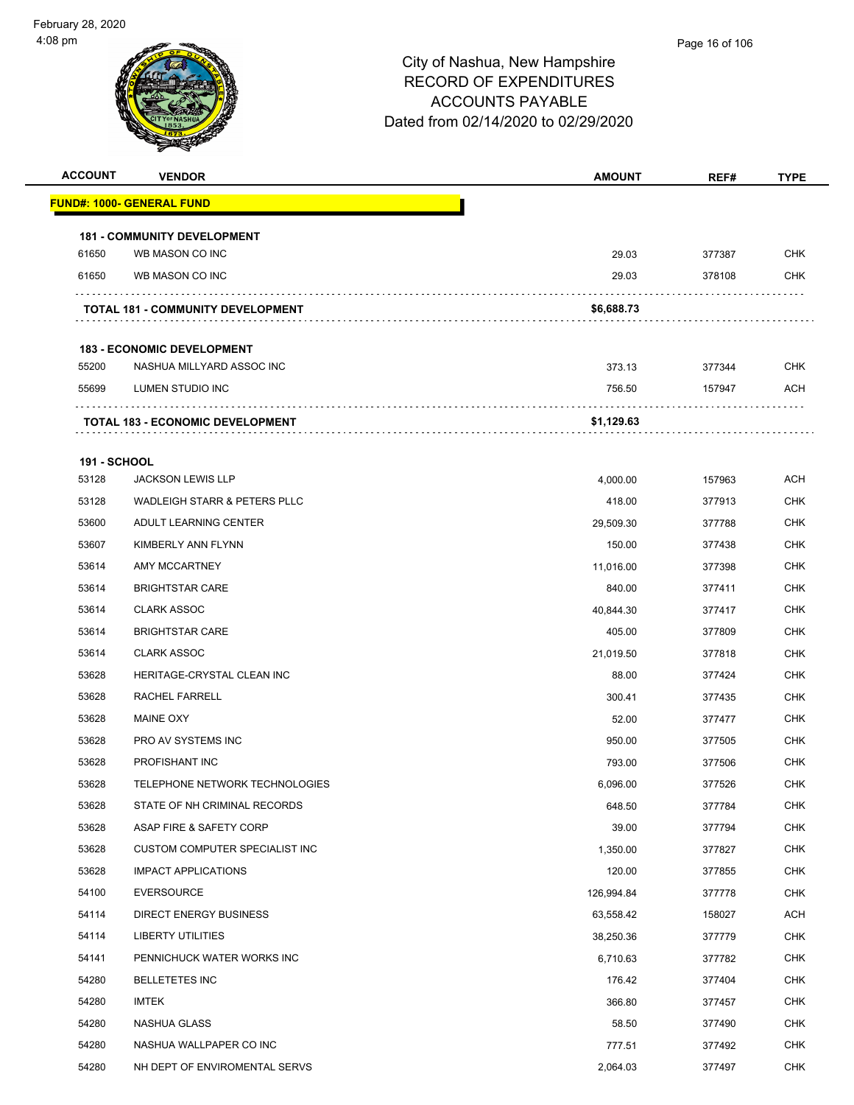#### Page 16 of 106

| <b>ACCOUNT</b>      | <b>VENDOR</b>                            | <b>AMOUNT</b> | REF#   | <b>TYPE</b> |
|---------------------|------------------------------------------|---------------|--------|-------------|
|                     | <b>FUND#: 1000- GENERAL FUND</b>         |               |        |             |
|                     | <b>181 - COMMUNITY DEVELOPMENT</b>       |               |        |             |
| 61650               | WB MASON CO INC                          | 29.03         | 377387 | <b>CHK</b>  |
| 61650               | WB MASON CO INC                          | 29.03         | 378108 | <b>CHK</b>  |
|                     | <b>TOTAL 181 - COMMUNITY DEVELOPMENT</b> | \$6,688.73    |        |             |
|                     | <b>183 - ECONOMIC DEVELOPMENT</b>        |               |        |             |
| 55200               | NASHUA MILLYARD ASSOC INC                | 373.13        | 377344 | <b>CHK</b>  |
| 55699               | LUMEN STUDIO INC                         | 756.50        | 157947 | ACH         |
|                     | <b>TOTAL 183 - ECONOMIC DEVELOPMENT</b>  | \$1,129.63    |        |             |
| <b>191 - SCHOOL</b> |                                          |               |        |             |
| 53128               | <b>JACKSON LEWIS LLP</b>                 | 4,000.00      | 157963 | ACH         |
| 53128               | WADLEIGH STARR & PETERS PLLC             | 418.00        | 377913 | <b>CHK</b>  |
| 53600               | ADULT LEARNING CENTER                    | 29,509.30     | 377788 | <b>CHK</b>  |
| 53607               | KIMBERLY ANN FLYNN                       | 150.00        | 377438 | <b>CHK</b>  |
| 53614               | AMY MCCARTNEY                            | 11,016.00     | 377398 | <b>CHK</b>  |
| 53614               | <b>BRIGHTSTAR CARE</b>                   | 840.00        | 377411 | <b>CHK</b>  |
| 53614               | <b>CLARK ASSOC</b>                       | 40,844.30     | 377417 | <b>CHK</b>  |
| 53614               | <b>BRIGHTSTAR CARE</b>                   | 405.00        | 377809 | <b>CHK</b>  |
| 53614               | <b>CLARK ASSOC</b>                       | 21,019.50     | 377818 | <b>CHK</b>  |
| 53628               | HERITAGE-CRYSTAL CLEAN INC               | 88.00         | 377424 | <b>CHK</b>  |
| 53628               | RACHEL FARRELL                           | 300.41        | 377435 | <b>CHK</b>  |
| 53628               | <b>MAINE OXY</b>                         | 52.00         | 377477 | <b>CHK</b>  |
| 53628               | PRO AV SYSTEMS INC                       | 950.00        | 377505 | <b>CHK</b>  |
| 53628               | PROFISHANT INC                           | 793.00        | 377506 | <b>CHK</b>  |
| 53628               | TELEPHONE NETWORK TECHNOLOGIES           | 6,096.00      | 377526 | <b>CHK</b>  |
| 53628               | STATE OF NH CRIMINAL RECORDS             | 648.50        | 377784 | <b>CHK</b>  |
| 53628               | ASAP FIRE & SAFETY CORP                  | 39.00         | 377794 | <b>CHK</b>  |
| 53628               | CUSTOM COMPUTER SPECIALIST INC           | 1,350.00      | 377827 | CHK         |
| 53628               | <b>IMPACT APPLICATIONS</b>               | 120.00        | 377855 | <b>CHK</b>  |
| 54100               | <b>EVERSOURCE</b>                        | 126,994.84    | 377778 | <b>CHK</b>  |
| 54114               | <b>DIRECT ENERGY BUSINESS</b>            | 63,558.42     | 158027 | <b>ACH</b>  |
| 54114               | LIBERTY UTILITIES                        | 38,250.36     | 377779 | <b>CHK</b>  |
| 54141               | PENNICHUCK WATER WORKS INC               | 6,710.63      | 377782 | CHK         |
| 54280               | <b>BELLETETES INC</b>                    | 176.42        | 377404 | <b>CHK</b>  |
| 54280               | <b>IMTEK</b>                             | 366.80        | 377457 | <b>CHK</b>  |
| 54280               | NASHUA GLASS                             | 58.50         | 377490 | <b>CHK</b>  |
| 54280               | NASHUA WALLPAPER CO INC                  | 777.51        | 377492 | <b>CHK</b>  |
| 54280               | NH DEPT OF ENVIROMENTAL SERVS            | 2,064.03      | 377497 | <b>CHK</b>  |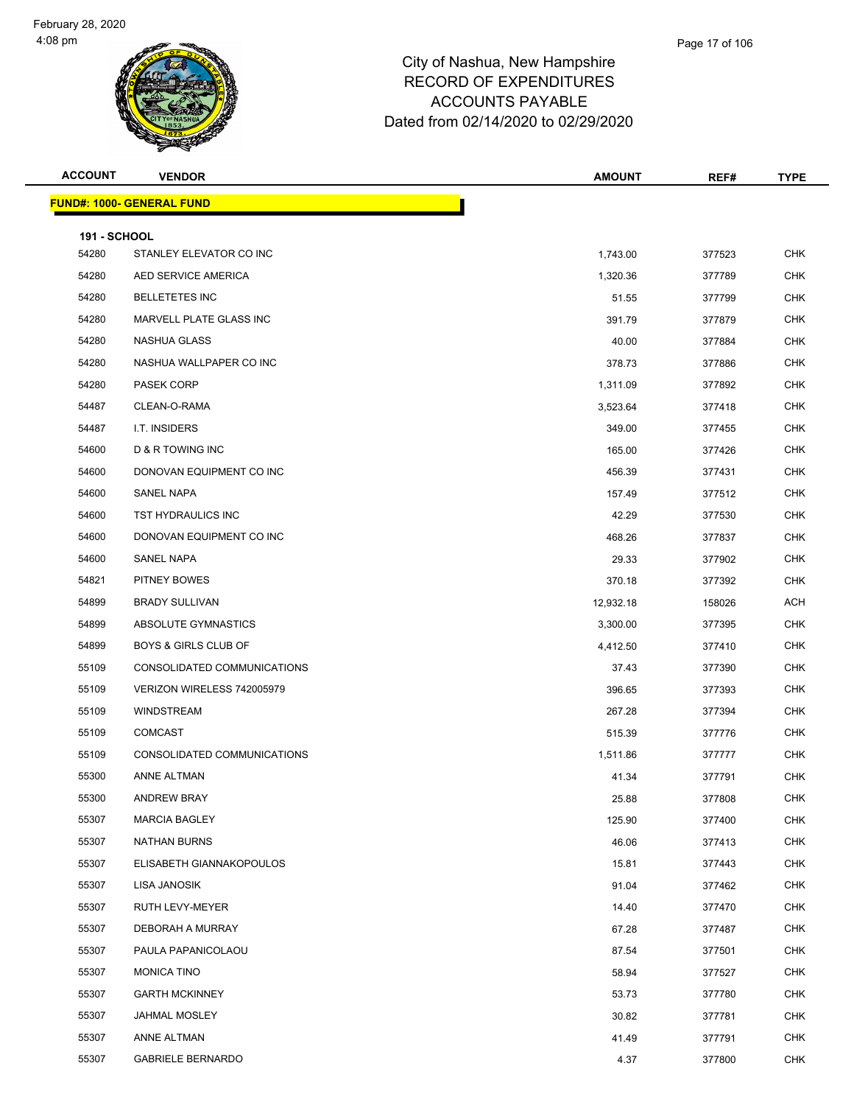

| <b>ACCOUNT</b>               | <b>VENDOR</b>                    | <b>AMOUNT</b> | REF#   | <b>TYPE</b> |
|------------------------------|----------------------------------|---------------|--------|-------------|
|                              | <b>FUND#: 1000- GENERAL FUND</b> |               |        |             |
|                              |                                  |               |        |             |
| <b>191 - SCHOOL</b><br>54280 | STANLEY ELEVATOR CO INC          | 1,743.00      | 377523 | <b>CHK</b>  |
| 54280                        | AED SERVICE AMERICA              | 1,320.36      | 377789 | <b>CHK</b>  |
| 54280                        | <b>BELLETETES INC</b>            | 51.55         | 377799 | <b>CHK</b>  |
| 54280                        | MARVELL PLATE GLASS INC          | 391.79        | 377879 | <b>CHK</b>  |
| 54280                        | NASHUA GLASS                     | 40.00         | 377884 | <b>CHK</b>  |
| 54280                        | NASHUA WALLPAPER CO INC          | 378.73        | 377886 | <b>CHK</b>  |
| 54280                        | PASEK CORP                       | 1,311.09      | 377892 | <b>CHK</b>  |
| 54487                        | CLEAN-O-RAMA                     | 3,523.64      | 377418 | <b>CHK</b>  |
| 54487                        | I.T. INSIDERS                    | 349.00        | 377455 | <b>CHK</b>  |
| 54600                        | D & R TOWING INC                 | 165.00        | 377426 | <b>CHK</b>  |
| 54600                        | DONOVAN EQUIPMENT CO INC         | 456.39        | 377431 | <b>CHK</b>  |
| 54600                        | SANEL NAPA                       | 157.49        | 377512 | <b>CHK</b>  |
| 54600                        | <b>TST HYDRAULICS INC</b>        | 42.29         | 377530 | <b>CHK</b>  |
| 54600                        | DONOVAN EQUIPMENT CO INC         | 468.26        | 377837 | <b>CHK</b>  |
| 54600                        | SANEL NAPA                       | 29.33         | 377902 | <b>CHK</b>  |
| 54821                        | PITNEY BOWES                     | 370.18        | 377392 | <b>CHK</b>  |
| 54899                        | <b>BRADY SULLIVAN</b>            | 12,932.18     | 158026 | ACH         |
| 54899                        | ABSOLUTE GYMNASTICS              | 3,300.00      | 377395 | <b>CHK</b>  |
| 54899                        | <b>BOYS &amp; GIRLS CLUB OF</b>  | 4,412.50      | 377410 | <b>CHK</b>  |
| 55109                        | CONSOLIDATED COMMUNICATIONS      | 37.43         | 377390 | <b>CHK</b>  |
| 55109                        | VERIZON WIRELESS 742005979       | 396.65        | 377393 | <b>CHK</b>  |
| 55109                        | <b>WINDSTREAM</b>                | 267.28        | 377394 | <b>CHK</b>  |
| 55109                        | <b>COMCAST</b>                   | 515.39        | 377776 | <b>CHK</b>  |
| 55109                        | CONSOLIDATED COMMUNICATIONS      | 1,511.86      | 377777 | <b>CHK</b>  |
| 55300                        | <b>ANNE ALTMAN</b>               | 41.34         | 377791 | <b>CHK</b>  |
| 55300                        | <b>ANDREW BRAY</b>               | 25.88         | 377808 | CHK         |
| 55307                        | <b>MARCIA BAGLEY</b>             | 125.90        | 377400 | <b>CHK</b>  |
| 55307                        | NATHAN BURNS                     | 46.06         | 377413 | CHK         |
| 55307                        | ELISABETH GIANNAKOPOULOS         | 15.81         | 377443 | <b>CHK</b>  |
| 55307                        | LISA JANOSIK                     | 91.04         | 377462 | <b>CHK</b>  |
| 55307                        | RUTH LEVY-MEYER                  | 14.40         | 377470 | <b>CHK</b>  |
| 55307                        | DEBORAH A MURRAY                 | 67.28         | 377487 | <b>CHK</b>  |
| 55307                        | PAULA PAPANICOLAOU               | 87.54         | 377501 | <b>CHK</b>  |
| 55307                        | <b>MONICA TINO</b>               | 58.94         | 377527 | <b>CHK</b>  |
| 55307                        | <b>GARTH MCKINNEY</b>            | 53.73         | 377780 | <b>CHK</b>  |
| 55307                        | JAHMAL MOSLEY                    | 30.82         | 377781 | <b>CHK</b>  |
| 55307                        | ANNE ALTMAN                      | 41.49         | 377791 | <b>CHK</b>  |
| 55307                        | <b>GABRIELE BERNARDO</b>         | 4.37          | 377800 | CHK         |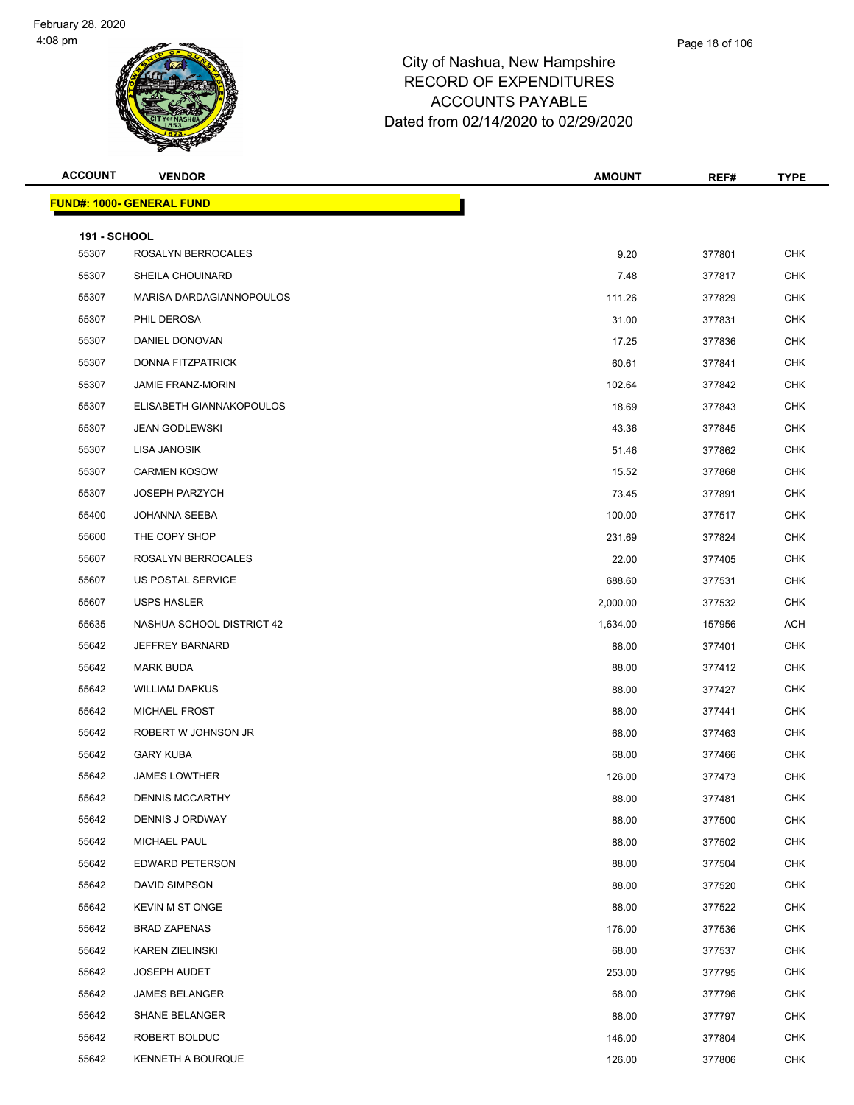

| <b>ACCOUNT</b>               | <b>VENDOR</b>                    | <b>AMOUNT</b> | REF#   | <b>TYPE</b> |
|------------------------------|----------------------------------|---------------|--------|-------------|
|                              | <b>FUND#: 1000- GENERAL FUND</b> |               |        |             |
|                              |                                  |               |        |             |
| <b>191 - SCHOOL</b><br>55307 | ROSALYN BERROCALES               | 9.20          | 377801 | <b>CHK</b>  |
| 55307                        | SHEILA CHOUINARD                 | 7.48          | 377817 | <b>CHK</b>  |
| 55307                        | MARISA DARDAGIANNOPOULOS         | 111.26        | 377829 | CHK         |
| 55307                        | PHIL DEROSA                      | 31.00         | 377831 | <b>CHK</b>  |
| 55307                        | DANIEL DONOVAN                   | 17.25         | 377836 | <b>CHK</b>  |
| 55307                        | DONNA FITZPATRICK                | 60.61         | 377841 | <b>CHK</b>  |
| 55307                        | <b>JAMIE FRANZ-MORIN</b>         | 102.64        | 377842 | <b>CHK</b>  |
| 55307                        | ELISABETH GIANNAKOPOULOS         | 18.69         | 377843 | <b>CHK</b>  |
| 55307                        | <b>JEAN GODLEWSKI</b>            | 43.36         | 377845 | <b>CHK</b>  |
| 55307                        | LISA JANOSIK                     | 51.46         | 377862 | <b>CHK</b>  |
| 55307                        | <b>CARMEN KOSOW</b>              | 15.52         | 377868 | <b>CHK</b>  |
| 55307                        | <b>JOSEPH PARZYCH</b>            | 73.45         | 377891 | <b>CHK</b>  |
| 55400                        | <b>JOHANNA SEEBA</b>             | 100.00        | 377517 | <b>CHK</b>  |
| 55600                        | THE COPY SHOP                    | 231.69        | 377824 | <b>CHK</b>  |
| 55607                        | ROSALYN BERROCALES               | 22.00         | 377405 | <b>CHK</b>  |
| 55607                        | US POSTAL SERVICE                | 688.60        | 377531 | <b>CHK</b>  |
| 55607                        | USPS HASLER                      | 2,000.00      | 377532 | <b>CHK</b>  |
| 55635                        | NASHUA SCHOOL DISTRICT 42        | 1,634.00      | 157956 | <b>ACH</b>  |
| 55642                        | <b>JEFFREY BARNARD</b>           | 88.00         | 377401 | <b>CHK</b>  |
| 55642                        | <b>MARK BUDA</b>                 | 88.00         | 377412 | <b>CHK</b>  |
| 55642                        | <b>WILLIAM DAPKUS</b>            | 88.00         | 377427 | <b>CHK</b>  |
| 55642                        | MICHAEL FROST                    | 88.00         | 377441 | <b>CHK</b>  |
| 55642                        | ROBERT W JOHNSON JR              | 68.00         | 377463 | CHK         |
| 55642                        | <b>GARY KUBA</b>                 | 68.00         | 377466 | <b>CHK</b>  |
| 55642                        | <b>JAMES LOWTHER</b>             | 126.00        | 377473 | <b>CHK</b>  |
| 55642                        | <b>DENNIS MCCARTHY</b>           | 88.00         | 377481 | CHK         |
| 55642                        | <b>DENNIS J ORDWAY</b>           | 88.00         | 377500 | <b>CHK</b>  |
| 55642                        | MICHAEL PAUL                     | 88.00         | 377502 | <b>CHK</b>  |
| 55642                        | EDWARD PETERSON                  | 88.00         | 377504 | <b>CHK</b>  |
| 55642                        | DAVID SIMPSON                    | 88.00         | 377520 | <b>CHK</b>  |
| 55642                        | <b>KEVIN M ST ONGE</b>           | 88.00         | 377522 | <b>CHK</b>  |
| 55642                        | <b>BRAD ZAPENAS</b>              | 176.00        | 377536 | <b>CHK</b>  |
| 55642                        | <b>KAREN ZIELINSKI</b>           | 68.00         | 377537 | <b>CHK</b>  |
| 55642                        | <b>JOSEPH AUDET</b>              | 253.00        | 377795 | <b>CHK</b>  |
| 55642                        | <b>JAMES BELANGER</b>            | 68.00         | 377796 | <b>CHK</b>  |
| 55642                        | <b>SHANE BELANGER</b>            | 88.00         | 377797 | <b>CHK</b>  |
| 55642                        | ROBERT BOLDUC                    | 146.00        | 377804 | <b>CHK</b>  |
| 55642                        | KENNETH A BOURQUE                | 126.00        | 377806 | <b>CHK</b>  |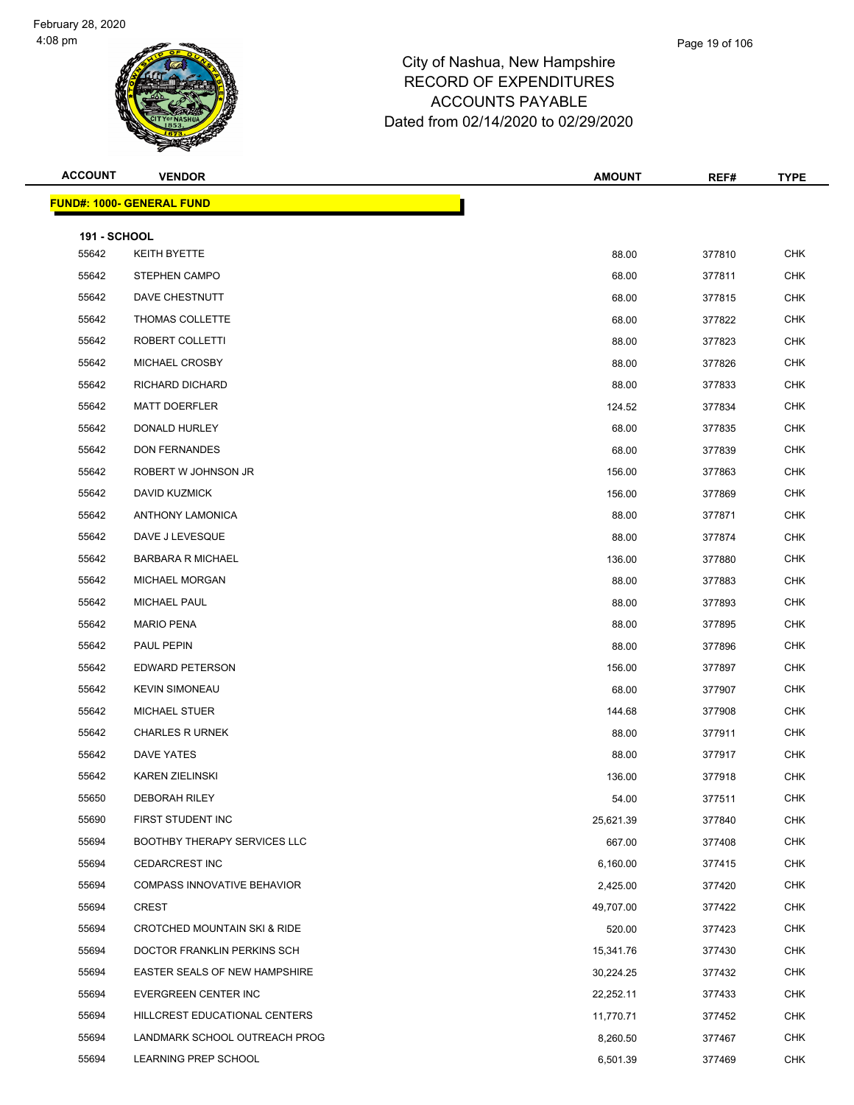## City of Nashua, New Hampshire RECORD OF EXPENDITURES ACCOUNTS PAYABLE

Dated from 02/14/2020 to 02/29/2020

| <b>ACCOUNT</b>      | <b>VENDOR</b>                           | <b>AMOUNT</b> | REF#   | <b>TYPE</b> |
|---------------------|-----------------------------------------|---------------|--------|-------------|
|                     | <b>FUND#: 1000- GENERAL FUND</b>        |               |        |             |
| <b>191 - SCHOOL</b> |                                         |               |        |             |
| 55642               | KEITH BYETTE                            | 88.00         | 377810 | <b>CHK</b>  |
| 55642               | <b>STEPHEN CAMPO</b>                    | 68.00         | 377811 | <b>CHK</b>  |
| 55642               | DAVE CHESTNUTT                          | 68.00         | 377815 | <b>CHK</b>  |
| 55642               | THOMAS COLLETTE                         | 68.00         | 377822 | <b>CHK</b>  |
| 55642               | ROBERT COLLETTI                         | 88.00         | 377823 | <b>CHK</b>  |
| 55642               | MICHAEL CROSBY                          | 88.00         | 377826 | <b>CHK</b>  |
| 55642               | RICHARD DICHARD                         | 88.00         | 377833 | <b>CHK</b>  |
| 55642               | <b>MATT DOERFLER</b>                    | 124.52        | 377834 | <b>CHK</b>  |
| 55642               | DONALD HURLEY                           | 68.00         | 377835 | <b>CHK</b>  |
| 55642               | <b>DON FERNANDES</b>                    | 68.00         | 377839 | <b>CHK</b>  |
| 55642               | ROBERT W JOHNSON JR                     | 156.00        | 377863 | <b>CHK</b>  |
| 55642               | DAVID KUZMICK                           | 156.00        | 377869 | <b>CHK</b>  |
| 55642               | <b>ANTHONY LAMONICA</b>                 | 88.00         | 377871 | <b>CHK</b>  |
| 55642               | DAVE J LEVESQUE                         | 88.00         | 377874 | <b>CHK</b>  |
| 55642               | <b>BARBARA R MICHAEL</b>                | 136.00        | 377880 | <b>CHK</b>  |
| 55642               | MICHAEL MORGAN                          | 88.00         | 377883 | <b>CHK</b>  |
| 55642               | MICHAEL PAUL                            | 88.00         | 377893 | <b>CHK</b>  |
| 55642               | <b>MARIO PENA</b>                       | 88.00         | 377895 | <b>CHK</b>  |
| 55642               | PAUL PEPIN                              | 88.00         | 377896 | <b>CHK</b>  |
| 55642               | EDWARD PETERSON                         | 156.00        | 377897 | <b>CHK</b>  |
| 55642               | <b>KEVIN SIMONEAU</b>                   | 68.00         | 377907 | <b>CHK</b>  |
| 55642               | <b>MICHAEL STUER</b>                    | 144.68        | 377908 | <b>CHK</b>  |
| 55642               | <b>CHARLES R URNEK</b>                  | 88.00         | 377911 | <b>CHK</b>  |
| 55642               | DAVE YATES                              | 88.00         | 377917 | CHK         |
| 55642               | <b>KAREN ZIELINSKI</b>                  | 136.00        | 377918 | <b>CHK</b>  |
| 55650               | <b>DEBORAH RILEY</b>                    | 54.00         | 377511 | <b>CHK</b>  |
| 55690               | FIRST STUDENT INC                       | 25,621.39     | 377840 | <b>CHK</b>  |
| 55694               | <b>BOOTHBY THERAPY SERVICES LLC</b>     | 667.00        | 377408 | <b>CHK</b>  |
| 55694               | <b>CEDARCREST INC</b>                   | 6,160.00      | 377415 | <b>CHK</b>  |
| 55694               | <b>COMPASS INNOVATIVE BEHAVIOR</b>      | 2,425.00      | 377420 | <b>CHK</b>  |
| 55694               | <b>CREST</b>                            | 49,707.00     | 377422 | <b>CHK</b>  |
| 55694               | <b>CROTCHED MOUNTAIN SKI &amp; RIDE</b> | 520.00        | 377423 | <b>CHK</b>  |
| 55694               | DOCTOR FRANKLIN PERKINS SCH             | 15,341.76     | 377430 | <b>CHK</b>  |
| 55694               | EASTER SEALS OF NEW HAMPSHIRE           | 30,224.25     | 377432 | <b>CHK</b>  |
| 55694               | EVERGREEN CENTER INC                    | 22,252.11     | 377433 | <b>CHK</b>  |
| 55694               | HILLCREST EDUCATIONAL CENTERS           | 11,770.71     | 377452 | <b>CHK</b>  |
| 55694               | LANDMARK SCHOOL OUTREACH PROG           | 8,260.50      | 377467 | <b>CHK</b>  |
| 55694               | LEARNING PREP SCHOOL                    | 6,501.39      | 377469 | <b>CHK</b>  |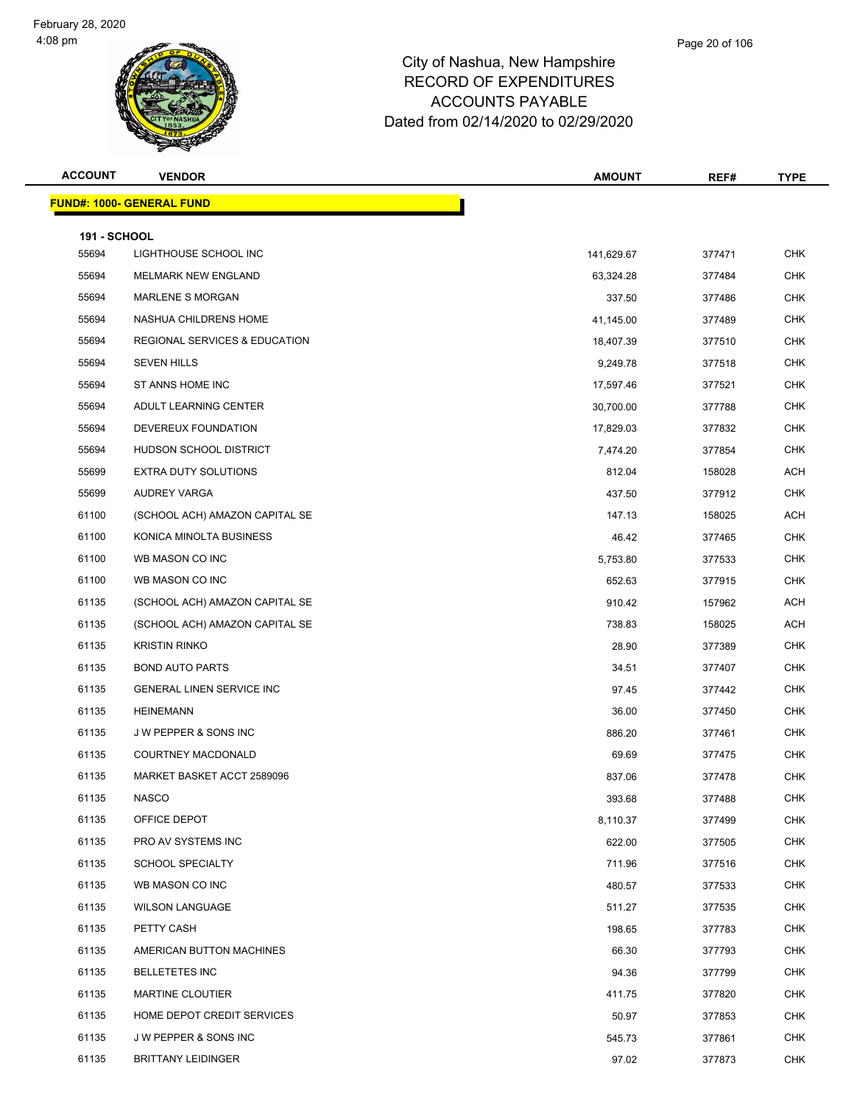

| <b>ACCOUNT</b>      | <b>VENDOR</b>                            | <b>AMOUNT</b> | REF#   | <b>TYPE</b> |
|---------------------|------------------------------------------|---------------|--------|-------------|
|                     | <b>FUND#: 1000- GENERAL FUND</b>         |               |        |             |
| <b>191 - SCHOOL</b> |                                          |               |        |             |
| 55694               | LIGHTHOUSE SCHOOL INC                    | 141,629.67    | 377471 | <b>CHK</b>  |
| 55694               | MELMARK NEW ENGLAND                      | 63,324.28     | 377484 | <b>CHK</b>  |
| 55694               | <b>MARLENE S MORGAN</b>                  | 337.50        | 377486 | <b>CHK</b>  |
| 55694               | NASHUA CHILDRENS HOME                    | 41,145.00     | 377489 | <b>CHK</b>  |
| 55694               | <b>REGIONAL SERVICES &amp; EDUCATION</b> | 18,407.39     | 377510 | <b>CHK</b>  |
| 55694               | <b>SEVEN HILLS</b>                       | 9,249.78      | 377518 | <b>CHK</b>  |
| 55694               | ST ANNS HOME INC                         | 17,597.46     | 377521 | <b>CHK</b>  |
| 55694               | ADULT LEARNING CENTER                    | 30,700.00     | 377788 | <b>CHK</b>  |
| 55694               | DEVEREUX FOUNDATION                      | 17,829.03     | 377832 | <b>CHK</b>  |
| 55694               | HUDSON SCHOOL DISTRICT                   | 7,474.20      | 377854 | <b>CHK</b>  |
| 55699               | <b>EXTRA DUTY SOLUTIONS</b>              | 812.04        | 158028 | ACH         |
| 55699               | AUDREY VARGA                             | 437.50        | 377912 | <b>CHK</b>  |
| 61100               | (SCHOOL ACH) AMAZON CAPITAL SE           | 147.13        | 158025 | ACH         |
| 61100               | KONICA MINOLTA BUSINESS                  | 46.42         | 377465 | <b>CHK</b>  |
| 61100               | WB MASON CO INC                          | 5,753.80      | 377533 | <b>CHK</b>  |
| 61100               | WB MASON CO INC                          | 652.63        | 377915 | <b>CHK</b>  |
| 61135               | (SCHOOL ACH) AMAZON CAPITAL SE           | 910.42        | 157962 | ACH         |
| 61135               | (SCHOOL ACH) AMAZON CAPITAL SE           | 738.83        | 158025 | ACH         |
| 61135               | <b>KRISTIN RINKO</b>                     | 28.90         | 377389 | <b>CHK</b>  |
| 61135               | <b>BOND AUTO PARTS</b>                   | 34.51         | 377407 | <b>CHK</b>  |
| 61135               | <b>GENERAL LINEN SERVICE INC</b>         | 97.45         | 377442 | <b>CHK</b>  |
| 61135               | <b>HEINEMANN</b>                         | 36.00         | 377450 | <b>CHK</b>  |
| 61135               | <b>JW PEPPER &amp; SONS INC</b>          | 886.20        | 377461 | <b>CHK</b>  |
| 61135               | COURTNEY MACDONALD                       | 69.69         | 377475 | <b>CHK</b>  |
| 61135               | MARKET BASKET ACCT 2589096               | 837.06        | 377478 | <b>CHK</b>  |
| 61135               | <b>NASCO</b>                             | 393.68        | 377488 | CHK         |
| 61135               | OFFICE DEPOT                             | 8,110.37      | 377499 | <b>CHK</b>  |
| 61135               | PRO AV SYSTEMS INC                       | 622.00        | 377505 | <b>CHK</b>  |
| 61135               | <b>SCHOOL SPECIALTY</b>                  | 711.96        | 377516 | <b>CHK</b>  |
| 61135               | WB MASON CO INC                          | 480.57        | 377533 | <b>CHK</b>  |
| 61135               | <b>WILSON LANGUAGE</b>                   | 511.27        | 377535 | <b>CHK</b>  |
| 61135               | PETTY CASH                               | 198.65        | 377783 | <b>CHK</b>  |
| 61135               | AMERICAN BUTTON MACHINES                 | 66.30         | 377793 | <b>CHK</b>  |
| 61135               | <b>BELLETETES INC</b>                    | 94.36         | 377799 | <b>CHK</b>  |
| 61135               | <b>MARTINE CLOUTIER</b>                  | 411.75        | 377820 | <b>CHK</b>  |
| 61135               | HOME DEPOT CREDIT SERVICES               | 50.97         | 377853 | <b>CHK</b>  |
| 61135               | J W PEPPER & SONS INC                    | 545.73        | 377861 | <b>CHK</b>  |
| 61135               | <b>BRITTANY LEIDINGER</b>                | 97.02         | 377873 | CHK         |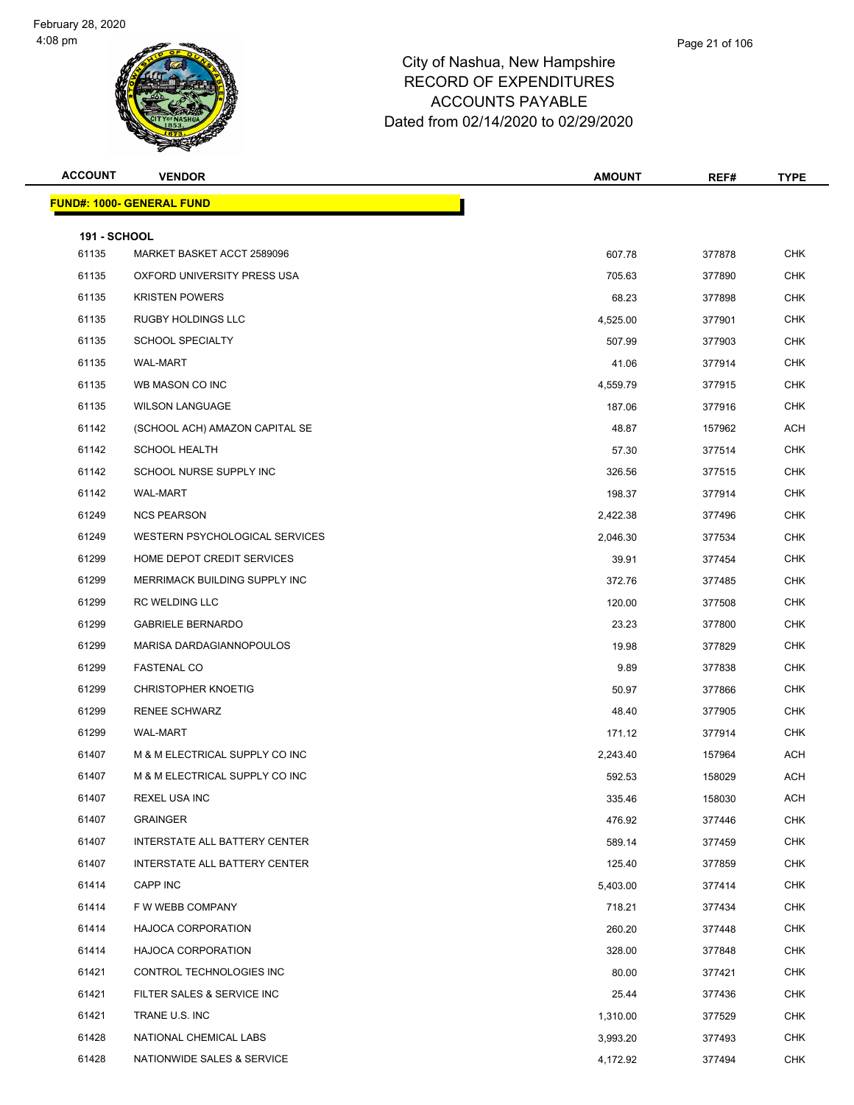

| <b>ACCOUNT</b>               | <b>VENDOR</b>                        | <b>AMOUNT</b> | REF#   | TYPE           |
|------------------------------|--------------------------------------|---------------|--------|----------------|
|                              | <b>FUND#: 1000- GENERAL FUND</b>     |               |        |                |
|                              |                                      |               |        |                |
| <b>191 - SCHOOL</b><br>61135 | MARKET BASKET ACCT 2589096           | 607.78        | 377878 | <b>CHK</b>     |
| 61135                        | OXFORD UNIVERSITY PRESS USA          | 705.63        | 377890 | <b>CHK</b>     |
| 61135                        | <b>KRISTEN POWERS</b>                | 68.23         | 377898 | <b>CHK</b>     |
| 61135                        | <b>RUGBY HOLDINGS LLC</b>            | 4,525.00      | 377901 | <b>CHK</b>     |
| 61135                        | <b>SCHOOL SPECIALTY</b>              | 507.99        | 377903 | <b>CHK</b>     |
| 61135                        | <b>WAL-MART</b>                      | 41.06         | 377914 | <b>CHK</b>     |
| 61135                        | WB MASON CO INC                      | 4,559.79      | 377915 | <b>CHK</b>     |
| 61135                        | <b>WILSON LANGUAGE</b>               | 187.06        | 377916 | <b>CHK</b>     |
| 61142                        | (SCHOOL ACH) AMAZON CAPITAL SE       | 48.87         | 157962 | <b>ACH</b>     |
| 61142                        | <b>SCHOOL HEALTH</b>                 | 57.30         | 377514 | <b>CHK</b>     |
| 61142                        | SCHOOL NURSE SUPPLY INC              | 326.56        | 377515 | <b>CHK</b>     |
| 61142                        | <b>WAL-MART</b>                      | 198.37        | 377914 | <b>CHK</b>     |
| 61249                        | <b>NCS PEARSON</b>                   | 2,422.38      | 377496 | <b>CHK</b>     |
| 61249                        | WESTERN PSYCHOLOGICAL SERVICES       | 2,046.30      | 377534 | <b>CHK</b>     |
| 61299                        | HOME DEPOT CREDIT SERVICES           | 39.91         | 377454 | <b>CHK</b>     |
| 61299                        | MERRIMACK BUILDING SUPPLY INC        | 372.76        | 377485 | <b>CHK</b>     |
| 61299                        | RC WELDING LLC                       | 120.00        | 377508 | <b>CHK</b>     |
| 61299                        | <b>GABRIELE BERNARDO</b>             | 23.23         | 377800 | <b>CHK</b>     |
| 61299                        | MARISA DARDAGIANNOPOULOS             | 19.98         | 377829 | <b>CHK</b>     |
| 61299                        | <b>FASTENAL CO</b>                   | 9.89          | 377838 | <b>CHK</b>     |
| 61299                        | <b>CHRISTOPHER KNOETIG</b>           | 50.97         | 377866 | <b>CHK</b>     |
| 61299                        | <b>RENEE SCHWARZ</b>                 | 48.40         | 377905 | <b>CHK</b>     |
| 61299                        | <b>WAL-MART</b>                      | 171.12        | 377914 | <b>CHK</b>     |
| 61407                        | M & M ELECTRICAL SUPPLY CO INC       | 2,243.40      | 157964 | ACH            |
| 61407                        | M & M ELECTRICAL SUPPLY CO INC       | 592.53        | 158029 | <b>ACH</b>     |
| 61407                        | REXEL USA INC                        | 335.46        | 158030 | $\mathsf{ACH}$ |
| 61407                        | <b>GRAINGER</b>                      | 476.92        | 377446 | <b>CHK</b>     |
| 61407                        | <b>INTERSTATE ALL BATTERY CENTER</b> | 589.14        | 377459 | <b>CHK</b>     |
| 61407                        | INTERSTATE ALL BATTERY CENTER        | 125.40        | 377859 | <b>CHK</b>     |
| 61414                        | CAPP INC                             | 5,403.00      | 377414 | <b>CHK</b>     |
| 61414                        | F W WEBB COMPANY                     | 718.21        | 377434 | <b>CHK</b>     |
| 61414                        | <b>HAJOCA CORPORATION</b>            | 260.20        | 377448 | CHK            |
| 61414                        | <b>HAJOCA CORPORATION</b>            | 328.00        | 377848 | <b>CHK</b>     |
| 61421                        | CONTROL TECHNOLOGIES INC             | 80.00         | 377421 | <b>CHK</b>     |
| 61421                        | FILTER SALES & SERVICE INC           | 25.44         | 377436 | <b>CHK</b>     |
| 61421                        | TRANE U.S. INC                       | 1,310.00      | 377529 | <b>CHK</b>     |
| 61428                        | NATIONAL CHEMICAL LABS               | 3,993.20      | 377493 | <b>CHK</b>     |
| 61428                        | NATIONWIDE SALES & SERVICE           | 4,172.92      | 377494 | <b>CHK</b>     |
|                              |                                      |               |        |                |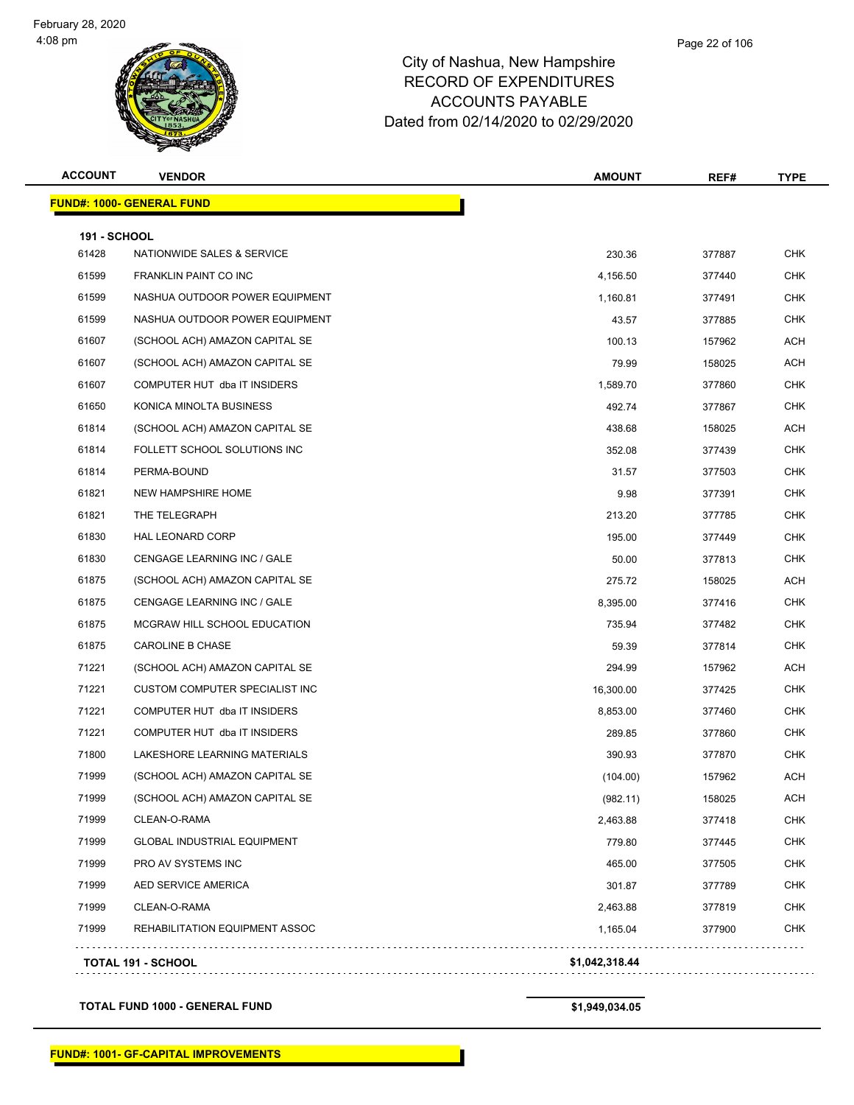| <b>ACCOUNT</b>      | <b>VENDOR</b>                         | <b>AMOUNT</b>  | REF#   | <b>TYPE</b> |
|---------------------|---------------------------------------|----------------|--------|-------------|
|                     | <u> FUND#: 1000- GENERAL FUND</u>     |                |        |             |
| <b>191 - SCHOOL</b> |                                       |                |        |             |
| 61428               | NATIONWIDE SALES & SERVICE            | 230.36         | 377887 | <b>CHK</b>  |
| 61599               | FRANKLIN PAINT CO INC                 | 4,156.50       | 377440 | <b>CHK</b>  |
| 61599               | NASHUA OUTDOOR POWER EQUIPMENT        | 1,160.81       | 377491 | <b>CHK</b>  |
| 61599               | NASHUA OUTDOOR POWER EQUIPMENT        | 43.57          | 377885 | <b>CHK</b>  |
| 61607               | (SCHOOL ACH) AMAZON CAPITAL SE        | 100.13         | 157962 | <b>ACH</b>  |
| 61607               | (SCHOOL ACH) AMAZON CAPITAL SE        | 79.99          | 158025 | ACH         |
| 61607               | COMPUTER HUT dba IT INSIDERS          | 1,589.70       | 377860 | <b>CHK</b>  |
| 61650               | KONICA MINOLTA BUSINESS               | 492.74         | 377867 | <b>CHK</b>  |
| 61814               | (SCHOOL ACH) AMAZON CAPITAL SE        | 438.68         | 158025 | <b>ACH</b>  |
| 61814               | FOLLETT SCHOOL SOLUTIONS INC          | 352.08         | 377439 | <b>CHK</b>  |
| 61814               | PERMA-BOUND                           | 31.57          | 377503 | <b>CHK</b>  |
| 61821               | NEW HAMPSHIRE HOME                    | 9.98           | 377391 | <b>CHK</b>  |
| 61821               | THE TELEGRAPH                         | 213.20         | 377785 | <b>CHK</b>  |
| 61830               | HAL LEONARD CORP                      | 195.00         | 377449 | <b>CHK</b>  |
| 61830               | CENGAGE LEARNING INC / GALE           | 50.00          | 377813 | <b>CHK</b>  |
| 61875               | (SCHOOL ACH) AMAZON CAPITAL SE        | 275.72         | 158025 | <b>ACH</b>  |
| 61875               | CENGAGE LEARNING INC / GALE           | 8,395.00       | 377416 | <b>CHK</b>  |
| 61875               | MCGRAW HILL SCHOOL EDUCATION          | 735.94         | 377482 | <b>CHK</b>  |
| 61875               | CAROLINE B CHASE                      | 59.39          | 377814 | <b>CHK</b>  |
| 71221               | (SCHOOL ACH) AMAZON CAPITAL SE        | 294.99         | 157962 | <b>ACH</b>  |
| 71221               | <b>CUSTOM COMPUTER SPECIALIST INC</b> | 16,300.00      | 377425 | <b>CHK</b>  |
| 71221               | COMPUTER HUT dba IT INSIDERS          | 8,853.00       | 377460 | <b>CHK</b>  |
| 71221               | COMPUTER HUT dba IT INSIDERS          | 289.85         | 377860 | <b>CHK</b>  |
| 71800               | LAKESHORE LEARNING MATERIALS          | 390.93         | 377870 | <b>CHK</b>  |
| 71999               | (SCHOOL ACH) AMAZON CAPITAL SE        | (104.00)       | 157962 | <b>ACH</b>  |
| 71999               | (SCHOOL ACH) AMAZON CAPITAL SE        | (982.11)       | 158025 | ACH         |
| 71999               | CLEAN-O-RAMA                          | 2,463.88       | 377418 | <b>CHK</b>  |
| 71999               | <b>GLOBAL INDUSTRIAL EQUIPMENT</b>    | 779.80         | 377445 | <b>CHK</b>  |
| 71999               | PRO AV SYSTEMS INC                    | 465.00         | 377505 | <b>CHK</b>  |
| 71999               | AED SERVICE AMERICA                   | 301.87         | 377789 | <b>CHK</b>  |
| 71999               | CLEAN-O-RAMA                          | 2,463.88       | 377819 | <b>CHK</b>  |
| 71999               | REHABILITATION EQUIPMENT ASSOC        | 1,165.04       | 377900 | <b>CHK</b>  |
|                     | <b>TOTAL 191 - SCHOOL</b>             | \$1,042,318.44 |        |             |

#### **TOTAL FUND 1000 - GENERAL FUND \$1,949,034.05**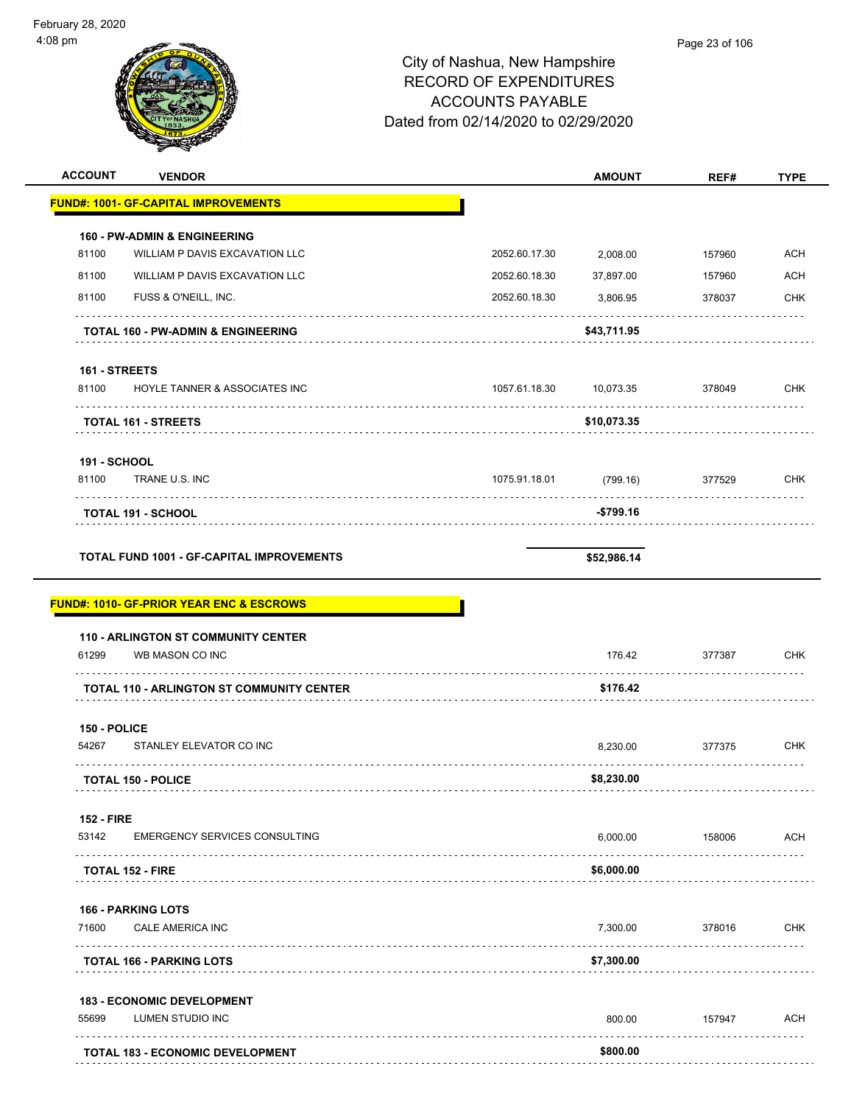| 08 pm                     |                                                     |                                     |               | Page 23 of 106 |             |
|---------------------------|-----------------------------------------------------|-------------------------------------|---------------|----------------|-------------|
|                           |                                                     | City of Nashua, New Hampshire       |               |                |             |
|                           |                                                     | <b>RECORD OF EXPENDITURES</b>       |               |                |             |
|                           |                                                     | <b>ACCOUNTS PAYABLE</b>             |               |                |             |
|                           |                                                     | Dated from 02/14/2020 to 02/29/2020 |               |                |             |
|                           |                                                     |                                     |               |                |             |
| <b>ACCOUNT</b>            | <b>VENDOR</b>                                       |                                     | <b>AMOUNT</b> | REF#           | <b>TYPE</b> |
|                           | <b>FUND#: 1001- GF-CAPITAL IMPROVEMENTS</b>         |                                     |               |                |             |
|                           | <b>160 - PW-ADMIN &amp; ENGINEERING</b>             |                                     |               |                |             |
| 81100                     | WILLIAM P DAVIS EXCAVATION LLC                      | 2052.60.17.30                       | 2,008.00      | 157960         | <b>ACH</b>  |
| 81100                     | WILLIAM P DAVIS EXCAVATION LLC                      | 2052.60.18.30                       | 37,897.00     | 157960         | <b>ACH</b>  |
| 81100                     | FUSS & O'NEILL, INC.                                | 2052.60.18.30                       | 3,806.95      | 378037         | <b>CHK</b>  |
|                           | <b>TOTAL 160 - PW-ADMIN &amp; ENGINEERING</b>       |                                     | \$43,711.95   |                |             |
|                           |                                                     |                                     |               |                |             |
| 161 - STREETS<br>81100    | HOYLE TANNER & ASSOCIATES INC                       | 1057.61.18.30                       | 10,073.35     | 378049         | <b>CHK</b>  |
|                           |                                                     |                                     |               |                |             |
|                           | <b>TOTAL 161 - STREETS</b>                          |                                     | \$10,073.35   |                |             |
| 191 - SCHOOL              |                                                     |                                     |               |                |             |
| 81100                     | TRANE U.S. INC                                      | 1075.91.18.01                       | (799.16)      | 377529         | <b>CHK</b>  |
|                           | <b>TOTAL 191 - SCHOOL</b>                           |                                     | -\$799.16     |                |             |
|                           | <b>TOTAL FUND 1001 - GF-CAPITAL IMPROVEMENTS</b>    |                                     | \$52,986.14   |                |             |
|                           | <b>FUND#: 1010- GF-PRIOR YEAR ENC &amp; ESCROWS</b> |                                     |               |                |             |
|                           | <b>110 - ARLINGTON ST COMMUNITY CENTER</b>          |                                     |               |                |             |
| 61299                     | WB MASON CO INC                                     |                                     | 176.42        | 377387         | <b>CHK</b>  |
|                           | <b>TOTAL 110 - ARLINGTON ST COMMUNITY CENTER</b>    |                                     | \$176.42      |                |             |
| 150 - POLICE              |                                                     |                                     |               |                |             |
| 54267                     | STANLEY ELEVATOR CO INC                             |                                     | 8,230.00      | 377375         | <b>CHK</b>  |
|                           | <b>TOTAL 150 - POLICE</b>                           |                                     | \$8,230.00    |                |             |
| <b>152 - FIRE</b>         |                                                     |                                     |               |                |             |
| 53142                     | <b>EMERGENCY SERVICES CONSULTING</b>                |                                     | 6,000.00      | 158006         | ACH         |
| <b>TOTAL 152 - FIRE</b>   |                                                     |                                     | \$6,000.00    |                |             |
| <b>166 - PARKING LOTS</b> |                                                     |                                     |               |                |             |
| 71600                     | <b>CALE AMERICA INC</b>                             |                                     | 7,300.00      | 378016         | <b>CHK</b>  |
|                           | <b>TOTAL 166 - PARKING LOTS</b>                     |                                     | \$7,300.00    |                |             |
|                           |                                                     |                                     |               |                |             |
| 55699                     | 183 - ECONOMIC DEVELOPMENT<br>LUMEN STUDIO INC      |                                     | 800.00        | 157947         | <b>ACH</b>  |
|                           |                                                     |                                     |               |                |             |

**TOTAL 183 - ECONOMIC DEVELOPMENT \$800.00**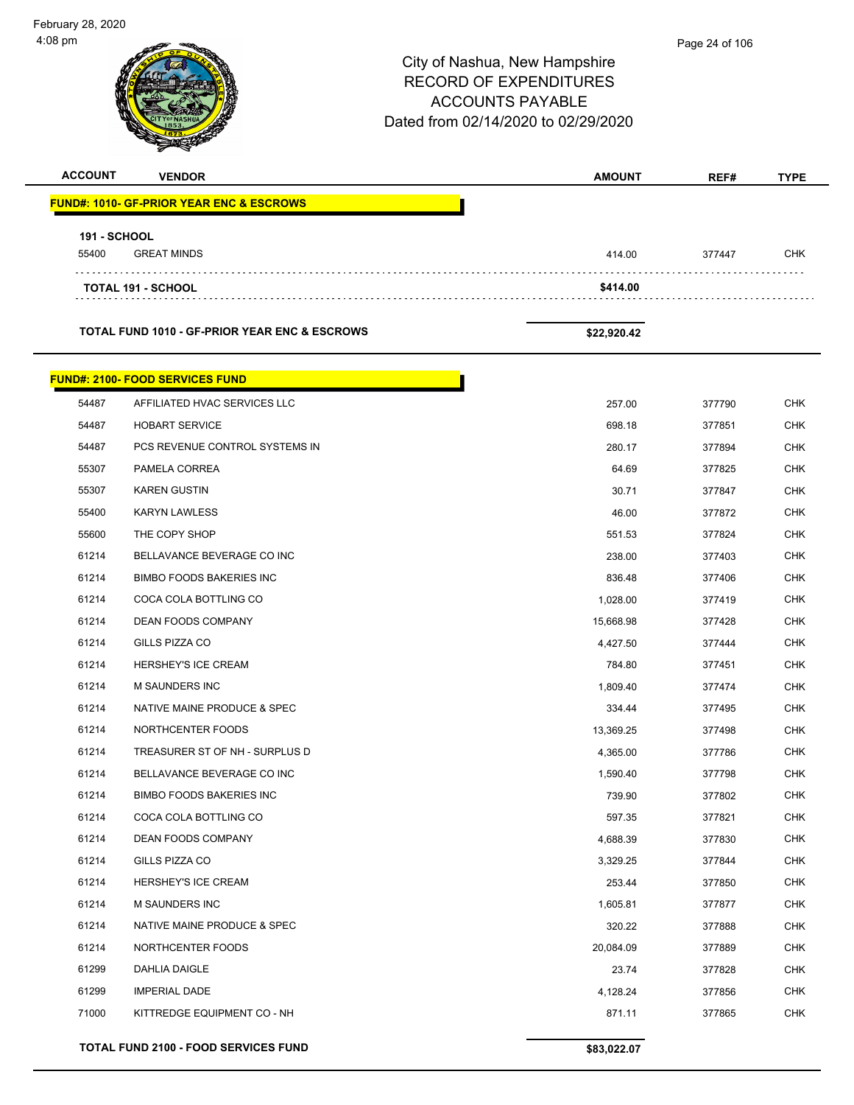$\overline{\phantom{0}}$ 

 $\overline{a}$ 

|                |                                                          | City of Nashua, New Hampshire<br><b>RECORD OF EXPENDITURES</b><br><b>ACCOUNTS PAYABLE</b><br>Dated from 02/14/2020 to 02/29/2020 | 1 ayo 24 01 100  |                          |
|----------------|----------------------------------------------------------|----------------------------------------------------------------------------------------------------------------------------------|------------------|--------------------------|
| <b>ACCOUNT</b> | <b>VENDOR</b>                                            | <b>AMOUNT</b>                                                                                                                    | REF#             | <b>TYPE</b>              |
|                | <b>FUND#: 1010- GF-PRIOR YEAR ENC &amp; ESCROWS</b>      |                                                                                                                                  |                  |                          |
| 191 - SCHOOL   |                                                          |                                                                                                                                  |                  |                          |
| 55400          | <b>GREAT MINDS</b>                                       | 414.00                                                                                                                           | 377447           | <b>CHK</b>               |
|                |                                                          |                                                                                                                                  |                  |                          |
|                | <b>TOTAL 191 - SCHOOL</b>                                | \$414.00                                                                                                                         |                  |                          |
|                | <b>TOTAL FUND 1010 - GF-PRIOR YEAR ENC &amp; ESCROWS</b> | \$22,920.42                                                                                                                      |                  |                          |
|                | <b>FUND#: 2100- FOOD SERVICES FUND</b>                   |                                                                                                                                  |                  |                          |
| 54487          | AFFILIATED HVAC SERVICES LLC                             | 257.00                                                                                                                           | 377790           | <b>CHK</b>               |
| 54487          | <b>HOBART SERVICE</b>                                    | 698.18                                                                                                                           | 377851           | <b>CHK</b>               |
| 54487          | PCS REVENUE CONTROL SYSTEMS IN                           | 280.17                                                                                                                           | 377894           | <b>CHK</b>               |
| 55307          | PAMELA CORREA                                            | 64.69                                                                                                                            | 377825           | <b>CHK</b>               |
| 55307          | <b>KAREN GUSTIN</b>                                      | 30.71                                                                                                                            | 377847           | <b>CHK</b>               |
| 55400          | <b>KARYN LAWLESS</b>                                     | 46.00                                                                                                                            | 377872           | <b>CHK</b>               |
| 55600          | THE COPY SHOP                                            | 551.53                                                                                                                           | 377824           | <b>CHK</b>               |
| 61214          | BELLAVANCE BEVERAGE CO INC                               | 238.00                                                                                                                           | 377403           | <b>CHK</b>               |
| 61214          | <b>BIMBO FOODS BAKERIES INC</b>                          | 836.48                                                                                                                           | 377406           | <b>CHK</b>               |
| 61214          | COCA COLA BOTTLING CO                                    | 1,028.00                                                                                                                         | 377419           | <b>CHK</b>               |
| 61214          | <b>DEAN FOODS COMPANY</b>                                | 15,668.98                                                                                                                        | 377428           | <b>CHK</b>               |
| 61214          | GILLS PIZZA CO                                           | 4,427.50                                                                                                                         | 377444           | <b>CHK</b>               |
| 61214          | <b>HERSHEY'S ICE CREAM</b>                               | 784.80                                                                                                                           | 377451           | <b>CHK</b>               |
| 61214          | <b>M SAUNDERS INC</b>                                    | 1,809.40                                                                                                                         | 377474           | <b>CHK</b>               |
| 61214          | NATIVE MAINE PRODUCE & SPEC                              | 334.44                                                                                                                           | 377495           | <b>CHK</b>               |
| 61214          | NORTHCENTER FOODS                                        | 13,369.25                                                                                                                        | 377498           | <b>CHK</b>               |
| 61214          | TREASURER ST OF NH - SURPLUS D                           | 4,365.00                                                                                                                         | 377786           | <b>CHK</b>               |
| 61214          | BELLAVANCE BEVERAGE CO INC                               | 1,590.40                                                                                                                         | 377798           | <b>CHK</b>               |
| 61214          | <b>BIMBO FOODS BAKERIES INC</b>                          | 739.90                                                                                                                           | 377802           | <b>CHK</b>               |
| 61214          | COCA COLA BOTTLING CO                                    | 597.35                                                                                                                           | 377821           | <b>CHK</b>               |
| 61214          | DEAN FOODS COMPANY                                       | 4,688.39                                                                                                                         | 377830           | <b>CHK</b>               |
| 61214          | GILLS PIZZA CO                                           | 3,329.25                                                                                                                         | 377844           | <b>CHK</b>               |
| 61214<br>61214 | HERSHEY'S ICE CREAM<br>M SAUNDERS INC                    | 253.44                                                                                                                           | 377850           | <b>CHK</b><br><b>CHK</b> |
| 61214          | NATIVE MAINE PRODUCE & SPEC                              | 1,605.81<br>320.22                                                                                                               | 377877<br>377888 | <b>CHK</b>               |
| 61214          | NORTHCENTER FOODS                                        | 20,084.09                                                                                                                        | 377889           | <b>CHK</b>               |
| 61299          | DAHLIA DAIGLE                                            | 23.74                                                                                                                            | 377828           | <b>CHK</b>               |
| 61299          | <b>IMPERIAL DADE</b>                                     | 4,128.24                                                                                                                         | 377856           | <b>CHK</b>               |
| 71000          | KITTREDGE EQUIPMENT CO - NH                              | 871.11                                                                                                                           | 377865           | <b>CHK</b>               |
|                |                                                          |                                                                                                                                  |                  |                          |
|                | TOTAL FUND 2100 - FOOD SERVICES FUND                     | \$83,022.07                                                                                                                      |                  |                          |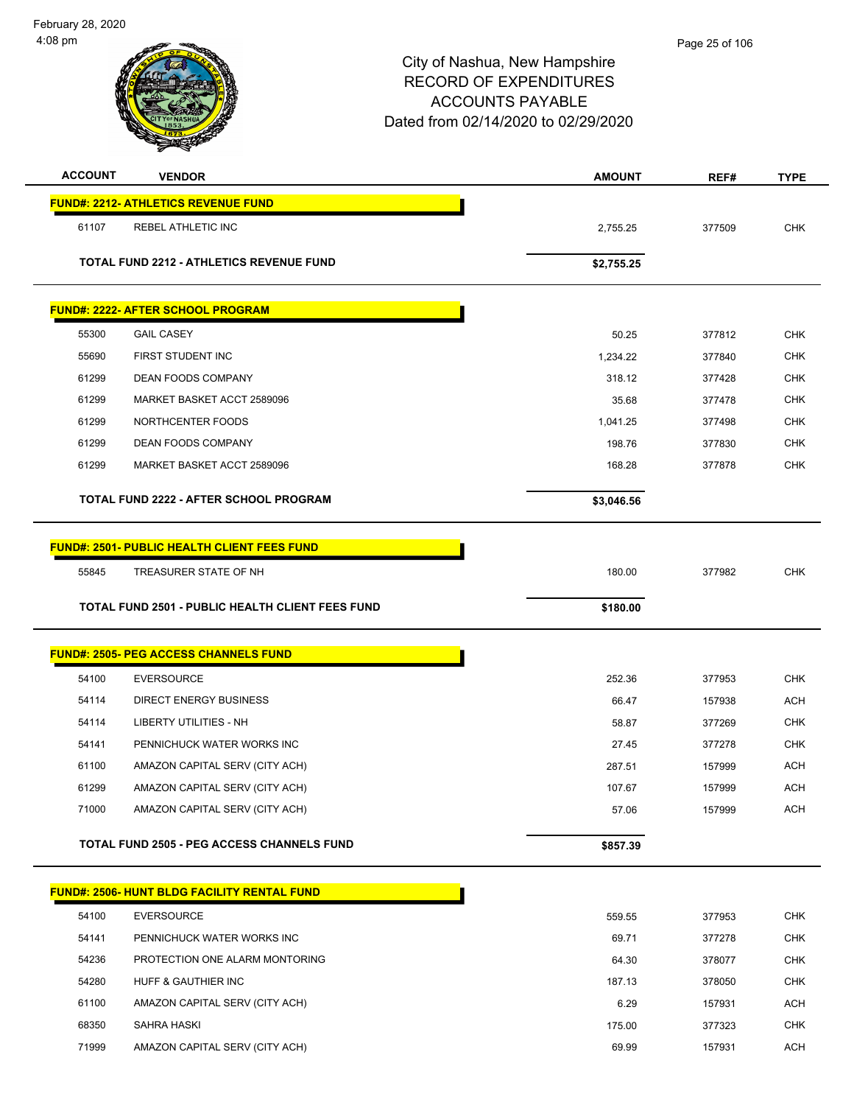| <b>ACCOUNT</b> | <b>VENDOR</b>                                           | <b>AMOUNT</b> | REF#   | <b>TYPE</b> |
|----------------|---------------------------------------------------------|---------------|--------|-------------|
|                | <b>FUND#: 2212- ATHLETICS REVENUE FUND</b>              |               |        |             |
| 61107          | REBEL ATHLETIC INC                                      | 2,755.25      | 377509 | <b>CHK</b>  |
|                | <b>TOTAL FUND 2212 - ATHLETICS REVENUE FUND</b>         | \$2,755.25    |        |             |
|                | <u> FUND#: 2222- AFTER SCHOOL PROGRAM</u>               |               |        |             |
| 55300          | <b>GAIL CASEY</b>                                       | 50.25         | 377812 | <b>CHK</b>  |
| 55690          | FIRST STUDENT INC                                       | 1,234.22      | 377840 | <b>CHK</b>  |
| 61299          | DEAN FOODS COMPANY                                      | 318.12        | 377428 | <b>CHK</b>  |
| 61299          | MARKET BASKET ACCT 2589096                              | 35.68         | 377478 | <b>CHK</b>  |
| 61299          | NORTHCENTER FOODS                                       | 1,041.25      | 377498 | <b>CHK</b>  |
| 61299          | DEAN FOODS COMPANY                                      | 198.76        | 377830 | <b>CHK</b>  |
| 61299          | MARKET BASKET ACCT 2589096                              | 168.28        | 377878 | <b>CHK</b>  |
|                | TOTAL FUND 2222 - AFTER SCHOOL PROGRAM                  | \$3,046.56    |        |             |
|                | <b>FUND#: 2501- PUBLIC HEALTH CLIENT FEES FUND</b>      |               |        |             |
| 55845          | TREASURER STATE OF NH                                   | 180.00        | 377982 | <b>CHK</b>  |
|                | <b>TOTAL FUND 2501 - PUBLIC HEALTH CLIENT FEES FUND</b> | \$180.00      |        |             |
|                | <b>FUND#: 2505- PEG ACCESS CHANNELS FUND</b>            |               |        |             |
| 54100          | <b>EVERSOURCE</b>                                       | 252.36        | 377953 | <b>CHK</b>  |
| 54114          | <b>DIRECT ENERGY BUSINESS</b>                           | 66.47         | 157938 | <b>ACH</b>  |
| 54114          | <b>LIBERTY UTILITIES - NH</b>                           | 58.87         | 377269 | <b>CHK</b>  |
| 54141          | PENNICHUCK WATER WORKS INC                              | 27.45         | 377278 | <b>CHK</b>  |
| 61100          | AMAZON CAPITAL SERV (CITY ACH)                          | 287.51        | 157999 | <b>ACH</b>  |
| 61299          | AMAZON CAPITAL SERV (CITY ACH)                          | 107.67        | 157999 | <b>ACH</b>  |
| 71000          | AMAZON CAPITAL SERV (CITY ACH)                          | 57.06         | 157999 | <b>ACH</b>  |
|                | <b>TOTAL FUND 2505 - PEG ACCESS CHANNELS FUND</b>       | \$857.39      |        |             |
|                | <b>FUND#: 2506- HUNT BLDG FACILITY RENTAL FUND</b>      |               |        |             |
| 54100          | <b>EVERSOURCE</b>                                       | 559.55        | 377953 | CHK         |
| 54141          | PENNICHUCK WATER WORKS INC                              | 69.71         | 377278 | <b>CHK</b>  |
| 54236          | PROTECTION ONE ALARM MONTORING                          | 64.30         | 378077 | <b>CHK</b>  |
| 54280          | HUFF & GAUTHIER INC                                     | 187.13        | 378050 | <b>CHK</b>  |
| 61100          | AMAZON CAPITAL SERV (CITY ACH)                          | 6.29          | 157931 | <b>ACH</b>  |
| 68350          | SAHRA HASKI                                             | 175.00        | 377323 | <b>CHK</b>  |
| 71999          | AMAZON CAPITAL SERV (CITY ACH)                          | 69.99         | 157931 | <b>ACH</b>  |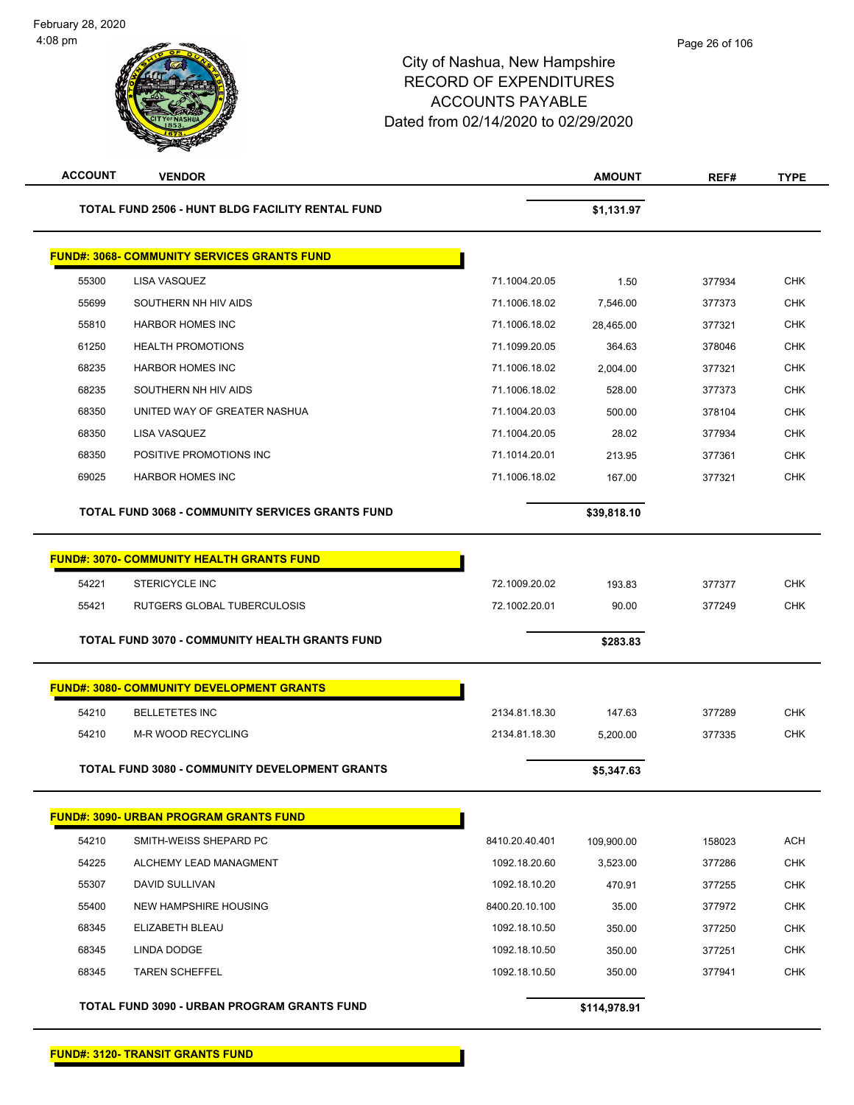| <b>ACCOUNT</b> | <b>VENDOR</b>                                         |                | <b>AMOUNT</b> | REF#   | <b>TYPE</b> |
|----------------|-------------------------------------------------------|----------------|---------------|--------|-------------|
|                | TOTAL FUND 2506 - HUNT BLDG FACILITY RENTAL FUND      |                | \$1,131.97    |        |             |
|                | <b>FUND#: 3068- COMMUNITY SERVICES GRANTS FUND</b>    |                |               |        |             |
| 55300          | LISA VASQUEZ                                          | 71.1004.20.05  | 1.50          | 377934 | <b>CHK</b>  |
| 55699          | SOUTHERN NH HIV AIDS                                  | 71.1006.18.02  | 7,546.00      | 377373 | <b>CHK</b>  |
| 55810          | <b>HARBOR HOMES INC</b>                               | 71.1006.18.02  | 28,465.00     | 377321 | <b>CHK</b>  |
| 61250          | <b>HEALTH PROMOTIONS</b>                              | 71.1099.20.05  | 364.63        | 378046 | <b>CHK</b>  |
| 68235          | <b>HARBOR HOMES INC</b>                               | 71.1006.18.02  | 2,004.00      | 377321 | <b>CHK</b>  |
| 68235          | SOUTHERN NH HIV AIDS                                  | 71.1006.18.02  | 528.00        | 377373 | <b>CHK</b>  |
| 68350          | UNITED WAY OF GREATER NASHUA                          | 71.1004.20.03  | 500.00        | 378104 | CHK         |
| 68350          | LISA VASQUEZ                                          | 71.1004.20.05  | 28.02         | 377934 | <b>CHK</b>  |
| 68350          | POSITIVE PROMOTIONS INC                               | 71.1014.20.01  | 213.95        | 377361 | <b>CHK</b>  |
| 69025          | <b>HARBOR HOMES INC</b>                               | 71.1006.18.02  | 167.00        | 377321 | <b>CHK</b>  |
|                | TOTAL FUND 3068 - COMMUNITY SERVICES GRANTS FUND      |                | \$39,818.10   |        |             |
|                | <b>FUND#: 3070- COMMUNITY HEALTH GRANTS FUND</b>      |                |               |        |             |
| 54221          | <b>STERICYCLE INC</b>                                 | 72.1009.20.02  | 193.83        | 377377 | <b>CHK</b>  |
| 55421          | RUTGERS GLOBAL TUBERCULOSIS                           | 72.1002.20.01  | 90.00         | 377249 | <b>CHK</b>  |
|                | <b>TOTAL FUND 3070 - COMMUNITY HEALTH GRANTS FUND</b> |                | \$283.83      |        |             |
|                |                                                       |                |               |        |             |
|                | <b>FUND#: 3080- COMMUNITY DEVELOPMENT GRANTS</b>      |                |               |        |             |
| 54210          | <b>BELLETETES INC</b>                                 | 2134.81.18.30  | 147.63        | 377289 | <b>CHK</b>  |
| 54210          | M-R WOOD RECYCLING                                    | 2134.81.18.30  | 5,200.00      | 377335 | <b>CHK</b>  |
|                | <b>TOTAL FUND 3080 - COMMUNITY DEVELOPMENT GRANTS</b> |                | \$5,347.63    |        |             |
|                | <b>FUND#: 3090- URBAN PROGRAM GRANTS FUND</b>         |                |               |        |             |
| 54210          | SMITH-WEISS SHEPARD PC                                | 8410.20.40.401 | 109,900.00    | 158023 | <b>ACH</b>  |
| 54225          | ALCHEMY LEAD MANAGMENT                                | 1092.18.20.60  | 3,523.00      | 377286 | <b>CHK</b>  |
| 55307          | DAVID SULLIVAN                                        | 1092.18.10.20  | 470.91        | 377255 | CHK         |
| 55400          | <b>NEW HAMPSHIRE HOUSING</b>                          | 8400.20.10.100 | 35.00         | 377972 | <b>CHK</b>  |
| 68345          | ELIZABETH BLEAU                                       | 1092.18.10.50  | 350.00        | 377250 | CHK         |
| 68345          | LINDA DODGE                                           | 1092.18.10.50  | 350.00        | 377251 | <b>CHK</b>  |
| 68345          | <b>TAREN SCHEFFEL</b>                                 | 1092.18.10.50  | 350.00        | 377941 | <b>CHK</b>  |
|                | TOTAL FUND 3090 - URBAN PROGRAM GRANTS FUND           |                | \$114,978.91  |        |             |

**FUND#: 3120- TRANSIT GRANTS FUND**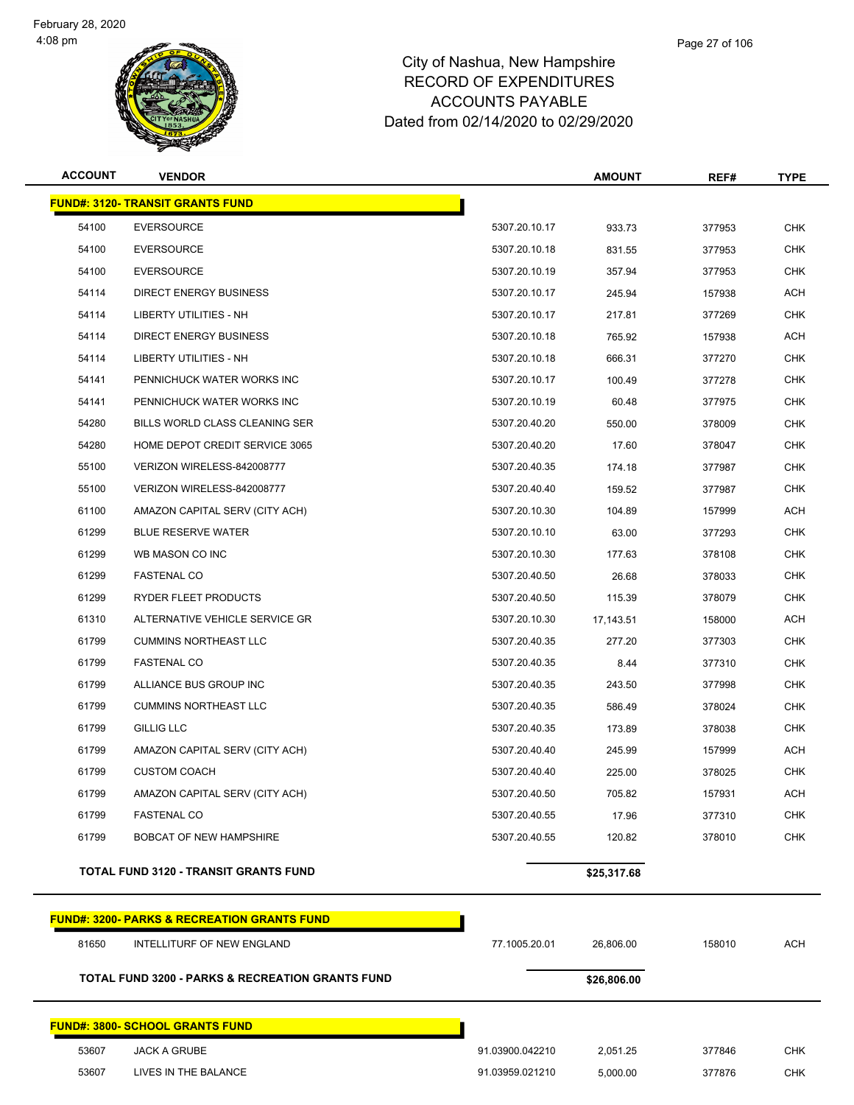

## City of Nashua, New Hampshire RECORD OF EXPENDITURES ACCOUNTS PAYABLE

Dated from 02/14/2020 to 02/29/2020

| <b>ACCOUNT</b> | <b>VENDOR</b>                                               |                 | <b>AMOUNT</b> | REF#   | <b>TYPE</b> |
|----------------|-------------------------------------------------------------|-----------------|---------------|--------|-------------|
|                | <b>FUND#: 3120- TRANSIT GRANTS FUND</b>                     |                 |               |        |             |
| 54100          | <b>EVERSOURCE</b>                                           | 5307.20.10.17   | 933.73        | 377953 | <b>CHK</b>  |
| 54100          | <b>EVERSOURCE</b>                                           | 5307.20.10.18   | 831.55        | 377953 | <b>CHK</b>  |
| 54100          | <b>EVERSOURCE</b>                                           | 5307.20.10.19   | 357.94        | 377953 | <b>CHK</b>  |
| 54114          | <b>DIRECT ENERGY BUSINESS</b>                               | 5307.20.10.17   | 245.94        | 157938 | <b>ACH</b>  |
| 54114          | LIBERTY UTILITIES - NH                                      | 5307.20.10.17   | 217.81        | 377269 | <b>CHK</b>  |
| 54114          | DIRECT ENERGY BUSINESS                                      | 5307.20.10.18   | 765.92        | 157938 | <b>ACH</b>  |
| 54114          | LIBERTY UTILITIES - NH                                      | 5307.20.10.18   | 666.31        | 377270 | <b>CHK</b>  |
| 54141          | PENNICHUCK WATER WORKS INC                                  | 5307.20.10.17   | 100.49        | 377278 | <b>CHK</b>  |
| 54141          | PENNICHUCK WATER WORKS INC                                  | 5307.20.10.19   | 60.48         | 377975 | <b>CHK</b>  |
| 54280          | BILLS WORLD CLASS CLEANING SER                              | 5307.20.40.20   | 550.00        | 378009 | <b>CHK</b>  |
| 54280          | HOME DEPOT CREDIT SERVICE 3065                              | 5307.20.40.20   | 17.60         | 378047 | <b>CHK</b>  |
| 55100          | VERIZON WIRELESS-842008777                                  | 5307.20.40.35   | 174.18        | 377987 | <b>CHK</b>  |
| 55100          | VERIZON WIRELESS-842008777                                  | 5307.20.40.40   | 159.52        | 377987 | <b>CHK</b>  |
| 61100          | AMAZON CAPITAL SERV (CITY ACH)                              | 5307.20.10.30   | 104.89        | 157999 | <b>ACH</b>  |
| 61299          | <b>BLUE RESERVE WATER</b>                                   | 5307.20.10.10   | 63.00         | 377293 | <b>CHK</b>  |
| 61299          | WB MASON CO INC                                             | 5307.20.10.30   | 177.63        | 378108 | <b>CHK</b>  |
| 61299          | <b>FASTENAL CO</b>                                          | 5307.20.40.50   | 26.68         | 378033 | <b>CHK</b>  |
| 61299          | RYDER FLEET PRODUCTS                                        | 5307.20.40.50   | 115.39        | 378079 | <b>CHK</b>  |
| 61310          | ALTERNATIVE VEHICLE SERVICE GR                              | 5307.20.10.30   | 17,143.51     | 158000 | <b>ACH</b>  |
| 61799          | <b>CUMMINS NORTHEAST LLC</b>                                | 5307.20.40.35   | 277.20        | 377303 | <b>CHK</b>  |
| 61799          | <b>FASTENAL CO</b>                                          | 5307.20.40.35   | 8.44          | 377310 | <b>CHK</b>  |
| 61799          | ALLIANCE BUS GROUP INC                                      | 5307.20.40.35   | 243.50        | 377998 | <b>CHK</b>  |
| 61799          | <b>CUMMINS NORTHEAST LLC</b>                                | 5307.20.40.35   | 586.49        | 378024 | <b>CHK</b>  |
| 61799          | <b>GILLIG LLC</b>                                           | 5307.20.40.35   | 173.89        | 378038 | <b>CHK</b>  |
| 61799          | AMAZON CAPITAL SERV (CITY ACH)                              | 5307.20.40.40   | 245.99        | 157999 | ACH         |
| 61799          | <b>CUSTOM COACH</b>                                         | 5307.20.40.40   | 225.00        | 378025 | CHK         |
| 61799          | AMAZON CAPITAL SERV (CITY ACH)                              | 5307.20.40.50   | 705.82        | 157931 | ACH         |
| 61799          | <b>FASTENAL CO</b>                                          | 5307.20.40.55   | 17.96         | 377310 | <b>CHK</b>  |
| 61799          | <b>BOBCAT OF NEW HAMPSHIRE</b>                              | 5307.20.40.55   | 120.82        | 378010 | <b>CHK</b>  |
|                | <b>TOTAL FUND 3120 - TRANSIT GRANTS FUND</b>                |                 | \$25,317.68   |        |             |
|                |                                                             |                 |               |        |             |
|                | FUND#: 3200- PARKS & RECREATION GRANTS FUND                 |                 |               |        |             |
| 81650          | INTELLITURF OF NEW ENGLAND                                  | 77.1005.20.01   | 26,806.00     | 158010 | <b>ACH</b>  |
|                | <b>TOTAL FUND 3200 - PARKS &amp; RECREATION GRANTS FUND</b> |                 | \$26,806.00   |        |             |
|                | <u> FUND#: 3800- SCHOOL GRANTS FUND</u>                     |                 |               |        |             |
| 53607          | <b>JACK A GRUBE</b>                                         | 91.03900.042210 | 2,051.25      | 377846 | <b>CHK</b>  |
| 53607          | LIVES IN THE BALANCE                                        | 91.03959.021210 | 5,000.00      | 377876 | <b>CHK</b>  |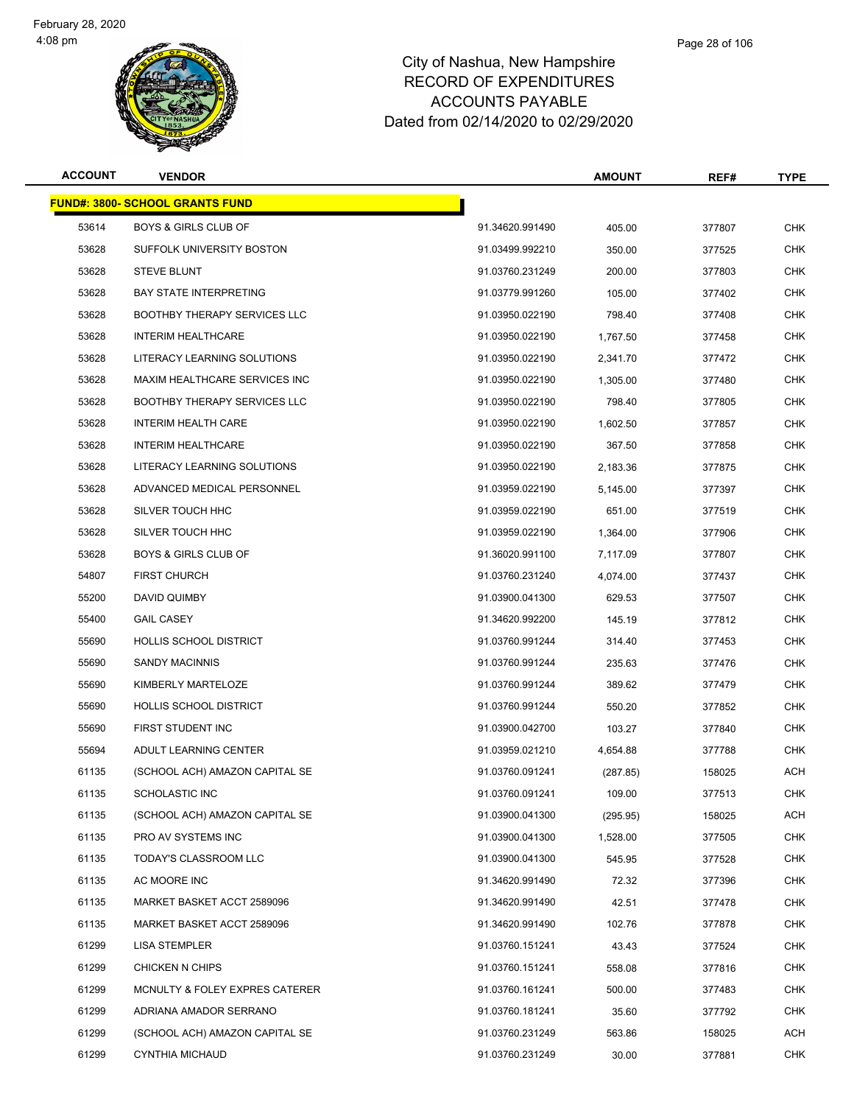

#### Page 28 of 106

| <b>ACCOUNT</b> | <b>VENDOR</b>                          |                 | <b>AMOUNT</b> | REF#   | <b>TYPE</b> |
|----------------|----------------------------------------|-----------------|---------------|--------|-------------|
|                | <b>FUND#: 3800- SCHOOL GRANTS FUND</b> |                 |               |        |             |
| 53614          | <b>BOYS &amp; GIRLS CLUB OF</b>        | 91.34620.991490 | 405.00        | 377807 | <b>CHK</b>  |
| 53628          | SUFFOLK UNIVERSITY BOSTON              | 91.03499.992210 | 350.00        | 377525 | <b>CHK</b>  |
| 53628          | <b>STEVE BLUNT</b>                     | 91.03760.231249 | 200.00        | 377803 | <b>CHK</b>  |
| 53628          | <b>BAY STATE INTERPRETING</b>          | 91.03779.991260 | 105.00        | 377402 | <b>CHK</b>  |
| 53628          | <b>BOOTHBY THERAPY SERVICES LLC</b>    | 91.03950.022190 | 798.40        | 377408 | <b>CHK</b>  |
| 53628          | <b>INTERIM HEALTHCARE</b>              | 91.03950.022190 | 1,767.50      | 377458 | <b>CHK</b>  |
| 53628          | LITERACY LEARNING SOLUTIONS            | 91.03950.022190 | 2,341.70      | 377472 | <b>CHK</b>  |
| 53628          | MAXIM HEALTHCARE SERVICES INC          | 91.03950.022190 | 1,305.00      | 377480 | <b>CHK</b>  |
| 53628          | <b>BOOTHBY THERAPY SERVICES LLC</b>    | 91.03950.022190 | 798.40        | 377805 | <b>CHK</b>  |
| 53628          | <b>INTERIM HEALTH CARE</b>             | 91.03950.022190 | 1,602.50      | 377857 | <b>CHK</b>  |
| 53628          | <b>INTERIM HEALTHCARE</b>              | 91.03950.022190 | 367.50        | 377858 | <b>CHK</b>  |
| 53628          | LITERACY LEARNING SOLUTIONS            | 91.03950.022190 | 2,183.36      | 377875 | <b>CHK</b>  |
| 53628          | ADVANCED MEDICAL PERSONNEL             | 91.03959.022190 | 5,145.00      | 377397 | <b>CHK</b>  |
| 53628          | SILVER TOUCH HHC                       | 91.03959.022190 | 651.00        | 377519 | <b>CHK</b>  |
| 53628          | SILVER TOUCH HHC                       | 91.03959.022190 | 1,364.00      | 377906 | <b>CHK</b>  |
| 53628          | <b>BOYS &amp; GIRLS CLUB OF</b>        | 91.36020.991100 | 7,117.09      | 377807 | <b>CHK</b>  |
| 54807          | <b>FIRST CHURCH</b>                    | 91.03760.231240 | 4,074.00      | 377437 | <b>CHK</b>  |
| 55200          | DAVID QUIMBY                           | 91.03900.041300 | 629.53        | 377507 | <b>CHK</b>  |
| 55400          | <b>GAIL CASEY</b>                      | 91.34620.992200 | 145.19        | 377812 | <b>CHK</b>  |
| 55690          | <b>HOLLIS SCHOOL DISTRICT</b>          | 91.03760.991244 | 314.40        | 377453 | <b>CHK</b>  |
| 55690          | <b>SANDY MACINNIS</b>                  | 91.03760.991244 | 235.63        | 377476 | <b>CHK</b>  |
| 55690          | KIMBERLY MARTELOZE                     | 91.03760.991244 | 389.62        | 377479 | CHK         |
| 55690          | <b>HOLLIS SCHOOL DISTRICT</b>          | 91.03760.991244 | 550.20        | 377852 | <b>CHK</b>  |
| 55690          | FIRST STUDENT INC                      | 91.03900.042700 | 103.27        | 377840 | <b>CHK</b>  |
| 55694          | ADULT LEARNING CENTER                  | 91.03959.021210 | 4,654.88      | 377788 | <b>CHK</b>  |
| 61135          | (SCHOOL ACH) AMAZON CAPITAL SE         | 91.03760.091241 | (287.85)      | 158025 | <b>ACH</b>  |
| 61135          | SCHOLASTIC INC                         | 91.03760.091241 | 109.00        | 377513 | CHK         |
| 61135          | (SCHOOL ACH) AMAZON CAPITAL SE         | 91.03900.041300 | (295.95)      | 158025 | <b>ACH</b>  |
| 61135          | PRO AV SYSTEMS INC                     | 91.03900.041300 | 1.528.00      | 377505 | <b>CHK</b>  |
| 61135          | TODAY'S CLASSROOM LLC                  | 91.03900.041300 | 545.95        | 377528 | <b>CHK</b>  |
| 61135          | AC MOORE INC                           | 91.34620.991490 | 72.32         | 377396 | <b>CHK</b>  |
| 61135          | MARKET BASKET ACCT 2589096             | 91.34620.991490 | 42.51         | 377478 | <b>CHK</b>  |
| 61135          | MARKET BASKET ACCT 2589096             | 91.34620.991490 | 102.76        | 377878 | <b>CHK</b>  |
| 61299          | <b>LISA STEMPLER</b>                   | 91.03760.151241 | 43.43         | 377524 | CHK         |
| 61299          | CHICKEN N CHIPS                        | 91.03760.151241 | 558.08        | 377816 | <b>CHK</b>  |
| 61299          | MCNULTY & FOLEY EXPRES CATERER         | 91.03760.161241 | 500.00        | 377483 | <b>CHK</b>  |
| 61299          | ADRIANA AMADOR SERRANO                 | 91.03760.181241 | 35.60         | 377792 | CHK         |
| 61299          | (SCHOOL ACH) AMAZON CAPITAL SE         | 91.03760.231249 | 563.86        | 158025 | <b>ACH</b>  |
| 61299          | <b>CYNTHIA MICHAUD</b>                 | 91.03760.231249 | 30.00         | 377881 | <b>CHK</b>  |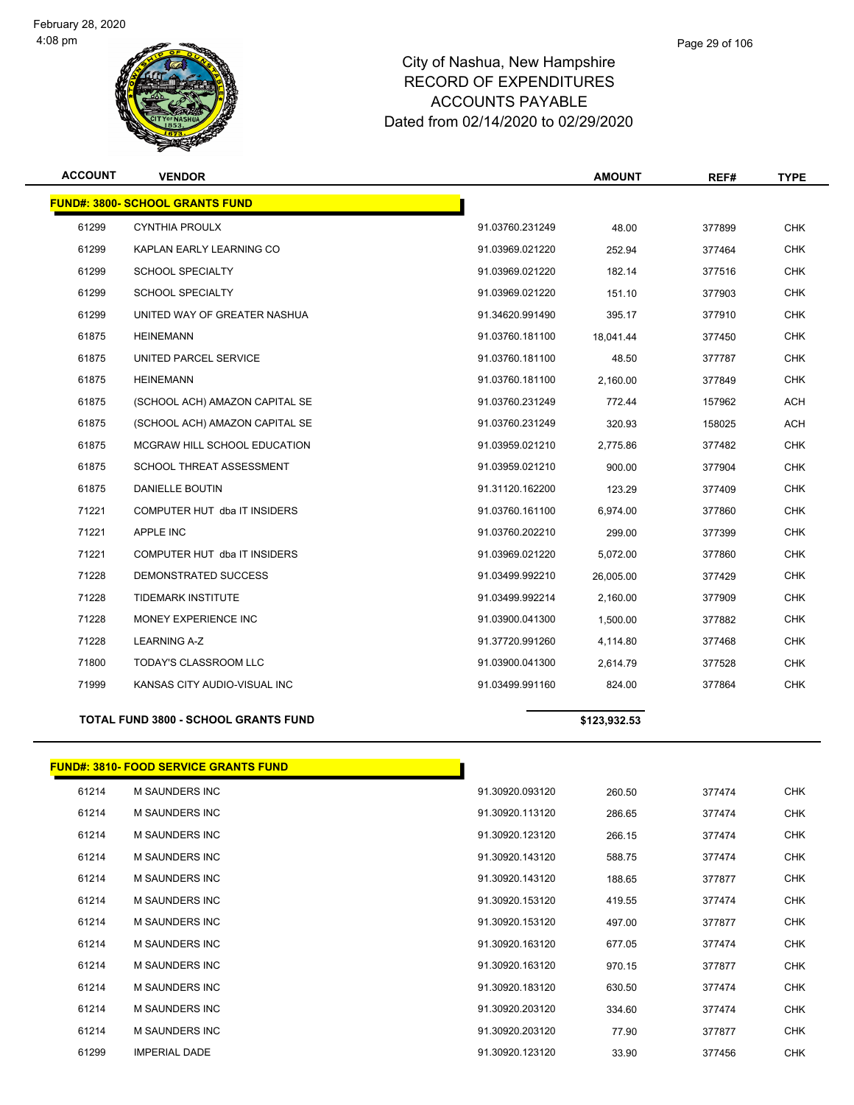

#### Page 29 of 106

### City of Nashua, New Hampshire RECORD OF EXPENDITURES ACCOUNTS PAYABLE Dated from 02/14/2020 to 02/29/2020

| <b>ACCOUNT</b> | <b>VENDOR</b>                                |                 | <b>AMOUNT</b> | REF#   | <b>TYPE</b> |
|----------------|----------------------------------------------|-----------------|---------------|--------|-------------|
|                | <b>FUND#: 3800- SCHOOL GRANTS FUND</b>       |                 |               |        |             |
| 61299          | <b>CYNTHIA PROULX</b>                        | 91.03760.231249 | 48.00         | 377899 | <b>CHK</b>  |
| 61299          | KAPLAN EARLY LEARNING CO                     | 91.03969.021220 | 252.94        | 377464 | <b>CHK</b>  |
| 61299          | <b>SCHOOL SPECIALTY</b>                      | 91.03969.021220 | 182.14        | 377516 | <b>CHK</b>  |
| 61299          | <b>SCHOOL SPECIALTY</b>                      | 91.03969.021220 | 151.10        | 377903 | <b>CHK</b>  |
| 61299          | UNITED WAY OF GREATER NASHUA                 | 91.34620.991490 | 395.17        | 377910 | <b>CHK</b>  |
| 61875          | <b>HEINEMANN</b>                             | 91.03760.181100 | 18,041.44     | 377450 | <b>CHK</b>  |
| 61875          | UNITED PARCEL SERVICE                        | 91.03760.181100 | 48.50         | 377787 | <b>CHK</b>  |
| 61875          | <b>HEINEMANN</b>                             | 91.03760.181100 | 2,160.00      | 377849 | <b>CHK</b>  |
| 61875          | (SCHOOL ACH) AMAZON CAPITAL SE               | 91.03760.231249 | 772.44        | 157962 | <b>ACH</b>  |
| 61875          | (SCHOOL ACH) AMAZON CAPITAL SE               | 91.03760.231249 | 320.93        | 158025 | <b>ACH</b>  |
| 61875          | MCGRAW HILL SCHOOL EDUCATION                 | 91.03959.021210 | 2,775.86      | 377482 | <b>CHK</b>  |
| 61875          | SCHOOL THREAT ASSESSMENT                     | 91.03959.021210 | 900.00        | 377904 | <b>CHK</b>  |
| 61875          | DANIELLE BOUTIN                              | 91.31120.162200 | 123.29        | 377409 | <b>CHK</b>  |
| 71221          | COMPUTER HUT dba IT INSIDERS                 | 91.03760.161100 | 6,974.00      | 377860 | <b>CHK</b>  |
| 71221          | APPLE INC                                    | 91.03760.202210 | 299.00        | 377399 | <b>CHK</b>  |
| 71221          | COMPUTER HUT dba IT INSIDERS                 | 91.03969.021220 | 5,072.00      | 377860 | <b>CHK</b>  |
| 71228          | DEMONSTRATED SUCCESS                         | 91.03499.992210 | 26,005.00     | 377429 | <b>CHK</b>  |
| 71228          | <b>TIDEMARK INSTITUTE</b>                    | 91.03499.992214 | 2,160.00      | 377909 | <b>CHK</b>  |
| 71228          | MONEY EXPERIENCE INC                         | 91.03900.041300 | 1,500.00      | 377882 | <b>CHK</b>  |
| 71228          | LEARNING A-Z                                 | 91.37720.991260 | 4,114.80      | 377468 | <b>CHK</b>  |
| 71800          | TODAY'S CLASSROOM LLC                        | 91.03900.041300 | 2,614.79      | 377528 | <b>CHK</b>  |
| 71999          | KANSAS CITY AUDIO-VISUAL INC                 | 91.03499.991160 | 824.00        | 377864 | <b>CHK</b>  |
|                | <b>TOTAL FUND 3800 - SCHOOL GRANTS FUND</b>  |                 | \$123,932.53  |        |             |
|                | <b>FUND#: 3810- FOOD SERVICE GRANTS FUND</b> |                 |               |        |             |
| 61214          | M SAUNDERS INC                               | 91.30920.093120 | 260.50        | 377474 | CHK         |
| 61214          | <b>M SAUNDERS INC</b>                        | 91.30920.113120 | 286.65        | 377474 | <b>CHK</b>  |
| 61214          | <b>M SAUNDERS INC</b>                        | 91.30920.123120 | 266.15        | 377474 | <b>CHK</b>  |
| 61214          | M SAUNDERS INC                               | 91.30920.143120 | 588.75        | 377474 | <b>CHK</b>  |
| 61214          | <b>M SAUNDERS INC</b>                        | 91.30920.143120 | 188.65        | 377877 | <b>CHK</b>  |
| 61214          | M SAUNDERS INC                               | 91.30920.153120 | 419.55        | 377474 | <b>CHK</b>  |
| 61214          | <b>M SAUNDERS INC</b>                        | 91.30920.153120 | 497.00        | 377877 | <b>CHK</b>  |
| 61214          | <b>M SAUNDERS INC</b>                        | 91.30920.163120 | 677.05        | 377474 | <b>CHK</b>  |
| 61214          | M SAUNDERS INC                               | 91.30920.163120 | 970.15        | 377877 | <b>CHK</b>  |
| 61214          | M SAUNDERS INC                               | 91.30920.183120 | 630.50        | 377474 | CHK         |
| 61214          | M SAUNDERS INC                               | 91.30920.203120 | 334.60        | 377474 | <b>CHK</b>  |

 M SAUNDERS INC 91.30920.203120 77.90 377877 CHK IMPERIAL DADE 91.30920.123120 33.90 377456 CHK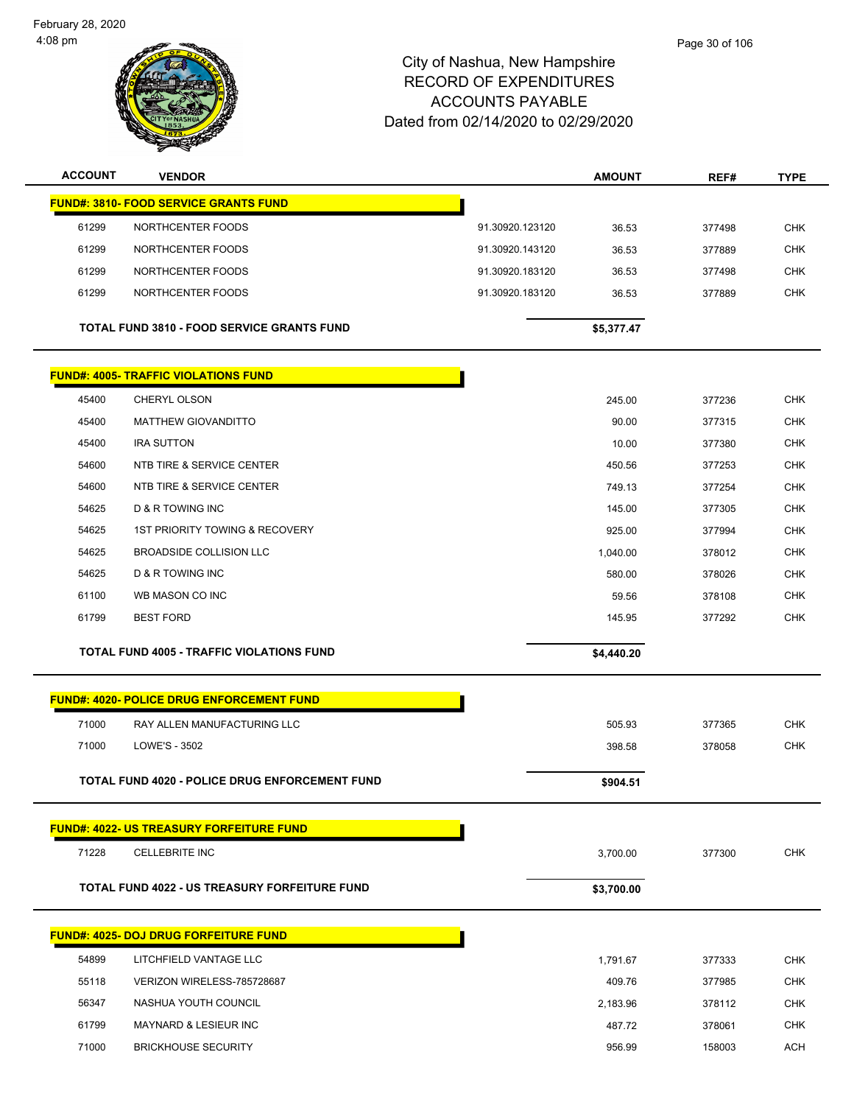February 28, 2020 4:08 pm



| <b>ACCOUNT</b> | <b>VENDOR</b>                                         |                 | <b>AMOUNT</b> | REF#   | <b>TYPE</b> |
|----------------|-------------------------------------------------------|-----------------|---------------|--------|-------------|
|                | <b>FUND#: 3810- FOOD SERVICE GRANTS FUND</b>          |                 |               |        |             |
| 61299          | NORTHCENTER FOODS                                     | 91.30920.123120 | 36.53         | 377498 | <b>CHK</b>  |
| 61299          | NORTHCENTER FOODS                                     | 91.30920.143120 | 36.53         | 377889 | <b>CHK</b>  |
| 61299          | NORTHCENTER FOODS                                     | 91.30920.183120 | 36.53         | 377498 | <b>CHK</b>  |
| 61299          | NORTHCENTER FOODS                                     | 91.30920.183120 | 36.53         | 377889 | <b>CHK</b>  |
|                | <b>TOTAL FUND 3810 - FOOD SERVICE GRANTS FUND</b>     |                 | \$5,377.47    |        |             |
|                | <b>FUND#: 4005- TRAFFIC VIOLATIONS FUND</b>           |                 |               |        |             |
| 45400          | CHERYL OLSON                                          |                 | 245.00        | 377236 | <b>CHK</b>  |
| 45400          | <b>MATTHEW GIOVANDITTO</b>                            |                 | 90.00         | 377315 | <b>CHK</b>  |
| 45400          | <b>IRA SUTTON</b>                                     |                 | 10.00         | 377380 | <b>CHK</b>  |
| 54600          | <b>NTB TIRE &amp; SERVICE CENTER</b>                  |                 | 450.56        | 377253 | <b>CHK</b>  |
| 54600          | NTB TIRE & SERVICE CENTER                             |                 | 749.13        | 377254 | <b>CHK</b>  |
| 54625          | <b>D &amp; R TOWING INC</b>                           |                 | 145.00        | 377305 | <b>CHK</b>  |
| 54625          | 1ST PRIORITY TOWING & RECOVERY                        |                 | 925.00        | 377994 | <b>CHK</b>  |
| 54625          | BROADSIDE COLLISION LLC                               |                 | 1,040.00      | 378012 | <b>CHK</b>  |
| 54625          | D & R TOWING INC                                      |                 | 580.00        | 378026 | <b>CHK</b>  |
| 61100          | WB MASON CO INC                                       |                 | 59.56         | 378108 | CHK         |
| 61799          | <b>BEST FORD</b>                                      |                 | 145.95        | 377292 | <b>CHK</b>  |
|                | <b>TOTAL FUND 4005 - TRAFFIC VIOLATIONS FUND</b>      |                 | \$4,440.20    |        |             |
|                | <b>FUND#: 4020- POLICE DRUG ENFORCEMENT FUND</b>      |                 |               |        |             |
|                |                                                       |                 |               |        |             |
| 71000          | RAY ALLEN MANUFACTURING LLC                           |                 | 505.93        | 377365 | <b>CHK</b>  |
| 71000          | LOWE'S - 3502                                         |                 | 398.58        | 378058 | <b>CHK</b>  |
|                | <b>TOTAL FUND 4020 - POLICE DRUG ENFORCEMENT FUND</b> |                 | \$904.51      |        |             |
|                | <b>FUND#: 4022- US TREASURY FORFEITURE FUND</b>       |                 |               |        |             |
| 71228          | CELLEBRITE INC                                        |                 | 3,700.00      | 377300 | <b>CHK</b>  |
|                | TOTAL FUND 4022 - US TREASURY FORFEITURE FUND         |                 | \$3,700.00    |        |             |
|                | <b>FUND#: 4025- DOJ DRUG FORFEITURE FUND</b>          |                 |               |        |             |
| 54899          | LITCHFIELD VANTAGE LLC                                |                 | 1,791.67      | 377333 | <b>CHK</b>  |
| 55118          | VERIZON WIRELESS-785728687                            |                 | 409.76        | 377985 | <b>CHK</b>  |
| 56347          | NASHUA YOUTH COUNCIL                                  |                 | 2,183.96      | 378112 | <b>CHK</b>  |
| 61799          | MAYNARD & LESIEUR INC                                 |                 | 487.72        | 378061 | <b>CHK</b>  |
| 71000          | <b>BRICKHOUSE SECURITY</b>                            |                 | 956.99        | 158003 | <b>ACH</b>  |
|                |                                                       |                 |               |        |             |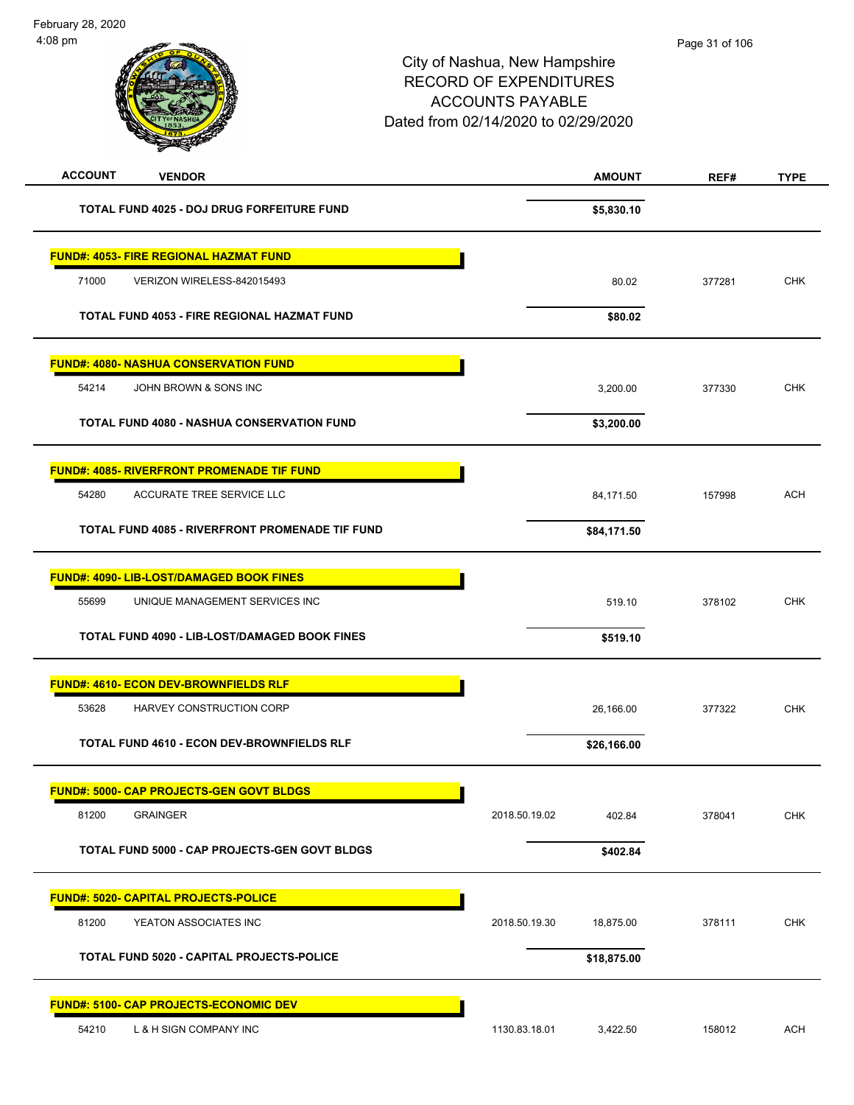| <b>ACCOUNT</b><br><b>VENDOR</b>                      |               | <b>AMOUNT</b> | REF#   | <b>TYPE</b> |
|------------------------------------------------------|---------------|---------------|--------|-------------|
| <b>TOTAL FUND 4025 - DOJ DRUG FORFEITURE FUND</b>    |               | \$5,830.10    |        |             |
| <b>FUND#: 4053- FIRE REGIONAL HAZMAT FUND</b>        |               |               |        |             |
| 71000<br>VERIZON WIRELESS-842015493                  |               | 80.02         | 377281 | <b>CHK</b>  |
| TOTAL FUND 4053 - FIRE REGIONAL HAZMAT FUND          |               | \$80.02       |        |             |
| <b>FUND#: 4080- NASHUA CONSERVATION FUND</b>         |               |               |        |             |
| 54214<br>JOHN BROWN & SONS INC                       |               | 3,200.00      | 377330 | <b>CHK</b>  |
| <b>TOTAL FUND 4080 - NASHUA CONSERVATION FUND</b>    |               | \$3,200.00    |        |             |
| <b>FUND#: 4085- RIVERFRONT PROMENADE TIF FUND</b>    |               |               |        |             |
| 54280<br>ACCURATE TREE SERVICE LLC                   |               | 84,171.50     | 157998 | <b>ACH</b>  |
| TOTAL FUND 4085 - RIVERFRONT PROMENADE TIF FUND      |               | \$84,171.50   |        |             |
| FUND#: 4090- LIB-LOST/DAMAGED BOOK FINES             |               |               |        |             |
| 55699<br>UNIQUE MANAGEMENT SERVICES INC              |               | 519.10        | 378102 | <b>CHK</b>  |
| TOTAL FUND 4090 - LIB-LOST/DAMAGED BOOK FINES        |               | \$519.10      |        |             |
| <b>FUND#: 4610- ECON DEV-BROWNFIELDS RLF</b>         |               |               |        |             |
| 53628<br>HARVEY CONSTRUCTION CORP                    |               | 26,166.00     | 377322 | <b>CHK</b>  |
| <b>TOTAL FUND 4610 - ECON DEV-BROWNFIELDS RLF</b>    |               | \$26,166.00   |        |             |
| <u> FUND#: 5000- CAP PROJECTS-GEN GOVT BLDGS</u>     |               |               |        |             |
| 81200<br><b>GRAINGER</b>                             | 2018.50.19.02 | 402.84        | 378041 | CHK         |
| <b>TOTAL FUND 5000 - CAP PROJECTS-GEN GOVT BLDGS</b> |               | \$402.84      |        |             |
| <b>FUND#: 5020- CAPITAL PROJECTS-POLICE</b>          |               |               |        |             |
| 81200<br>YEATON ASSOCIATES INC                       | 2018.50.19.30 | 18,875.00     | 378111 | <b>CHK</b>  |
| <b>TOTAL FUND 5020 - CAPITAL PROJECTS-POLICE</b>     |               | \$18,875.00   |        |             |
| <b>FUND#: 5100- CAP PROJECTS-ECONOMIC DEV</b>        |               |               |        |             |
| 54210<br>L & H SIGN COMPANY INC                      | 1130.83.18.01 | 3,422.50      | 158012 | <b>ACH</b>  |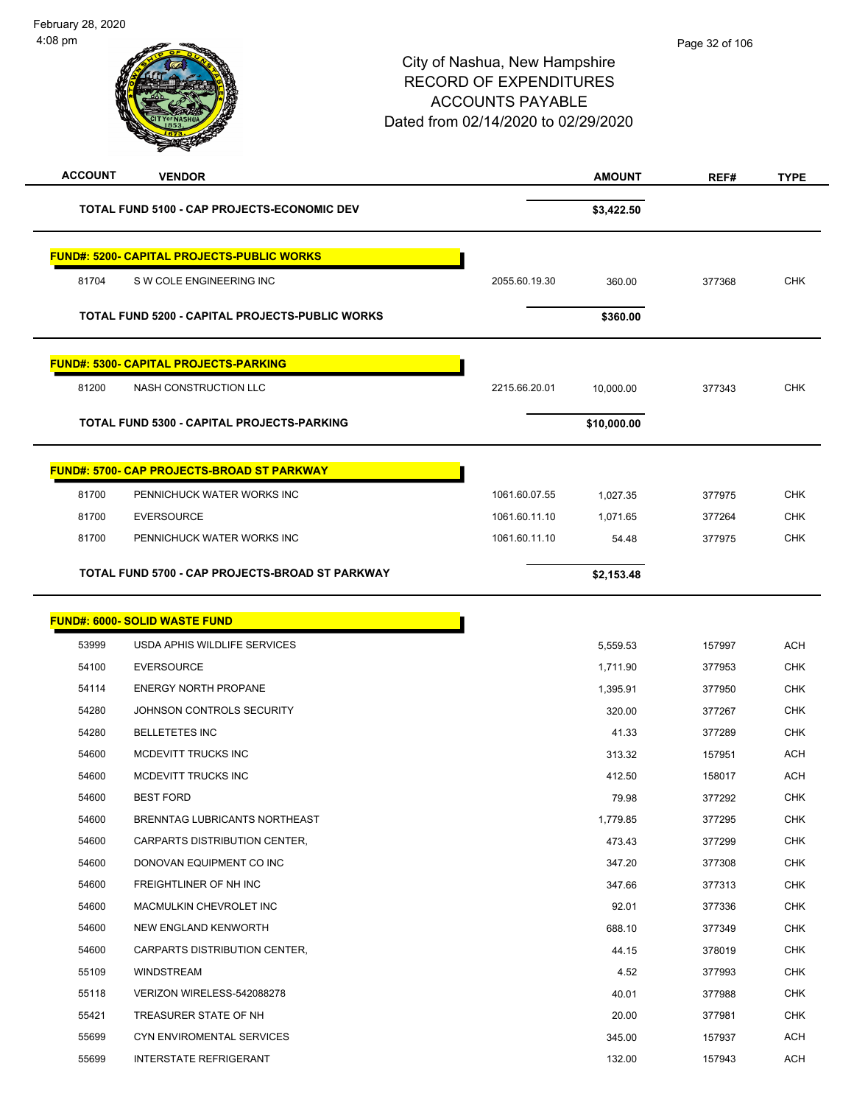| <b>ACCOUNT</b> | <b>VENDOR</b>                                      |               | <b>AMOUNT</b> | REF#   | <b>TYPE</b> |
|----------------|----------------------------------------------------|---------------|---------------|--------|-------------|
|                | <b>TOTAL FUND 5100 - CAP PROJECTS-ECONOMIC DEV</b> |               | \$3,422.50    |        |             |
|                | <b>FUND#: 5200- CAPITAL PROJECTS-PUBLIC WORKS</b>  |               |               |        |             |
| 81704          | S W COLE ENGINEERING INC                           | 2055.60.19.30 | 360.00        | 377368 | <b>CHK</b>  |
|                |                                                    |               |               |        |             |
|                | TOTAL FUND 5200 - CAPITAL PROJECTS-PUBLIC WORKS    |               | \$360.00      |        |             |
|                | <b>FUND#: 5300- CAPITAL PROJECTS-PARKING</b>       |               |               |        |             |
| 81200          | NASH CONSTRUCTION LLC                              | 2215.66.20.01 | 10,000.00     | 377343 | <b>CHK</b>  |
|                | TOTAL FUND 5300 - CAPITAL PROJECTS-PARKING         |               | \$10,000.00   |        |             |
|                | <b>FUND#: 5700- CAP PROJECTS-BROAD ST PARKWAY</b>  |               |               |        |             |
| 81700          | PENNICHUCK WATER WORKS INC                         | 1061.60.07.55 | 1,027.35      | 377975 | <b>CHK</b>  |
| 81700          | <b>EVERSOURCE</b>                                  | 1061.60.11.10 | 1,071.65      | 377264 | <b>CHK</b>  |
| 81700          | PENNICHUCK WATER WORKS INC                         | 1061.60.11.10 | 54.48         | 377975 | <b>CHK</b>  |
|                | TOTAL FUND 5700 - CAP PROJECTS-BROAD ST PARKWAY    |               | \$2,153.48    |        |             |
|                | <b>FUND#: 6000- SOLID WASTE FUND</b>               |               |               |        |             |
| 53999          | USDA APHIS WILDLIFE SERVICES                       |               | 5,559.53      | 157997 | <b>ACH</b>  |
| 54100          | <b>EVERSOURCE</b>                                  |               | 1,711.90      | 377953 | CHK         |
| 54114          | <b>ENERGY NORTH PROPANE</b>                        |               | 1,395.91      | 377950 | <b>CHK</b>  |
| 54280          | JOHNSON CONTROLS SECURITY                          |               | 320.00        | 377267 | <b>CHK</b>  |
| 54280          | <b>BELLETETES INC</b>                              |               | 41.33         | 377289 | <b>CHK</b>  |
| 54600          | <b>MCDEVITT TRUCKS INC</b>                         |               | 313.32        | 157951 | <b>ACH</b>  |
| 54600          | <b>MCDEVITT TRUCKS INC</b>                         |               | 412.50        | 158017 | <b>ACH</b>  |
| 54600          | <b>BEST FORD</b>                                   |               | 79.98         | 377292 | <b>CHK</b>  |
| 54600          | BRENNTAG LUBRICANTS NORTHEAST                      |               | 1,779.85      | 377295 | <b>CHK</b>  |
| 54600          | CARPARTS DISTRIBUTION CENTER,                      |               | 473.43        | 377299 | <b>CHK</b>  |
| 54600          | DONOVAN EQUIPMENT CO INC                           |               | 347.20        | 377308 | <b>CHK</b>  |
| 54600          | FREIGHTLINER OF NH INC                             |               | 347.66        | 377313 | CHK         |
| 54600          | MACMULKIN CHEVROLET INC                            |               | 92.01         | 377336 | <b>CHK</b>  |
| 54600          | NEW ENGLAND KENWORTH                               |               | 688.10        | 377349 | CHK         |
| 54600          | CARPARTS DISTRIBUTION CENTER,                      |               | 44.15         | 378019 | <b>CHK</b>  |
| 55109          | WINDSTREAM                                         |               | 4.52          | 377993 | CHK         |
| 55118          | VERIZON WIRELESS-542088278                         |               | 40.01         | 377988 | CHK         |
| 55421          | TREASURER STATE OF NH                              |               | 20.00         | 377981 | <b>CHK</b>  |
| 55699          | CYN ENVIROMENTAL SERVICES                          |               | 345.00        | 157937 | ACH         |
| 55699          | <b>INTERSTATE REFRIGERANT</b>                      |               | 132.00        | 157943 | <b>ACH</b>  |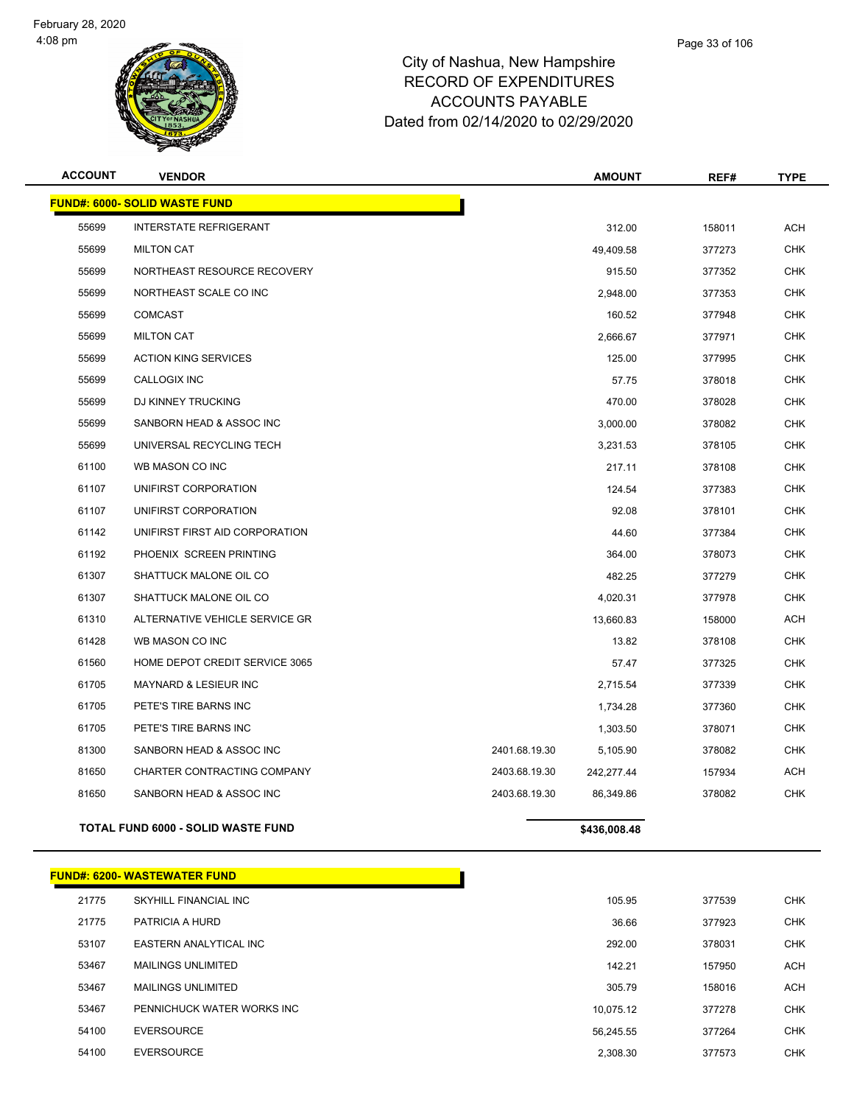

| <b>ACCOUNT</b> | <b>VENDOR</b>                             |               | <b>AMOUNT</b> | REF#   | <b>TYPE</b> |
|----------------|-------------------------------------------|---------------|---------------|--------|-------------|
|                | <b>FUND#: 6000- SOLID WASTE FUND</b>      |               |               |        |             |
| 55699          | <b>INTERSTATE REFRIGERANT</b>             |               | 312.00        | 158011 | <b>ACH</b>  |
| 55699          | <b>MILTON CAT</b>                         |               | 49,409.58     | 377273 | <b>CHK</b>  |
| 55699          | NORTHEAST RESOURCE RECOVERY               |               | 915.50        | 377352 | <b>CHK</b>  |
| 55699          | NORTHEAST SCALE CO INC                    |               | 2,948.00      | 377353 | <b>CHK</b>  |
| 55699          | <b>COMCAST</b>                            |               | 160.52        | 377948 | <b>CHK</b>  |
| 55699          | <b>MILTON CAT</b>                         |               | 2,666.67      | 377971 | <b>CHK</b>  |
| 55699          | <b>ACTION KING SERVICES</b>               |               | 125.00        | 377995 | <b>CHK</b>  |
| 55699          | <b>CALLOGIX INC</b>                       |               | 57.75         | 378018 | <b>CHK</b>  |
| 55699          | DJ KINNEY TRUCKING                        |               | 470.00        | 378028 | <b>CHK</b>  |
| 55699          | SANBORN HEAD & ASSOC INC                  |               | 3,000.00      | 378082 | <b>CHK</b>  |
| 55699          | UNIVERSAL RECYCLING TECH                  |               | 3,231.53      | 378105 | <b>CHK</b>  |
| 61100          | WB MASON CO INC                           |               | 217.11        | 378108 | <b>CHK</b>  |
| 61107          | UNIFIRST CORPORATION                      |               | 124.54        | 377383 | <b>CHK</b>  |
| 61107          | UNIFIRST CORPORATION                      |               | 92.08         | 378101 | <b>CHK</b>  |
| 61142          | UNIFIRST FIRST AID CORPORATION            |               | 44.60         | 377384 | <b>CHK</b>  |
| 61192          | PHOENIX SCREEN PRINTING                   |               | 364.00        | 378073 | <b>CHK</b>  |
| 61307          | SHATTUCK MALONE OIL CO                    |               | 482.25        | 377279 | <b>CHK</b>  |
| 61307          | SHATTUCK MALONE OIL CO                    |               | 4,020.31      | 377978 | <b>CHK</b>  |
| 61310          | ALTERNATIVE VEHICLE SERVICE GR            |               | 13,660.83     | 158000 | ACH         |
| 61428          | WB MASON CO INC                           |               | 13.82         | 378108 | <b>CHK</b>  |
| 61560          | HOME DEPOT CREDIT SERVICE 3065            |               | 57.47         | 377325 | <b>CHK</b>  |
| 61705          | MAYNARD & LESIEUR INC                     |               | 2,715.54      | 377339 | <b>CHK</b>  |
| 61705          | PETE'S TIRE BARNS INC                     |               | 1,734.28      | 377360 | <b>CHK</b>  |
| 61705          | PETE'S TIRE BARNS INC                     |               | 1,303.50      | 378071 | <b>CHK</b>  |
| 81300          | SANBORN HEAD & ASSOC INC                  | 2401.68.19.30 | 5,105.90      | 378082 | <b>CHK</b>  |
| 81650          | CHARTER CONTRACTING COMPANY               | 2403.68.19.30 | 242,277.44    | 157934 | ACH         |
| 81650          | SANBORN HEAD & ASSOC INC                  | 2403.68.19.30 | 86,349.86     | 378082 | <b>CHK</b>  |
|                | <b>TOTAL FUND 6000 - SOLID WASTE FUND</b> |               | \$436,008.48  |        |             |

|       | <b>FUND#: 6200- WASTEWATER FUND</b> |           |        |            |
|-------|-------------------------------------|-----------|--------|------------|
| 21775 | SKYHILL FINANCIAL INC               | 105.95    | 377539 | <b>CHK</b> |
| 21775 | PATRICIA A HURD                     | 36.66     | 377923 | <b>CHK</b> |
| 53107 | EASTERN ANALYTICAL INC              | 292.00    | 378031 | <b>CHK</b> |
| 53467 | <b>MAILINGS UNLIMITED</b>           | 142.21    | 157950 | <b>ACH</b> |
| 53467 | <b>MAILINGS UNLIMITED</b>           | 305.79    | 158016 | <b>ACH</b> |
| 53467 | PENNICHUCK WATER WORKS INC          | 10.075.12 | 377278 | <b>CHK</b> |
| 54100 | <b>EVERSOURCE</b>                   | 56.245.55 | 377264 | <b>CHK</b> |
| 54100 | <b>EVERSOURCE</b>                   | 2,308.30  | 377573 | <b>CHK</b> |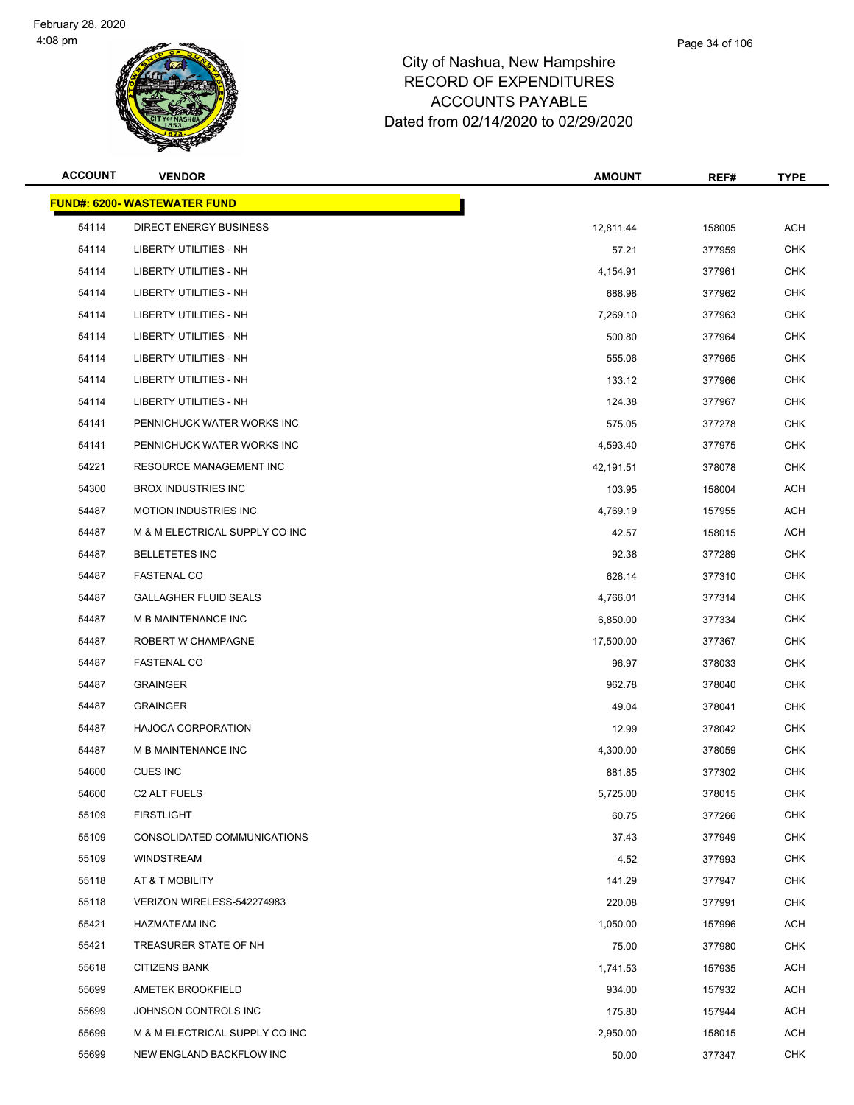

| <b>ACCOUNT</b> | <b>VENDOR</b>                       | <b>AMOUNT</b> | REF#   | <b>TYPE</b> |
|----------------|-------------------------------------|---------------|--------|-------------|
|                | <b>FUND#: 6200- WASTEWATER FUND</b> |               |        |             |
| 54114          | DIRECT ENERGY BUSINESS              | 12,811.44     | 158005 | ACH         |
| 54114          | LIBERTY UTILITIES - NH              | 57.21         | 377959 | <b>CHK</b>  |
| 54114          | LIBERTY UTILITIES - NH              | 4,154.91      | 377961 | <b>CHK</b>  |
| 54114          | <b>LIBERTY UTILITIES - NH</b>       | 688.98        | 377962 | <b>CHK</b>  |
| 54114          | LIBERTY UTILITIES - NH              | 7,269.10      | 377963 | <b>CHK</b>  |
| 54114          | LIBERTY UTILITIES - NH              | 500.80        | 377964 | <b>CHK</b>  |
| 54114          | LIBERTY UTILITIES - NH              | 555.06        | 377965 | <b>CHK</b>  |
| 54114          | LIBERTY UTILITIES - NH              | 133.12        | 377966 | <b>CHK</b>  |
| 54114          | <b>LIBERTY UTILITIES - NH</b>       | 124.38        | 377967 | <b>CHK</b>  |
| 54141          | PENNICHUCK WATER WORKS INC          | 575.05        | 377278 | <b>CHK</b>  |
| 54141          | PENNICHUCK WATER WORKS INC          | 4,593.40      | 377975 | CHK         |
| 54221          | <b>RESOURCE MANAGEMENT INC</b>      | 42,191.51     | 378078 | <b>CHK</b>  |
| 54300          | <b>BROX INDUSTRIES INC</b>          | 103.95        | 158004 | <b>ACH</b>  |
| 54487          | <b>MOTION INDUSTRIES INC</b>        | 4,769.19      | 157955 | <b>ACH</b>  |
| 54487          | M & M ELECTRICAL SUPPLY CO INC      | 42.57         | 158015 | <b>ACH</b>  |
| 54487          | <b>BELLETETES INC</b>               | 92.38         | 377289 | CHK         |
| 54487          | <b>FASTENAL CO</b>                  | 628.14        | 377310 | <b>CHK</b>  |
| 54487          | <b>GALLAGHER FLUID SEALS</b>        | 4,766.01      | 377314 | <b>CHK</b>  |
| 54487          | M B MAINTENANCE INC                 | 6,850.00      | 377334 | <b>CHK</b>  |
| 54487          | ROBERT W CHAMPAGNE                  | 17,500.00     | 377367 | <b>CHK</b>  |
| 54487          | <b>FASTENAL CO</b>                  | 96.97         | 378033 | CHK         |
| 54487          | <b>GRAINGER</b>                     | 962.78        | 378040 | <b>CHK</b>  |
| 54487          | <b>GRAINGER</b>                     | 49.04         | 378041 | <b>CHK</b>  |
| 54487          | <b>HAJOCA CORPORATION</b>           | 12.99         | 378042 | <b>CHK</b>  |
| 54487          | <b>M B MAINTENANCE INC</b>          | 4,300.00      | 378059 | <b>CHK</b>  |
| 54600          | <b>CUES INC</b>                     | 881.85        | 377302 | CHK         |
| 54600          | C2 ALT FUELS                        | 5,725.00      | 378015 | <b>CHK</b>  |
| 55109          | <b>FIRSTLIGHT</b>                   | 60.75         | 377266 | <b>CHK</b>  |
| 55109          | CONSOLIDATED COMMUNICATIONS         | 37.43         | 377949 | <b>CHK</b>  |
| 55109          | <b>WINDSTREAM</b>                   | 4.52          | 377993 | <b>CHK</b>  |
| 55118          | AT & T MOBILITY                     | 141.29        | 377947 | <b>CHK</b>  |
| 55118          | VERIZON WIRELESS-542274983          | 220.08        | 377991 | <b>CHK</b>  |
| 55421          | <b>HAZMATEAM INC</b>                | 1,050.00      | 157996 | <b>ACH</b>  |
| 55421          | TREASURER STATE OF NH               | 75.00         | 377980 | <b>CHK</b>  |
| 55618          | <b>CITIZENS BANK</b>                | 1,741.53      | 157935 | <b>ACH</b>  |
| 55699          | AMETEK BROOKFIELD                   | 934.00        | 157932 | ACH         |
| 55699          | JOHNSON CONTROLS INC                | 175.80        | 157944 | ACH         |
| 55699          | M & M ELECTRICAL SUPPLY CO INC      | 2,950.00      | 158015 | ACH         |
| 55699          | NEW ENGLAND BACKFLOW INC            | 50.00         | 377347 | <b>CHK</b>  |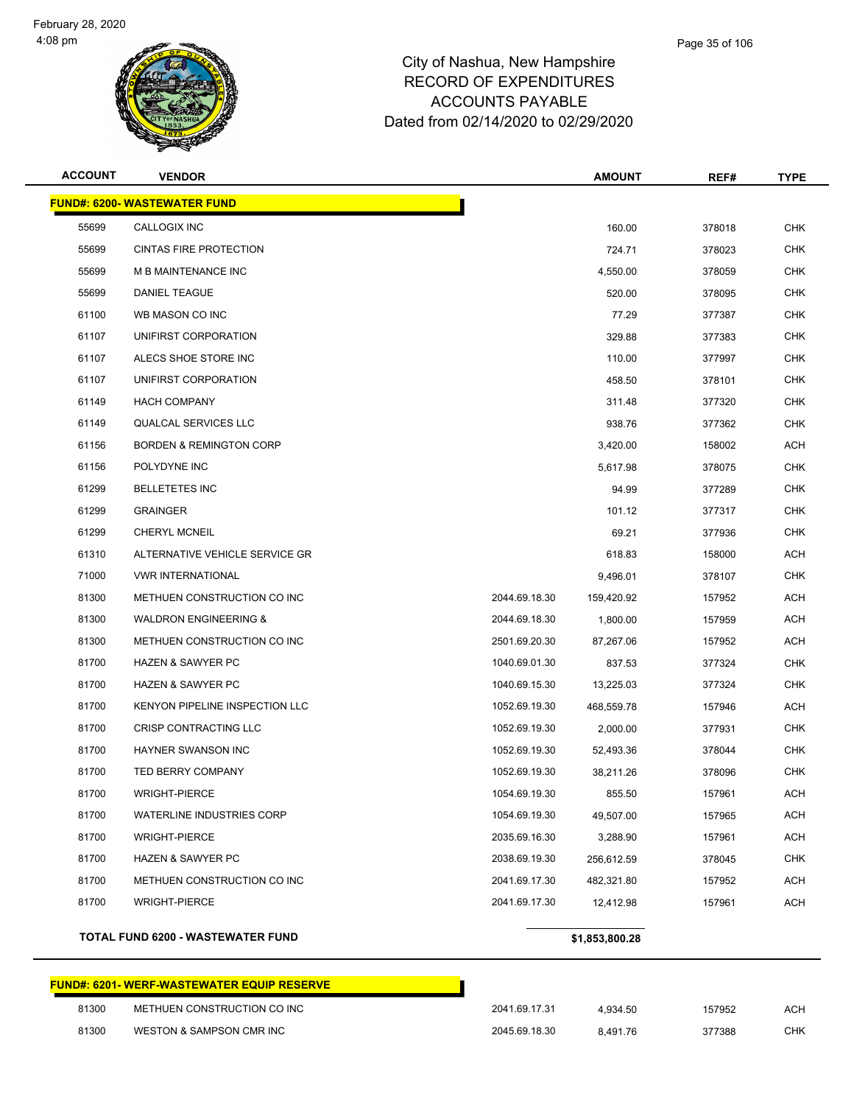

| lampshire |  |
|-----------|--|
| DITURES.  |  |

Page 35 of 106

| <b>ACCOUNT</b> | <b>VENDOR</b>                                              |               | <b>AMOUNT</b> | REF#   | <b>TYPE</b> |
|----------------|------------------------------------------------------------|---------------|---------------|--------|-------------|
|                | <b>FUND#: 6200- WASTEWATER FUND</b>                        |               |               |        |             |
| 55699          | CALLOGIX INC                                               |               | 160.00        | 378018 | <b>CHK</b>  |
| 55699          | <b>CINTAS FIRE PROTECTION</b>                              |               | 724.71        | 378023 | <b>CHK</b>  |
| 55699          | <b>M B MAINTENANCE INC</b>                                 |               | 4,550.00      | 378059 | <b>CHK</b>  |
| 55699          | DANIEL TEAGUE                                              |               | 520.00        | 378095 | <b>CHK</b>  |
| 61100          | WB MASON CO INC                                            |               | 77.29         | 377387 | <b>CHK</b>  |
| 61107          | UNIFIRST CORPORATION                                       |               | 329.88        | 377383 | <b>CHK</b>  |
| 61107          | ALECS SHOE STORE INC                                       |               | 110.00        | 377997 | <b>CHK</b>  |
| 61107          | UNIFIRST CORPORATION                                       |               | 458.50        | 378101 | <b>CHK</b>  |
| 61149          | <b>HACH COMPANY</b>                                        |               | 311.48        | 377320 | <b>CHK</b>  |
| 61149          | <b>QUALCAL SERVICES LLC</b>                                |               | 938.76        | 377362 | <b>CHK</b>  |
| 61156          | <b>BORDEN &amp; REMINGTON CORP</b>                         |               | 3,420.00      | 158002 | ACH         |
| 61156          | POLYDYNE INC                                               |               | 5,617.98      | 378075 | <b>CHK</b>  |
| 61299          | <b>BELLETETES INC</b>                                      |               | 94.99         | 377289 | <b>CHK</b>  |
| 61299          | <b>GRAINGER</b>                                            |               | 101.12        | 377317 | <b>CHK</b>  |
| 61299          | <b>CHERYL MCNEIL</b>                                       |               | 69.21         | 377936 | <b>CHK</b>  |
| 61310          | ALTERNATIVE VEHICLE SERVICE GR                             |               | 618.83        | 158000 | ACH         |
| 71000          | <b>VWR INTERNATIONAL</b>                                   |               | 9,496.01      | 378107 | <b>CHK</b>  |
| 81300          | METHUEN CONSTRUCTION CO INC                                | 2044.69.18.30 | 159,420.92    | 157952 | <b>ACH</b>  |
| 81300          | <b>WALDRON ENGINEERING &amp;</b>                           | 2044.69.18.30 | 1,800.00      | 157959 | <b>ACH</b>  |
| 81300          | METHUEN CONSTRUCTION CO INC                                | 2501.69.20.30 | 87,267.06     | 157952 | <b>ACH</b>  |
| 81700          | <b>HAZEN &amp; SAWYER PC</b>                               | 1040.69.01.30 | 837.53        | 377324 | <b>CHK</b>  |
| 81700          | <b>HAZEN &amp; SAWYER PC</b>                               | 1040.69.15.30 | 13,225.03     | 377324 | <b>CHK</b>  |
| 81700          | KENYON PIPELINE INSPECTION LLC                             | 1052.69.19.30 | 468,559.78    | 157946 | <b>ACH</b>  |
| 81700          | CRISP CONTRACTING LLC                                      | 1052.69.19.30 | 2,000.00      | 377931 | <b>CHK</b>  |
| 81700          | <b>HAYNER SWANSON INC</b>                                  | 1052.69.19.30 | 52,493.36     | 378044 | <b>CHK</b>  |
| 81700          | <b>TED BERRY COMPANY</b>                                   | 1052.69.19.30 | 38,211.26     | 378096 | <b>CHK</b>  |
| 81700          | <b>WRIGHT-PIERCE</b>                                       | 1054.69.19.30 | 855.50        | 157961 | <b>ACH</b>  |
| 81700          | <b>WATERLINE INDUSTRIES CORP</b>                           | 1054.69.19.30 | 49,507.00     | 157965 | <b>ACH</b>  |
| 81700          | <b>WRIGHT-PIERCE</b>                                       | 2035.69.16.30 | 3,288.90      | 157961 | <b>ACH</b>  |
| 81700          | <b>HAZEN &amp; SAWYER PC</b>                               | 2038.69.19.30 | 256,612.59    | 378045 | <b>CHK</b>  |
| 81700          | METHUEN CONSTRUCTION CO INC                                | 2041.69.17.30 | 482,321.80    | 157952 | ACH         |
| 81700          | <b>WRIGHT-PIERCE</b>                                       | 2041.69.17.30 | 12,412.98     | 157961 | <b>ACH</b>  |
|                | <b>TOTAL FUND 6200 - WASTEWATER FUND</b><br>\$1,853,800.28 |               |               |        |             |

# **FUND#: 6201- WERF-WASTEWATER EQUIP RESERVE** 81300 METHUEN CONSTRUCTION CO INC 2041.69.17.31 4,934.50 157952 ACH WESTON & SAMPSON CMR INC 2045.69.18.30 8,491.76 377388 CHK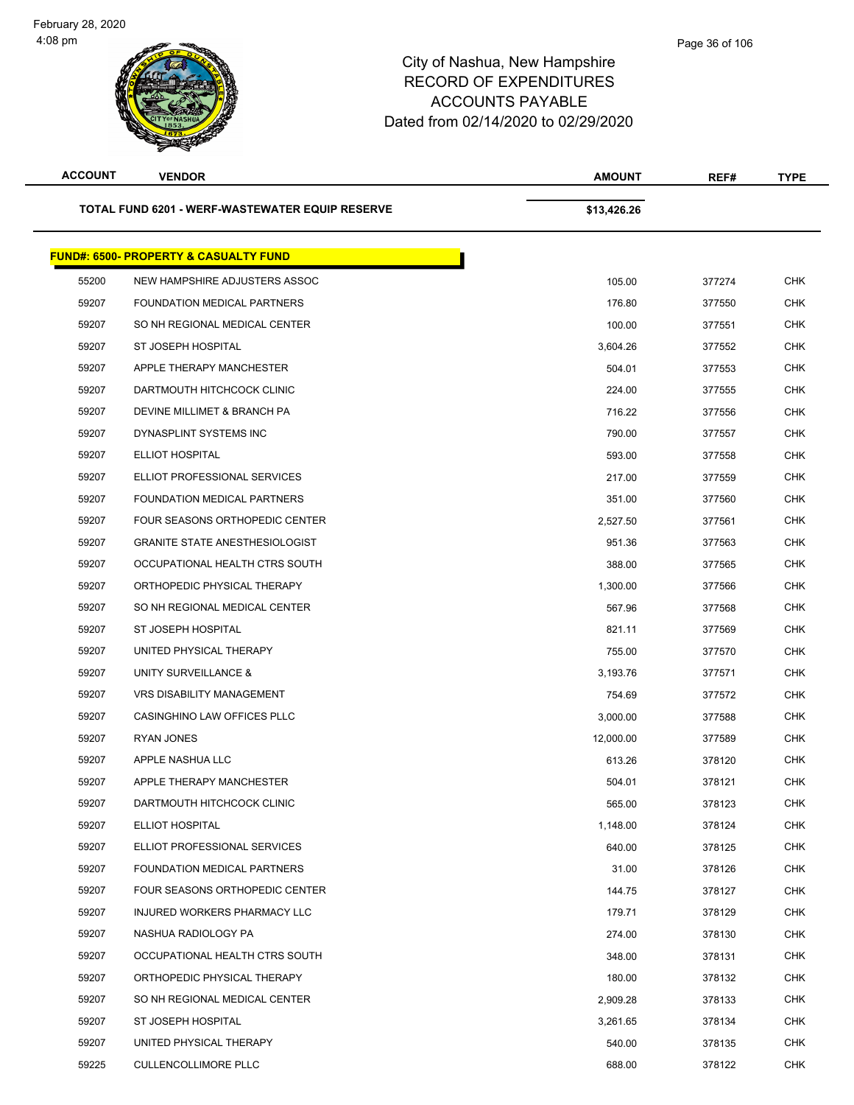| <b>ACCOUNT</b> | <b>VENDOR</b>                                    | <b>AMOUNT</b> | REF#   | <b>TYPE</b> |
|----------------|--------------------------------------------------|---------------|--------|-------------|
|                | TOTAL FUND 6201 - WERF-WASTEWATER EQUIP RESERVE  | \$13,426.26   |        |             |
|                | <b>FUND#: 6500- PROPERTY &amp; CASUALTY FUND</b> |               |        |             |
| 55200          | NEW HAMPSHIRE ADJUSTERS ASSOC                    | 105.00        | 377274 | CHK         |
| 59207          | FOUNDATION MEDICAL PARTNERS                      | 176.80        | 377550 | <b>CHK</b>  |
| 59207          | SO NH REGIONAL MEDICAL CENTER                    | 100.00        | 377551 | <b>CHK</b>  |
| 59207          | <b>ST JOSEPH HOSPITAL</b>                        | 3,604.26      | 377552 | CHK         |
| 59207          | APPLE THERAPY MANCHESTER                         | 504.01        | 377553 | <b>CHK</b>  |
| 59207          | DARTMOUTH HITCHCOCK CLINIC                       | 224.00        | 377555 | CHK         |
| 59207          | DEVINE MILLIMET & BRANCH PA                      | 716.22        | 377556 | <b>CHK</b>  |
| 59207          | DYNASPLINT SYSTEMS INC                           | 790.00        | 377557 | <b>CHK</b>  |
| 59207          | ELLIOT HOSPITAL                                  | 593.00        | 377558 | CHK         |
| 59207          | ELLIOT PROFESSIONAL SERVICES                     | 217.00        | 377559 | <b>CHK</b>  |
| 59207          | FOUNDATION MEDICAL PARTNERS                      | 351.00        | 377560 | CHK         |
| 59207          | FOUR SEASONS ORTHOPEDIC CENTER                   | 2,527.50      | 377561 | <b>CHK</b>  |
| 59207          | <b>GRANITE STATE ANESTHESIOLOGIST</b>            | 951.36        | 377563 | <b>CHK</b>  |
| 59207          | OCCUPATIONAL HEALTH CTRS SOUTH                   | 388.00        | 377565 | <b>CHK</b>  |
| 59207          | ORTHOPEDIC PHYSICAL THERAPY                      | 1,300.00      | 377566 | <b>CHK</b>  |
| 59207          | SO NH REGIONAL MEDICAL CENTER                    | 567.96        | 377568 | CHK         |
| 59207          | ST JOSEPH HOSPITAL                               | 821.11        | 377569 | <b>CHK</b>  |
| 59207          | UNITED PHYSICAL THERAPY                          | 755.00        | 377570 | CHK         |
| 59207          | UNITY SURVEILLANCE &                             | 3,193.76      | 377571 | CHK         |
| 59207          | <b>VRS DISABILITY MANAGEMENT</b>                 | 754.69        | 377572 | <b>CHK</b>  |
| 59207          | CASINGHINO LAW OFFICES PLLC                      | 3,000.00      | 377588 | CHK         |
| 59207          | <b>RYAN JONES</b>                                | 12,000.00     | 377589 | <b>CHK</b>  |
| 59207          | APPLE NASHUA LLC                                 | 613.26        | 378120 | <b>CHK</b>  |
| 59207          | APPLE THERAPY MANCHESTER                         | 504.01        | 378121 | <b>CHK</b>  |
| 59207          | DARTMOUTH HITCHCOCK CLINIC                       | 565.00        | 378123 | <b>CHK</b>  |
| 59207          | <b>ELLIOT HOSPITAL</b>                           | 1,148.00      | 378124 | <b>CHK</b>  |
| 59207          | ELLIOT PROFESSIONAL SERVICES                     | 640.00        | 378125 | <b>CHK</b>  |
| 59207          | FOUNDATION MEDICAL PARTNERS                      | 31.00         | 378126 | <b>CHK</b>  |
| 59207          | FOUR SEASONS ORTHOPEDIC CENTER                   | 144.75        | 378127 | CHK         |
| 59207          | INJURED WORKERS PHARMACY LLC                     | 179.71        | 378129 | <b>CHK</b>  |
| 59207          | NASHUA RADIOLOGY PA                              | 274.00        | 378130 | CHK         |
| 59207          | OCCUPATIONAL HEALTH CTRS SOUTH                   | 348.00        | 378131 | <b>CHK</b>  |
| 59207          | ORTHOPEDIC PHYSICAL THERAPY                      | 180.00        | 378132 | CHK         |
| 59207          | SO NH REGIONAL MEDICAL CENTER                    | 2,909.28      | 378133 | CHK         |
| 59207          | ST JOSEPH HOSPITAL                               | 3,261.65      | 378134 | <b>CHK</b>  |
| 59207          | UNITED PHYSICAL THERAPY                          | 540.00        | 378135 | CHK         |
| 59225          | <b>CULLENCOLLIMORE PLLC</b>                      | 688.00        | 378122 | <b>CHK</b>  |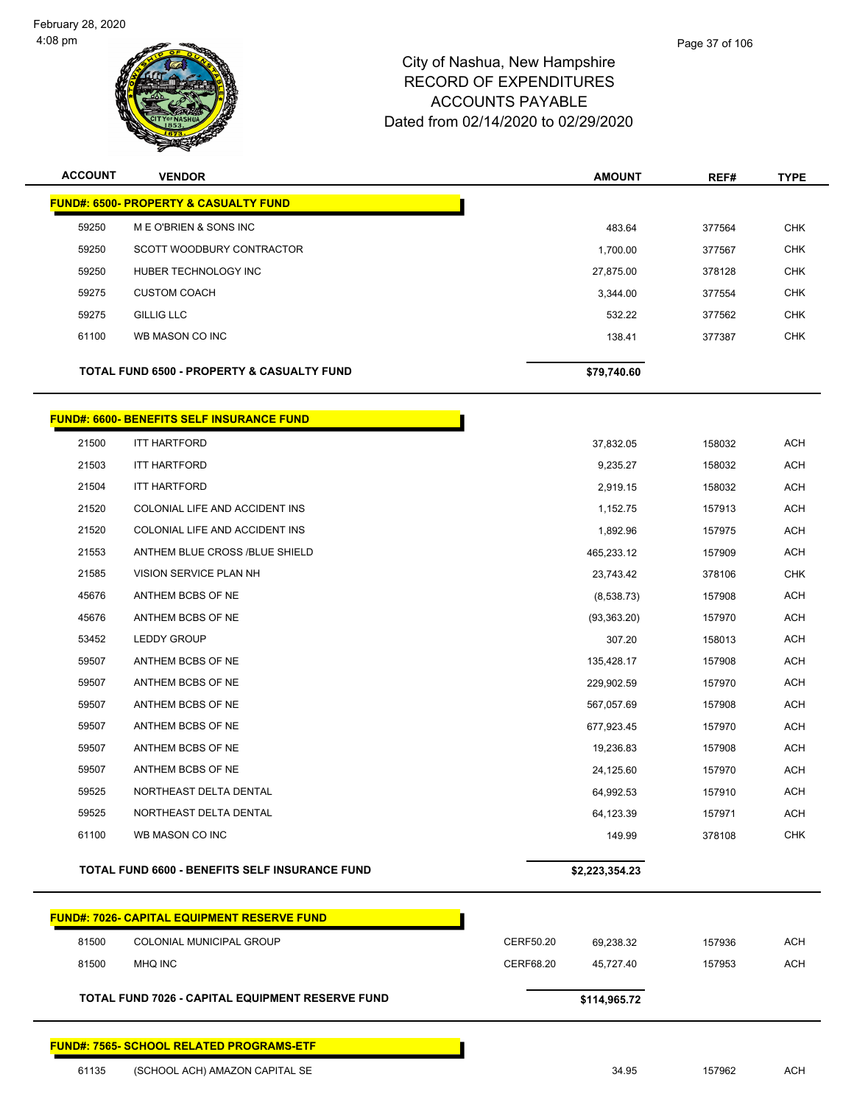

| <b>ACCOUNT</b> | <b>VENDOR</b>                                         | <b>AMOUNT</b> | REF#   | <b>TYPE</b> |
|----------------|-------------------------------------------------------|---------------|--------|-------------|
|                | <b>FUND#: 6500- PROPERTY &amp; CASUALTY FUND</b>      |               |        |             |
| 59250          | M E O'BRIEN & SONS INC                                | 483.64        | 377564 | <b>CHK</b>  |
| 59250          | SCOTT WOODBURY CONTRACTOR                             | 1,700.00      | 377567 | <b>CHK</b>  |
| 59250          | HUBER TECHNOLOGY INC                                  | 27,875.00     | 378128 | CHK         |
| 59275          | <b>CUSTOM COACH</b>                                   | 3,344.00      | 377554 | <b>CHK</b>  |
| 59275          | <b>GILLIG LLC</b>                                     | 532.22        | 377562 | <b>CHK</b>  |
| 61100          | WB MASON CO INC                                       | 138.41        | 377387 | <b>CHK</b>  |
|                | <b>TOTAL FUND 6500 - PROPERTY &amp; CASUALTY FUND</b> | \$79,740.60   |        |             |

П

#### **FUND#: 6600- BENEFITS SELF INSURANCE FUND**

| 21500 | <b>ITT HARTFORD</b>            | 37,832.05    | 158032 | <b>ACH</b> |
|-------|--------------------------------|--------------|--------|------------|
| 21503 | <b>ITT HARTFORD</b>            | 9,235.27     | 158032 | <b>ACH</b> |
| 21504 | <b>ITT HARTFORD</b>            | 2,919.15     | 158032 | <b>ACH</b> |
| 21520 | COLONIAL LIFE AND ACCIDENT INS | 1,152.75     | 157913 | <b>ACH</b> |
| 21520 | COLONIAL LIFE AND ACCIDENT INS | 1,892.96     | 157975 | <b>ACH</b> |
| 21553 | ANTHEM BLUE CROSS /BLUE SHIELD | 465,233.12   | 157909 | <b>ACH</b> |
| 21585 | VISION SERVICE PLAN NH         | 23,743.42    | 378106 | <b>CHK</b> |
| 45676 | ANTHEM BCBS OF NE              | (8,538.73)   | 157908 | <b>ACH</b> |
| 45676 | ANTHEM BCBS OF NE              | (93, 363.20) | 157970 | <b>ACH</b> |
| 53452 | <b>LEDDY GROUP</b>             | 307.20       | 158013 | <b>ACH</b> |
| 59507 | ANTHEM BCBS OF NE              | 135,428.17   | 157908 | <b>ACH</b> |
| 59507 | ANTHEM BCBS OF NE              | 229,902.59   | 157970 | <b>ACH</b> |
| 59507 | ANTHEM BCBS OF NE              | 567,057.69   | 157908 | <b>ACH</b> |
| 59507 | ANTHEM BCBS OF NE              | 677,923.45   | 157970 | <b>ACH</b> |
| 59507 | ANTHEM BCBS OF NE              | 19,236.83    | 157908 | <b>ACH</b> |
| 59507 | ANTHEM BCBS OF NE              | 24,125.60    | 157970 | <b>ACH</b> |
| 59525 | NORTHEAST DELTA DENTAL         | 64,992.53    | 157910 | <b>ACH</b> |
| 59525 | NORTHEAST DELTA DENTAL         | 64,123.39    | 157971 | <b>ACH</b> |
| 61100 | WB MASON CO INC                | 149.99       | 378108 | <b>CHK</b> |
|       |                                |              |        |            |

#### **TOTAL FUND 6600 - BENEFITS SELF INSURANCE FUND \$2,223,354.23**

|       | <u> FUND#: 7026- CAPITAL EQUIPMENT RESERVE FUND</u> |           |              |        |     |
|-------|-----------------------------------------------------|-----------|--------------|--------|-----|
| 81500 | <b>COLONIAL MUNICIPAL GROUP</b>                     | CERF50.20 | 69.238.32    | 157936 | ACH |
| 81500 | MHQ INC                                             | CERF68.20 | 45.727.40    | 157953 | ACH |
|       | TOTAL FUND 7026 - CAPITAL EQUIPMENT RESERVE FUND    |           | \$114,965.72 |        |     |

**FUND#: 7565- SCHOOL RELATED PROGRAMS-ETF** (SCHOOL ACH) AMAZON CAPITAL SE 34.95 157962 ACH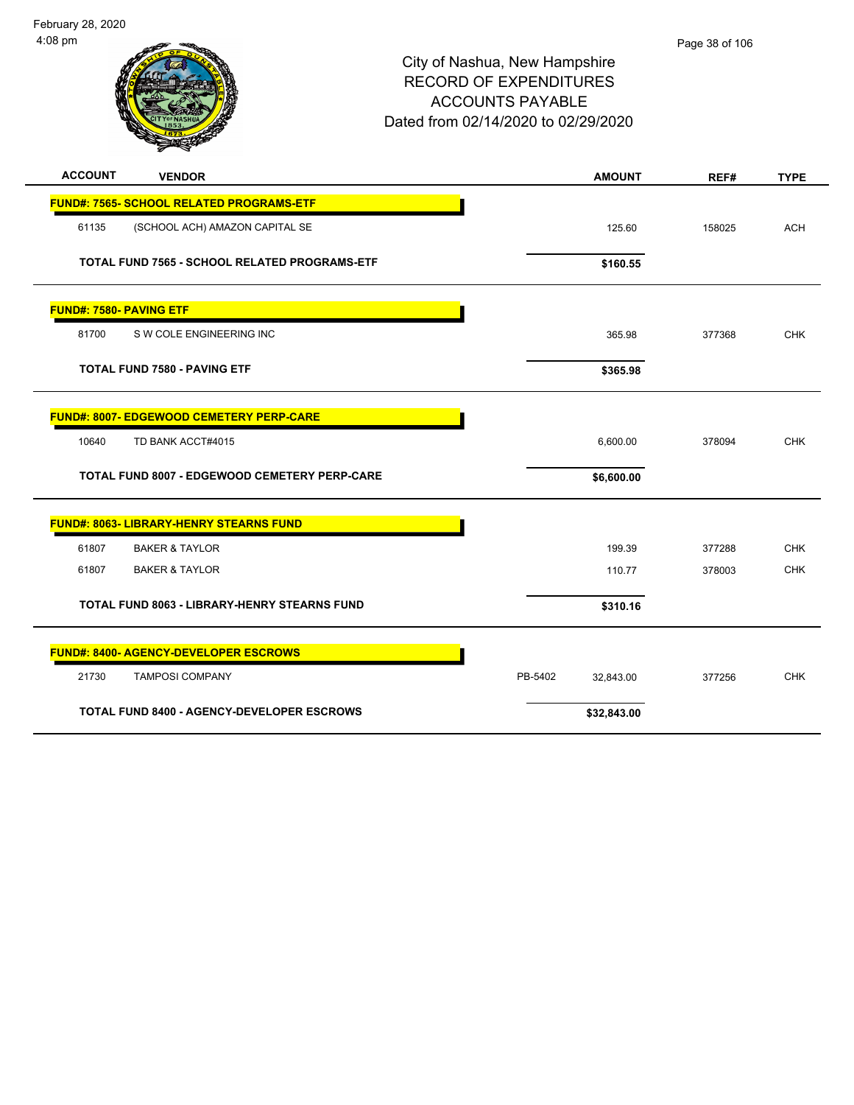

| <b>ACCOUNT</b>                 | <b>VENDOR</b>                                        | <b>AMOUNT</b>        | REF#   | <b>TYPE</b> |
|--------------------------------|------------------------------------------------------|----------------------|--------|-------------|
|                                | <b>FUND#: 7565- SCHOOL RELATED PROGRAMS-ETF</b>      |                      |        |             |
| 61135                          | (SCHOOL ACH) AMAZON CAPITAL SE                       | 125.60               | 158025 | <b>ACH</b>  |
|                                | TOTAL FUND 7565 - SCHOOL RELATED PROGRAMS-ETF        | \$160.55             |        |             |
| <b>FUND#: 7580- PAVING ETF</b> |                                                      |                      |        |             |
| 81700                          | S W COLE ENGINEERING INC                             | 365.98               | 377368 | <b>CHK</b>  |
|                                | <b>TOTAL FUND 7580 - PAVING ETF</b>                  | \$365.98             |        |             |
|                                | FUND#: 8007- EDGEWOOD CEMETERY PERP-CARE             |                      |        |             |
| 10640                          | TD BANK ACCT#4015                                    | 6,600.00             | 378094 | <b>CHK</b>  |
|                                | <b>TOTAL FUND 8007 - EDGEWOOD CEMETERY PERP-CARE</b> | \$6,600.00           |        |             |
|                                | <b>FUND#: 8063- LIBRARY-HENRY STEARNS FUND</b>       |                      |        |             |
| 61807                          | <b>BAKER &amp; TAYLOR</b>                            | 199.39               | 377288 | <b>CHK</b>  |
| 61807                          | <b>BAKER &amp; TAYLOR</b>                            | 110.77               | 378003 | <b>CHK</b>  |
|                                | TOTAL FUND 8063 - LIBRARY-HENRY STEARNS FUND         | \$310.16             |        |             |
|                                | <b>FUND#: 8400- AGENCY-DEVELOPER ESCROWS</b>         |                      |        |             |
| 21730                          | <b>TAMPOSI COMPANY</b>                               | PB-5402<br>32,843.00 | 377256 | <b>CHK</b>  |
|                                | <b>TOTAL FUND 8400 - AGENCY-DEVELOPER ESCROWS</b>    | \$32,843.00          |        |             |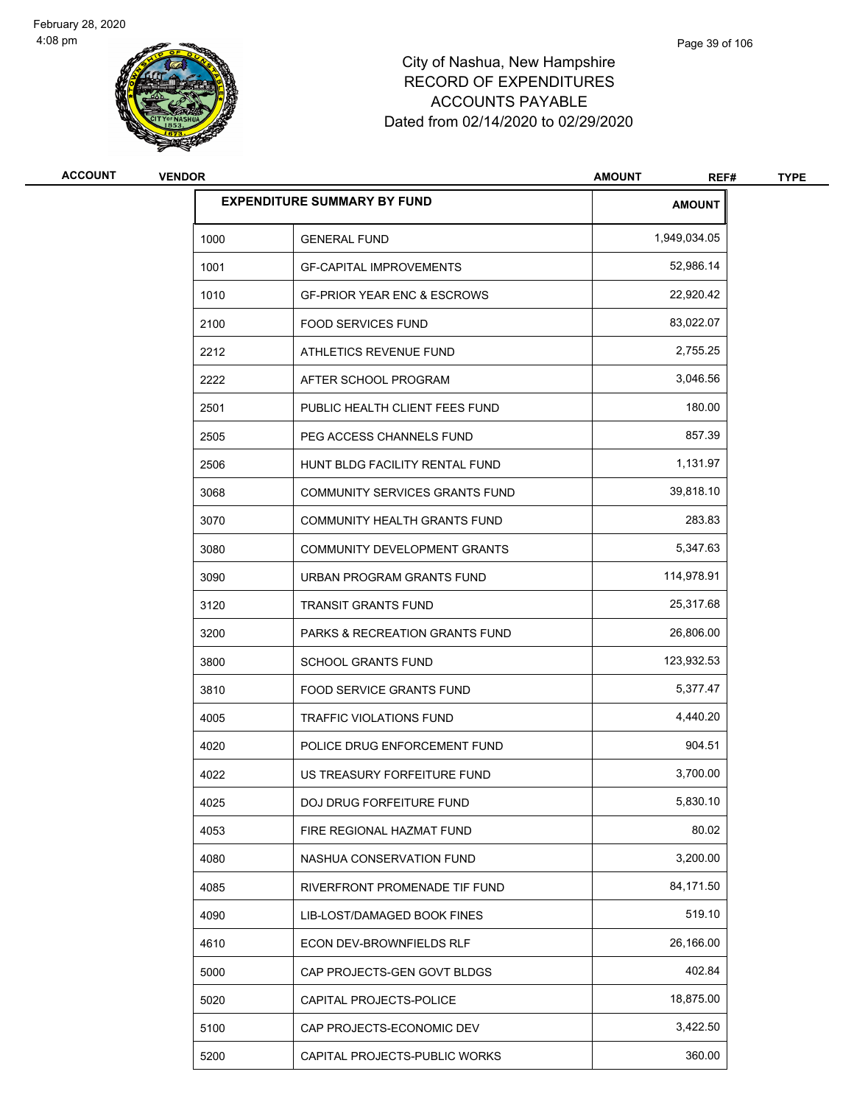

| <b>ACCOUNT</b> | <b>VENDOR</b> |                                           | <b>AMOUNT</b><br>REF# | <b>TYPE</b> |
|----------------|---------------|-------------------------------------------|-----------------------|-------------|
|                |               | <b>EXPENDITURE SUMMARY BY FUND</b>        | <b>AMOUNT</b>         |             |
|                | 1000          | <b>GENERAL FUND</b>                       | 1,949,034.05          |             |
|                | 1001          | <b>GF-CAPITAL IMPROVEMENTS</b>            | 52,986.14             |             |
|                | 1010          | <b>GF-PRIOR YEAR ENC &amp; ESCROWS</b>    | 22,920.42             |             |
|                | 2100          | <b>FOOD SERVICES FUND</b>                 | 83,022.07             |             |
|                | 2212          | ATHLETICS REVENUE FUND                    | 2,755.25              |             |
|                | 2222          | AFTER SCHOOL PROGRAM                      | 3,046.56              |             |
|                | 2501          | PUBLIC HEALTH CLIENT FEES FUND            | 180.00                |             |
|                | 2505          | PEG ACCESS CHANNELS FUND                  | 857.39                |             |
|                | 2506          | HUNT BLDG FACILITY RENTAL FUND            | 1,131.97              |             |
|                | 3068          | COMMUNITY SERVICES GRANTS FUND            | 39,818.10             |             |
|                | 3070          | COMMUNITY HEALTH GRANTS FUND              | 283.83                |             |
|                | 3080          | COMMUNITY DEVELOPMENT GRANTS              | 5,347.63              |             |
|                | 3090          | URBAN PROGRAM GRANTS FUND                 | 114,978.91            |             |
|                | 3120          | <b>TRANSIT GRANTS FUND</b>                | 25,317.68             |             |
|                | 3200          | <b>PARKS &amp; RECREATION GRANTS FUND</b> | 26,806.00             |             |
|                | 3800          | <b>SCHOOL GRANTS FUND</b>                 | 123,932.53            |             |
|                | 3810          | <b>FOOD SERVICE GRANTS FUND</b>           | 5,377.47              |             |
|                | 4005          | <b>TRAFFIC VIOLATIONS FUND</b>            | 4,440.20              |             |
|                | 4020          | POLICE DRUG ENFORCEMENT FUND              | 904.51                |             |
|                | 4022          | US TREASURY FORFEITURE FUND               | 3,700.00              |             |
|                | 4025          | DOJ DRUG FORFEITURE FUND                  | 5,830.10              |             |
|                | 4053          | FIRE REGIONAL HAZMAT FUND                 | 80.02                 |             |
|                | 4080          | NASHUA CONSERVATION FUND                  | 3,200.00              |             |
|                | 4085          | RIVERFRONT PROMENADE TIF FUND             | 84,171.50             |             |
|                | 4090          | LIB-LOST/DAMAGED BOOK FINES               | 519.10                |             |
|                | 4610          | ECON DEV-BROWNFIELDS RLF                  | 26,166.00             |             |
|                | 5000          | CAP PROJECTS-GEN GOVT BLDGS               | 402.84                |             |
|                | 5020          | CAPITAL PROJECTS-POLICE                   | 18,875.00             |             |
|                | 5100          | CAP PROJECTS-ECONOMIC DEV                 | 3,422.50              |             |
|                | 5200          | CAPITAL PROJECTS-PUBLIC WORKS             | 360.00                |             |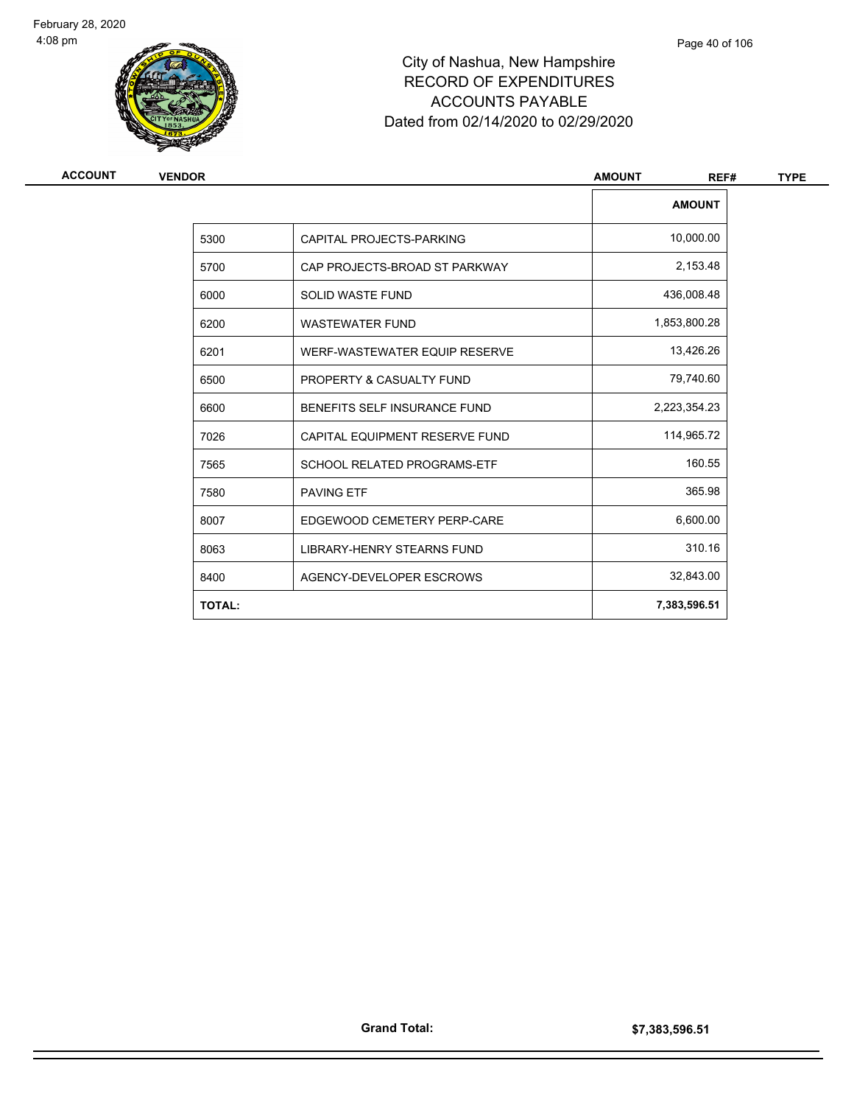

| <b>ACCOUNT</b> | <b>VENDOR</b> |                                    | <b>AMOUNT</b><br>REF# | <b>TYPE</b> |
|----------------|---------------|------------------------------------|-----------------------|-------------|
|                |               |                                    | <b>AMOUNT</b>         |             |
|                | 5300          | CAPITAL PROJECTS-PARKING           | 10,000.00             |             |
|                | 5700          | CAP PROJECTS-BROAD ST PARKWAY      | 2,153.48              |             |
|                | 6000          | <b>SOLID WASTE FUND</b>            | 436,008.48            |             |
|                | 6200          | <b>WASTEWATER FUND</b>             | 1,853,800.28          |             |
|                | 6201          | WERF-WASTEWATER EQUIP RESERVE      | 13,426.26             |             |
|                | 6500          | PROPERTY & CASUALTY FUND           | 79,740.60             |             |
|                | 6600          | BENEFITS SELF INSURANCE FUND       | 2,223,354.23          |             |
|                | 7026          | CAPITAL EQUIPMENT RESERVE FUND     | 114,965.72            |             |
|                | 7565          | <b>SCHOOL RELATED PROGRAMS-ETF</b> | 160.55                |             |
|                | 7580          | <b>PAVING ETF</b>                  | 365.98                |             |
|                | 8007          | EDGEWOOD CEMETERY PERP-CARE        | 6,600.00              |             |
|                | 8063          | LIBRARY-HENRY STEARNS FUND         | 310.16                |             |
|                | 8400          | AGENCY-DEVELOPER ESCROWS           | 32,843.00             |             |
|                | <b>TOTAL:</b> |                                    | 7,383,596.51          |             |
|                |               |                                    |                       |             |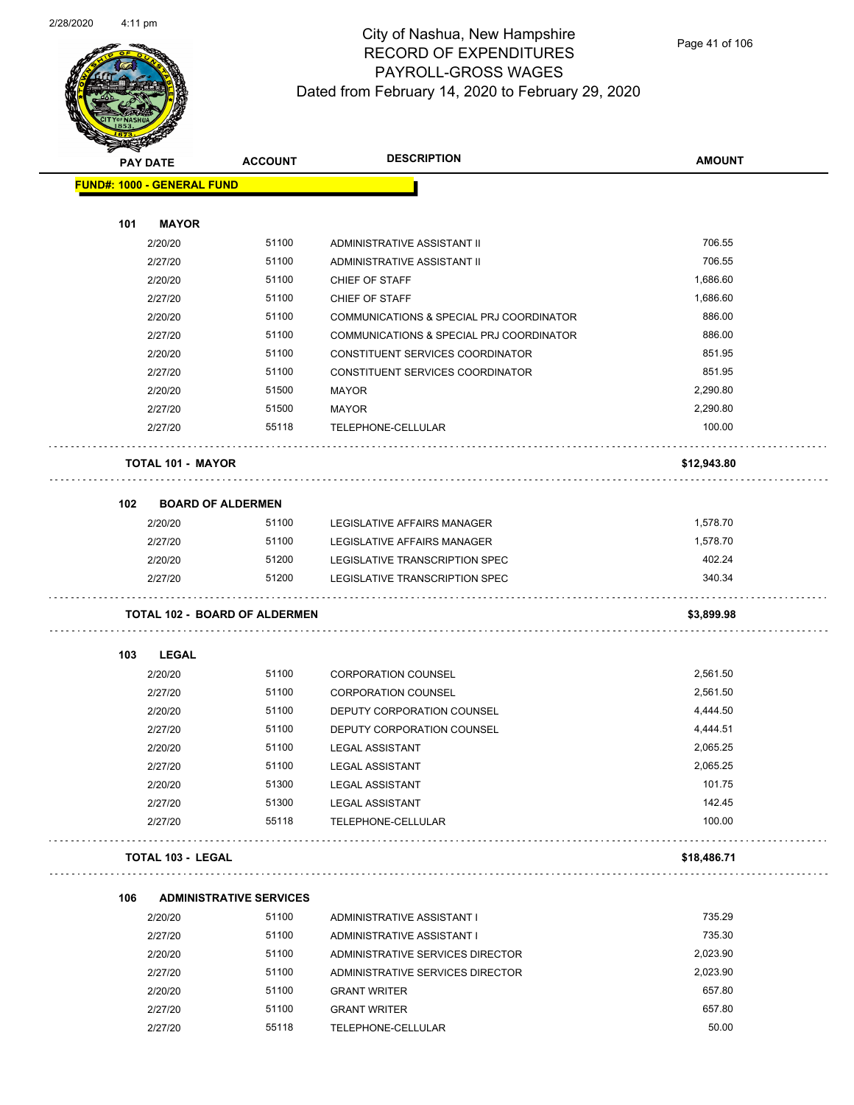

|     | <b>PAY DATE</b>                   | <b>ACCOUNT</b>                          | <b>DESCRIPTION</b>                       | <b>AMOUNT</b> |
|-----|-----------------------------------|-----------------------------------------|------------------------------------------|---------------|
|     | <b>FUND#: 1000 - GENERAL FUND</b> |                                         |                                          |               |
|     |                                   |                                         |                                          |               |
| 101 | <b>MAYOR</b>                      |                                         |                                          |               |
|     | 2/20/20                           | 51100                                   | ADMINISTRATIVE ASSISTANT II              | 706.55        |
|     | 2/27/20                           | 51100                                   | ADMINISTRATIVE ASSISTANT II              | 706.55        |
|     | 2/20/20                           | 51100                                   | CHIEF OF STAFF                           | 1,686.60      |
|     | 2/27/20                           | 51100                                   | CHIEF OF STAFF                           | 1,686.60      |
|     | 2/20/20                           | 51100                                   | COMMUNICATIONS & SPECIAL PRJ COORDINATOR | 886.00        |
|     | 2/27/20                           | 51100                                   | COMMUNICATIONS & SPECIAL PRJ COORDINATOR | 886.00        |
|     | 2/20/20                           | 51100                                   | CONSTITUENT SERVICES COORDINATOR         | 851.95        |
|     | 2/27/20                           | 51100                                   | CONSTITUENT SERVICES COORDINATOR         | 851.95        |
|     | 2/20/20                           | 51500                                   | <b>MAYOR</b>                             | 2,290.80      |
|     | 2/27/20                           | 51500                                   | <b>MAYOR</b>                             | 2,290.80      |
|     | 2/27/20                           | 55118                                   | TELEPHONE-CELLULAR                       | 100.00        |
|     | <b>TOTAL 101 - MAYOR</b>          |                                         |                                          | \$12,943.80   |
| 102 |                                   | <b>BOARD OF ALDERMEN</b>                |                                          |               |
|     | 2/20/20                           | 51100                                   | LEGISLATIVE AFFAIRS MANAGER              | 1,578.70      |
|     | 2/27/20                           | 51100                                   | LEGISLATIVE AFFAIRS MANAGER              | 1,578.70      |
|     | 2/20/20                           | 51200                                   | LEGISLATIVE TRANSCRIPTION SPEC           | 402.24        |
|     | 2/27/20                           | 51200                                   | LEGISLATIVE TRANSCRIPTION SPEC           | 340.34        |
|     |                                   | <b>TOTAL 102 - BOARD OF ALDERMEN</b>    |                                          | \$3,899.98    |
| 103 | <b>LEGAL</b>                      |                                         |                                          |               |
|     | 2/20/20                           | 51100                                   | <b>CORPORATION COUNSEL</b>               | 2,561.50      |
|     | 2/27/20                           | 51100                                   | <b>CORPORATION COUNSEL</b>               | 2,561.50      |
|     | 2/20/20                           | 51100                                   | DEPUTY CORPORATION COUNSEL               | 4,444.50      |
|     | 2/27/20                           | 51100                                   | DEPUTY CORPORATION COUNSEL               | 4,444.51      |
|     | 2/20/20                           | 51100                                   | <b>LEGAL ASSISTANT</b>                   | 2,065.25      |
|     | 2/27/20                           | 51100                                   | <b>LEGAL ASSISTANT</b>                   | 2,065.25      |
|     | 2/20/20                           | 51300                                   | <b>LEGAL ASSISTANT</b>                   | 101.75        |
|     | 2/27/20                           | 51300                                   | <b>LEGAL ASSISTANT</b>                   | 142.45        |
|     | 2/27/20                           | 55118                                   | TELEPHONE-CELLULAR                       | 100.00        |
|     | <b>TOTAL 103 - LEGAL</b>          |                                         |                                          | \$18,486.71   |
|     |                                   |                                         |                                          |               |
| 106 | 2/20/20                           | <b>ADMINISTRATIVE SERVICES</b><br>51100 | ADMINISTRATIVE ASSISTANT I               | 735.29        |
|     | 2/27/20                           | 51100                                   | ADMINISTRATIVE ASSISTANT I               | 735.30        |
|     | 2/20/20                           | 51100                                   | ADMINISTRATIVE SERVICES DIRECTOR         | 2,023.90      |
|     | 2/27/20                           | 51100                                   | ADMINISTRATIVE SERVICES DIRECTOR         | 2,023.90      |
|     | 2/20/20                           | 51100                                   | <b>GRANT WRITER</b>                      | 657.80        |
|     | 2/27/20                           | 51100                                   | <b>GRANT WRITER</b>                      | 657.80        |
|     |                                   |                                         |                                          |               |

2/27/20 55118 TELEPHONE-CELLULAR 50.00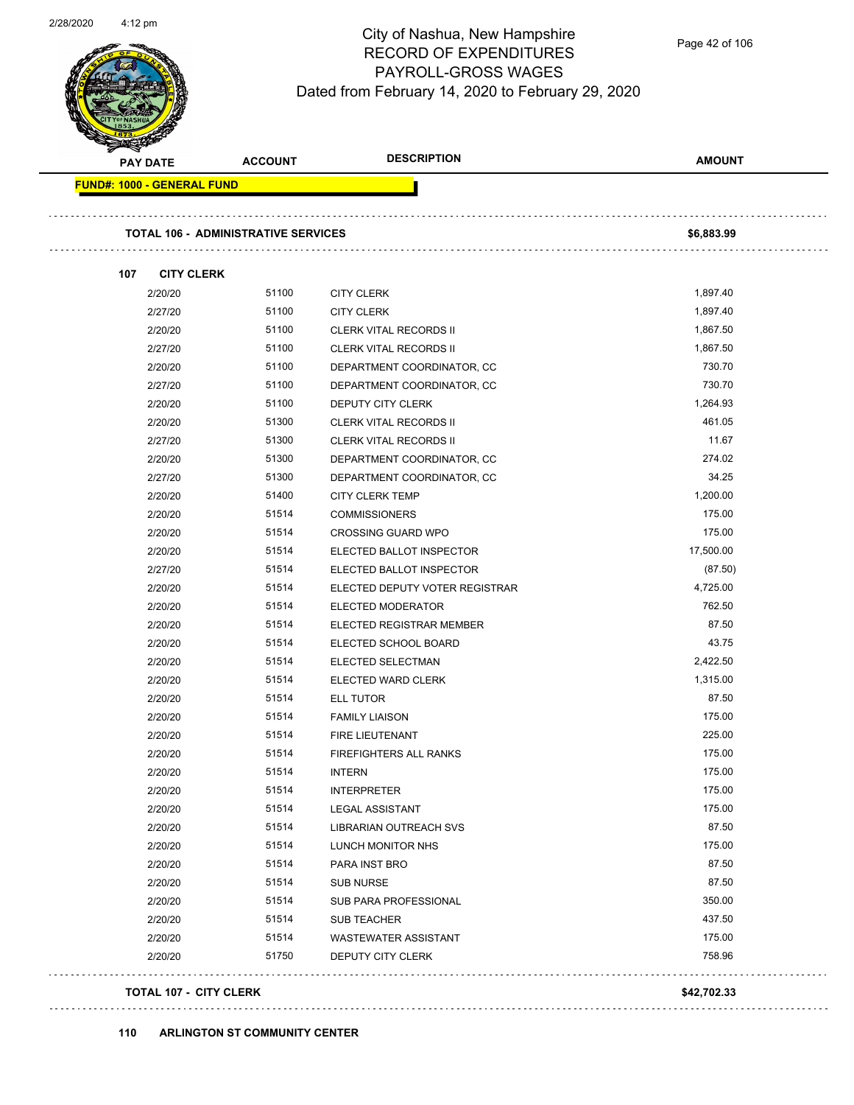$\overline{\phantom{0}}$ 



#### City of Nashua, New Hampshire RECORD OF EXPENDITURES PAYROLL-GROSS WAGES Dated from February 14, 2020 to February 29, 2020

| <b>PAY DATE</b>                   | <b>ACCOUNT</b>                             | <b>DESCRIPTION</b>             | <b>AMOUNT</b> |
|-----------------------------------|--------------------------------------------|--------------------------------|---------------|
| <b>FUND#: 1000 - GENERAL FUND</b> |                                            |                                |               |
|                                   | <b>TOTAL 106 - ADMINISTRATIVE SERVICES</b> |                                | \$6,883.99    |
| 107<br><b>CITY CLERK</b>          |                                            |                                |               |
| 2/20/20                           | 51100                                      | <b>CITY CLERK</b>              | 1,897.40      |
| 2/27/20                           | 51100                                      | <b>CITY CLERK</b>              | 1,897.40      |
| 2/20/20                           | 51100                                      | <b>CLERK VITAL RECORDS II</b>  | 1,867.50      |
| 2/27/20                           | 51100                                      | <b>CLERK VITAL RECORDS II</b>  | 1,867.50      |
| 2/20/20                           | 51100                                      | DEPARTMENT COORDINATOR, CC     | 730.70        |
| 2/27/20                           | 51100                                      | DEPARTMENT COORDINATOR, CC     | 730.70        |
| 2/20/20                           | 51100                                      | DEPUTY CITY CLERK              | 1,264.93      |
| 2/20/20                           | 51300                                      | <b>CLERK VITAL RECORDS II</b>  | 461.05        |
| 2/27/20                           | 51300                                      | <b>CLERK VITAL RECORDS II</b>  | 11.67         |
| 2/20/20                           | 51300                                      | DEPARTMENT COORDINATOR, CC     | 274.02        |
| 2/27/20                           | 51300                                      | DEPARTMENT COORDINATOR, CC     | 34.25         |
| 2/20/20                           | 51400                                      | <b>CITY CLERK TEMP</b>         | 1,200.00      |
| 2/20/20                           | 51514                                      | <b>COMMISSIONERS</b>           | 175.00        |
| 2/20/20                           | 51514                                      | <b>CROSSING GUARD WPO</b>      | 175.00        |
| 2/20/20                           | 51514                                      | ELECTED BALLOT INSPECTOR       | 17,500.00     |
| 2/27/20                           | 51514                                      | ELECTED BALLOT INSPECTOR       | (87.50)       |
| 2/20/20                           | 51514                                      | ELECTED DEPUTY VOTER REGISTRAR | 4,725.00      |
| 2/20/20                           | 51514                                      | <b>ELECTED MODERATOR</b>       | 762.50        |
| 2/20/20                           | 51514                                      | ELECTED REGISTRAR MEMBER       | 87.50         |
| 2/20/20                           | 51514                                      | ELECTED SCHOOL BOARD           | 43.75         |
| 2/20/20                           | 51514                                      | ELECTED SELECTMAN              | 2,422.50      |
| 2/20/20                           | 51514                                      | <b>ELECTED WARD CLERK</b>      | 1,315.00      |
| 2/20/20                           | 51514                                      | <b>ELL TUTOR</b>               | 87.50         |
| 2/20/20                           | 51514                                      | <b>FAMILY LIAISON</b>          | 175.00        |
| 2/20/20                           | 51514                                      | FIRE LIEUTENANT                | 225.00        |
| 2/20/20                           | 51514                                      | FIREFIGHTERS ALL RANKS         | 175.00        |
| 2/20/20                           | 51514                                      | <b>INTERN</b>                  | 175.00        |
| 2/20/20                           | 51514                                      | <b>INTERPRETER</b>             | 175.00        |
| 2/20/20                           | 51514                                      | <b>LEGAL ASSISTANT</b>         | 175.00        |
| 2/20/20                           | 51514                                      | LIBRARIAN OUTREACH SVS         | 87.50         |
| 2/20/20                           | 51514                                      | LUNCH MONITOR NHS              | 175.00        |
| 2/20/20                           | 51514                                      | PARA INST BRO                  | 87.50         |
| 2/20/20                           | 51514                                      | <b>SUB NURSE</b>               | 87.50         |
| 2/20/20                           | 51514                                      | SUB PARA PROFESSIONAL          | 350.00        |
| 2/20/20                           | 51514                                      | SUB TEACHER                    | 437.50        |
| 2/20/20                           | 51514                                      | <b>WASTEWATER ASSISTANT</b>    | 175.00        |
| 2/20/20                           | 51750                                      | DEPUTY CITY CLERK              | 758.96        |
| <b>TOTAL 107 - CITY CLERK</b>     |                                            |                                | \$42,702.33   |

#### **110 ARLINGTON ST COMMUNITY CENTER**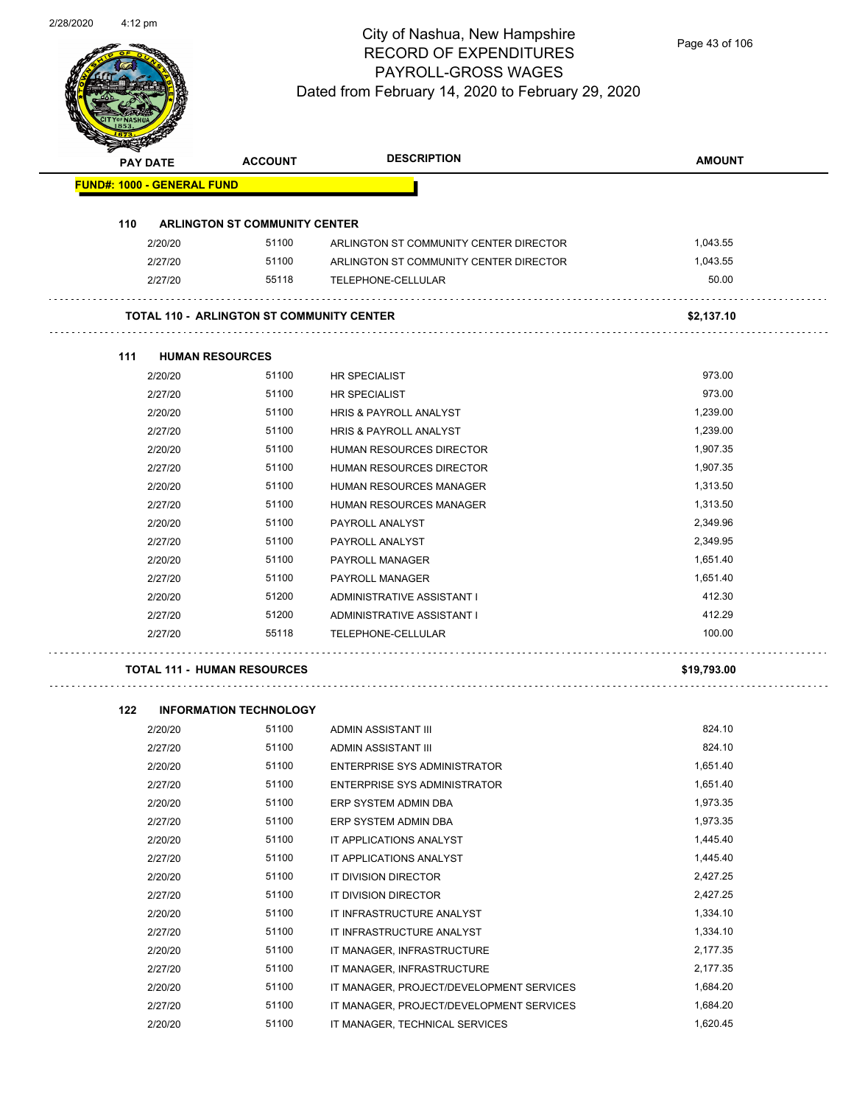| <b>PAY DATE</b>                   | <b>ACCOUNT</b>                                   | <b>DESCRIPTION</b>                     | <b>AMOUNT</b> |
|-----------------------------------|--------------------------------------------------|----------------------------------------|---------------|
| <b>FUND#: 1000 - GENERAL FUND</b> |                                                  |                                        |               |
| 110                               | <b>ARLINGTON ST COMMUNITY CENTER</b>             |                                        |               |
| 2/20/20                           | 51100                                            | ARLINGTON ST COMMUNITY CENTER DIRECTOR | 1,043.55      |
| 2/27/20                           | 51100                                            | ARLINGTON ST COMMUNITY CENTER DIRECTOR | 1,043.55      |
| 2/27/20                           | 55118                                            | TELEPHONE-CELLULAR                     | 50.00         |
|                                   | <b>TOTAL 110 - ARLINGTON ST COMMUNITY CENTER</b> |                                        | \$2,137.10    |
| 111                               | <b>HUMAN RESOURCES</b>                           |                                        |               |
| 2/20/20                           | 51100                                            | <b>HR SPECIALIST</b>                   | 973.00        |
| 2/27/20                           | 51100                                            | <b>HR SPECIALIST</b>                   | 973.00        |
| 2/20/20                           | 51100                                            | <b>HRIS &amp; PAYROLL ANALYST</b>      | 1,239.00      |
| 2/27/20                           | 51100                                            | HRIS & PAYROLL ANALYST                 | 1,239.00      |
| 2/20/20                           | 51100                                            | <b>HUMAN RESOURCES DIRECTOR</b>        | 1,907.35      |
| 2/27/20                           | 51100                                            | <b>HUMAN RESOURCES DIRECTOR</b>        | 1,907.35      |
| 2/20/20                           | 51100                                            | <b>HUMAN RESOURCES MANAGER</b>         | 1,313.50      |
| 2/27/20                           | 51100                                            | <b>HUMAN RESOURCES MANAGER</b>         | 1,313.50      |
| 2/20/20                           | 51100                                            | PAYROLL ANALYST                        | 2,349.96      |
| 2/27/20                           | 51100                                            | PAYROLL ANALYST                        | 2,349.95      |
| 2/20/20                           | 51100                                            | PAYROLL MANAGER                        | 1,651.40      |
| 2/27/20                           | 51100                                            | PAYROLL MANAGER                        | 1,651.40      |
| 2/20/20                           | 51200                                            | ADMINISTRATIVE ASSISTANT I             | 412.30        |
| 2/27/20                           | 51200                                            | ADMINISTRATIVE ASSISTANT I             | 412.29        |
| 2/27/20                           | 55118                                            | TELEPHONE-CELLULAR                     | 100.00        |

#### **122 INFORMATION TECHNOLOGY**

 $\cdot$ 

| 2/20/20 | 51100 | <b>ADMIN ASSISTANT III</b>               | 824.10   |
|---------|-------|------------------------------------------|----------|
| 2/27/20 | 51100 | ADMIN ASSISTANT III                      | 824.10   |
| 2/20/20 | 51100 | ENTERPRISE SYS ADMINISTRATOR             | 1,651.40 |
| 2/27/20 | 51100 | ENTERPRISE SYS ADMINISTRATOR             | 1,651.40 |
| 2/20/20 | 51100 | ERP SYSTEM ADMIN DBA                     | 1,973.35 |
| 2/27/20 | 51100 | ERP SYSTEM ADMIN DBA                     | 1,973.35 |
| 2/20/20 | 51100 | IT APPLICATIONS ANALYST                  | 1,445.40 |
| 2/27/20 | 51100 | IT APPLICATIONS ANALYST                  | 1,445.40 |
| 2/20/20 | 51100 | IT DIVISION DIRECTOR                     | 2,427.25 |
| 2/27/20 | 51100 | IT DIVISION DIRECTOR                     | 2,427.25 |
| 2/20/20 | 51100 | IT INFRASTRUCTURE ANALYST                | 1,334.10 |
| 2/27/20 | 51100 | IT INFRASTRUCTURE ANALYST                | 1,334.10 |
| 2/20/20 | 51100 | IT MANAGER, INFRASTRUCTURE               | 2,177.35 |
| 2/27/20 | 51100 | IT MANAGER, INFRASTRUCTURE               | 2,177.35 |
| 2/20/20 | 51100 | IT MANAGER, PROJECT/DEVELOPMENT SERVICES | 1,684.20 |
| 2/27/20 | 51100 | IT MANAGER, PROJECT/DEVELOPMENT SERVICES | 1,684.20 |
| 2/20/20 | 51100 | IT MANAGER, TECHNICAL SERVICES           | 1,620.45 |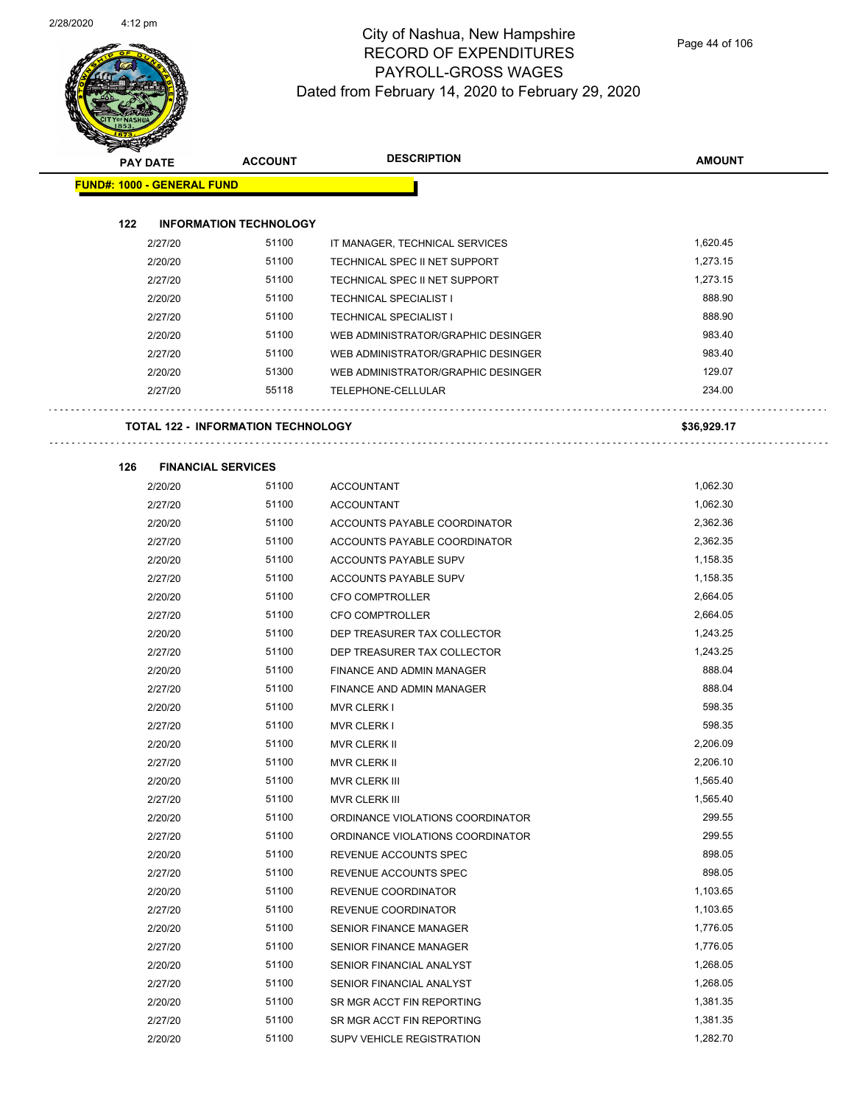

| ❤               |                                           |                |                                    |               |
|-----------------|-------------------------------------------|----------------|------------------------------------|---------------|
| <b>PAY DATE</b> |                                           | <b>ACCOUNT</b> | <b>DESCRIPTION</b>                 | <b>AMOUNT</b> |
|                 | <b>FUND#: 1000 - GENERAL FUND</b>         |                |                                    |               |
|                 |                                           |                |                                    |               |
| 122             | <b>INFORMATION TECHNOLOGY</b>             |                |                                    |               |
|                 | 2/27/20                                   | 51100          | IT MANAGER, TECHNICAL SERVICES     | 1,620.45      |
|                 | 2/20/20                                   | 51100          | TECHNICAL SPEC II NET SUPPORT      | 1,273.15      |
|                 | 2/27/20                                   | 51100          | TECHNICAL SPEC II NET SUPPORT      | 1,273.15      |
|                 | 2/20/20                                   | 51100          | <b>TECHNICAL SPECIALIST I</b>      | 888.90        |
|                 | 2/27/20                                   | 51100          | TECHNICAL SPECIALIST I             | 888.90        |
|                 | 2/20/20                                   | 51100          | WEB ADMINISTRATOR/GRAPHIC DESINGER | 983.40        |
|                 | 2/27/20                                   | 51100          | WEB ADMINISTRATOR/GRAPHIC DESINGER | 983.40        |
|                 | 2/20/20                                   | 51300          | WEB ADMINISTRATOR/GRAPHIC DESINGER | 129.07        |
|                 | 2/27/20                                   | 55118          | TELEPHONE-CELLULAR                 | 234.00        |
|                 |                                           |                |                                    |               |
|                 | <b>TOTAL 122 - INFORMATION TECHNOLOGY</b> |                |                                    | \$36,929.17   |
|                 |                                           |                |                                    |               |
| 126             | <b>FINANCIAL SERVICES</b>                 |                |                                    |               |
|                 | 2/20/20                                   | 51100          | <b>ACCOUNTANT</b>                  | 1,062.30      |
|                 | 2/27/20                                   | 51100          | <b>ACCOUNTANT</b>                  | 1,062.30      |
|                 | 2/20/20                                   | 51100          | ACCOUNTS PAYABLE COORDINATOR       | 2,362.36      |
|                 | 2/27/20                                   | 51100          | ACCOUNTS PAYABLE COORDINATOR       | 2,362.35      |
|                 | 2/20/20                                   | 51100          | ACCOUNTS PAYABLE SUPV              | 1,158.35      |
|                 | 2/27/20                                   | 51100          | ACCOUNTS PAYABLE SUPV              | 1,158.35      |
|                 | 2/20/20                                   | 51100          | <b>CFO COMPTROLLER</b>             | 2,664.05      |
|                 | 2/27/20                                   | 51100          | CFO COMPTROLLER                    | 2,664.05      |
|                 | 2/20/20                                   | 51100          | DEP TREASURER TAX COLLECTOR        | 1,243.25      |
|                 | 2/27/20                                   | 51100          | DEP TREASURER TAX COLLECTOR        | 1,243.25      |
|                 | 2/20/20                                   | 51100          | FINANCE AND ADMIN MANAGER          | 888.04        |
|                 | 2/27/20                                   | 51100          | FINANCE AND ADMIN MANAGER          | 888.04        |
|                 | 2/20/20                                   | 51100          | <b>MVR CLERK I</b>                 | 598.35        |
|                 | 2/27/20                                   | 51100          | <b>MVR CLERK I</b>                 | 598.35        |
|                 | 2/20/20                                   | 51100          | <b>MVR CLERK II</b>                | 2,206.09      |
|                 | 2/27/20                                   | 51100          | MVR CLERK II                       | 2,206.10      |
|                 | 2/20/20                                   | 51100          | MVR CLERK III                      | 1,565.40      |
|                 | 2/27/20                                   | 51100          | MVR CLERK III                      | 1,565.40      |
|                 | 2/20/20                                   | 51100          | ORDINANCE VIOLATIONS COORDINATOR   | 299.55        |
|                 | 2/27/20                                   | 51100          | ORDINANCE VIOLATIONS COORDINATOR   | 299.55        |
|                 | 2/20/20                                   | 51100          | REVENUE ACCOUNTS SPEC              | 898.05        |
|                 | 2/27/20                                   | 51100          | REVENUE ACCOUNTS SPEC              | 898.05        |
|                 | 2/20/20                                   | 51100          | REVENUE COORDINATOR                | 1,103.65      |
|                 | 2/27/20                                   | 51100          | REVENUE COORDINATOR                | 1,103.65      |
|                 | 2/20/20                                   | 51100          | <b>SENIOR FINANCE MANAGER</b>      | 1,776.05      |
|                 | 2/27/20                                   | 51100          | SENIOR FINANCE MANAGER             | 1,776.05      |
|                 | 2/20/20                                   | 51100          | SENIOR FINANCIAL ANALYST           | 1,268.05      |
|                 | 2/27/20                                   | 51100          | SENIOR FINANCIAL ANALYST           | 1,268.05      |
|                 | 2/20/20                                   | 51100          | SR MGR ACCT FIN REPORTING          | 1,381.35      |
|                 | 2/27/20                                   | 51100          | SR MGR ACCT FIN REPORTING          | 1,381.35      |

2/20/20 51100 SUPV VEHICLE REGISTRATION 5000 1,282.70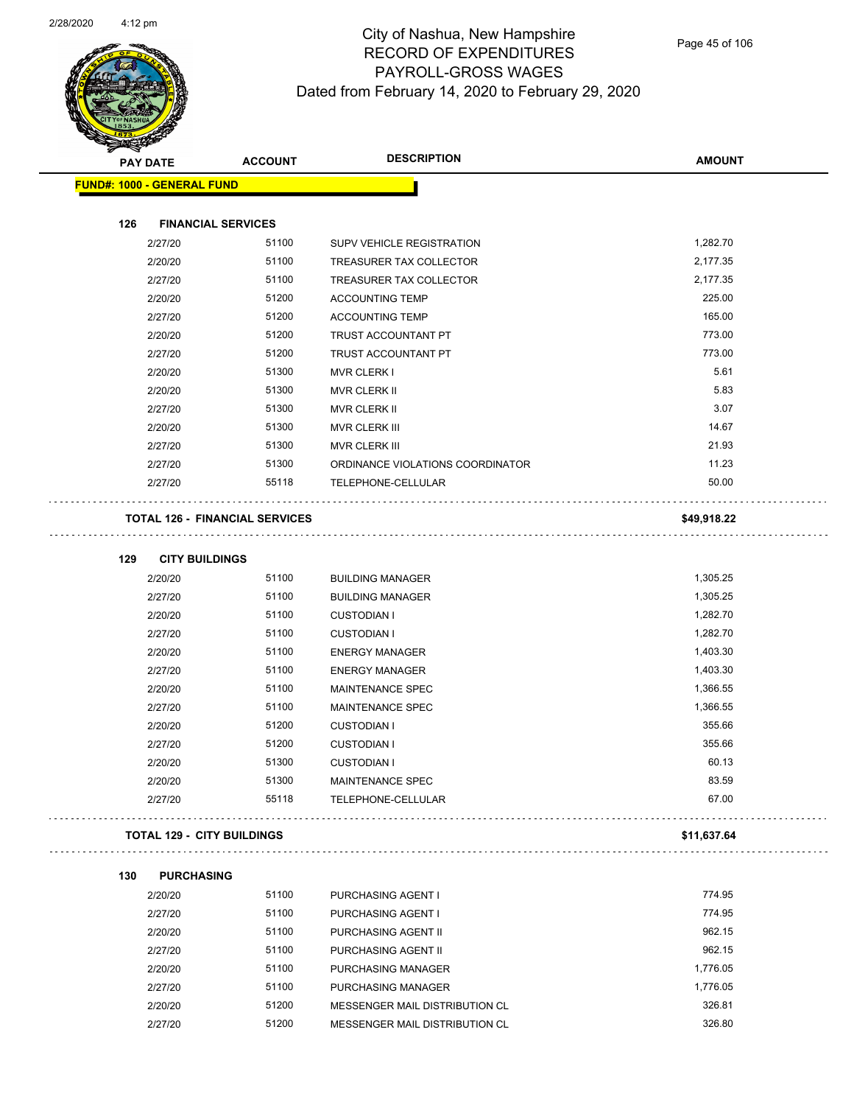

| <b>PAY DATE</b>                   | <b>ACCOUNT</b>                        | <b>DESCRIPTION</b>               | <b>AMOUNT</b> |
|-----------------------------------|---------------------------------------|----------------------------------|---------------|
| FUND#: 1000 - GENERAL FUND        |                                       |                                  |               |
| 126                               | <b>FINANCIAL SERVICES</b>             |                                  |               |
| 2/27/20                           | 51100                                 | SUPV VEHICLE REGISTRATION        | 1,282.70      |
| 2/20/20                           | 51100                                 | TREASURER TAX COLLECTOR          | 2,177.35      |
| 2/27/20                           | 51100                                 | TREASURER TAX COLLECTOR          | 2,177.35      |
| 2/20/20                           | 51200                                 | <b>ACCOUNTING TEMP</b>           | 225.00        |
| 2/27/20                           | 51200                                 | <b>ACCOUNTING TEMP</b>           | 165.00        |
| 2/20/20                           | 51200                                 | TRUST ACCOUNTANT PT              | 773.00        |
| 2/27/20                           | 51200                                 | TRUST ACCOUNTANT PT              | 773.00        |
| 2/20/20                           | 51300                                 | MVR CLERK I                      | 5.61          |
| 2/20/20                           | 51300                                 | <b>MVR CLERK II</b>              | 5.83          |
| 2/27/20                           | 51300                                 | <b>MVR CLERK II</b>              | 3.07          |
| 2/20/20                           | 51300                                 | MVR CLERK III                    | 14.67         |
| 2/27/20                           | 51300                                 | MVR CLERK III                    | 21.93         |
| 2/27/20                           | 51300                                 | ORDINANCE VIOLATIONS COORDINATOR | 11.23         |
| 2/27/20                           | 55118                                 | TELEPHONE-CELLULAR               | 50.00         |
|                                   | <b>TOTAL 126 - FINANCIAL SERVICES</b> |                                  | \$49,918.22   |
| 129<br><b>CITY BUILDINGS</b>      |                                       |                                  |               |
| 2/20/20                           | 51100                                 | <b>BUILDING MANAGER</b>          | 1,305.25      |
| 2/27/20                           | 51100                                 | <b>BUILDING MANAGER</b>          | 1,305.25      |
| 2/20/20                           | 51100                                 | <b>CUSTODIAN I</b>               | 1,282.70      |
| 2/27/20                           | 51100                                 | <b>CUSTODIAN I</b>               | 1,282.70      |
| 2/20/20                           | 51100                                 | <b>ENERGY MANAGER</b>            | 1,403.30      |
| 2/27/20                           | 51100                                 | <b>ENERGY MANAGER</b>            | 1,403.30      |
| 2/20/20                           | 51100                                 | MAINTENANCE SPEC                 | 1,366.55      |
| 2/27/20                           | 51100                                 | MAINTENANCE SPEC                 | 1,366.55      |
| 2/20/20                           | 51200                                 | <b>CUSTODIAN I</b>               | 355.66        |
| 2/27/20                           | 51200                                 | <b>CUSTODIAN I</b>               | 355.66        |
| 2/20/20                           | 51300                                 | <b>CUSTODIAN I</b>               | 60.13         |
| 2/20/20                           | 51300                                 | MAINTENANCE SPEC                 | 83.59         |
| 2/27/20                           | 55118                                 | TELEPHONE-CELLULAR               | 67.00         |
| <b>TOTAL 129 - CITY BUILDINGS</b> |                                       |                                  | \$11,637.64   |
| 130<br><b>PURCHASING</b>          |                                       |                                  |               |
| 2/20/20                           | 51100                                 | PURCHASING AGENT I               | 774.95        |

| 2/20/20 | 51100 | PURCHASING AGENT I             | 774.95   |
|---------|-------|--------------------------------|----------|
| 2/27/20 | 51100 | <b>PURCHASING AGENT I</b>      | 774.95   |
| 2/20/20 | 51100 | PURCHASING AGENT II            | 962.15   |
| 2/27/20 | 51100 | PURCHASING AGENT II            | 962.15   |
| 2/20/20 | 51100 | PURCHASING MANAGER             | 1.776.05 |
| 2/27/20 | 51100 | PURCHASING MANAGER             | 1.776.05 |
| 2/20/20 | 51200 | MESSENGER MAIL DISTRIBUTION CL | 326.81   |
| 2/27/20 | 51200 | MESSENGER MAIL DISTRIBUTION CL | 326.80   |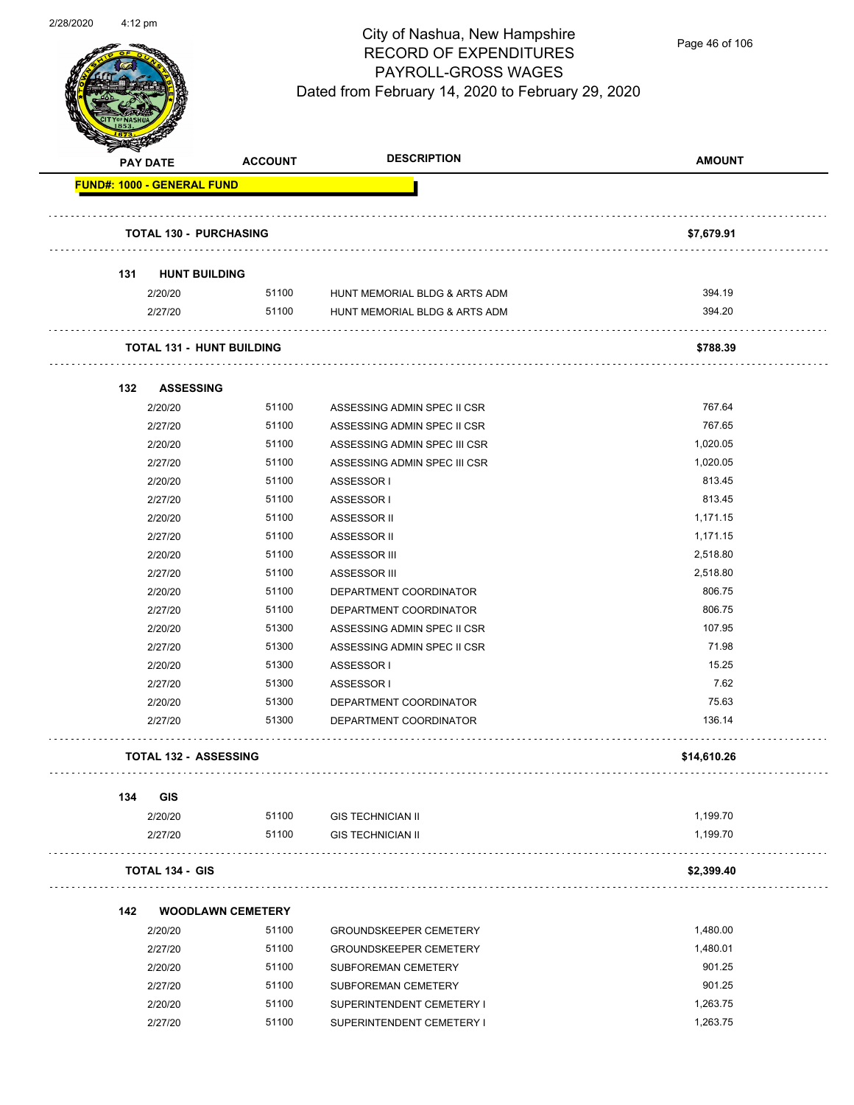

Page 46 of 106

|     | <b>PAY DATE</b>                     | <b>ACCOUNT</b> | <b>DESCRIPTION</b>            | <b>AMOUNT</b> |
|-----|-------------------------------------|----------------|-------------------------------|---------------|
|     | <b>FUND#: 1000 - GENERAL FUND</b>   |                |                               |               |
|     |                                     |                |                               |               |
|     | <b>TOTAL 130 - PURCHASING</b>       |                |                               | \$7,679.91    |
| 131 | <b>HUNT BUILDING</b>                |                |                               |               |
|     | 2/20/20                             | 51100          | HUNT MEMORIAL BLDG & ARTS ADM | 394.19        |
|     | 2/27/20                             | 51100          | HUNT MEMORIAL BLDG & ARTS ADM | 394.20        |
|     | <b>TOTAL 131 - HUNT BUILDING</b>    |                |                               | \$788.39      |
|     |                                     |                |                               |               |
| 132 | <b>ASSESSING</b>                    |                |                               |               |
|     | 2/20/20                             | 51100          | ASSESSING ADMIN SPEC II CSR   | 767.64        |
|     | 2/27/20                             | 51100          | ASSESSING ADMIN SPEC II CSR   | 767.65        |
|     | 2/20/20                             | 51100          | ASSESSING ADMIN SPEC III CSR  | 1,020.05      |
|     | 2/27/20                             | 51100          | ASSESSING ADMIN SPEC III CSR  | 1,020.05      |
|     | 2/20/20                             | 51100          | ASSESSOR I                    | 813.45        |
|     | 2/27/20                             | 51100          | ASSESSOR I                    | 813.45        |
|     | 2/20/20                             | 51100          | ASSESSOR II                   | 1,171.15      |
|     | 2/27/20                             | 51100          | ASSESSOR II                   | 1,171.15      |
|     | 2/20/20                             | 51100          | ASSESSOR III                  | 2,518.80      |
|     | 2/27/20                             | 51100          | ASSESSOR III                  | 2,518.80      |
|     | 2/20/20                             | 51100          | DEPARTMENT COORDINATOR        | 806.75        |
|     | 2/27/20                             | 51100          | DEPARTMENT COORDINATOR        | 806.75        |
|     | 2/20/20                             | 51300          | ASSESSING ADMIN SPEC II CSR   | 107.95        |
|     | 2/27/20                             | 51300          | ASSESSING ADMIN SPEC II CSR   | 71.98         |
|     | 2/20/20                             | 51300          | ASSESSOR I                    | 15.25         |
|     | 2/27/20                             | 51300          | ASSESSOR I                    | 7.62          |
|     | 2/20/20                             | 51300          | DEPARTMENT COORDINATOR        | 75.63         |
|     | 2/27/20                             | 51300          | DEPARTMENT COORDINATOR        | 136.14        |
|     | <b>TOTAL 132 - ASSESSING</b>        |                |                               | \$14,610.26   |
|     |                                     |                |                               |               |
| 134 | <b>GIS</b>                          |                |                               |               |
|     | 2/20/20                             | 51100          | <b>GIS TECHNICIAN II</b>      | 1,199.70      |
|     | 2/27/20                             | 51100          | <b>GIS TECHNICIAN II</b>      | 1,199.70      |
|     | <b>TOTAL 134 - GIS</b>              |                |                               | \$2,399.40    |
|     |                                     |                |                               |               |
| 142 | <b>WOODLAWN CEMETERY</b><br>2/20/20 | 51100          | <b>GROUNDSKEEPER CEMETERY</b> | 1,480.00      |
|     | 2/27/20                             | 51100          |                               | 1,480.01      |
|     |                                     |                | <b>GROUNDSKEEPER CEMETERY</b> |               |
|     | 2/20/20                             | 51100          | SUBFOREMAN CEMETERY           | 901.25        |
|     | 2/27/20                             | 51100          | SUBFOREMAN CEMETERY           | 901.25        |
|     | 2/20/20                             | 51100          | SUPERINTENDENT CEMETERY I     | 1,263.75      |
|     | 2/27/20                             | 51100          | SUPERINTENDENT CEMETERY I     | 1,263.75      |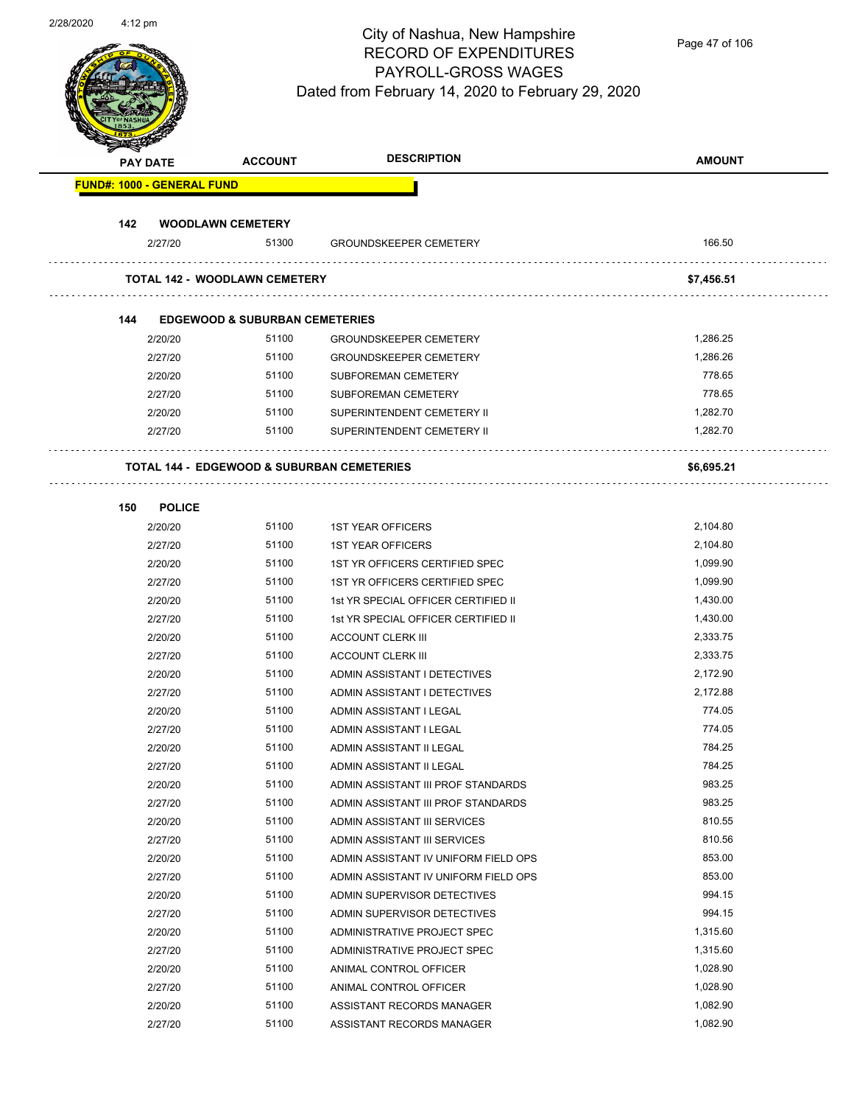

Page 47 of 106

| <b>Service Lines</b> | <b>PAY DATE</b>                   | <b>ACCOUNT</b>                            | <b>DESCRIPTION</b>                                    | <b>AMOUNT</b> |
|----------------------|-----------------------------------|-------------------------------------------|-------------------------------------------------------|---------------|
|                      | <b>FUND#: 1000 - GENERAL FUND</b> |                                           |                                                       |               |
| 142                  |                                   | <b>WOODLAWN CEMETERY</b>                  |                                                       |               |
|                      | 2/27/20                           | 51300                                     | <b>GROUNDSKEEPER CEMETERY</b>                         | 166.50        |
|                      |                                   | <b>TOTAL 142 - WOODLAWN CEMETERY</b>      |                                                       | \$7,456.51    |
|                      |                                   |                                           |                                                       |               |
| 144                  |                                   | <b>EDGEWOOD &amp; SUBURBAN CEMETERIES</b> |                                                       |               |
|                      | 2/20/20                           | 51100                                     | <b>GROUNDSKEEPER CEMETERY</b>                         | 1,286.25      |
|                      | 2/27/20                           | 51100                                     | <b>GROUNDSKEEPER CEMETERY</b>                         | 1,286.26      |
|                      | 2/20/20                           | 51100                                     | SUBFOREMAN CEMETERY                                   | 778.65        |
|                      | 2/27/20                           | 51100                                     | SUBFOREMAN CEMETERY                                   | 778.65        |
|                      | 2/20/20                           | 51100                                     | SUPERINTENDENT CEMETERY II                            | 1,282.70      |
|                      | 2/27/20                           | 51100                                     | SUPERINTENDENT CEMETERY II                            | 1,282.70      |
|                      |                                   |                                           | <b>TOTAL 144 - EDGEWOOD &amp; SUBURBAN CEMETERIES</b> | \$6,695.21    |
|                      |                                   |                                           |                                                       |               |
| 150                  | <b>POLICE</b>                     |                                           |                                                       |               |
|                      | 2/20/20                           | 51100                                     | <b>1ST YEAR OFFICERS</b>                              | 2,104.80      |
|                      | 2/27/20                           | 51100                                     | <b>1ST YEAR OFFICERS</b>                              | 2,104.80      |
|                      | 2/20/20                           | 51100                                     | 1ST YR OFFICERS CERTIFIED SPEC                        | 1,099.90      |
|                      | 2/27/20                           | 51100                                     | 1ST YR OFFICERS CERTIFIED SPEC                        | 1,099.90      |
|                      | 2/20/20                           | 51100                                     | 1st YR SPECIAL OFFICER CERTIFIED II                   | 1,430.00      |
|                      | 2/27/20                           | 51100                                     | 1st YR SPECIAL OFFICER CERTIFIED II                   | 1,430.00      |
|                      | 2/20/20                           | 51100                                     | <b>ACCOUNT CLERK III</b>                              | 2,333.75      |
|                      | 2/27/20                           | 51100                                     | <b>ACCOUNT CLERK III</b>                              | 2,333.75      |
|                      | 2/20/20                           | 51100                                     | ADMIN ASSISTANT I DETECTIVES                          | 2,172.90      |
|                      | 2/27/20                           | 51100                                     | ADMIN ASSISTANT I DETECTIVES                          | 2,172.88      |
|                      | 2/20/20                           | 51100                                     | ADMIN ASSISTANT I LEGAL                               | 774.05        |
|                      | 2/27/20                           | 51100                                     | ADMIN ASSISTANT I LEGAL                               | 774.05        |
|                      | 2/20/20                           | 51100                                     | ADMIN ASSISTANT II LEGAL                              | 784.25        |
|                      | 2/27/20                           | 51100                                     | ADMIN ASSISTANT II LEGAL                              | 784.25        |
|                      | 2/20/20                           | 51100                                     | ADMIN ASSISTANT III PROF STANDARDS                    | 983.25        |
|                      | 2/27/20                           | 51100                                     | ADMIN ASSISTANT III PROF STANDARDS                    | 983.25        |
|                      | 2/20/20                           | 51100                                     | ADMIN ASSISTANT III SERVICES                          | 810.55        |
|                      | 2/27/20                           | 51100                                     | ADMIN ASSISTANT III SERVICES                          | 810.56        |
|                      | 2/20/20                           | 51100                                     | ADMIN ASSISTANT IV UNIFORM FIELD OPS                  | 853.00        |
|                      | 2/27/20                           | 51100                                     | ADMIN ASSISTANT IV UNIFORM FIELD OPS                  | 853.00        |
|                      | 2/20/20                           | 51100                                     | ADMIN SUPERVISOR DETECTIVES                           | 994.15        |
|                      | 2/27/20                           | 51100                                     | ADMIN SUPERVISOR DETECTIVES                           | 994.15        |
|                      | 2/20/20                           | 51100                                     | ADMINISTRATIVE PROJECT SPEC                           | 1,315.60      |
|                      | 2/27/20                           | 51100                                     | ADMINISTRATIVE PROJECT SPEC                           | 1,315.60      |
|                      | 2/20/20                           | 51100                                     | ANIMAL CONTROL OFFICER                                | 1,028.90      |
|                      | 2/27/20                           | 51100                                     | ANIMAL CONTROL OFFICER                                | 1,028.90      |
|                      | 2/20/20                           | 51100                                     | ASSISTANT RECORDS MANAGER                             | 1,082.90      |
|                      | 2/27/20                           | 51100                                     | ASSISTANT RECORDS MANAGER                             | 1,082.90      |
|                      |                                   |                                           |                                                       |               |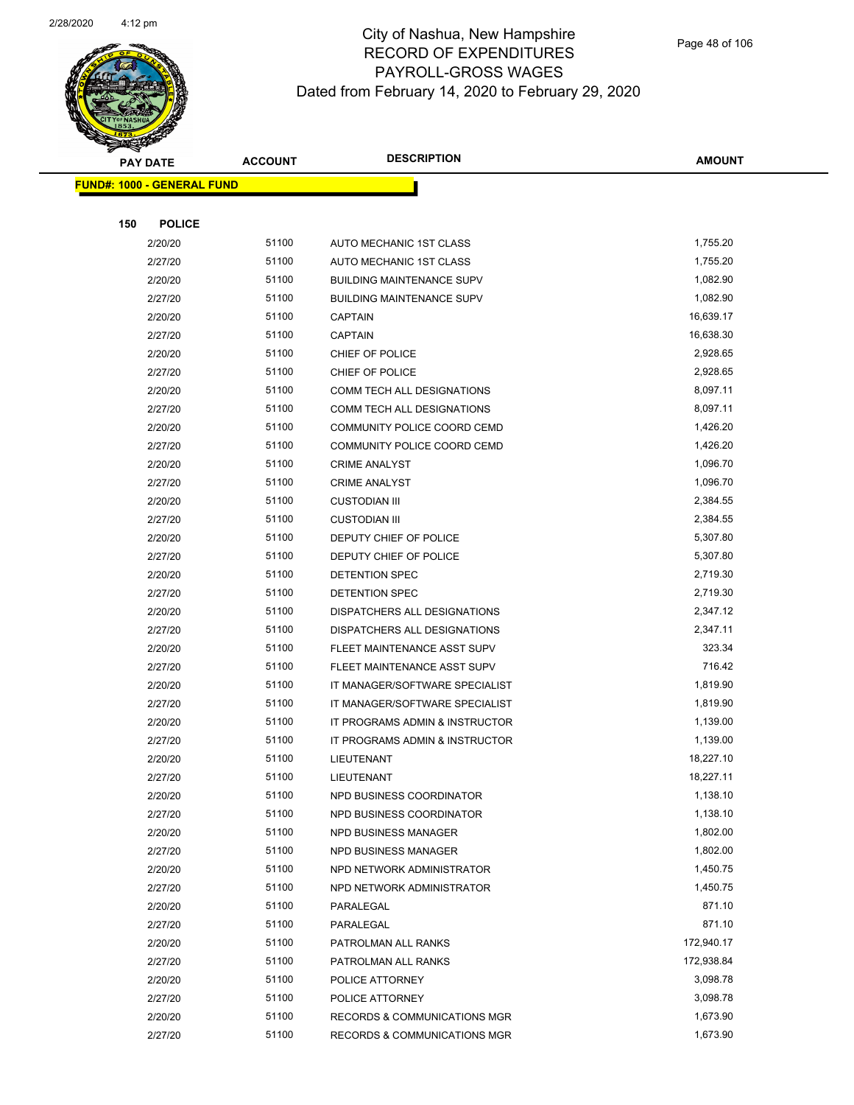

|     | <b>PAY DATE</b>                   | <b>ACCOUNT</b> | <b>DESCRIPTION</b>                      | <b>AMOUNT</b> |
|-----|-----------------------------------|----------------|-----------------------------------------|---------------|
|     | <b>FUND#: 1000 - GENERAL FUND</b> |                |                                         |               |
|     |                                   |                |                                         |               |
| 150 | <b>POLICE</b>                     |                |                                         |               |
|     | 2/20/20                           | 51100          | AUTO MECHANIC 1ST CLASS                 | 1,755.20      |
|     | 2/27/20                           | 51100          | AUTO MECHANIC 1ST CLASS                 | 1,755.20      |
|     | 2/20/20                           | 51100          | <b>BUILDING MAINTENANCE SUPV</b>        | 1,082.90      |
|     | 2/27/20                           | 51100          | <b>BUILDING MAINTENANCE SUPV</b>        | 1,082.90      |
|     | 2/20/20                           | 51100          | <b>CAPTAIN</b>                          | 16,639.17     |
|     | 2/27/20                           | 51100          | <b>CAPTAIN</b>                          | 16,638.30     |
|     | 2/20/20                           | 51100          | CHIEF OF POLICE                         | 2,928.65      |
|     | 2/27/20                           | 51100          | CHIEF OF POLICE                         | 2,928.65      |
|     | 2/20/20                           | 51100          | COMM TECH ALL DESIGNATIONS              | 8,097.11      |
|     | 2/27/20                           | 51100          | COMM TECH ALL DESIGNATIONS              | 8,097.11      |
|     | 2/20/20                           | 51100          | COMMUNITY POLICE COORD CEMD             | 1,426.20      |
|     | 2/27/20                           | 51100          | COMMUNITY POLICE COORD CEMD             | 1,426.20      |
|     | 2/20/20                           | 51100          | <b>CRIME ANALYST</b>                    | 1,096.70      |
|     | 2/27/20                           | 51100          | <b>CRIME ANALYST</b>                    | 1,096.70      |
|     | 2/20/20                           | 51100          | <b>CUSTODIAN III</b>                    | 2,384.55      |
|     | 2/27/20                           | 51100          | <b>CUSTODIAN III</b>                    | 2,384.55      |
|     | 2/20/20                           | 51100          | DEPUTY CHIEF OF POLICE                  | 5,307.80      |
|     | 2/27/20                           | 51100          | DEPUTY CHIEF OF POLICE                  | 5,307.80      |
|     | 2/20/20                           | 51100          | DETENTION SPEC                          | 2,719.30      |
|     | 2/27/20                           | 51100          | DETENTION SPEC                          | 2,719.30      |
|     | 2/20/20                           | 51100          | DISPATCHERS ALL DESIGNATIONS            | 2,347.12      |
|     | 2/27/20                           | 51100          | DISPATCHERS ALL DESIGNATIONS            | 2,347.11      |
|     | 2/20/20                           | 51100          | FLEET MAINTENANCE ASST SUPV             | 323.34        |
|     | 2/27/20                           | 51100          | FLEET MAINTENANCE ASST SUPV             | 716.42        |
|     | 2/20/20                           | 51100          | IT MANAGER/SOFTWARE SPECIALIST          | 1,819.90      |
|     | 2/27/20                           | 51100          | IT MANAGER/SOFTWARE SPECIALIST          | 1,819.90      |
|     | 2/20/20                           | 51100          | IT PROGRAMS ADMIN & INSTRUCTOR          | 1,139.00      |
|     | 2/27/20                           | 51100          | IT PROGRAMS ADMIN & INSTRUCTOR          | 1,139.00      |
|     | 2/20/20                           | 51100          | LIEUTENANT                              | 18,227.10     |
|     | 2/27/20                           | 51100          | LIEUTENANT                              | 18,227.11     |
|     | 2/20/20                           | 51100          | NPD BUSINESS COORDINATOR                | 1,138.10      |
|     | 2/27/20                           | 51100          | NPD BUSINESS COORDINATOR                | 1,138.10      |
|     | 2/20/20                           | 51100          | NPD BUSINESS MANAGER                    | 1,802.00      |
|     | 2/27/20                           | 51100          | NPD BUSINESS MANAGER                    | 1,802.00      |
|     | 2/20/20                           | 51100          | NPD NETWORK ADMINISTRATOR               | 1,450.75      |
|     | 2/27/20                           | 51100          | NPD NETWORK ADMINISTRATOR               | 1,450.75      |
|     | 2/20/20                           | 51100          | PARALEGAL                               | 871.10        |
|     | 2/27/20                           | 51100          | PARALEGAL                               | 871.10        |
|     | 2/20/20                           | 51100          | PATROLMAN ALL RANKS                     | 172,940.17    |
|     | 2/27/20                           | 51100          | PATROLMAN ALL RANKS                     | 172,938.84    |
|     | 2/20/20                           | 51100          | POLICE ATTORNEY                         | 3,098.78      |
|     | 2/27/20                           | 51100          | POLICE ATTORNEY                         | 3,098.78      |
|     | 2/20/20                           | 51100          | <b>RECORDS &amp; COMMUNICATIONS MGR</b> | 1,673.90      |
|     | 2/27/20                           | 51100          | RECORDS & COMMUNICATIONS MGR            | 1,673.90      |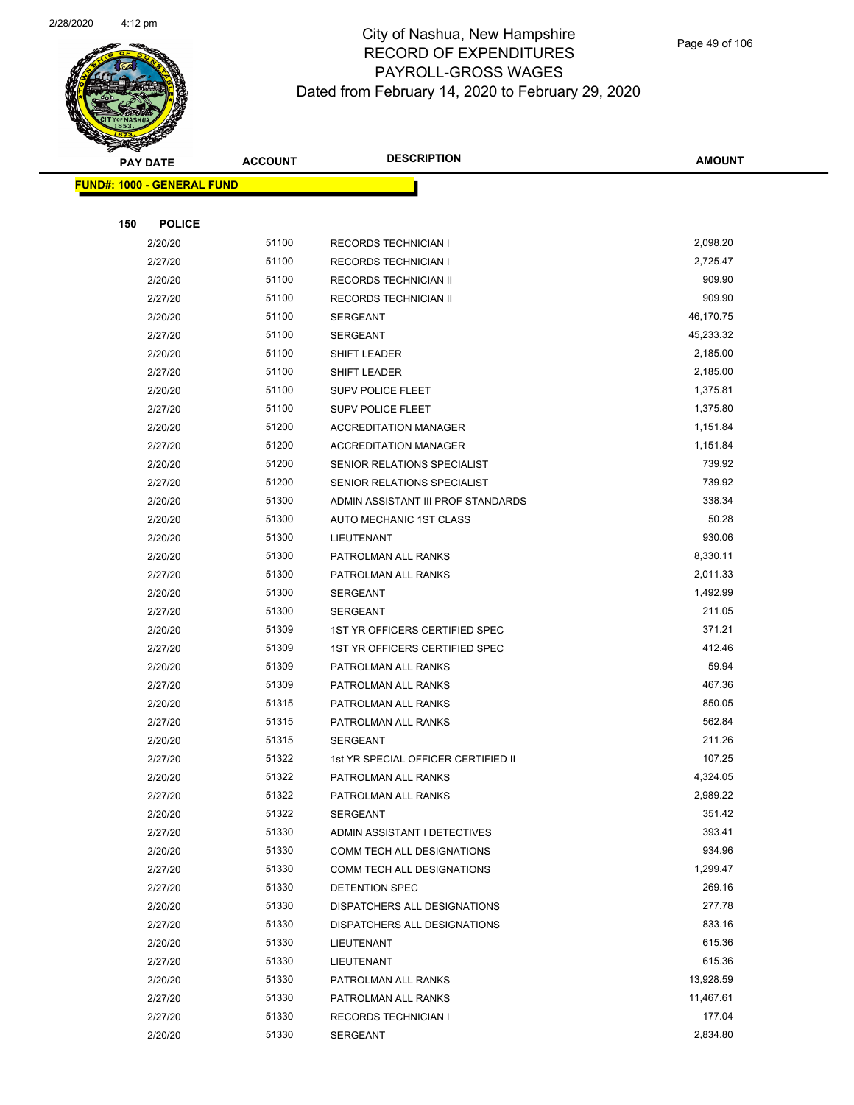

Page 49 of 106

|     | <b>PAY DATE</b>                   | <b>ACCOUNT</b> | <b>DESCRIPTION</b>                         | <b>AMOUNT</b>      |
|-----|-----------------------------------|----------------|--------------------------------------------|--------------------|
|     | <b>FUND#: 1000 - GENERAL FUND</b> |                |                                            |                    |
|     |                                   |                |                                            |                    |
| 150 | <b>POLICE</b>                     |                |                                            |                    |
|     | 2/20/20                           | 51100          | <b>RECORDS TECHNICIAN I</b>                | 2,098.20           |
|     | 2/27/20                           | 51100          | <b>RECORDS TECHNICIAN I</b>                | 2,725.47           |
|     | 2/20/20                           | 51100          | RECORDS TECHNICIAN II                      | 909.90             |
|     | 2/27/20                           | 51100          | RECORDS TECHNICIAN II                      | 909.90             |
|     | 2/20/20                           | 51100          | <b>SERGEANT</b>                            | 46,170.75          |
|     | 2/27/20                           | 51100          | <b>SERGEANT</b>                            | 45,233.32          |
|     | 2/20/20                           | 51100          | SHIFT LEADER                               | 2,185.00           |
|     | 2/27/20                           | 51100          | SHIFT LEADER                               | 2,185.00           |
|     | 2/20/20                           | 51100          | <b>SUPV POLICE FLEET</b>                   | 1,375.81           |
|     | 2/27/20                           | 51100          | SUPV POLICE FLEET                          | 1,375.80           |
|     | 2/20/20                           | 51200          | <b>ACCREDITATION MANAGER</b>               | 1,151.84           |
|     | 2/27/20                           | 51200          | <b>ACCREDITATION MANAGER</b>               | 1,151.84           |
|     | 2/20/20                           | 51200          | SENIOR RELATIONS SPECIALIST                | 739.92             |
|     | 2/27/20                           | 51200          | SENIOR RELATIONS SPECIALIST                | 739.92             |
|     | 2/20/20                           | 51300          | ADMIN ASSISTANT III PROF STANDARDS         | 338.34             |
|     | 2/20/20                           | 51300          | AUTO MECHANIC 1ST CLASS                    | 50.28              |
|     | 2/20/20                           | 51300          | LIEUTENANT                                 | 930.06             |
|     | 2/20/20                           | 51300          | PATROLMAN ALL RANKS                        | 8,330.11           |
|     | 2/27/20                           | 51300          | PATROLMAN ALL RANKS                        | 2,011.33           |
|     | 2/20/20                           | 51300          | <b>SERGEANT</b>                            | 1,492.99           |
|     | 2/27/20                           | 51300          | <b>SERGEANT</b>                            | 211.05             |
|     | 2/20/20                           | 51309          | 1ST YR OFFICERS CERTIFIED SPEC             | 371.21             |
|     | 2/27/20                           | 51309          | 1ST YR OFFICERS CERTIFIED SPEC             | 412.46             |
|     | 2/20/20                           | 51309          | PATROLMAN ALL RANKS                        | 59.94              |
|     | 2/27/20                           | 51309          | PATROLMAN ALL RANKS                        | 467.36             |
|     | 2/20/20                           | 51315          | PATROLMAN ALL RANKS                        | 850.05             |
|     | 2/27/20                           | 51315          | PATROLMAN ALL RANKS                        | 562.84             |
|     | 2/20/20                           | 51315          | <b>SERGEANT</b>                            | 211.26             |
|     | 2/27/20                           | 51322          | 1st YR SPECIAL OFFICER CERTIFIED II        | 107.25             |
|     | 2/20/20                           | 51322          | PATROLMAN ALL RANKS                        | 4,324.05           |
|     | 2/27/20                           | 51322          | PATROLMAN ALL RANKS                        | 2,989.22           |
|     | 2/20/20                           | 51322          | SERGEANT                                   | 351.42             |
|     | 2/27/20                           | 51330          | ADMIN ASSISTANT I DETECTIVES               | 393.41             |
|     | 2/20/20                           | 51330          | COMM TECH ALL DESIGNATIONS                 | 934.96             |
|     | 2/27/20                           | 51330<br>51330 | <b>COMM TECH ALL DESIGNATIONS</b>          | 1,299.47<br>269.16 |
|     | 2/27/20                           | 51330          | DETENTION SPEC                             | 277.78             |
|     | 2/20/20                           | 51330          | DISPATCHERS ALL DESIGNATIONS               | 833.16             |
|     | 2/27/20<br>2/20/20                | 51330          | DISPATCHERS ALL DESIGNATIONS<br>LIEUTENANT | 615.36             |
|     | 2/27/20                           | 51330          |                                            | 615.36             |
|     | 2/20/20                           | 51330          | LIEUTENANT<br>PATROLMAN ALL RANKS          | 13,928.59          |
|     | 2/27/20                           | 51330          | PATROLMAN ALL RANKS                        | 11,467.61          |
|     | 2/27/20                           | 51330          | <b>RECORDS TECHNICIAN I</b>                | 177.04             |
|     | 2/20/20                           | 51330          | SERGEANT                                   | 2,834.80           |
|     |                                   |                |                                            |                    |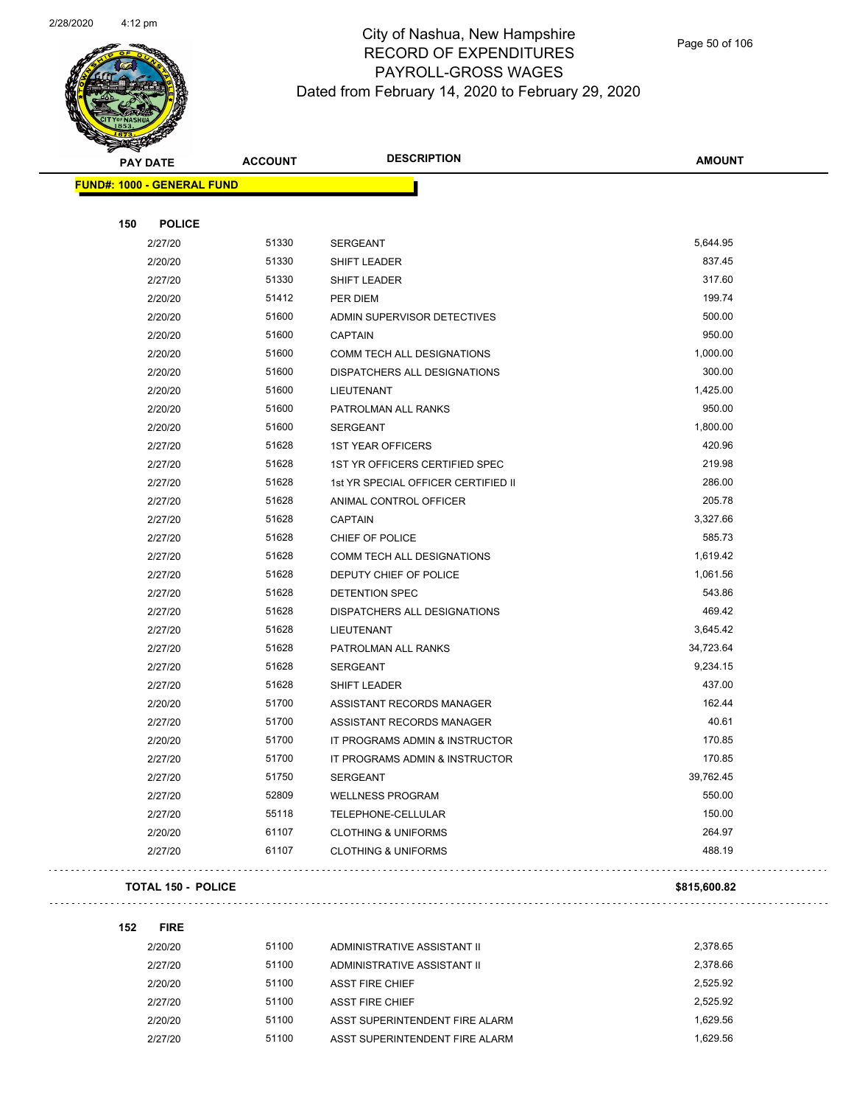

|     | <b>PAY DATE</b>                    | <b>ACCOUNT</b> | <b>DESCRIPTION</b>                  | <b>AMOUNT</b> |
|-----|------------------------------------|----------------|-------------------------------------|---------------|
|     | <u> FUND#: 1000 - GENERAL FUND</u> |                |                                     |               |
|     |                                    |                |                                     |               |
| 150 | <b>POLICE</b>                      |                |                                     |               |
|     | 2/27/20                            | 51330          | <b>SERGEANT</b>                     | 5,644.95      |
|     | 2/20/20                            | 51330          | SHIFT LEADER                        | 837.45        |
|     | 2/27/20                            | 51330          | SHIFT LEADER                        | 317.60        |
|     | 2/20/20                            | 51412          | PER DIEM                            | 199.74        |
|     | 2/20/20                            | 51600          | ADMIN SUPERVISOR DETECTIVES         | 500.00        |
|     | 2/20/20                            | 51600          | <b>CAPTAIN</b>                      | 950.00        |
|     | 2/20/20                            | 51600          | COMM TECH ALL DESIGNATIONS          | 1,000.00      |
|     | 2/20/20                            | 51600          | DISPATCHERS ALL DESIGNATIONS        | 300.00        |
|     | 2/20/20                            | 51600          | <b>LIEUTENANT</b>                   | 1,425.00      |
|     | 2/20/20                            | 51600          | PATROLMAN ALL RANKS                 | 950.00        |
|     | 2/20/20                            | 51600          | <b>SERGEANT</b>                     | 1,800.00      |
|     | 2/27/20                            | 51628          | <b>1ST YEAR OFFICERS</b>            | 420.96        |
|     | 2/27/20                            | 51628          | 1ST YR OFFICERS CERTIFIED SPEC      | 219.98        |
|     | 2/27/20                            | 51628          | 1st YR SPECIAL OFFICER CERTIFIED II | 286.00        |
|     | 2/27/20                            | 51628          | ANIMAL CONTROL OFFICER              | 205.78        |
|     | 2/27/20                            | 51628          | <b>CAPTAIN</b>                      | 3,327.66      |
|     | 2/27/20                            | 51628          | CHIEF OF POLICE                     | 585.73        |
|     | 2/27/20                            | 51628          | COMM TECH ALL DESIGNATIONS          | 1,619.42      |
|     | 2/27/20                            | 51628          | DEPUTY CHIEF OF POLICE              | 1,061.56      |
|     | 2/27/20                            | 51628          | <b>DETENTION SPEC</b>               | 543.86        |
|     | 2/27/20                            | 51628          | DISPATCHERS ALL DESIGNATIONS        | 469.42        |
|     | 2/27/20                            | 51628          | LIEUTENANT                          | 3,645.42      |
|     | 2/27/20                            | 51628          | PATROLMAN ALL RANKS                 | 34,723.64     |
|     | 2/27/20                            | 51628          | <b>SERGEANT</b>                     | 9,234.15      |
|     | 2/27/20                            | 51628          | SHIFT LEADER                        | 437.00        |
|     | 2/20/20                            | 51700          | ASSISTANT RECORDS MANAGER           | 162.44        |
|     | 2/27/20                            | 51700          | ASSISTANT RECORDS MANAGER           | 40.61         |
|     | 2/20/20                            | 51700          | IT PROGRAMS ADMIN & INSTRUCTOR      | 170.85        |
|     | 2/27/20                            | 51700          | IT PROGRAMS ADMIN & INSTRUCTOR      | 170.85        |
|     | 2/27/20                            | 51750          | <b>SERGEANT</b>                     | 39,762.45     |
|     | 2/27/20                            | 52809          | <b>WELLNESS PROGRAM</b>             | 550.00        |
|     | 2/27/20                            | 55118          | TELEPHONE-CELLULAR                  | 150.00        |
|     | 2/20/20                            | 61107          | <b>CLOTHING &amp; UNIFORMS</b>      | 264.97        |
|     | 2/27/20                            | 61107          | <b>CLOTHING &amp; UNIFORMS</b>      | 488.19        |
|     |                                    |                |                                     |               |

#### **TOTAL 150 - POLICE \$815,600.82**

**152 FIRE**

 $\mathbb{Z}^2$  ,  $\mathbb{Z}^2$  ,  $\mathbb{Z}^2$ 

| 2/20/20 | 51100 | ADMINISTRATIVE ASSISTANT II    | 2.378.65 |
|---------|-------|--------------------------------|----------|
| 2/27/20 | 51100 | ADMINISTRATIVE ASSISTANT II    | 2.378.66 |
| 2/20/20 | 51100 | ASST FIRE CHIEF                | 2.525.92 |
| 2/27/20 | 51100 | ASST FIRE CHIEF                | 2.525.92 |
| 2/20/20 | 51100 | ASST SUPERINTENDENT FIRE ALARM | 1.629.56 |
| 2/27/20 | 51100 | ASST SUPERINTENDENT FIRE ALARM | 1.629.56 |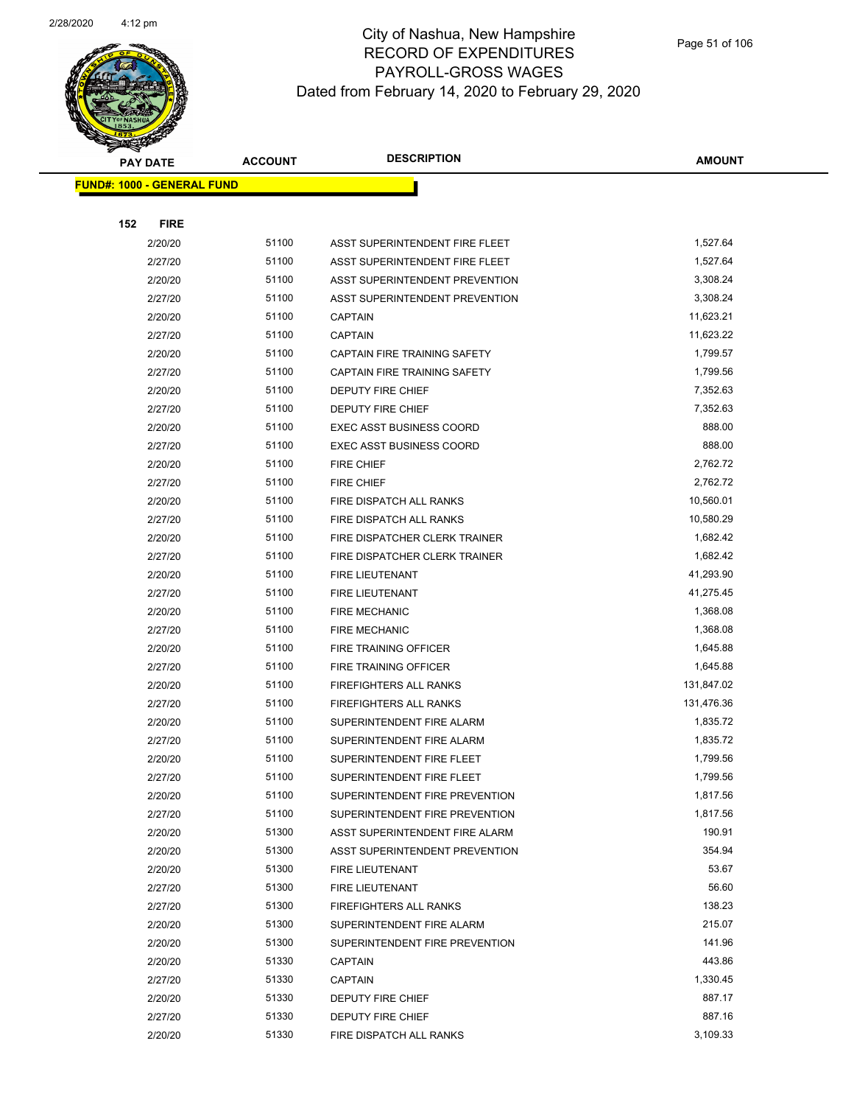

|     | <b>PAY DATE</b>                    | <b>ACCOUNT</b> | <b>DESCRIPTION</b>              | <b>AMOUNT</b> |
|-----|------------------------------------|----------------|---------------------------------|---------------|
|     | <u> FUND#: 1000 - GENERAL FUND</u> |                |                                 |               |
|     |                                    |                |                                 |               |
| 152 | <b>FIRE</b>                        |                |                                 |               |
|     | 2/20/20                            | 51100          | ASST SUPERINTENDENT FIRE FLEET  | 1,527.64      |
|     | 2/27/20                            | 51100          | ASST SUPERINTENDENT FIRE FLEET  | 1,527.64      |
|     | 2/20/20                            | 51100          | ASST SUPERINTENDENT PREVENTION  | 3,308.24      |
|     | 2/27/20                            | 51100          | ASST SUPERINTENDENT PREVENTION  | 3,308.24      |
|     | 2/20/20                            | 51100          | <b>CAPTAIN</b>                  | 11,623.21     |
|     | 2/27/20                            | 51100          | <b>CAPTAIN</b>                  | 11,623.22     |
|     | 2/20/20                            | 51100          | CAPTAIN FIRE TRAINING SAFETY    | 1,799.57      |
|     | 2/27/20                            | 51100          | CAPTAIN FIRE TRAINING SAFETY    | 1,799.56      |
|     | 2/20/20                            | 51100          | <b>DEPUTY FIRE CHIEF</b>        | 7,352.63      |
|     | 2/27/20                            | 51100          | DEPUTY FIRE CHIEF               | 7,352.63      |
|     | 2/20/20                            | 51100          | <b>EXEC ASST BUSINESS COORD</b> | 888.00        |
|     | 2/27/20                            | 51100          | <b>EXEC ASST BUSINESS COORD</b> | 888.00        |
|     | 2/20/20                            | 51100          | <b>FIRE CHIEF</b>               | 2,762.72      |
|     | 2/27/20                            | 51100          | <b>FIRE CHIEF</b>               | 2,762.72      |
|     | 2/20/20                            | 51100          | FIRE DISPATCH ALL RANKS         | 10,560.01     |
|     | 2/27/20                            | 51100          | FIRE DISPATCH ALL RANKS         | 10,580.29     |
|     | 2/20/20                            | 51100          | FIRE DISPATCHER CLERK TRAINER   | 1,682.42      |
|     | 2/27/20                            | 51100          | FIRE DISPATCHER CLERK TRAINER   | 1,682.42      |
|     | 2/20/20                            | 51100          | FIRE LIEUTENANT                 | 41,293.90     |
|     | 2/27/20                            | 51100          | <b>FIRE LIEUTENANT</b>          | 41,275.45     |
|     | 2/20/20                            | 51100          | <b>FIRE MECHANIC</b>            | 1,368.08      |
|     | 2/27/20                            | 51100          | <b>FIRE MECHANIC</b>            | 1,368.08      |
|     | 2/20/20                            | 51100          | FIRE TRAINING OFFICER           | 1,645.88      |
|     | 2/27/20                            | 51100          | FIRE TRAINING OFFICER           | 1,645.88      |
|     | 2/20/20                            | 51100          | <b>FIREFIGHTERS ALL RANKS</b>   | 131,847.02    |
|     | 2/27/20                            | 51100          | FIREFIGHTERS ALL RANKS          | 131,476.36    |
|     | 2/20/20                            | 51100          | SUPERINTENDENT FIRE ALARM       | 1,835.72      |
|     | 2/27/20                            | 51100          | SUPERINTENDENT FIRE ALARM       | 1,835.72      |
|     | 2/20/20                            | 51100          | SUPERINTENDENT FIRE FLEET       | 1,799.56      |
|     | 2/27/20                            | 51100          | SUPERINTENDENT FIRE FLEET       | 1,799.56      |
|     | 2/20/20                            | 51100          | SUPERINTENDENT FIRE PREVENTION  | 1,817.56      |
|     | 2/27/20                            | 51100          | SUPERINTENDENT FIRE PREVENTION  | 1,817.56      |
|     | 2/20/20                            | 51300          | ASST SUPERINTENDENT FIRE ALARM  | 190.91        |
|     | 2/20/20                            | 51300          | ASST SUPERINTENDENT PREVENTION  | 354.94        |
|     | 2/20/20                            | 51300          | <b>FIRE LIEUTENANT</b>          | 53.67         |
|     | 2/27/20                            | 51300          | FIRE LIEUTENANT                 | 56.60         |
|     | 2/27/20                            | 51300          | FIREFIGHTERS ALL RANKS          | 138.23        |
|     | 2/20/20                            | 51300          | SUPERINTENDENT FIRE ALARM       | 215.07        |
|     | 2/20/20                            | 51300          | SUPERINTENDENT FIRE PREVENTION  | 141.96        |
|     | 2/20/20                            | 51330          | <b>CAPTAIN</b>                  | 443.86        |
|     | 2/27/20                            | 51330          | <b>CAPTAIN</b>                  | 1,330.45      |
|     | 2/20/20                            | 51330          | DEPUTY FIRE CHIEF               | 887.17        |
|     | 2/27/20                            | 51330          | DEPUTY FIRE CHIEF               | 887.16        |
|     | 2/20/20                            | 51330          | FIRE DISPATCH ALL RANKS         | 3,109.33      |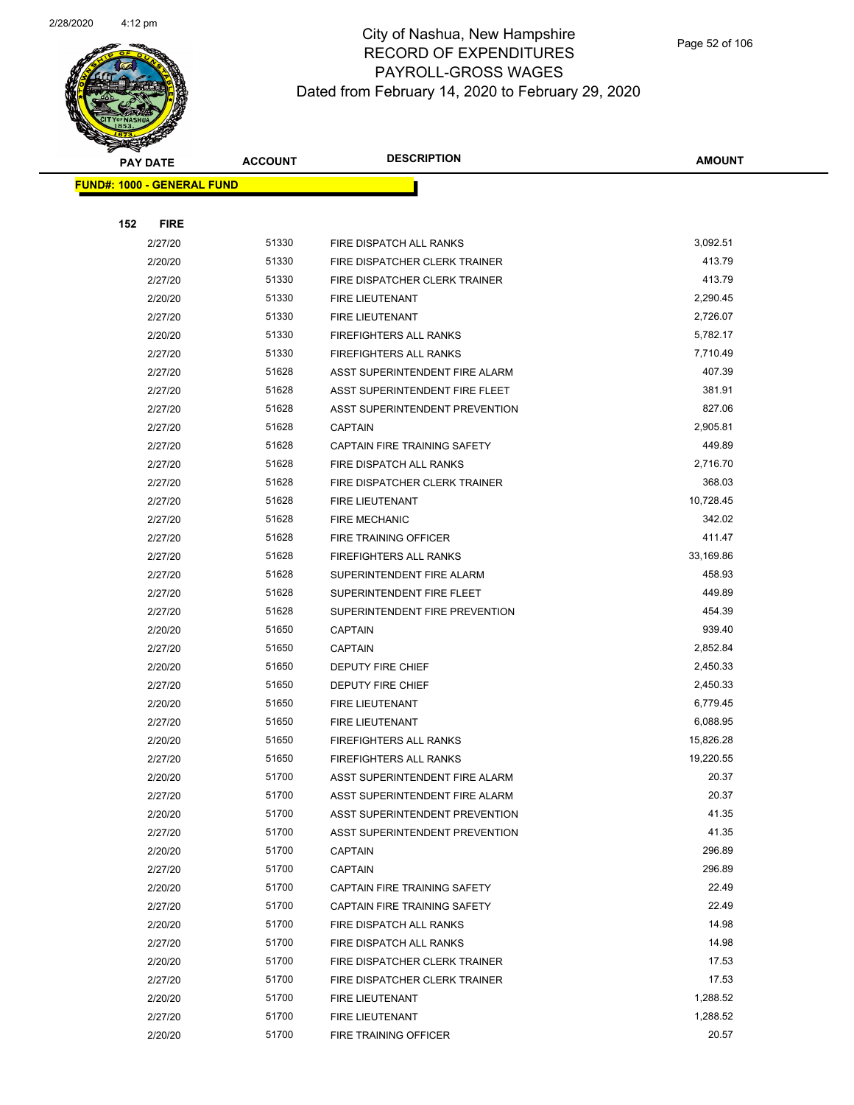

|     | <b>PAY DATE</b>                   | <b>ACCOUNT</b> | <b>DESCRIPTION</b>                  | <b>AMOUNT</b> |  |
|-----|-----------------------------------|----------------|-------------------------------------|---------------|--|
|     | <b>FUND#: 1000 - GENERAL FUND</b> |                |                                     |               |  |
|     |                                   |                |                                     |               |  |
| 152 | <b>FIRE</b>                       |                |                                     |               |  |
|     | 2/27/20                           | 51330          | FIRE DISPATCH ALL RANKS             | 3,092.51      |  |
|     | 2/20/20                           | 51330          | FIRE DISPATCHER CLERK TRAINER       | 413.79        |  |
|     | 2/27/20                           | 51330          | FIRE DISPATCHER CLERK TRAINER       | 413.79        |  |
|     | 2/20/20                           | 51330          | FIRE LIEUTENANT                     | 2,290.45      |  |
|     | 2/27/20                           | 51330          | FIRE LIEUTENANT                     | 2,726.07      |  |
|     | 2/20/20                           | 51330          | <b>FIREFIGHTERS ALL RANKS</b>       | 5,782.17      |  |
|     | 2/27/20                           | 51330          | <b>FIREFIGHTERS ALL RANKS</b>       | 7,710.49      |  |
|     | 2/27/20                           | 51628          | ASST SUPERINTENDENT FIRE ALARM      | 407.39        |  |
|     | 2/27/20                           | 51628          | ASST SUPERINTENDENT FIRE FLEET      | 381.91        |  |
|     | 2/27/20                           | 51628          | ASST SUPERINTENDENT PREVENTION      | 827.06        |  |
|     | 2/27/20                           | 51628          | <b>CAPTAIN</b>                      | 2,905.81      |  |
|     | 2/27/20                           | 51628          | <b>CAPTAIN FIRE TRAINING SAFETY</b> | 449.89        |  |
|     | 2/27/20                           | 51628          | FIRE DISPATCH ALL RANKS             | 2,716.70      |  |
|     | 2/27/20                           | 51628          | FIRE DISPATCHER CLERK TRAINER       | 368.03        |  |
|     | 2/27/20                           | 51628          | FIRE LIEUTENANT                     | 10,728.45     |  |
|     | 2/27/20                           | 51628          | <b>FIRE MECHANIC</b>                | 342.02        |  |
|     | 2/27/20                           | 51628          | FIRE TRAINING OFFICER               | 411.47        |  |
|     | 2/27/20                           | 51628          | <b>FIREFIGHTERS ALL RANKS</b>       | 33,169.86     |  |
|     | 2/27/20                           | 51628          | SUPERINTENDENT FIRE ALARM           | 458.93        |  |
|     | 2/27/20                           | 51628          | SUPERINTENDENT FIRE FLEET           | 449.89        |  |
|     | 2/27/20                           | 51628          | SUPERINTENDENT FIRE PREVENTION      | 454.39        |  |
|     | 2/20/20                           | 51650          | <b>CAPTAIN</b>                      | 939.40        |  |
|     | 2/27/20                           | 51650          | <b>CAPTAIN</b>                      | 2,852.84      |  |
|     | 2/20/20                           | 51650          | <b>DEPUTY FIRE CHIEF</b>            | 2,450.33      |  |
|     | 2/27/20                           | 51650          | DEPUTY FIRE CHIEF                   | 2,450.33      |  |
|     | 2/20/20                           | 51650          | FIRE LIEUTENANT                     | 6,779.45      |  |
|     | 2/27/20                           | 51650          | FIRE LIEUTENANT                     | 6,088.95      |  |
|     | 2/20/20                           | 51650          | <b>FIREFIGHTERS ALL RANKS</b>       | 15,826.28     |  |
|     | 2/27/20                           | 51650          | FIREFIGHTERS ALL RANKS              | 19,220.55     |  |
|     | 2/20/20                           | 51700          | ASST SUPERINTENDENT FIRE ALARM      | 20.37         |  |
|     | 2/27/20                           | 51700          | ASST SUPERINTENDENT FIRE ALARM      | 20.37         |  |
|     | 2/20/20                           | 51700          | ASST SUPERINTENDENT PREVENTION      | 41.35         |  |
|     | 2/27/20                           | 51700          | ASST SUPERINTENDENT PREVENTION      | 41.35         |  |
|     | 2/20/20                           | 51700          | <b>CAPTAIN</b>                      | 296.89        |  |
|     | 2/27/20                           | 51700          | <b>CAPTAIN</b>                      | 296.89        |  |
|     | 2/20/20                           | 51700          | CAPTAIN FIRE TRAINING SAFETY        | 22.49         |  |
|     | 2/27/20                           | 51700          | CAPTAIN FIRE TRAINING SAFETY        | 22.49         |  |
|     | 2/20/20                           | 51700          | FIRE DISPATCH ALL RANKS             | 14.98         |  |
|     | 2/27/20                           | 51700          | FIRE DISPATCH ALL RANKS             | 14.98         |  |
|     | 2/20/20                           | 51700          | FIRE DISPATCHER CLERK TRAINER       | 17.53         |  |
|     | 2/27/20                           | 51700          | FIRE DISPATCHER CLERK TRAINER       | 17.53         |  |
|     | 2/20/20                           | 51700          | FIRE LIEUTENANT                     | 1,288.52      |  |
|     | 2/27/20                           | 51700          | FIRE LIEUTENANT                     | 1,288.52      |  |
|     | 2/20/20                           | 51700          | FIRE TRAINING OFFICER               | 20.57         |  |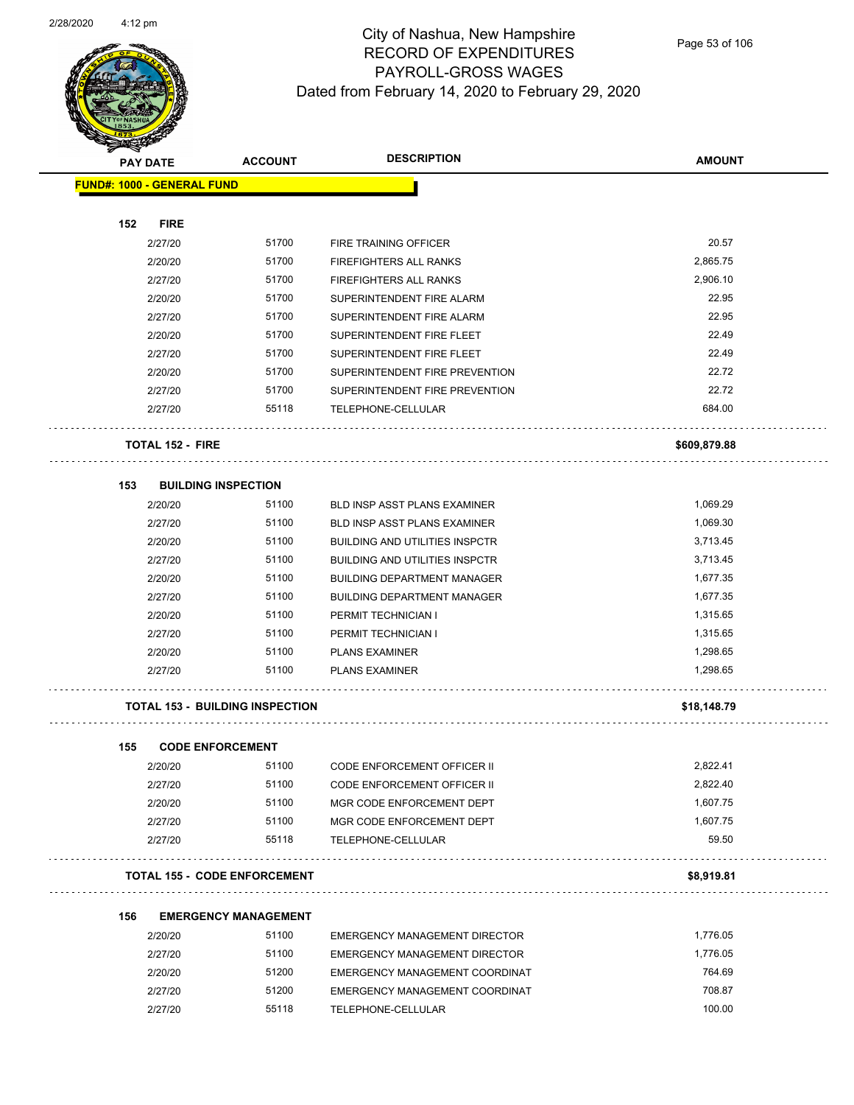

Page 53 of 106

| $\tilde{\phantom{a}}$             | <b>PAY DATE</b>         | <b>ACCOUNT</b>                         | <b>DESCRIPTION</b>                    | <b>AMOUNT</b> |
|-----------------------------------|-------------------------|----------------------------------------|---------------------------------------|---------------|
| <b>FUND#: 1000 - GENERAL FUND</b> |                         |                                        |                                       |               |
|                                   |                         |                                        |                                       |               |
| 152                               | <b>FIRE</b>             |                                        |                                       |               |
|                                   | 2/27/20                 | 51700                                  | FIRE TRAINING OFFICER                 | 20.57         |
|                                   | 2/20/20                 | 51700                                  | FIREFIGHTERS ALL RANKS                | 2,865.75      |
|                                   | 2/27/20                 | 51700                                  | FIREFIGHTERS ALL RANKS                | 2,906.10      |
|                                   | 2/20/20                 | 51700                                  | SUPERINTENDENT FIRE ALARM             | 22.95         |
|                                   | 2/27/20                 | 51700                                  | SUPERINTENDENT FIRE ALARM             | 22.95         |
|                                   | 2/20/20                 | 51700                                  | SUPERINTENDENT FIRE FLEET             | 22.49         |
|                                   | 2/27/20                 | 51700                                  | SUPERINTENDENT FIRE FLEET             | 22.49         |
|                                   | 2/20/20                 | 51700                                  | SUPERINTENDENT FIRE PREVENTION        | 22.72         |
|                                   | 2/27/20                 | 51700                                  | SUPERINTENDENT FIRE PREVENTION        | 22.72         |
|                                   | 2/27/20                 | 55118                                  | TELEPHONE-CELLULAR                    | 684.00        |
|                                   | <b>TOTAL 152 - FIRE</b> |                                        |                                       | \$609,879.88  |
| 153                               |                         | <b>BUILDING INSPECTION</b>             |                                       |               |
|                                   | 2/20/20                 | 51100                                  | BLD INSP ASST PLANS EXAMINER          | 1,069.29      |
|                                   | 2/27/20                 | 51100                                  | <b>BLD INSP ASST PLANS EXAMINER</b>   | 1,069.30      |
|                                   | 2/20/20                 | 51100                                  | <b>BUILDING AND UTILITIES INSPCTR</b> | 3,713.45      |
|                                   | 2/27/20                 | 51100                                  | <b>BUILDING AND UTILITIES INSPCTR</b> | 3,713.45      |
|                                   | 2/20/20                 | 51100                                  | <b>BUILDING DEPARTMENT MANAGER</b>    | 1,677.35      |
|                                   | 2/27/20                 | 51100                                  | <b>BUILDING DEPARTMENT MANAGER</b>    | 1,677.35      |
|                                   | 2/20/20                 | 51100                                  | PERMIT TECHNICIAN I                   | 1,315.65      |
|                                   | 2/27/20                 | 51100                                  | PERMIT TECHNICIAN I                   | 1,315.65      |
|                                   | 2/20/20                 | 51100                                  | <b>PLANS EXAMINER</b>                 | 1,298.65      |
|                                   | 2/27/20                 | 51100                                  | <b>PLANS EXAMINER</b>                 | 1,298.65      |
|                                   |                         | <b>TOTAL 153 - BUILDING INSPECTION</b> |                                       | \$18,148.79   |
| 155                               |                         | <b>CODE ENFORCEMENT</b>                |                                       |               |
|                                   | 2/20/20                 | 51100                                  | <b>CODE ENFORCEMENT OFFICER II</b>    | 2,822.41      |
|                                   | 2/27/20                 | 51100                                  | CODE ENFORCEMENT OFFICER II           | 2,822.40      |
|                                   | 2/20/20                 | 51100                                  | MGR CODE ENFORCEMENT DEPT             | 1,607.75      |
|                                   | 2/27/20                 | 51100                                  | MGR CODE ENFORCEMENT DEPT             | 1,607.75      |
|                                   | 2/27/20                 | 55118                                  | TELEPHONE-CELLULAR                    | 59.50         |
|                                   |                         | <b>TOTAL 155 - CODE ENFORCEMENT</b>    |                                       | \$8,919.81    |
|                                   |                         |                                        |                                       |               |
| 156                               |                         | <b>EMERGENCY MANAGEMENT</b>            |                                       |               |
|                                   | 2/20/20                 | 51100                                  | EMERGENCY MANAGEMENT DIRECTOR         | 1,776.05      |
|                                   | 2/27/20                 | 51100                                  | <b>EMERGENCY MANAGEMENT DIRECTOR</b>  | 1,776.05      |
|                                   | 2/20/20                 | 51200                                  | EMERGENCY MANAGEMENT COORDINAT        | 764.69        |
|                                   | 2/27/20                 | 51200                                  | EMERGENCY MANAGEMENT COORDINAT        | 708.87        |
|                                   | 2/27/20                 | 55118                                  | TELEPHONE-CELLULAR                    | 100.00        |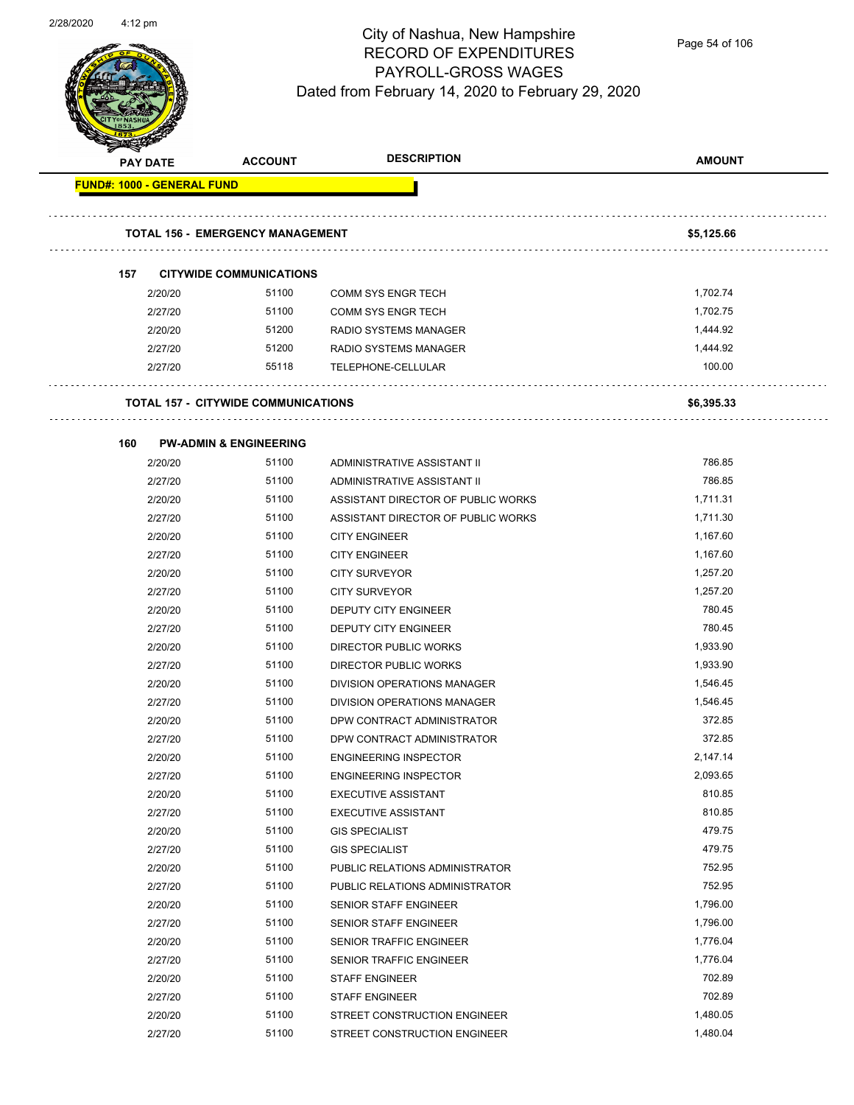

|                                   | <b>PAY DATE</b> | <b>ACCOUNT</b>                             | <b>DESCRIPTION</b>                 | <b>AMOUNT</b> |
|-----------------------------------|-----------------|--------------------------------------------|------------------------------------|---------------|
| <b>FUND#: 1000 - GENERAL FUND</b> |                 |                                            |                                    |               |
|                                   |                 | <b>TOTAL 156 - EMERGENCY MANAGEMENT</b>    |                                    | \$5,125.66    |
|                                   |                 |                                            |                                    |               |
| 157                               |                 | <b>CITYWIDE COMMUNICATIONS</b>             |                                    |               |
|                                   | 2/20/20         | 51100                                      | <b>COMM SYS ENGR TECH</b>          | 1,702.74      |
|                                   | 2/27/20         | 51100                                      | <b>COMM SYS ENGR TECH</b>          | 1,702.75      |
|                                   | 2/20/20         | 51200                                      | <b>RADIO SYSTEMS MANAGER</b>       | 1,444.92      |
|                                   | 2/27/20         | 51200                                      | RADIO SYSTEMS MANAGER              | 1,444.92      |
|                                   | 2/27/20         | 55118                                      | TELEPHONE-CELLULAR                 | 100.00        |
|                                   |                 | <b>TOTAL 157 - CITYWIDE COMMUNICATIONS</b> |                                    | \$6,395.33    |
| 160                               |                 | <b>PW-ADMIN &amp; ENGINEERING</b>          |                                    |               |
|                                   | 2/20/20         | 51100                                      | ADMINISTRATIVE ASSISTANT II        | 786.85        |
|                                   | 2/27/20         | 51100                                      | ADMINISTRATIVE ASSISTANT II        | 786.85        |
|                                   | 2/20/20         | 51100                                      | ASSISTANT DIRECTOR OF PUBLIC WORKS | 1,711.31      |
|                                   | 2/27/20         | 51100                                      | ASSISTANT DIRECTOR OF PUBLIC WORKS | 1,711.30      |
|                                   | 2/20/20         | 51100                                      | <b>CITY ENGINEER</b>               | 1,167.60      |
|                                   | 2/27/20         | 51100                                      | <b>CITY ENGINEER</b>               | 1,167.60      |
|                                   | 2/20/20         | 51100                                      | <b>CITY SURVEYOR</b>               | 1,257.20      |
|                                   | 2/27/20         | 51100                                      | <b>CITY SURVEYOR</b>               | 1,257.20      |
|                                   | 2/20/20         | 51100                                      | DEPUTY CITY ENGINEER               | 780.45        |
|                                   | 2/27/20         | 51100                                      | DEPUTY CITY ENGINEER               | 780.45        |
|                                   | 2/20/20         | 51100                                      | DIRECTOR PUBLIC WORKS              | 1,933.90      |
|                                   | 2/27/20         | 51100                                      | <b>DIRECTOR PUBLIC WORKS</b>       | 1,933.90      |
|                                   | 2/20/20         | 51100                                      | DIVISION OPERATIONS MANAGER        | 1,546.45      |
|                                   | 2/27/20         | 51100                                      | DIVISION OPERATIONS MANAGER        | 1,546.45      |
|                                   | 2/20/20         | 51100                                      | DPW CONTRACT ADMINISTRATOR         | 372.85        |
|                                   | 2/27/20         | 51100                                      | DPW CONTRACT ADMINISTRATOR         | 372.85        |
|                                   | 2/20/20         | 51100                                      | <b>ENGINEERING INSPECTOR</b>       | 2,147.14      |
|                                   | 2/27/20         | 51100                                      | <b>ENGINEERING INSPECTOR</b>       | 2,093.65      |
|                                   | 2/20/20         | 51100                                      | <b>EXECUTIVE ASSISTANT</b>         | 810.85        |
|                                   | 2/27/20         | 51100                                      | <b>EXECUTIVE ASSISTANT</b>         | 810.85        |
|                                   | 2/20/20         | 51100                                      | <b>GIS SPECIALIST</b>              | 479.75        |
|                                   | 2/27/20         | 51100                                      | <b>GIS SPECIALIST</b>              | 479.75        |
|                                   | 2/20/20         | 51100                                      | PUBLIC RELATIONS ADMINISTRATOR     | 752.95        |
|                                   | 2/27/20         | 51100                                      | PUBLIC RELATIONS ADMINISTRATOR     | 752.95        |
|                                   | 2/20/20         | 51100                                      | SENIOR STAFF ENGINEER              | 1,796.00      |
|                                   | 2/27/20         | 51100                                      | SENIOR STAFF ENGINEER              | 1,796.00      |
|                                   | 2/20/20         | 51100                                      | SENIOR TRAFFIC ENGINEER            | 1,776.04      |
|                                   | 2/27/20         | 51100                                      | SENIOR TRAFFIC ENGINEER            | 1,776.04      |
|                                   | 2/20/20         | 51100                                      | <b>STAFF ENGINEER</b>              | 702.89        |
|                                   | 2/27/20         | 51100                                      | <b>STAFF ENGINEER</b>              | 702.89        |
|                                   | 2/20/20         | 51100                                      | STREET CONSTRUCTION ENGINEER       | 1,480.05      |
|                                   | 2/27/20         | 51100                                      | STREET CONSTRUCTION ENGINEER       | 1,480.04      |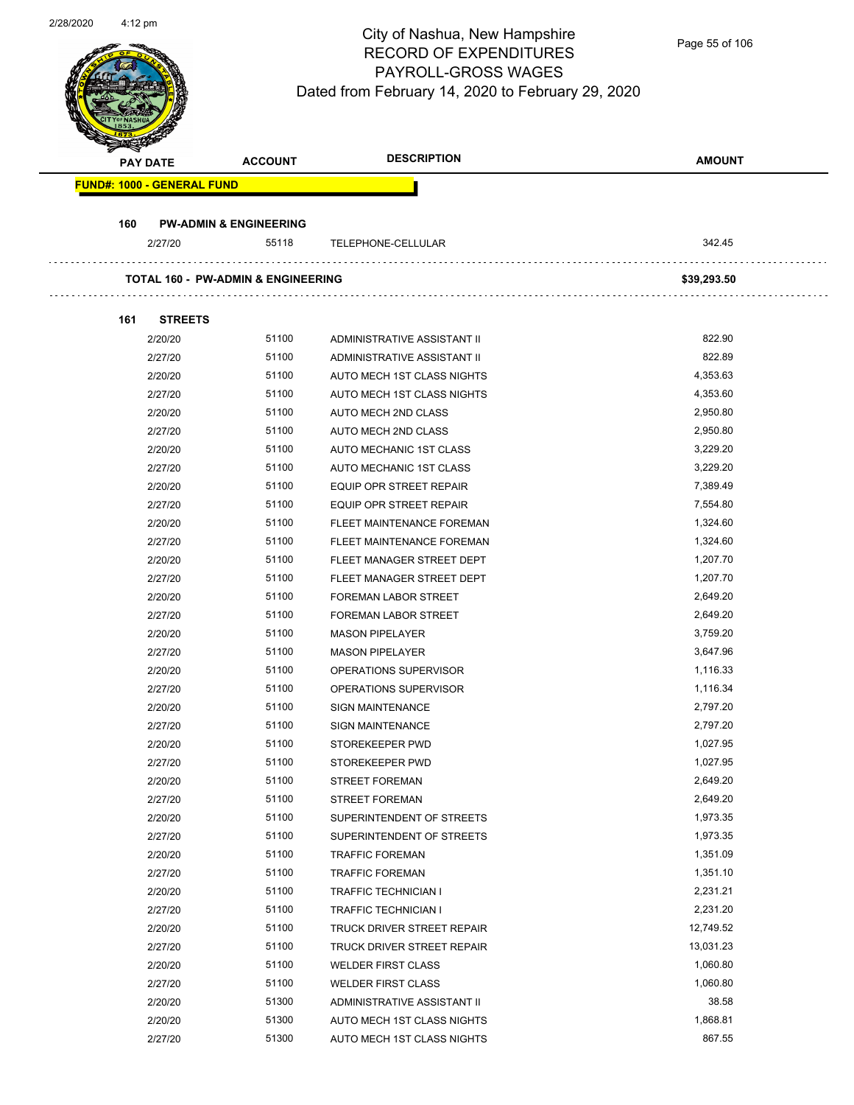Page 55 of 106

| <b>PAY DATE</b>                   | <b>ACCOUNT</b>                                | <b>DESCRIPTION</b>             | <b>AMOUNT</b> |
|-----------------------------------|-----------------------------------------------|--------------------------------|---------------|
| <b>FUND#: 1000 - GENERAL FUND</b> |                                               |                                |               |
|                                   |                                               |                                |               |
| 160<br>2/27/20                    | <b>PW-ADMIN &amp; ENGINEERING</b><br>55118    | TELEPHONE-CELLULAR             | 342.45        |
|                                   |                                               |                                |               |
|                                   | <b>TOTAL 160 - PW-ADMIN &amp; ENGINEERING</b> |                                | \$39,293.50   |
| 161<br><b>STREETS</b>             |                                               |                                |               |
| 2/20/20                           | 51100                                         | ADMINISTRATIVE ASSISTANT II    | 822.90        |
| 2/27/20                           | 51100                                         | ADMINISTRATIVE ASSISTANT II    | 822.89        |
| 2/20/20                           | 51100                                         | AUTO MECH 1ST CLASS NIGHTS     | 4,353.63      |
| 2/27/20                           | 51100                                         | AUTO MECH 1ST CLASS NIGHTS     | 4,353.60      |
| 2/20/20                           | 51100                                         | AUTO MECH 2ND CLASS            | 2,950.80      |
| 2/27/20                           | 51100                                         | AUTO MECH 2ND CLASS            | 2,950.80      |
| 2/20/20                           | 51100                                         | AUTO MECHANIC 1ST CLASS        | 3,229.20      |
| 2/27/20                           | 51100                                         | AUTO MECHANIC 1ST CLASS        | 3,229.20      |
| 2/20/20                           | 51100                                         | EQUIP OPR STREET REPAIR        | 7,389.49      |
| 2/27/20                           | 51100                                         | <b>EQUIP OPR STREET REPAIR</b> | 7,554.80      |
| 2/20/20                           | 51100                                         | FLEET MAINTENANCE FOREMAN      | 1,324.60      |
| 2/27/20                           | 51100                                         | FLEET MAINTENANCE FOREMAN      | 1,324.60      |
| 2/20/20                           | 51100                                         | FLEET MANAGER STREET DEPT      | 1,207.70      |
| 2/27/20                           | 51100                                         | FLEET MANAGER STREET DEPT      | 1,207.70      |
| 2/20/20                           | 51100                                         | <b>FOREMAN LABOR STREET</b>    | 2,649.20      |
| 2/27/20                           | 51100                                         | <b>FOREMAN LABOR STREET</b>    | 2,649.20      |
| 2/20/20                           | 51100                                         | <b>MASON PIPELAYER</b>         | 3,759.20      |
| 2/27/20                           | 51100                                         | <b>MASON PIPELAYER</b>         | 3,647.96      |
| 2/20/20                           | 51100                                         | OPERATIONS SUPERVISOR          | 1,116.33      |
| 2/27/20                           | 51100                                         | OPERATIONS SUPERVISOR          | 1,116.34      |
| 2/20/20                           | 51100                                         | <b>SIGN MAINTENANCE</b>        | 2,797.20      |
| 2/27/20                           | 51100                                         | <b>SIGN MAINTENANCE</b>        | 2,797.20      |
| 2/20/20                           | 51100                                         | STOREKEEPER PWD                | 1,027.95      |
| 2/27/20                           | 51100                                         | STOREKEEPER PWD                | 1,027.95      |
| 2/20/20                           | 51100                                         | <b>STREET FOREMAN</b>          | 2,649.20      |
| 2/27/20                           | 51100                                         | <b>STREET FOREMAN</b>          | 2,649.20      |
| 2/20/20                           | 51100                                         | SUPERINTENDENT OF STREETS      | 1,973.35      |
| 2/27/20                           | 51100                                         | SUPERINTENDENT OF STREETS      | 1,973.35      |
| 2/20/20                           | 51100                                         | <b>TRAFFIC FOREMAN</b>         | 1,351.09      |
| 2/27/20                           | 51100                                         | <b>TRAFFIC FOREMAN</b>         | 1,351.10      |
| 2/20/20                           | 51100                                         | <b>TRAFFIC TECHNICIAN I</b>    | 2,231.21      |
| 2/27/20                           | 51100                                         | <b>TRAFFIC TECHNICIAN I</b>    | 2,231.20      |
| 2/20/20                           | 51100                                         | TRUCK DRIVER STREET REPAIR     | 12,749.52     |
| 2/27/20                           | 51100                                         | TRUCK DRIVER STREET REPAIR     | 13,031.23     |
| 2/20/20                           | 51100                                         | <b>WELDER FIRST CLASS</b>      | 1,060.80      |
| 2/27/20                           | 51100                                         | <b>WELDER FIRST CLASS</b>      | 1,060.80      |
| 2/20/20                           | 51300                                         | ADMINISTRATIVE ASSISTANT II    | 38.58         |
| 2/20/20                           | 51300                                         | AUTO MECH 1ST CLASS NIGHTS     | 1,868.81      |
|                                   |                                               |                                |               |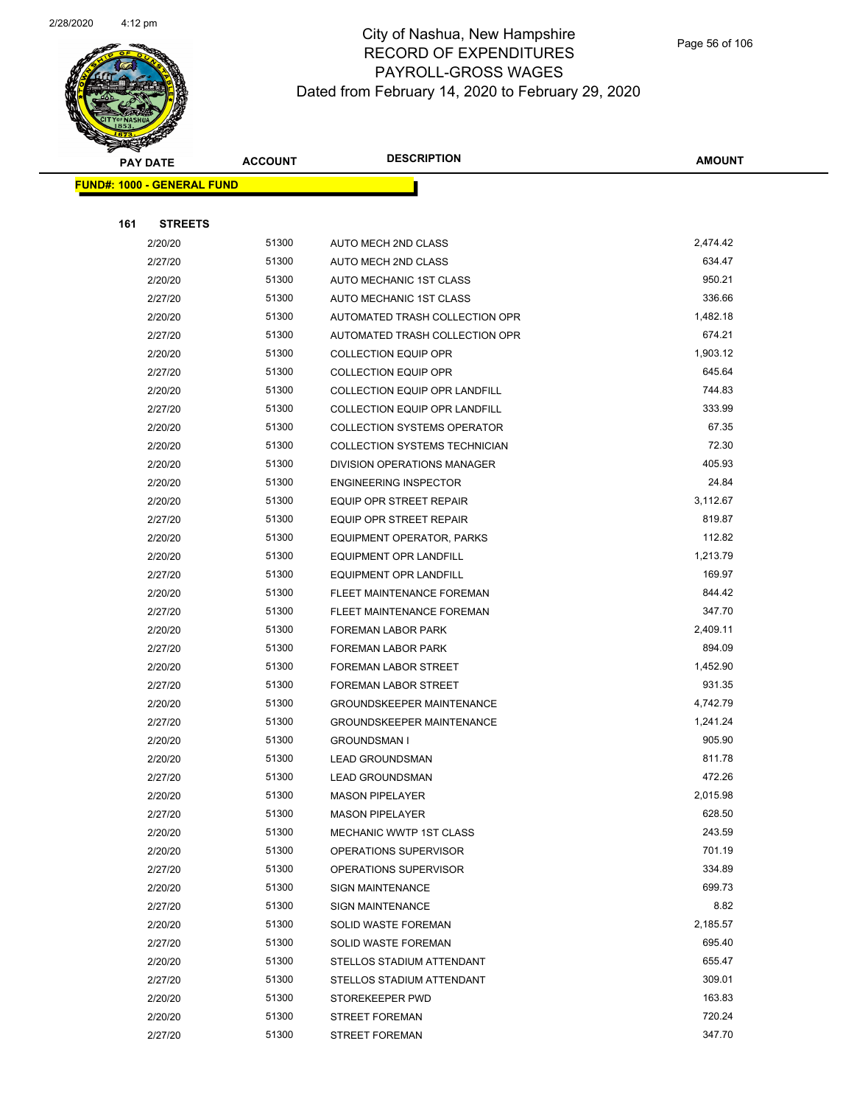

|     | <b>PAY DATE</b>                   | <b>ACCOUNT</b> | <b>DESCRIPTION</b>                   | <b>AMOUNT</b> |
|-----|-----------------------------------|----------------|--------------------------------------|---------------|
|     | <b>FUND#: 1000 - GENERAL FUND</b> |                |                                      |               |
|     |                                   |                |                                      |               |
| 161 | <b>STREETS</b>                    |                |                                      |               |
|     | 2/20/20                           | 51300          | AUTO MECH 2ND CLASS                  | 2,474.42      |
|     | 2/27/20                           | 51300          | AUTO MECH 2ND CLASS                  | 634.47        |
|     | 2/20/20                           | 51300          | AUTO MECHANIC 1ST CLASS              | 950.21        |
|     | 2/27/20                           | 51300          | AUTO MECHANIC 1ST CLASS              | 336.66        |
|     | 2/20/20                           | 51300          | AUTOMATED TRASH COLLECTION OPR       | 1,482.18      |
|     | 2/27/20                           | 51300          | AUTOMATED TRASH COLLECTION OPR       | 674.21        |
|     | 2/20/20                           | 51300          | <b>COLLECTION EQUIP OPR</b>          | 1,903.12      |
|     | 2/27/20                           | 51300          | <b>COLLECTION EQUIP OPR</b>          | 645.64        |
|     | 2/20/20                           | 51300          | COLLECTION EQUIP OPR LANDFILL        | 744.83        |
|     | 2/27/20                           | 51300          | <b>COLLECTION EQUIP OPR LANDFILL</b> | 333.99        |
|     | 2/20/20                           | 51300          | <b>COLLECTION SYSTEMS OPERATOR</b>   | 67.35         |
|     | 2/20/20                           | 51300          | COLLECTION SYSTEMS TECHNICIAN        | 72.30         |
|     | 2/20/20                           | 51300          | DIVISION OPERATIONS MANAGER          | 405.93        |
|     | 2/20/20                           | 51300          | <b>ENGINEERING INSPECTOR</b>         | 24.84         |
|     | 2/20/20                           | 51300          | <b>EQUIP OPR STREET REPAIR</b>       | 3,112.67      |
|     | 2/27/20                           | 51300          | <b>EQUIP OPR STREET REPAIR</b>       | 819.87        |
|     | 2/20/20                           | 51300          | EQUIPMENT OPERATOR, PARKS            | 112.82        |
|     | 2/20/20                           | 51300          | <b>EQUIPMENT OPR LANDFILL</b>        | 1,213.79      |
|     | 2/27/20                           | 51300          | <b>EQUIPMENT OPR LANDFILL</b>        | 169.97        |
|     | 2/20/20                           | 51300          | FLEET MAINTENANCE FOREMAN            | 844.42        |
|     | 2/27/20                           | 51300          | FLEET MAINTENANCE FOREMAN            | 347.70        |
|     | 2/20/20                           | 51300          | <b>FOREMAN LABOR PARK</b>            | 2,409.11      |
|     | 2/27/20                           | 51300          | <b>FOREMAN LABOR PARK</b>            | 894.09        |
|     | 2/20/20                           | 51300          | FOREMAN LABOR STREET                 | 1,452.90      |
|     | 2/27/20                           | 51300          | FOREMAN LABOR STREET                 | 931.35        |
|     | 2/20/20                           | 51300          | <b>GROUNDSKEEPER MAINTENANCE</b>     | 4,742.79      |
|     | 2/27/20                           | 51300          | <b>GROUNDSKEEPER MAINTENANCE</b>     | 1,241.24      |
|     | 2/20/20                           | 51300          | <b>GROUNDSMAN I</b>                  | 905.90        |
|     | 2/20/20                           | 51300          | <b>LEAD GROUNDSMAN</b>               | 811.78        |
|     | 2/27/20                           | 51300          | <b>LEAD GROUNDSMAN</b>               | 472.26        |
|     | 2/20/20                           | 51300          | <b>MASON PIPELAYER</b>               | 2,015.98      |
|     | 2/27/20                           | 51300          | <b>MASON PIPELAYER</b>               | 628.50        |
|     | 2/20/20                           | 51300          | MECHANIC WWTP 1ST CLASS              | 243.59        |
|     | 2/20/20                           | 51300          | OPERATIONS SUPERVISOR                | 701.19        |
|     | 2/27/20                           | 51300          | OPERATIONS SUPERVISOR                | 334.89        |
|     | 2/20/20                           | 51300          | <b>SIGN MAINTENANCE</b>              | 699.73        |
|     | 2/27/20                           | 51300          | <b>SIGN MAINTENANCE</b>              | 8.82          |
|     | 2/20/20                           | 51300          | SOLID WASTE FOREMAN                  | 2,185.57      |
|     | 2/27/20                           | 51300          | SOLID WASTE FOREMAN                  | 695.40        |
|     | 2/20/20                           | 51300          | STELLOS STADIUM ATTENDANT            | 655.47        |
|     | 2/27/20                           | 51300          | STELLOS STADIUM ATTENDANT            | 309.01        |
|     | 2/20/20                           | 51300          | STOREKEEPER PWD                      | 163.83        |
|     | 2/20/20                           | 51300          | <b>STREET FOREMAN</b>                | 720.24        |
|     | 2/27/20                           | 51300          | <b>STREET FOREMAN</b>                | 347.70        |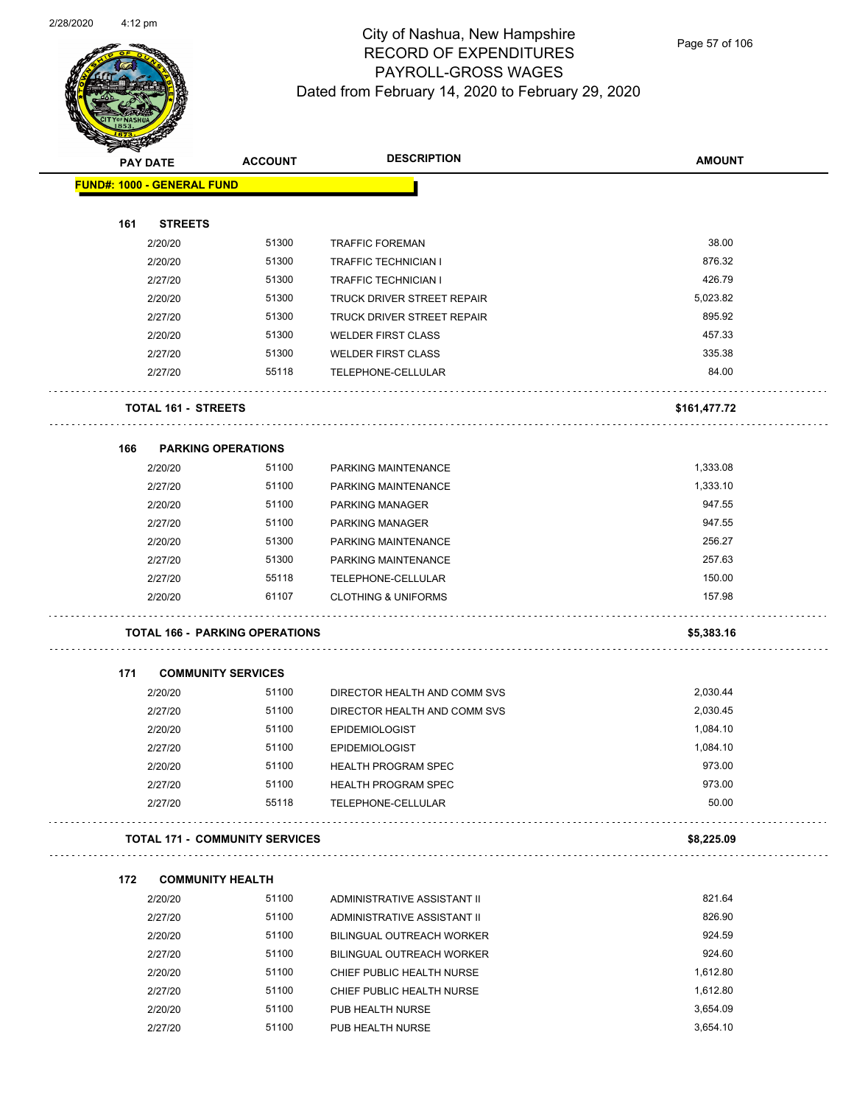

Page 57 of 106

| <b>Andri</b> | <b>PAY DATE</b>                   | <b>ACCOUNT</b>                        | <b>DESCRIPTION</b>               | <b>AMOUNT</b> |
|--------------|-----------------------------------|---------------------------------------|----------------------------------|---------------|
|              | <b>FUND#: 1000 - GENERAL FUND</b> |                                       |                                  |               |
|              |                                   |                                       |                                  |               |
| 161          | <b>STREETS</b>                    |                                       |                                  |               |
|              | 2/20/20                           | 51300                                 | <b>TRAFFIC FOREMAN</b>           | 38.00         |
|              | 2/20/20                           | 51300                                 | <b>TRAFFIC TECHNICIAN I</b>      | 876.32        |
|              | 2/27/20                           | 51300                                 | <b>TRAFFIC TECHNICIAN I</b>      | 426.79        |
|              | 2/20/20                           | 51300                                 | TRUCK DRIVER STREET REPAIR       | 5,023.82      |
|              | 2/27/20                           | 51300                                 | TRUCK DRIVER STREET REPAIR       | 895.92        |
|              | 2/20/20                           | 51300                                 | <b>WELDER FIRST CLASS</b>        | 457.33        |
|              | 2/27/20                           | 51300                                 | <b>WELDER FIRST CLASS</b>        | 335.38        |
|              | 2/27/20                           | 55118                                 | TELEPHONE-CELLULAR               | 84.00         |
|              | TOTAL 161 - STREETS               |                                       |                                  | \$161,477.72  |
| 166          | <b>PARKING OPERATIONS</b>         |                                       |                                  |               |
|              | 2/20/20                           | 51100                                 | PARKING MAINTENANCE              | 1,333.08      |
|              | 2/27/20                           | 51100                                 | PARKING MAINTENANCE              | 1,333.10      |
|              | 2/20/20                           | 51100                                 | <b>PARKING MANAGER</b>           | 947.55        |
|              | 2/27/20                           | 51100                                 | PARKING MANAGER                  | 947.55        |
|              | 2/20/20                           | 51300                                 | PARKING MAINTENANCE              | 256.27        |
|              | 2/27/20                           | 51300                                 | PARKING MAINTENANCE              | 257.63        |
|              | 2/27/20                           | 55118                                 | TELEPHONE-CELLULAR               | 150.00        |
|              | 2/20/20                           | 61107                                 | <b>CLOTHING &amp; UNIFORMS</b>   | 157.98        |
|              |                                   | <b>TOTAL 166 - PARKING OPERATIONS</b> |                                  | \$5,383.16    |
| 171          | <b>COMMUNITY SERVICES</b>         |                                       |                                  |               |
|              | 2/20/20                           | 51100                                 | DIRECTOR HEALTH AND COMM SVS     | 2,030.44      |
|              | 2/27/20                           | 51100                                 | DIRECTOR HEALTH AND COMM SVS     | 2,030.45      |
|              | 2/20/20                           | 51100                                 | <b>EPIDEMIOLOGIST</b>            | 1,084.10      |
|              | 2/27/20                           | 51100                                 | <b>EPIDEMIOLOGIST</b>            | 1,084.10      |
|              | 2/20/20                           | 51100                                 | <b>HEALTH PROGRAM SPEC</b>       | 973.00        |
|              | 2/27/20                           | 51100                                 | <b>HEALTH PROGRAM SPEC</b>       | 973.00        |
|              | 2/27/20                           | 55118                                 | TELEPHONE-CELLULAR               | 50.00         |
|              |                                   | <b>TOTAL 171 - COMMUNITY SERVICES</b> |                                  | \$8,225.09    |
| 172          | <b>COMMUNITY HEALTH</b>           |                                       |                                  |               |
|              | 2/20/20                           | 51100                                 | ADMINISTRATIVE ASSISTANT II      | 821.64        |
|              | 2/27/20                           | 51100                                 | ADMINISTRATIVE ASSISTANT II      | 826.90        |
|              | 2/20/20                           | 51100                                 | BILINGUAL OUTREACH WORKER        | 924.59        |
|              | 2/27/20                           | 51100                                 | <b>BILINGUAL OUTREACH WORKER</b> | 924.60        |
|              | 2/20/20                           | 51100                                 | CHIEF PUBLIC HEALTH NURSE        | 1,612.80      |
|              | 2/27/20                           | 51100                                 | CHIEF PUBLIC HEALTH NURSE        | 1,612.80      |
|              | 2/20/20                           | 51100                                 | PUB HEALTH NURSE                 | 3,654.09      |
|              | 2/27/20                           | 51100                                 | PUB HEALTH NURSE                 | 3,654.10      |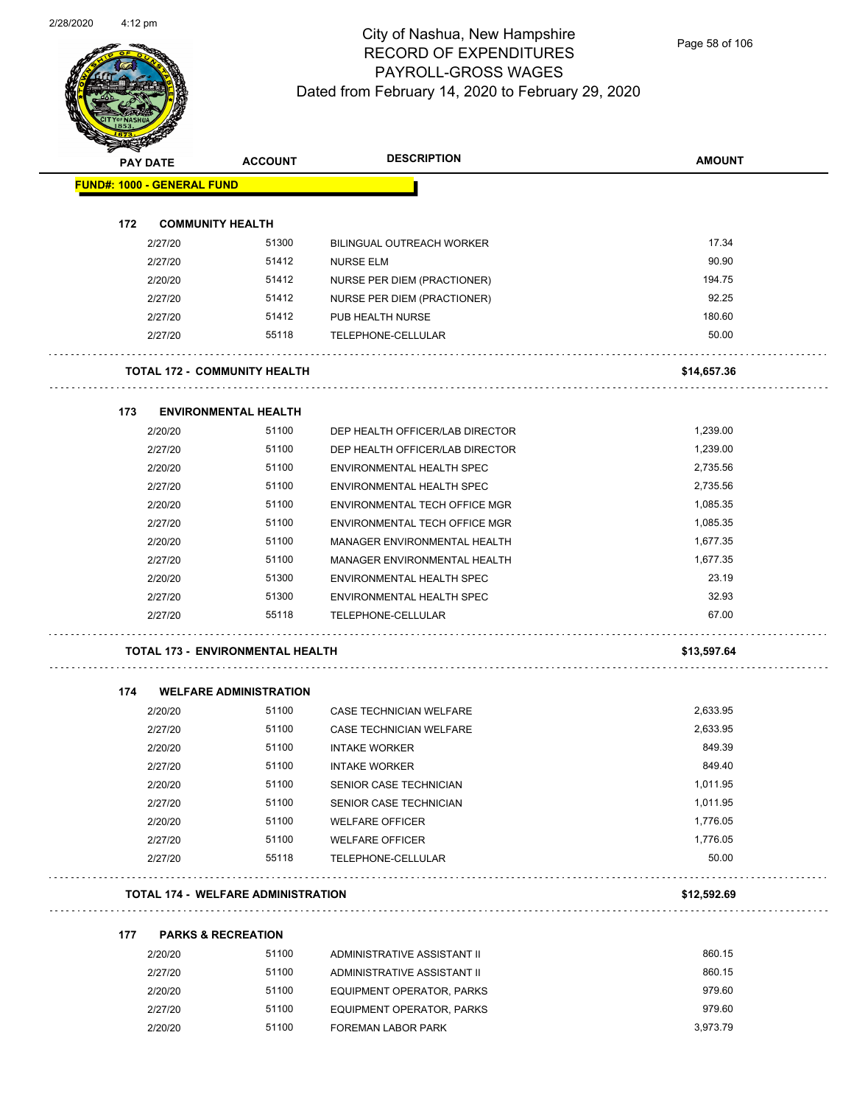

Page 58 of 106

|     | <b>PAY DATE</b>                   | <b>ACCOUNT</b>                            | <b>DESCRIPTION</b>               | <b>AMOUNT</b> |
|-----|-----------------------------------|-------------------------------------------|----------------------------------|---------------|
|     | <b>FUND#: 1000 - GENERAL FUND</b> |                                           |                                  |               |
| 172 |                                   | <b>COMMUNITY HEALTH</b>                   |                                  |               |
|     | 2/27/20                           | 51300                                     | <b>BILINGUAL OUTREACH WORKER</b> | 17.34         |
|     | 2/27/20                           | 51412                                     | <b>NURSE ELM</b>                 | 90.90         |
|     | 2/20/20                           | 51412                                     | NURSE PER DIEM (PRACTIONER)      | 194.75        |
|     | 2/27/20                           | 51412                                     | NURSE PER DIEM (PRACTIONER)      | 92.25         |
|     | 2/27/20                           | 51412                                     | PUB HEALTH NURSE                 | 180.60        |
|     | 2/27/20                           | 55118                                     | TELEPHONE-CELLULAR               | 50.00         |
|     |                                   | <b>TOTAL 172 - COMMUNITY HEALTH</b>       |                                  | \$14,657.36   |
| 173 |                                   | <b>ENVIRONMENTAL HEALTH</b>               |                                  |               |
|     | 2/20/20                           | 51100                                     | DEP HEALTH OFFICER/LAB DIRECTOR  | 1,239.00      |
|     | 2/27/20                           | 51100                                     | DEP HEALTH OFFICER/LAB DIRECTOR  | 1,239.00      |
|     | 2/20/20                           | 51100                                     | ENVIRONMENTAL HEALTH SPEC        | 2,735.56      |
|     | 2/27/20                           | 51100                                     | <b>ENVIRONMENTAL HEALTH SPEC</b> | 2,735.56      |
|     | 2/20/20                           | 51100                                     | ENVIRONMENTAL TECH OFFICE MGR    | 1,085.35      |
|     | 2/27/20                           | 51100                                     | ENVIRONMENTAL TECH OFFICE MGR    | 1,085.35      |
|     | 2/20/20                           | 51100                                     | MANAGER ENVIRONMENTAL HEALTH     | 1,677.35      |
|     | 2/27/20                           | 51100                                     | MANAGER ENVIRONMENTAL HEALTH     | 1,677.35      |
|     | 2/20/20                           | 51300                                     | ENVIRONMENTAL HEALTH SPEC        | 23.19         |
|     | 2/27/20                           | 51300                                     | ENVIRONMENTAL HEALTH SPEC        | 32.93         |
|     | 2/27/20                           | 55118                                     | TELEPHONE-CELLULAR               | 67.00         |
|     |                                   | <b>TOTAL 173 - ENVIRONMENTAL HEALTH</b>   |                                  | \$13,597.64   |
| 174 |                                   | <b>WELFARE ADMINISTRATION</b>             |                                  |               |
|     | 2/20/20                           | 51100                                     | CASE TECHNICIAN WELFARE          | 2,633.95      |
|     | 2/27/20                           | 51100                                     | CASE TECHNICIAN WELFARE          | 2,633.95      |
|     | 2/20/20                           | 51100                                     | <b>INTAKE WORKER</b>             | 849.39        |
|     | 2/27/20                           | 51100                                     | <b>INTAKE WORKER</b>             | 849.40        |
|     | 2/20/20                           | 51100                                     | SENIOR CASE TECHNICIAN           | 1,011.95      |
|     | 2/27/20                           | 51100                                     | SENIOR CASE TECHNICIAN           | 1,011.95      |
|     | 2/20/20                           | 51100                                     | <b>WELFARE OFFICER</b>           | 1,776.05      |
|     | 2/27/20                           | 51100                                     | <b>WELFARE OFFICER</b>           | 1,776.05      |
|     | 2/27/20                           | 55118                                     | TELEPHONE-CELLULAR               | 50.00         |
|     |                                   | <b>TOTAL 174 - WELFARE ADMINISTRATION</b> |                                  | \$12,592.69   |
| 177 |                                   | <b>PARKS &amp; RECREATION</b>             |                                  |               |
|     |                                   | E4400                                     |                                  | 00011         |

| 2/20/20 | 51100 | ADMINISTRATIVE ASSISTANT II | 860.15   |
|---------|-------|-----------------------------|----------|
| 2/27/20 | 51100 | ADMINISTRATIVE ASSISTANT II | 860.15   |
| 2/20/20 | 51100 | EQUIPMENT OPERATOR, PARKS   | 979.60   |
| 2/27/20 | 51100 | EQUIPMENT OPERATOR, PARKS   | 979.60   |
| 2/20/20 | 51100 | <b>FOREMAN LABOR PARK</b>   | 3.973.79 |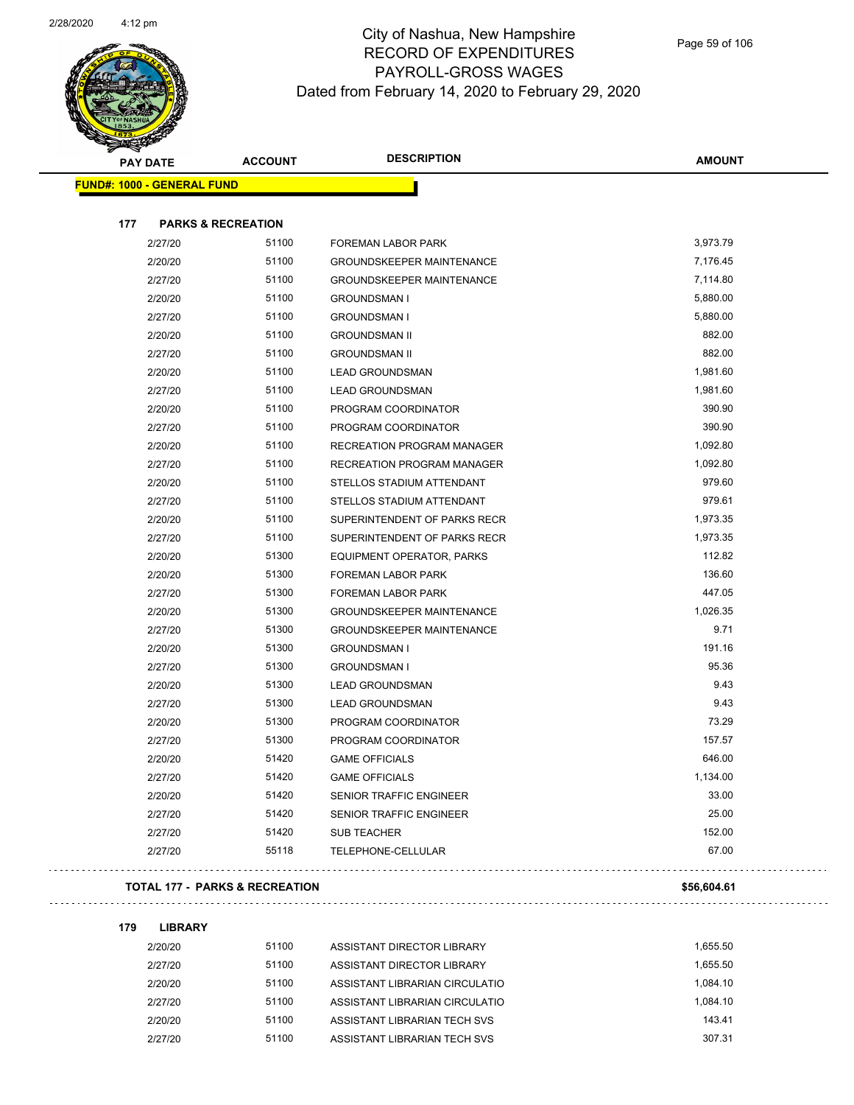

| <b>PAY DATE</b>                   | <b>ACCOUNT</b>                | <b>DESCRIPTION</b>               | <b>AMOUNT</b> |
|-----------------------------------|-------------------------------|----------------------------------|---------------|
| <b>FUND#: 1000 - GENERAL FUND</b> |                               |                                  |               |
|                                   |                               |                                  |               |
| 177                               | <b>PARKS &amp; RECREATION</b> |                                  |               |
| 2/27/20                           | 51100                         | FOREMAN LABOR PARK               | 3,973.79      |
| 2/20/20                           | 51100                         | <b>GROUNDSKEEPER MAINTENANCE</b> | 7,176.45      |
| 2/27/20                           | 51100                         | <b>GROUNDSKEEPER MAINTENANCE</b> | 7,114.80      |
| 2/20/20                           | 51100                         | <b>GROUNDSMAN I</b>              | 5,880.00      |
| 2/27/20                           | 51100                         | <b>GROUNDSMAN I</b>              | 5,880.00      |
| 2/20/20                           | 51100                         | <b>GROUNDSMAN II</b>             | 882.00        |
| 2/27/20                           | 51100                         | <b>GROUNDSMAN II</b>             | 882.00        |
| 2/20/20                           | 51100                         | <b>LEAD GROUNDSMAN</b>           | 1,981.60      |
| 2/27/20                           | 51100                         | <b>LEAD GROUNDSMAN</b>           | 1,981.60      |
| 2/20/20                           | 51100                         | PROGRAM COORDINATOR              | 390.90        |
| 2/27/20                           | 51100                         | PROGRAM COORDINATOR              | 390.90        |
| 2/20/20                           | 51100                         | RECREATION PROGRAM MANAGER       | 1,092.80      |
| 2/27/20                           | 51100                         | RECREATION PROGRAM MANAGER       | 1,092.80      |
| 2/20/20                           | 51100                         | STELLOS STADIUM ATTENDANT        | 979.60        |
| 2/27/20                           | 51100                         | STELLOS STADIUM ATTENDANT        | 979.61        |
| 2/20/20                           | 51100                         | SUPERINTENDENT OF PARKS RECR     | 1,973.35      |
| 2/27/20                           | 51100                         | SUPERINTENDENT OF PARKS RECR     | 1,973.35      |
| 2/20/20                           | 51300                         | EQUIPMENT OPERATOR, PARKS        | 112.82        |
| 2/20/20                           | 51300                         | FOREMAN LABOR PARK               | 136.60        |
| 2/27/20                           | 51300                         | FOREMAN LABOR PARK               | 447.05        |
| 2/20/20                           | 51300                         | <b>GROUNDSKEEPER MAINTENANCE</b> | 1,026.35      |
| 2/27/20                           | 51300                         | <b>GROUNDSKEEPER MAINTENANCE</b> | 9.71          |
| 2/20/20                           | 51300                         | <b>GROUNDSMAN I</b>              | 191.16        |
| 2/27/20                           | 51300                         | <b>GROUNDSMAN I</b>              | 95.36         |
| 2/20/20                           | 51300                         | <b>LEAD GROUNDSMAN</b>           | 9.43          |
| 2/27/20                           | 51300                         | <b>LEAD GROUNDSMAN</b>           | 9.43          |
| 2/20/20                           | 51300                         | PROGRAM COORDINATOR              | 73.29         |
| 2/27/20                           | 51300                         | PROGRAM COORDINATOR              | 157.57        |
| 2/20/20                           | 51420                         | <b>GAME OFFICIALS</b>            | 646.00        |
| 2/27/20                           | 51420                         | <b>GAME OFFICIALS</b>            | 1,134.00      |
| 2/20/20                           | 51420                         | SENIOR TRAFFIC ENGINEER          | 33.00         |
| 2/27/20                           | 51420                         | SENIOR TRAFFIC ENGINEER          | 25.00         |
| 2/27/20                           | 51420                         | <b>SUB TEACHER</b>               | 152.00        |
| 2/27/20                           | 55118                         | TELEPHONE-CELLULAR               | 67.00         |
|                                   |                               |                                  |               |

#### **TOTAL 177 - PARKS & RECREATION \$56,604.61**

# . . . . . . . . . . .

**179 LIBRARY** 2/20/20 51100 ASSISTANT DIRECTOR LIBRARY 1,655.50 2/27/20 51100 ASSISTANT DIRECTOR LIBRARY 1,655.50 2/20/20 51100 ASSISTANT LIBRARIAN CIRCULATIO 1,084.10 2/27/20 51100 ASSISTANT LIBRARIAN CIRCULATIO 1,084.10 2/20/20 51100 ASSISTANT LIBRARIAN TECH SVS 143.41 2/27/20 51100 ASSISTANT LIBRARIAN TECH SVS 307.31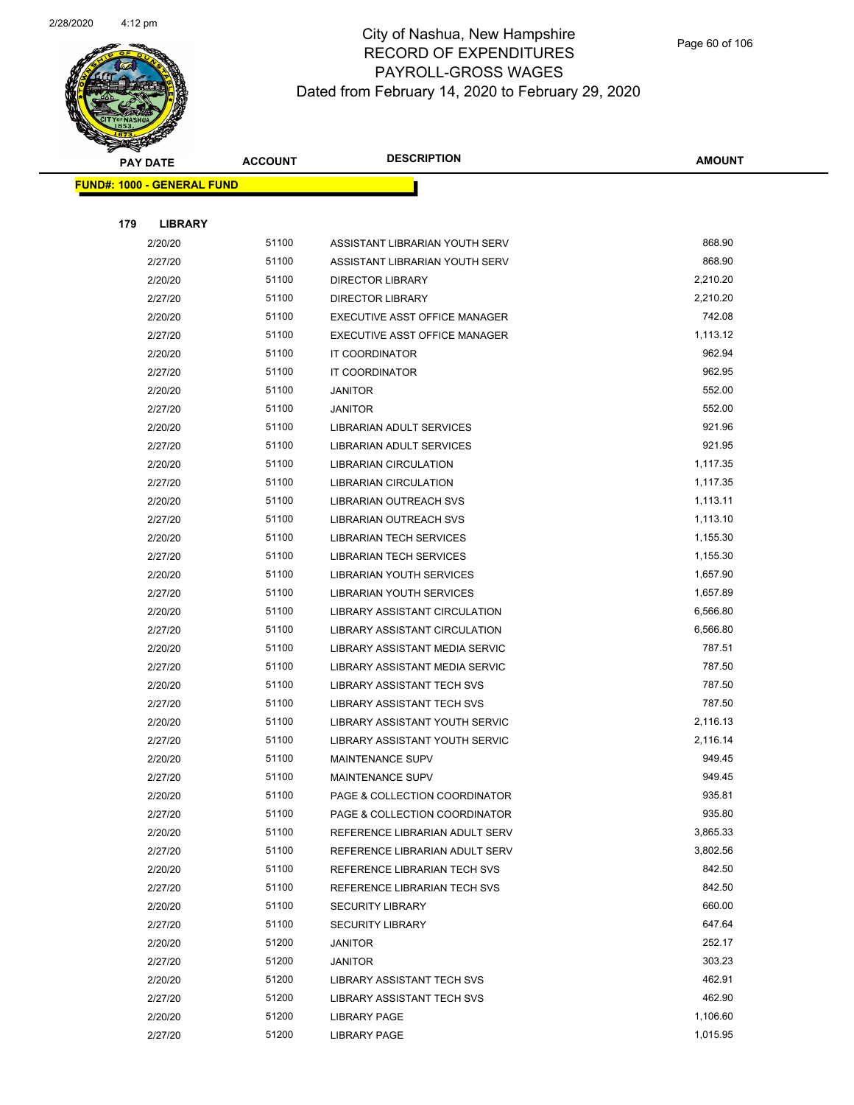

Page 60 of 106

|     | <b>PAY DATE</b>                   | <b>ACCOUNT</b> | <b>DESCRIPTION</b>                | <b>AMOUNT</b> |
|-----|-----------------------------------|----------------|-----------------------------------|---------------|
|     | <b>FUND#: 1000 - GENERAL FUND</b> |                |                                   |               |
|     |                                   |                |                                   |               |
| 179 | <b>LIBRARY</b>                    |                |                                   |               |
|     | 2/20/20                           | 51100          | ASSISTANT LIBRARIAN YOUTH SERV    | 868.90        |
|     | 2/27/20                           | 51100          | ASSISTANT LIBRARIAN YOUTH SERV    | 868.90        |
|     | 2/20/20                           | 51100          | <b>DIRECTOR LIBRARY</b>           | 2,210.20      |
|     | 2/27/20                           | 51100          | <b>DIRECTOR LIBRARY</b>           | 2,210.20      |
|     | 2/20/20                           | 51100          | EXECUTIVE ASST OFFICE MANAGER     | 742.08        |
|     | 2/27/20                           | 51100          | EXECUTIVE ASST OFFICE MANAGER     | 1,113.12      |
|     | 2/20/20                           | 51100          | <b>IT COORDINATOR</b>             | 962.94        |
|     | 2/27/20                           | 51100          | IT COORDINATOR                    | 962.95        |
|     | 2/20/20                           | 51100          | <b>JANITOR</b>                    | 552.00        |
|     | 2/27/20                           | 51100          | <b>JANITOR</b>                    | 552.00        |
|     | 2/20/20                           | 51100          | LIBRARIAN ADULT SERVICES          | 921.96        |
|     | 2/27/20                           | 51100          | <b>LIBRARIAN ADULT SERVICES</b>   | 921.95        |
|     | 2/20/20                           | 51100          | <b>LIBRARIAN CIRCULATION</b>      | 1,117.35      |
|     | 2/27/20                           | 51100          | LIBRARIAN CIRCULATION             | 1,117.35      |
|     | 2/20/20                           | 51100          | LIBRARIAN OUTREACH SVS            | 1,113.11      |
|     | 2/27/20                           | 51100          | LIBRARIAN OUTREACH SVS            | 1,113.10      |
|     | 2/20/20                           | 51100          | <b>LIBRARIAN TECH SERVICES</b>    | 1,155.30      |
|     | 2/27/20                           | 51100          | <b>LIBRARIAN TECH SERVICES</b>    | 1,155.30      |
|     | 2/20/20                           | 51100          | LIBRARIAN YOUTH SERVICES          | 1,657.90      |
|     | 2/27/20                           | 51100          | <b>LIBRARIAN YOUTH SERVICES</b>   | 1,657.89      |
|     | 2/20/20                           | 51100          | LIBRARY ASSISTANT CIRCULATION     | 6,566.80      |
|     | 2/27/20                           | 51100          | LIBRARY ASSISTANT CIRCULATION     | 6,566.80      |
|     | 2/20/20                           | 51100          | LIBRARY ASSISTANT MEDIA SERVIC    | 787.51        |
|     | 2/27/20                           | 51100          | LIBRARY ASSISTANT MEDIA SERVIC    | 787.50        |
|     | 2/20/20                           | 51100          | <b>LIBRARY ASSISTANT TECH SVS</b> | 787.50        |
|     | 2/27/20                           | 51100          | LIBRARY ASSISTANT TECH SVS        | 787.50        |
|     | 2/20/20                           | 51100          | LIBRARY ASSISTANT YOUTH SERVIC    | 2,116.13      |
|     | 2/27/20                           | 51100          | LIBRARY ASSISTANT YOUTH SERVIC    | 2,116.14      |
|     | 2/20/20                           | 51100          | <b>MAINTENANCE SUPV</b>           | 949.45        |
|     | 2/27/20                           | 51100          | MAINTENANCE SUPV                  | 949.45        |
|     | 2/20/20                           | 51100          | PAGE & COLLECTION COORDINATOR     | 935.81        |
|     | 2/27/20                           | 51100          | PAGE & COLLECTION COORDINATOR     | 935.80        |
|     | 2/20/20                           | 51100          | REFERENCE LIBRARIAN ADULT SERV    | 3,865.33      |
|     | 2/27/20                           | 51100          | REFERENCE LIBRARIAN ADULT SERV    | 3,802.56      |
|     | 2/20/20                           | 51100          | REFERENCE LIBRARIAN TECH SVS      | 842.50        |
|     | 2/27/20                           | 51100          | REFERENCE LIBRARIAN TECH SVS      | 842.50        |
|     | 2/20/20                           | 51100          | <b>SECURITY LIBRARY</b>           | 660.00        |
|     | 2/27/20                           | 51100          | <b>SECURITY LIBRARY</b>           | 647.64        |
|     | 2/20/20                           | 51200          | JANITOR                           | 252.17        |
|     | 2/27/20                           | 51200          | <b>JANITOR</b>                    | 303.23        |
|     | 2/20/20                           | 51200          | LIBRARY ASSISTANT TECH SVS        | 462.91        |
|     | 2/27/20                           | 51200          | LIBRARY ASSISTANT TECH SVS        | 462.90        |
|     | 2/20/20                           | 51200          | <b>LIBRARY PAGE</b>               | 1,106.60      |
|     | 2/27/20                           | 51200          | <b>LIBRARY PAGE</b>               | 1,015.95      |
|     |                                   |                |                                   |               |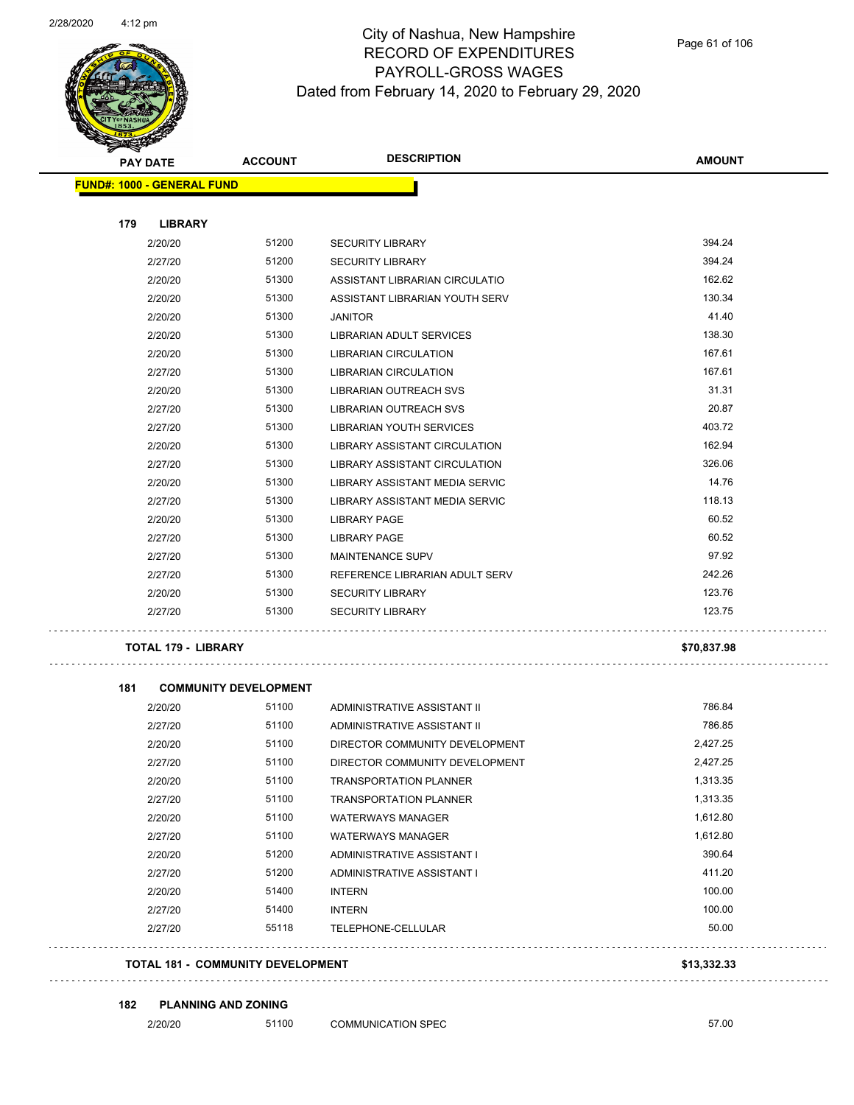

#### City of Nashua, New Hampshire RECORD OF EXPENDITURES PAYROLL-GROSS WAGES Dated from February 14, 2020 to February 29, 2020

| <b>PAY DATE</b>                   | <b>ACCOUNT</b>               | <b>DESCRIPTION</b>                   | <b>AMOUNT</b> |
|-----------------------------------|------------------------------|--------------------------------------|---------------|
| <b>FUND#: 1000 - GENERAL FUND</b> |                              |                                      |               |
| 179<br><b>LIBRARY</b>             |                              |                                      |               |
| 2/20/20                           | 51200                        | <b>SECURITY LIBRARY</b>              | 394.24        |
| 2/27/20                           | 51200                        | <b>SECURITY LIBRARY</b>              | 394.24        |
| 2/20/20                           | 51300                        | ASSISTANT LIBRARIAN CIRCULATIO       | 162.62        |
| 2/20/20                           | 51300                        | ASSISTANT LIBRARIAN YOUTH SERV       | 130.34        |
| 2/20/20                           | 51300                        | <b>JANITOR</b>                       | 41.40         |
| 2/20/20                           | 51300                        | <b>LIBRARIAN ADULT SERVICES</b>      | 138.30        |
| 2/20/20                           | 51300                        | <b>LIBRARIAN CIRCULATION</b>         | 167.61        |
| 2/27/20                           | 51300                        | <b>LIBRARIAN CIRCULATION</b>         | 167.61        |
| 2/20/20                           | 51300                        | LIBRARIAN OUTREACH SVS               | 31.31         |
| 2/27/20                           | 51300                        | LIBRARIAN OUTREACH SVS               | 20.87         |
| 2/27/20                           | 51300                        | <b>LIBRARIAN YOUTH SERVICES</b>      | 403.72        |
| 2/20/20                           | 51300                        | LIBRARY ASSISTANT CIRCULATION        | 162.94        |
| 2/27/20                           | 51300                        | <b>LIBRARY ASSISTANT CIRCULATION</b> | 326.06        |
| 2/20/20                           | 51300                        | LIBRARY ASSISTANT MEDIA SERVIC       | 14.76         |
| 2/27/20                           | 51300                        | LIBRARY ASSISTANT MEDIA SERVIC       | 118.13        |
| 2/20/20                           | 51300                        | <b>LIBRARY PAGE</b>                  | 60.52         |
| 2/27/20                           | 51300                        | <b>LIBRARY PAGE</b>                  | 60.52         |
| 2/27/20                           | 51300                        | MAINTENANCE SUPV                     | 97.92         |
| 2/27/20                           | 51300                        | REFERENCE LIBRARIAN ADULT SERV       | 242.26        |
| 2/20/20                           | 51300                        | <b>SECURITY LIBRARY</b>              | 123.76        |
| 2/27/20                           | 51300                        | <b>SECURITY LIBRARY</b>              | 123.75        |
| <b>TOTAL 179 - LIBRARY</b>        |                              |                                      | \$70,837.98   |
| 181                               | <b>COMMUNITY DEVELOPMENT</b> |                                      |               |
| 2/20/20                           | 51100                        | ADMINISTRATIVE ASSISTANT II          | 786.84        |
| 2/27/20                           | 51100                        | ADMINISTRATIVE ASSISTANT II          | 786.85        |
| 2/20/20                           | 51100                        | DIRECTOR COMMUNITY DEVELOPMENT       | 2,427.25      |
| 2/27/20                           | 51100                        | DIRECTOR COMMUNITY DEVELOPMENT       | 2,427.25      |

2/20/20 51100 TRANSPORTATION PLANNER 1,313.35 2/27/20 51100 TRANSPORTATION PLANNER 1,313.35 2/20/20 51100 WATERWAYS MANAGER 1,612.80 2/27/20 51100 WATERWAYS MANAGER 1,612.80 2/20/20 51200 ADMINISTRATIVE ASSISTANT I 390.64 2/27/20 51200 ADMINISTRATIVE ASSISTANT I 411.20 2/20/20 51400 INTERN 100.00 2/27/20 51400 INTERN 100.00 2/27/20 55118 TELEPHONE-CELLULAR 50.00

#### **TOTAL 181 - COMMUNITY DEVELOPMENT \$13,332.33**

#### 

**182 PLANNING AND ZONING**

2/20/20 51100 COMMUNICATION SPEC 57.00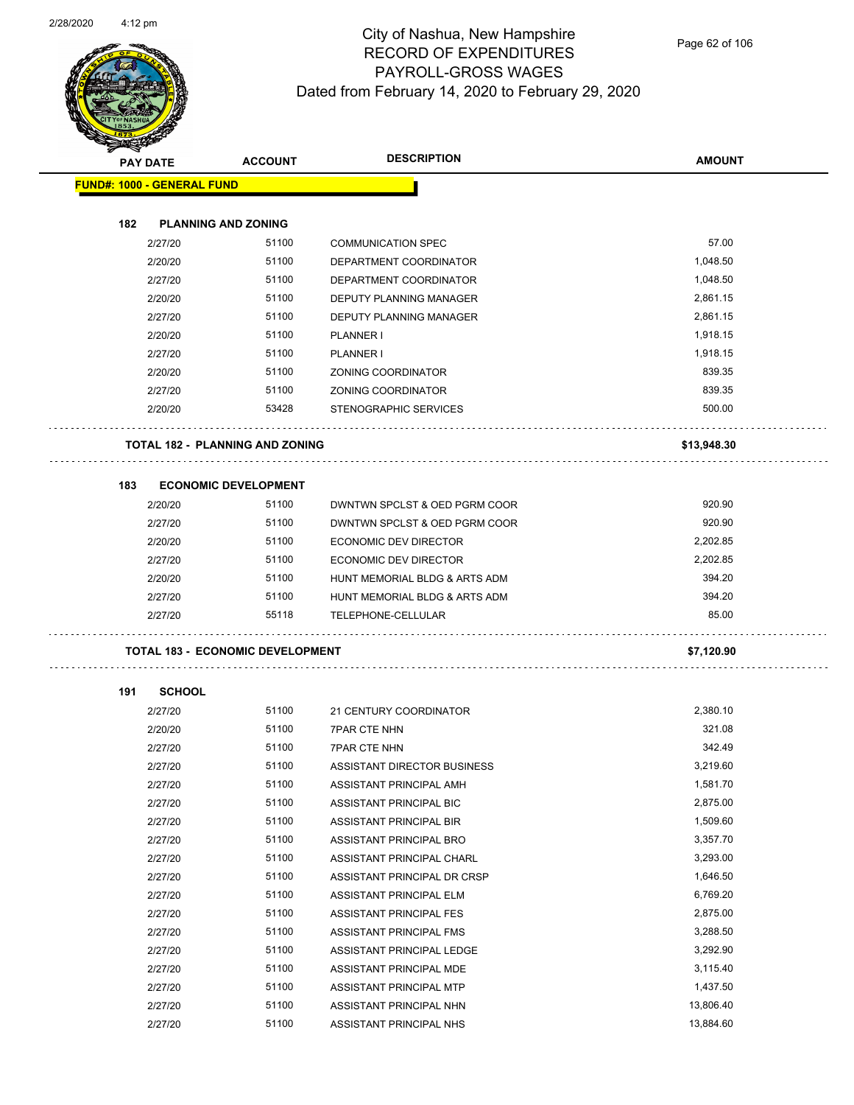

| <b>SANCHOR</b> |                                   |                                         | <b>DESCRIPTION</b>             |               |
|----------------|-----------------------------------|-----------------------------------------|--------------------------------|---------------|
|                | <b>PAY DATE</b>                   | <b>ACCOUNT</b>                          |                                | <b>AMOUNT</b> |
|                | <b>FUND#: 1000 - GENERAL FUND</b> |                                         |                                |               |
| 182            |                                   | <b>PLANNING AND ZONING</b>              |                                |               |
|                | 2/27/20                           | 51100                                   | <b>COMMUNICATION SPEC</b>      | 57.00         |
|                | 2/20/20                           | 51100                                   | DEPARTMENT COORDINATOR         | 1,048.50      |
|                | 2/27/20                           | 51100                                   | DEPARTMENT COORDINATOR         | 1,048.50      |
|                | 2/20/20                           | 51100                                   | DEPUTY PLANNING MANAGER        | 2,861.15      |
|                | 2/27/20                           | 51100                                   | <b>DEPUTY PLANNING MANAGER</b> | 2,861.15      |
|                | 2/20/20                           | 51100                                   | <b>PLANNER I</b>               | 1,918.15      |
|                | 2/27/20                           | 51100                                   | PLANNER I                      | 1,918.15      |
|                | 2/20/20                           | 51100                                   | ZONING COORDINATOR             | 839.35        |
|                | 2/27/20                           | 51100                                   | ZONING COORDINATOR             | 839.35        |
|                | 2/20/20                           | 53428                                   | STENOGRAPHIC SERVICES          | 500.00        |
|                |                                   |                                         |                                |               |
|                |                                   | <b>TOTAL 182 - PLANNING AND ZONING</b>  |                                | \$13,948.30   |
| 183            |                                   | <b>ECONOMIC DEVELOPMENT</b>             |                                |               |
|                | 2/20/20                           | 51100                                   | DWNTWN SPCLST & OED PGRM COOR  | 920.90        |
|                | 2/27/20                           | 51100                                   | DWNTWN SPCLST & OED PGRM COOR  | 920.90        |
|                | 2/20/20                           | 51100                                   | ECONOMIC DEV DIRECTOR          | 2,202.85      |
|                | 2/27/20                           | 51100                                   | ECONOMIC DEV DIRECTOR          | 2,202.85      |
|                | 2/20/20                           | 51100                                   | HUNT MEMORIAL BLDG & ARTS ADM  | 394.20        |
|                | 2/27/20                           | 51100                                   | HUNT MEMORIAL BLDG & ARTS ADM  | 394.20        |
|                | 2/27/20                           | 55118                                   | TELEPHONE-CELLULAR             | 85.00         |
|                |                                   | <b>TOTAL 183 - ECONOMIC DEVELOPMENT</b> |                                | \$7,120.90    |
|                |                                   |                                         |                                |               |
| 191            | <b>SCHOOL</b><br>2/27/20          | 51100                                   | 21 CENTURY COORDINATOR         | 2,380.10      |
|                | 2/20/20                           | 51100                                   | <b>7PAR CTE NHN</b>            | 321.08        |
|                | 2/27/20                           | 51100                                   | <b>7PAR CTE NHN</b>            | 342.49        |
|                | 2/27/20                           | 51100                                   | ASSISTANT DIRECTOR BUSINESS    | 3,219.60      |
|                | 2/27/20                           | 51100                                   | ASSISTANT PRINCIPAL AMH        | 1,581.70      |
|                | 2/27/20                           | 51100                                   | ASSISTANT PRINCIPAL BIC        | 2,875.00      |
|                | 2/27/20                           | 51100                                   | ASSISTANT PRINCIPAL BIR        | 1,509.60      |
|                | 2/27/20                           | 51100                                   | ASSISTANT PRINCIPAL BRO        | 3,357.70      |
|                | 2/27/20                           | 51100                                   | ASSISTANT PRINCIPAL CHARL      | 3,293.00      |
|                | 2/27/20                           | 51100                                   | ASSISTANT PRINCIPAL DR CRSP    | 1,646.50      |
|                | 2/27/20                           | 51100                                   | ASSISTANT PRINCIPAL ELM        | 6,769.20      |
|                | 2/27/20                           | 51100                                   | ASSISTANT PRINCIPAL FES        | 2,875.00      |
|                | 2/27/20                           | 51100                                   | ASSISTANT PRINCIPAL FMS        | 3,288.50      |
|                | 2/27/20                           | 51100                                   | ASSISTANT PRINCIPAL LEDGE      | 3,292.90      |
|                | 2/27/20                           | 51100                                   | ASSISTANT PRINCIPAL MDE        | 3,115.40      |
|                | 2/27/20                           | 51100                                   | ASSISTANT PRINCIPAL MTP        | 1,437.50      |
|                | 2/27/20                           | 51100                                   | ASSISTANT PRINCIPAL NHN        | 13,806.40     |
|                | 2/27/20                           | 51100                                   | ASSISTANT PRINCIPAL NHS        | 13,884.60     |
|                |                                   |                                         |                                |               |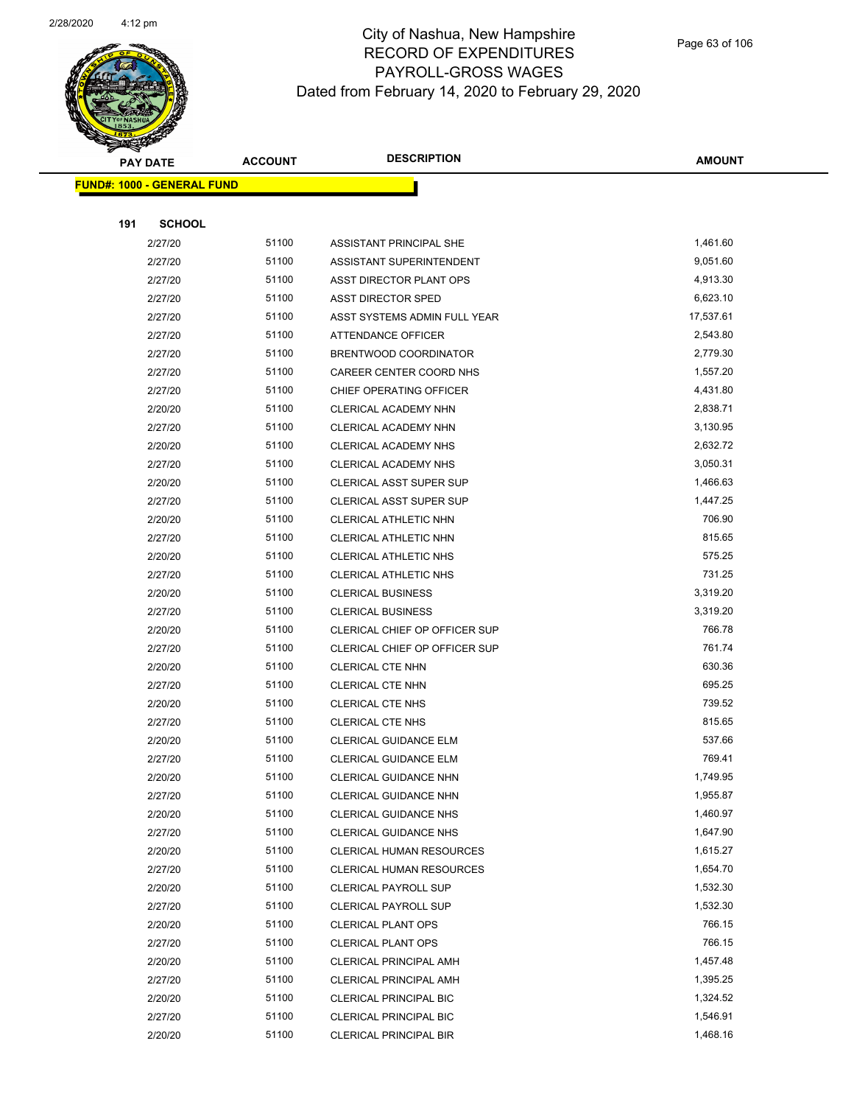

|     | <b>PAY DATE</b>                   | <b>ACCOUNT</b> | <b>DESCRIPTION</b>              | <b>AMOUNT</b> |
|-----|-----------------------------------|----------------|---------------------------------|---------------|
|     | <b>FUND#: 1000 - GENERAL FUND</b> |                |                                 |               |
|     |                                   |                |                                 |               |
| 191 | <b>SCHOOL</b>                     |                |                                 |               |
|     | 2/27/20                           | 51100          | ASSISTANT PRINCIPAL SHE         | 1,461.60      |
|     | 2/27/20                           | 51100          | ASSISTANT SUPERINTENDENT        | 9,051.60      |
|     | 2/27/20                           | 51100          | ASST DIRECTOR PLANT OPS         | 4,913.30      |
|     | 2/27/20                           | 51100          | <b>ASST DIRECTOR SPED</b>       | 6,623.10      |
|     | 2/27/20                           | 51100          | ASST SYSTEMS ADMIN FULL YEAR    | 17,537.61     |
|     | 2/27/20                           | 51100          | ATTENDANCE OFFICER              | 2,543.80      |
|     | 2/27/20                           | 51100          | BRENTWOOD COORDINATOR           | 2,779.30      |
|     | 2/27/20                           | 51100          | CAREER CENTER COORD NHS         | 1,557.20      |
|     | 2/27/20                           | 51100          | CHIEF OPERATING OFFICER         | 4,431.80      |
|     | 2/20/20                           | 51100          | CLERICAL ACADEMY NHN            | 2,838.71      |
|     | 2/27/20                           | 51100          | CLERICAL ACADEMY NHN            | 3,130.95      |
|     | 2/20/20                           | 51100          | CLERICAL ACADEMY NHS            | 2,632.72      |
|     | 2/27/20                           | 51100          | CLERICAL ACADEMY NHS            | 3,050.31      |
|     | 2/20/20                           | 51100          | <b>CLERICAL ASST SUPER SUP</b>  | 1,466.63      |
|     | 2/27/20                           | 51100          | <b>CLERICAL ASST SUPER SUP</b>  | 1,447.25      |
|     | 2/20/20                           | 51100          | CLERICAL ATHLETIC NHN           | 706.90        |
|     | 2/27/20                           | 51100          | <b>CLERICAL ATHLETIC NHN</b>    | 815.65        |
|     | 2/20/20                           | 51100          | CLERICAL ATHLETIC NHS           | 575.25        |
|     | 2/27/20                           | 51100          | CLERICAL ATHLETIC NHS           | 731.25        |
|     | 2/20/20                           | 51100          | <b>CLERICAL BUSINESS</b>        | 3,319.20      |
|     | 2/27/20                           | 51100          | <b>CLERICAL BUSINESS</b>        | 3,319.20      |
|     | 2/20/20                           | 51100          | CLERICAL CHIEF OP OFFICER SUP   | 766.78        |
|     | 2/27/20                           | 51100          | CLERICAL CHIEF OP OFFICER SUP   | 761.74        |
|     | 2/20/20                           | 51100          | <b>CLERICAL CTE NHN</b>         | 630.36        |
|     | 2/27/20                           | 51100          | <b>CLERICAL CTE NHN</b>         | 695.25        |
|     | 2/20/20                           | 51100          | <b>CLERICAL CTE NHS</b>         | 739.52        |
|     | 2/27/20                           | 51100          | <b>CLERICAL CTE NHS</b>         | 815.65        |
|     | 2/20/20                           | 51100          | CLERICAL GUIDANCE ELM           | 537.66        |
|     | 2/27/20                           | 51100          | <b>CLERICAL GUIDANCE ELM</b>    | 769.41        |
|     | 2/20/20                           | 51100          | <b>CLERICAL GUIDANCE NHN</b>    | 1,749.95      |
|     | 2/27/20                           | 51100          | CLERICAL GUIDANCE NHN           | 1,955.87      |
|     | 2/20/20                           | 51100          | <b>CLERICAL GUIDANCE NHS</b>    | 1,460.97      |
|     | 2/27/20                           | 51100          | <b>CLERICAL GUIDANCE NHS</b>    | 1,647.90      |
|     | 2/20/20                           | 51100          | <b>CLERICAL HUMAN RESOURCES</b> | 1,615.27      |
|     | 2/27/20                           | 51100          | CLERICAL HUMAN RESOURCES        | 1,654.70      |
|     | 2/20/20                           | 51100          | <b>CLERICAL PAYROLL SUP</b>     | 1,532.30      |
|     | 2/27/20                           | 51100          | <b>CLERICAL PAYROLL SUP</b>     | 1,532.30      |
|     | 2/20/20                           | 51100          | <b>CLERICAL PLANT OPS</b>       | 766.15        |
|     | 2/27/20                           | 51100          | CLERICAL PLANT OPS              | 766.15        |
|     | 2/20/20                           | 51100          | <b>CLERICAL PRINCIPAL AMH</b>   | 1,457.48      |
|     | 2/27/20                           | 51100          | <b>CLERICAL PRINCIPAL AMH</b>   | 1,395.25      |
|     | 2/20/20                           | 51100          | <b>CLERICAL PRINCIPAL BIC</b>   | 1,324.52      |
|     | 2/27/20                           | 51100          | <b>CLERICAL PRINCIPAL BIC</b>   | 1,546.91      |
|     | 2/20/20                           | 51100          | CLERICAL PRINCIPAL BIR          | 1,468.16      |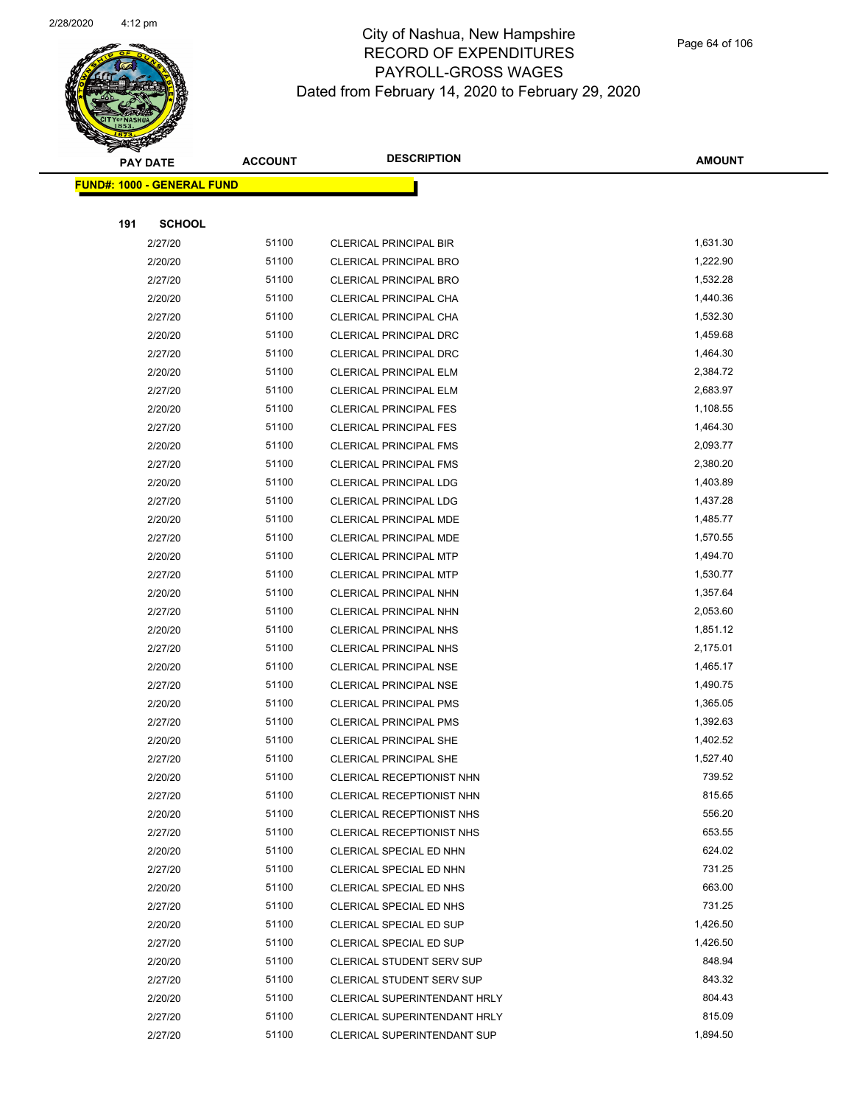

Page 64 of 106

| <b>PAY DATE</b>                    | <b>ACCOUNT</b> | <b>DESCRIPTION</b>                                                  | <b>AMOUNT</b>      |
|------------------------------------|----------------|---------------------------------------------------------------------|--------------------|
| <u> FUND#: 1000 - GENERAL FUND</u> |                |                                                                     |                    |
|                                    |                |                                                                     |                    |
| <b>SCHOOL</b><br>191               |                |                                                                     |                    |
| 2/27/20                            | 51100          | <b>CLERICAL PRINCIPAL BIR</b>                                       | 1,631.30           |
| 2/20/20                            | 51100          | <b>CLERICAL PRINCIPAL BRO</b>                                       | 1,222.90           |
| 2/27/20                            | 51100          | CLERICAL PRINCIPAL BRO                                              | 1,532.28           |
| 2/20/20                            | 51100          | CLERICAL PRINCIPAL CHA                                              | 1,440.36           |
| 2/27/20                            | 51100          | CLERICAL PRINCIPAL CHA                                              | 1,532.30           |
| 2/20/20                            | 51100          | CLERICAL PRINCIPAL DRC                                              | 1,459.68           |
| 2/27/20                            | 51100          | <b>CLERICAL PRINCIPAL DRC</b>                                       | 1,464.30           |
| 2/20/20                            | 51100          | <b>CLERICAL PRINCIPAL ELM</b>                                       | 2,384.72           |
| 2/27/20                            | 51100          | <b>CLERICAL PRINCIPAL ELM</b>                                       | 2,683.97           |
| 2/20/20                            | 51100          | <b>CLERICAL PRINCIPAL FES</b>                                       | 1,108.55           |
| 2/27/20                            | 51100          | <b>CLERICAL PRINCIPAL FES</b>                                       | 1,464.30           |
| 2/20/20                            | 51100          | <b>CLERICAL PRINCIPAL FMS</b>                                       | 2,093.77           |
| 2/27/20                            | 51100          | <b>CLERICAL PRINCIPAL FMS</b>                                       | 2,380.20           |
| 2/20/20                            | 51100          | <b>CLERICAL PRINCIPAL LDG</b>                                       | 1,403.89           |
| 2/27/20                            | 51100          | <b>CLERICAL PRINCIPAL LDG</b>                                       | 1,437.28           |
| 2/20/20                            | 51100          | CLERICAL PRINCIPAL MDE                                              | 1,485.77           |
| 2/27/20                            | 51100          | CLERICAL PRINCIPAL MDE                                              | 1,570.55           |
| 2/20/20                            | 51100          | <b>CLERICAL PRINCIPAL MTP</b>                                       | 1,494.70           |
| 2/27/20                            | 51100          | <b>CLERICAL PRINCIPAL MTP</b>                                       | 1,530.77           |
| 2/20/20                            | 51100          | CLERICAL PRINCIPAL NHN                                              | 1,357.64           |
| 2/27/20                            | 51100          | CLERICAL PRINCIPAL NHN                                              | 2,053.60           |
| 2/20/20                            | 51100          | <b>CLERICAL PRINCIPAL NHS</b>                                       | 1,851.12           |
| 2/27/20                            | 51100          | <b>CLERICAL PRINCIPAL NHS</b>                                       | 2,175.01           |
| 2/20/20                            | 51100          | <b>CLERICAL PRINCIPAL NSE</b>                                       | 1,465.17           |
| 2/27/20                            | 51100          | <b>CLERICAL PRINCIPAL NSE</b>                                       | 1,490.75           |
| 2/20/20                            | 51100          | CLERICAL PRINCIPAL PMS                                              | 1,365.05           |
| 2/27/20                            | 51100          | <b>CLERICAL PRINCIPAL PMS</b>                                       | 1,392.63           |
| 2/20/20                            | 51100          | CLERICAL PRINCIPAL SHE                                              | 1,402.52           |
| 2/27/20                            | 51100          | CLERICAL PRINCIPAL SHE                                              | 1,527.40           |
| 2/20/20                            | 51100          | <b>CLERICAL RECEPTIONIST NHN</b>                                    | 739.52             |
| 2/27/20                            | 51100          | CLERICAL RECEPTIONIST NHN                                           | 815.65             |
| 2/20/20                            | 51100          | <b>CLERICAL RECEPTIONIST NHS</b>                                    | 556.20             |
| 2/27/20                            | 51100          | CLERICAL RECEPTIONIST NHS                                           | 653.55             |
| 2/20/20                            | 51100          | CLERICAL SPECIAL ED NHN                                             | 624.02             |
| 2/27/20                            | 51100          | CLERICAL SPECIAL ED NHN                                             | 731.25             |
| 2/20/20                            | 51100          | CLERICAL SPECIAL ED NHS                                             | 663.00             |
| 2/27/20                            | 51100          | CLERICAL SPECIAL ED NHS                                             | 731.25             |
| 2/20/20                            | 51100          | CLERICAL SPECIAL ED SUP                                             | 1,426.50           |
| 2/27/20                            | 51100<br>51100 | CLERICAL SPECIAL ED SUP                                             | 1,426.50<br>848.94 |
| 2/20/20                            | 51100          | <b>CLERICAL STUDENT SERV SUP</b>                                    | 843.32             |
| 2/27/20                            | 51100          | <b>CLERICAL STUDENT SERV SUP</b>                                    | 804.43             |
| 2/20/20<br>2/27/20                 | 51100          | <b>CLERICAL SUPERINTENDANT HRLY</b><br>CLERICAL SUPERINTENDANT HRLY | 815.09             |
| 2/27/20                            | 51100          | <b>CLERICAL SUPERINTENDANT SUP</b>                                  | 1,894.50           |
|                                    |                |                                                                     |                    |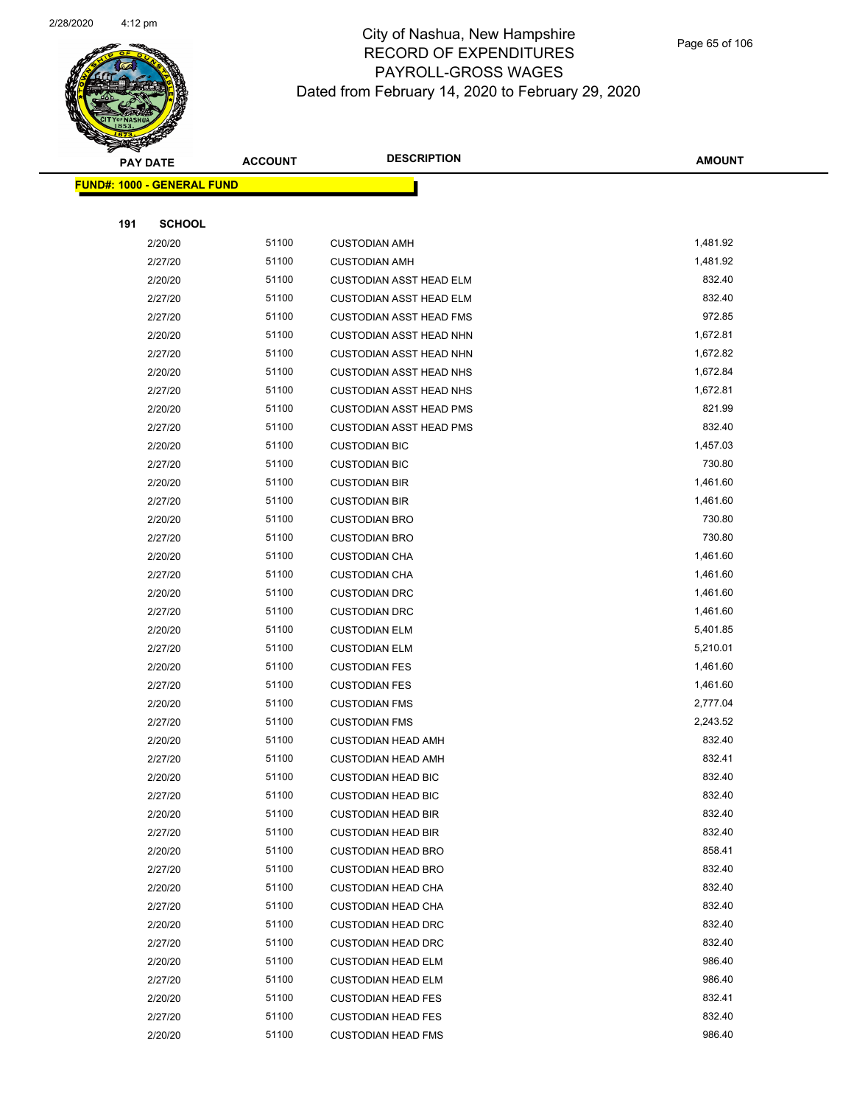

Page 65 of 106

|     | <b>PAY DATE</b>                    | <b>ACCOUNT</b> | <b>DESCRIPTION</b>             | <b>AMOUNT</b> |
|-----|------------------------------------|----------------|--------------------------------|---------------|
|     | <u> FUND#: 1000 - GENERAL FUND</u> |                |                                |               |
|     |                                    |                |                                |               |
| 191 | <b>SCHOOL</b>                      |                |                                |               |
|     | 2/20/20                            | 51100          | <b>CUSTODIAN AMH</b>           | 1,481.92      |
|     | 2/27/20                            | 51100          | <b>CUSTODIAN AMH</b>           | 1,481.92      |
|     | 2/20/20                            | 51100          | <b>CUSTODIAN ASST HEAD ELM</b> | 832.40        |
|     | 2/27/20                            | 51100          | <b>CUSTODIAN ASST HEAD ELM</b> | 832.40        |
|     | 2/27/20                            | 51100          | <b>CUSTODIAN ASST HEAD FMS</b> | 972.85        |
|     | 2/20/20                            | 51100          | <b>CUSTODIAN ASST HEAD NHN</b> | 1,672.81      |
|     | 2/27/20                            | 51100          | <b>CUSTODIAN ASST HEAD NHN</b> | 1,672.82      |
|     | 2/20/20                            | 51100          | <b>CUSTODIAN ASST HEAD NHS</b> | 1,672.84      |
|     | 2/27/20                            | 51100          | <b>CUSTODIAN ASST HEAD NHS</b> | 1,672.81      |
|     | 2/20/20                            | 51100          | <b>CUSTODIAN ASST HEAD PMS</b> | 821.99        |
|     | 2/27/20                            | 51100          | <b>CUSTODIAN ASST HEAD PMS</b> | 832.40        |
|     | 2/20/20                            | 51100          | <b>CUSTODIAN BIC</b>           | 1,457.03      |
|     | 2/27/20                            | 51100          | <b>CUSTODIAN BIC</b>           | 730.80        |
|     | 2/20/20                            | 51100          | <b>CUSTODIAN BIR</b>           | 1,461.60      |
|     | 2/27/20                            | 51100          | <b>CUSTODIAN BIR</b>           | 1,461.60      |
|     | 2/20/20                            | 51100          | <b>CUSTODIAN BRO</b>           | 730.80        |
|     | 2/27/20                            | 51100          | <b>CUSTODIAN BRO</b>           | 730.80        |
|     | 2/20/20                            | 51100          | <b>CUSTODIAN CHA</b>           | 1,461.60      |
|     | 2/27/20                            | 51100          | <b>CUSTODIAN CHA</b>           | 1,461.60      |
|     | 2/20/20                            | 51100          | <b>CUSTODIAN DRC</b>           | 1,461.60      |
|     | 2/27/20                            | 51100          | <b>CUSTODIAN DRC</b>           | 1,461.60      |
|     | 2/20/20                            | 51100          | <b>CUSTODIAN ELM</b>           | 5,401.85      |
|     | 2/27/20                            | 51100          | <b>CUSTODIAN ELM</b>           | 5,210.01      |
|     | 2/20/20                            | 51100          | <b>CUSTODIAN FES</b>           | 1,461.60      |
|     | 2/27/20                            | 51100          | <b>CUSTODIAN FES</b>           | 1,461.60      |
|     | 2/20/20                            | 51100          | <b>CUSTODIAN FMS</b>           | 2,777.04      |
|     | 2/27/20                            | 51100          | <b>CUSTODIAN FMS</b>           | 2,243.52      |
|     | 2/20/20                            | 51100          | <b>CUSTODIAN HEAD AMH</b>      | 832.40        |
|     | 2/27/20                            | 51100          | <b>CUSTODIAN HEAD AMH</b>      | 832.41        |
|     | 2/20/20                            | 51100          | <b>CUSTODIAN HEAD BIC</b>      | 832.40        |
|     | 2/27/20                            | 51100          | <b>CUSTODIAN HEAD BIC</b>      | 832.40        |
|     | 2/20/20                            | 51100          | <b>CUSTODIAN HEAD BIR</b>      | 832.40        |
|     | 2/27/20                            | 51100          | <b>CUSTODIAN HEAD BIR</b>      | 832.40        |
|     | 2/20/20                            | 51100          | <b>CUSTODIAN HEAD BRO</b>      | 858.41        |
|     | 2/27/20                            | 51100          | <b>CUSTODIAN HEAD BRO</b>      | 832.40        |
|     | 2/20/20                            | 51100          | <b>CUSTODIAN HEAD CHA</b>      | 832.40        |
|     | 2/27/20                            | 51100          | <b>CUSTODIAN HEAD CHA</b>      | 832.40        |
|     | 2/20/20                            | 51100          | <b>CUSTODIAN HEAD DRC</b>      | 832.40        |
|     | 2/27/20                            | 51100          | <b>CUSTODIAN HEAD DRC</b>      | 832.40        |
|     | 2/20/20                            | 51100          | <b>CUSTODIAN HEAD ELM</b>      | 986.40        |
|     | 2/27/20                            | 51100          | <b>CUSTODIAN HEAD ELM</b>      | 986.40        |
|     | 2/20/20                            | 51100          | <b>CUSTODIAN HEAD FES</b>      | 832.41        |
|     | 2/27/20                            | 51100          | <b>CUSTODIAN HEAD FES</b>      | 832.40        |
|     | 2/20/20                            | 51100          | <b>CUSTODIAN HEAD FMS</b>      | 986.40        |
|     |                                    |                |                                |               |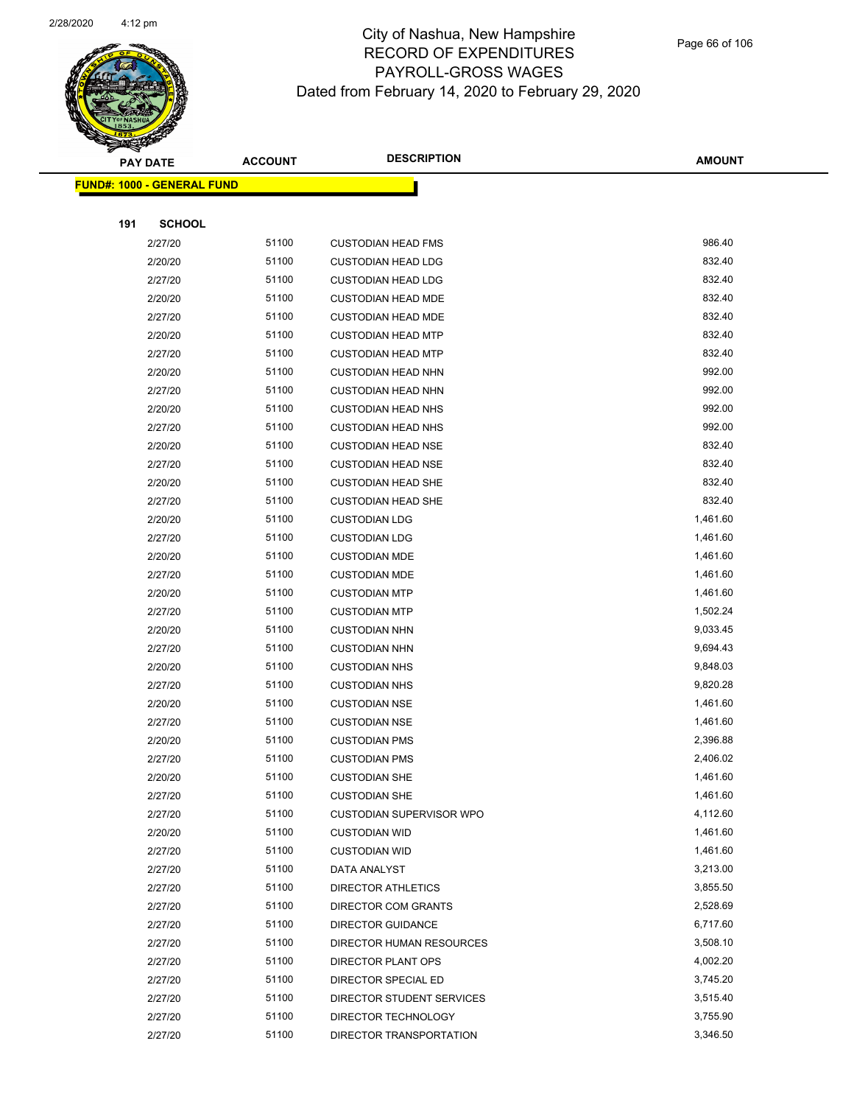

|     | <b>PAY DATE</b>                   | <b>ACCOUNT</b> | <b>DESCRIPTION</b>         | <b>AMOUNT</b> |
|-----|-----------------------------------|----------------|----------------------------|---------------|
|     | <b>FUND#: 1000 - GENERAL FUND</b> |                |                            |               |
|     |                                   |                |                            |               |
| 191 | <b>SCHOOL</b>                     |                |                            |               |
|     | 2/27/20                           | 51100          | <b>CUSTODIAN HEAD FMS</b>  | 986.40        |
|     | 2/20/20                           | 51100          | <b>CUSTODIAN HEAD LDG</b>  | 832.40        |
|     | 2/27/20                           | 51100          | <b>CUSTODIAN HEAD LDG</b>  | 832.40        |
|     | 2/20/20                           | 51100          | <b>CUSTODIAN HEAD MDE</b>  | 832.40        |
|     | 2/27/20                           | 51100          | <b>CUSTODIAN HEAD MDE</b>  | 832.40        |
|     | 2/20/20                           | 51100          | <b>CUSTODIAN HEAD MTP</b>  | 832.40        |
|     | 2/27/20                           | 51100          | <b>CUSTODIAN HEAD MTP</b>  | 832.40        |
|     | 2/20/20                           | 51100          | <b>CUSTODIAN HEAD NHN</b>  | 992.00        |
|     | 2/27/20                           | 51100          | <b>CUSTODIAN HEAD NHN</b>  | 992.00        |
|     | 2/20/20                           | 51100          | <b>CUSTODIAN HEAD NHS</b>  | 992.00        |
|     | 2/27/20                           | 51100          | <b>CUSTODIAN HEAD NHS</b>  | 992.00        |
|     | 2/20/20                           | 51100          | <b>CUSTODIAN HEAD NSE</b>  | 832.40        |
|     | 2/27/20                           | 51100          | <b>CUSTODIAN HEAD NSE</b>  | 832.40        |
|     | 2/20/20                           | 51100          | <b>CUSTODIAN HEAD SHE</b>  | 832.40        |
|     | 2/27/20                           | 51100          | <b>CUSTODIAN HEAD SHE</b>  | 832.40        |
|     | 2/20/20                           | 51100          | <b>CUSTODIAN LDG</b>       | 1,461.60      |
|     | 2/27/20                           | 51100          | <b>CUSTODIAN LDG</b>       | 1,461.60      |
|     | 2/20/20                           | 51100          | <b>CUSTODIAN MDE</b>       | 1,461.60      |
|     | 2/27/20                           | 51100          | <b>CUSTODIAN MDE</b>       | 1,461.60      |
|     | 2/20/20                           | 51100          | <b>CUSTODIAN MTP</b>       | 1,461.60      |
|     | 2/27/20                           | 51100          | <b>CUSTODIAN MTP</b>       | 1,502.24      |
|     | 2/20/20                           | 51100          | <b>CUSTODIAN NHN</b>       | 9,033.45      |
|     | 2/27/20                           | 51100          | <b>CUSTODIAN NHN</b>       | 9,694.43      |
|     | 2/20/20                           | 51100          | <b>CUSTODIAN NHS</b>       | 9,848.03      |
|     | 2/27/20                           | 51100          | <b>CUSTODIAN NHS</b>       | 9,820.28      |
|     | 2/20/20                           | 51100          | <b>CUSTODIAN NSE</b>       | 1,461.60      |
|     | 2/27/20                           | 51100          | <b>CUSTODIAN NSE</b>       | 1,461.60      |
|     | 2/20/20                           | 51100          | <b>CUSTODIAN PMS</b>       | 2,396.88      |
|     | 2/27/20                           | 51100          | <b>CUSTODIAN PMS</b>       | 2,406.02      |
|     | 2/20/20                           | 51100          | <b>CUSTODIAN SHE</b>       | 1,461.60      |
|     | 2/27/20                           | 51100          | <b>CUSTODIAN SHE</b>       | 1,461.60      |
|     | 2/27/20                           | 51100          | CUSTODIAN SUPERVISOR WPO   | 4,112.60      |
|     | 2/20/20                           | 51100          | <b>CUSTODIAN WID</b>       | 1,461.60      |
|     | 2/27/20                           | 51100          | <b>CUSTODIAN WID</b>       | 1,461.60      |
|     | 2/27/20                           | 51100          | DATA ANALYST               | 3,213.00      |
|     | 2/27/20                           | 51100          | <b>DIRECTOR ATHLETICS</b>  | 3,855.50      |
|     | 2/27/20                           | 51100          | <b>DIRECTOR COM GRANTS</b> | 2,528.69      |
|     | 2/27/20                           | 51100          | <b>DIRECTOR GUIDANCE</b>   | 6,717.60      |
|     | 2/27/20                           | 51100          | DIRECTOR HUMAN RESOURCES   | 3,508.10      |
|     | 2/27/20                           | 51100          | DIRECTOR PLANT OPS         | 4,002.20      |
|     | 2/27/20                           | 51100          | DIRECTOR SPECIAL ED        | 3,745.20      |
|     | 2/27/20                           | 51100          | DIRECTOR STUDENT SERVICES  | 3,515.40      |
|     | 2/27/20                           | 51100          | DIRECTOR TECHNOLOGY        | 3,755.90      |
|     | 2/27/20                           | 51100          | DIRECTOR TRANSPORTATION    | 3,346.50      |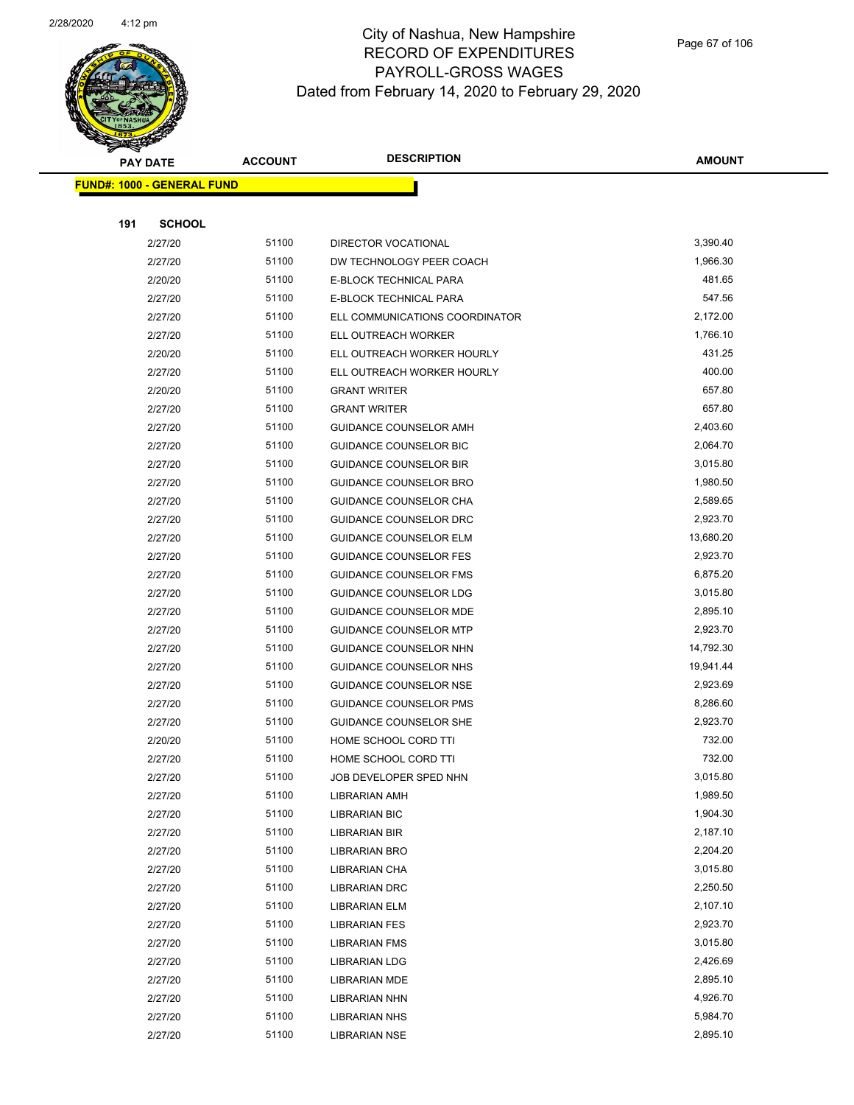

|     | <b>PAY DATE</b>                   | <b>ACCOUNT</b> | <b>DESCRIPTION</b>             | <b>AMOUNT</b> |
|-----|-----------------------------------|----------------|--------------------------------|---------------|
|     | <b>FUND#: 1000 - GENERAL FUND</b> |                |                                |               |
|     |                                   |                |                                |               |
| 191 | <b>SCHOOL</b>                     |                |                                |               |
|     | 2/27/20                           | 51100          | <b>DIRECTOR VOCATIONAL</b>     | 3,390.40      |
|     | 2/27/20                           | 51100          | DW TECHNOLOGY PEER COACH       | 1,966.30      |
|     | 2/20/20                           | 51100          | E-BLOCK TECHNICAL PARA         | 481.65        |
|     | 2/27/20                           | 51100          | E-BLOCK TECHNICAL PARA         | 547.56        |
|     | 2/27/20                           | 51100          | ELL COMMUNICATIONS COORDINATOR | 2,172.00      |
|     | 2/27/20                           | 51100          | ELL OUTREACH WORKER            | 1,766.10      |
|     | 2/20/20                           | 51100          | ELL OUTREACH WORKER HOURLY     | 431.25        |
|     | 2/27/20                           | 51100          | ELL OUTREACH WORKER HOURLY     | 400.00        |
|     | 2/20/20                           | 51100          | <b>GRANT WRITER</b>            | 657.80        |
|     | 2/27/20                           | 51100          | <b>GRANT WRITER</b>            | 657.80        |
|     | 2/27/20                           | 51100          | GUIDANCE COUNSELOR AMH         | 2,403.60      |
|     | 2/27/20                           | 51100          | GUIDANCE COUNSELOR BIC         | 2,064.70      |
|     | 2/27/20                           | 51100          | <b>GUIDANCE COUNSELOR BIR</b>  | 3,015.80      |
|     | 2/27/20                           | 51100          | <b>GUIDANCE COUNSELOR BRO</b>  | 1,980.50      |
|     | 2/27/20                           | 51100          | GUIDANCE COUNSELOR CHA         | 2,589.65      |
|     | 2/27/20                           | 51100          | GUIDANCE COUNSELOR DRC         | 2,923.70      |
|     | 2/27/20                           | 51100          | <b>GUIDANCE COUNSELOR ELM</b>  | 13,680.20     |
|     | 2/27/20                           | 51100          | <b>GUIDANCE COUNSELOR FES</b>  | 2,923.70      |
|     | 2/27/20                           | 51100          | <b>GUIDANCE COUNSELOR FMS</b>  | 6,875.20      |
|     | 2/27/20                           | 51100          | GUIDANCE COUNSELOR LDG         | 3,015.80      |
|     | 2/27/20                           | 51100          | GUIDANCE COUNSELOR MDE         | 2,895.10      |
|     | 2/27/20                           | 51100          | <b>GUIDANCE COUNSELOR MTP</b>  | 2,923.70      |
|     | 2/27/20                           | 51100          | GUIDANCE COUNSELOR NHN         | 14,792.30     |
|     | 2/27/20                           | 51100          | GUIDANCE COUNSELOR NHS         | 19,941.44     |
|     | 2/27/20                           | 51100          | <b>GUIDANCE COUNSELOR NSE</b>  | 2,923.69      |
|     | 2/27/20                           | 51100          | GUIDANCE COUNSELOR PMS         | 8,286.60      |
|     | 2/27/20                           | 51100          | <b>GUIDANCE COUNSELOR SHE</b>  | 2,923.70      |
|     | 2/20/20                           | 51100          | HOME SCHOOL CORD TTI           | 732.00        |
|     | 2/27/20                           | 51100          | HOME SCHOOL CORD TTI           | 732.00        |
|     | 2/27/20                           | 51100          | JOB DEVELOPER SPED NHN         | 3,015.80      |
|     | 2/27/20                           | 51100          | <b>LIBRARIAN AMH</b>           | 1,989.50      |
|     | 2/27/20                           | 51100          | <b>LIBRARIAN BIC</b>           | 1,904.30      |
|     | 2/27/20                           | 51100          | LIBRARIAN BIR                  | 2,187.10      |
|     | 2/27/20                           | 51100          | LIBRARIAN BRO                  | 2,204.20      |
|     | 2/27/20                           | 51100          | LIBRARIAN CHA                  | 3,015.80      |
|     | 2/27/20                           | 51100          | <b>LIBRARIAN DRC</b>           | 2,250.50      |
|     | 2/27/20                           | 51100          | <b>LIBRARIAN ELM</b>           | 2,107.10      |
|     | 2/27/20                           | 51100          | <b>LIBRARIAN FES</b>           | 2,923.70      |
|     | 2/27/20                           | 51100          | <b>LIBRARIAN FMS</b>           | 3,015.80      |
|     | 2/27/20                           | 51100          | LIBRARIAN LDG                  | 2,426.69      |
|     | 2/27/20                           | 51100          | LIBRARIAN MDE                  | 2,895.10      |
|     | 2/27/20                           | 51100          | LIBRARIAN NHN                  | 4,926.70      |
|     | 2/27/20                           | 51100          | <b>LIBRARIAN NHS</b>           | 5,984.70      |
|     | 2/27/20                           | 51100          | <b>LIBRARIAN NSE</b>           | 2,895.10      |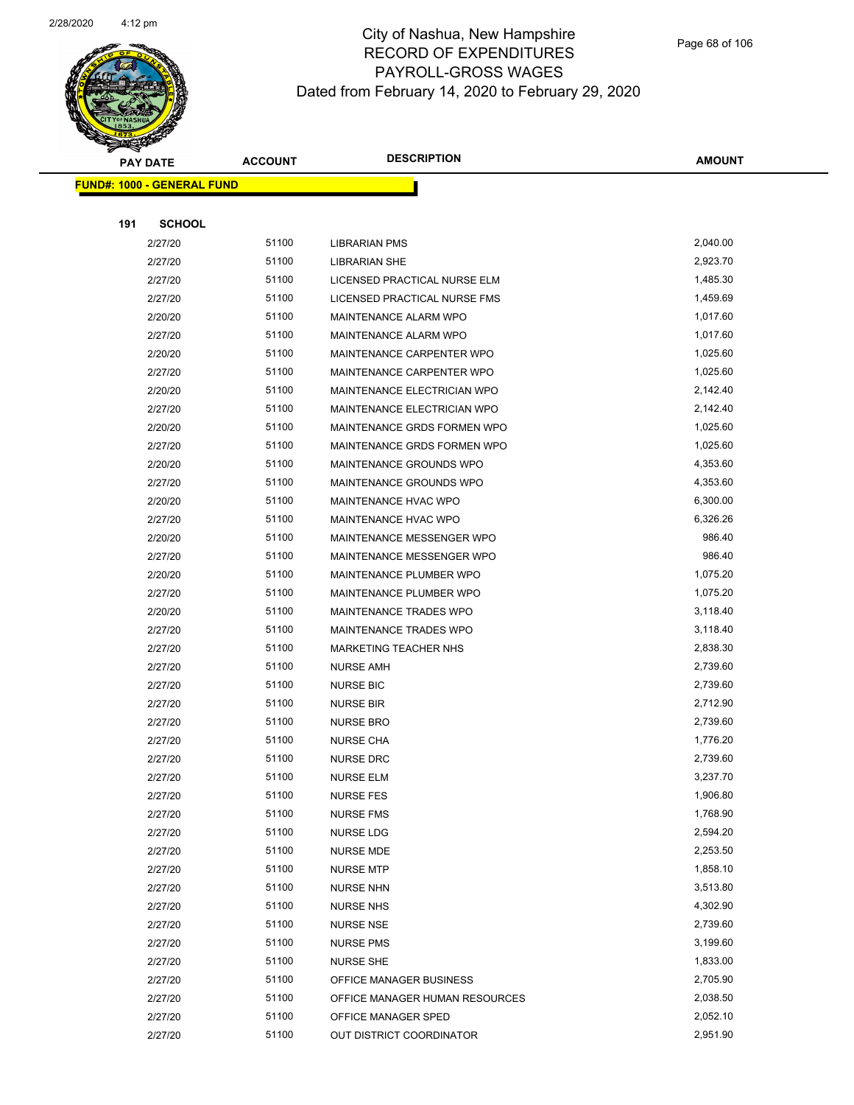

|                                   | <b>PAY DATE</b> | <b>ACCOUNT</b> | <b>DESCRIPTION</b>             | <b>AMOUNT</b> |
|-----------------------------------|-----------------|----------------|--------------------------------|---------------|
| <b>FUND#: 1000 - GENERAL FUND</b> |                 |                |                                |               |
|                                   |                 |                |                                |               |
| 191                               | <b>SCHOOL</b>   |                |                                |               |
|                                   | 2/27/20         | 51100          | <b>LIBRARIAN PMS</b>           | 2,040.00      |
|                                   | 2/27/20         | 51100          | <b>LIBRARIAN SHE</b>           | 2,923.70      |
|                                   | 2/27/20         | 51100          | LICENSED PRACTICAL NURSE ELM   | 1,485.30      |
|                                   | 2/27/20         | 51100          | LICENSED PRACTICAL NURSE FMS   | 1,459.69      |
|                                   | 2/20/20         | 51100          | <b>MAINTENANCE ALARM WPO</b>   | 1,017.60      |
|                                   | 2/27/20         | 51100          | MAINTENANCE ALARM WPO          | 1,017.60      |
|                                   | 2/20/20         | 51100          | MAINTENANCE CARPENTER WPO      | 1,025.60      |
|                                   | 2/27/20         | 51100          | MAINTENANCE CARPENTER WPO      | 1,025.60      |
|                                   | 2/20/20         | 51100          | MAINTENANCE ELECTRICIAN WPO    | 2,142.40      |
|                                   | 2/27/20         | 51100          | MAINTENANCE ELECTRICIAN WPO    | 2,142.40      |
|                                   | 2/20/20         | 51100          | MAINTENANCE GRDS FORMEN WPO    | 1,025.60      |
|                                   | 2/27/20         | 51100          | MAINTENANCE GRDS FORMEN WPO    | 1,025.60      |
|                                   | 2/20/20         | 51100          | MAINTENANCE GROUNDS WPO        | 4,353.60      |
|                                   | 2/27/20         | 51100          | MAINTENANCE GROUNDS WPO        | 4,353.60      |
|                                   | 2/20/20         | 51100          | MAINTENANCE HVAC WPO           | 6,300.00      |
|                                   | 2/27/20         | 51100          | MAINTENANCE HVAC WPO           | 6,326.26      |
|                                   | 2/20/20         | 51100          | MAINTENANCE MESSENGER WPO      | 986.40        |
|                                   | 2/27/20         | 51100          | MAINTENANCE MESSENGER WPO      | 986.40        |
|                                   | 2/20/20         | 51100          | MAINTENANCE PLUMBER WPO        | 1,075.20      |
|                                   | 2/27/20         | 51100          | MAINTENANCE PLUMBER WPO        | 1,075.20      |
|                                   | 2/20/20         | 51100          | MAINTENANCE TRADES WPO         | 3,118.40      |
|                                   | 2/27/20         | 51100          | MAINTENANCE TRADES WPO         | 3,118.40      |
|                                   | 2/27/20         | 51100          | <b>MARKETING TEACHER NHS</b>   | 2,838.30      |
|                                   | 2/27/20         | 51100          | <b>NURSE AMH</b>               | 2,739.60      |
|                                   | 2/27/20         | 51100          | <b>NURSE BIC</b>               | 2,739.60      |
|                                   | 2/27/20         | 51100          | <b>NURSE BIR</b>               | 2,712.90      |
|                                   | 2/27/20         | 51100          | <b>NURSE BRO</b>               | 2,739.60      |
|                                   | 2/27/20         | 51100          | <b>NURSE CHA</b>               | 1,776.20      |
|                                   | 2/27/20         | 51100          | <b>NURSE DRC</b>               | 2,739.60      |
|                                   | 2/27/20         | 51100          | NURSE ELM                      | 3,237.70      |
|                                   | 2/27/20         | 51100          | <b>NURSE FES</b>               | 1,906.80      |
|                                   | 2/27/20         | 51100          | <b>NURSE FMS</b>               | 1,768.90      |
|                                   | 2/27/20         | 51100          | <b>NURSE LDG</b>               | 2,594.20      |
|                                   | 2/27/20         | 51100          | NURSE MDE                      | 2,253.50      |
|                                   | 2/27/20         | 51100          | <b>NURSE MTP</b>               | 1,858.10      |
|                                   | 2/27/20         | 51100          | <b>NURSE NHN</b>               | 3,513.80      |
|                                   | 2/27/20         | 51100          | <b>NURSE NHS</b>               | 4,302.90      |
|                                   | 2/27/20         | 51100          | <b>NURSE NSE</b>               | 2,739.60      |
|                                   | 2/27/20         | 51100          | <b>NURSE PMS</b>               | 3,199.60      |
|                                   | 2/27/20         | 51100          | <b>NURSE SHE</b>               | 1,833.00      |
|                                   | 2/27/20         | 51100          | OFFICE MANAGER BUSINESS        | 2,705.90      |
|                                   | 2/27/20         | 51100          | OFFICE MANAGER HUMAN RESOURCES | 2,038.50      |
|                                   | 2/27/20         | 51100          | OFFICE MANAGER SPED            | 2,052.10      |
|                                   | 2/27/20         | 51100          | OUT DISTRICT COORDINATOR       | 2,951.90      |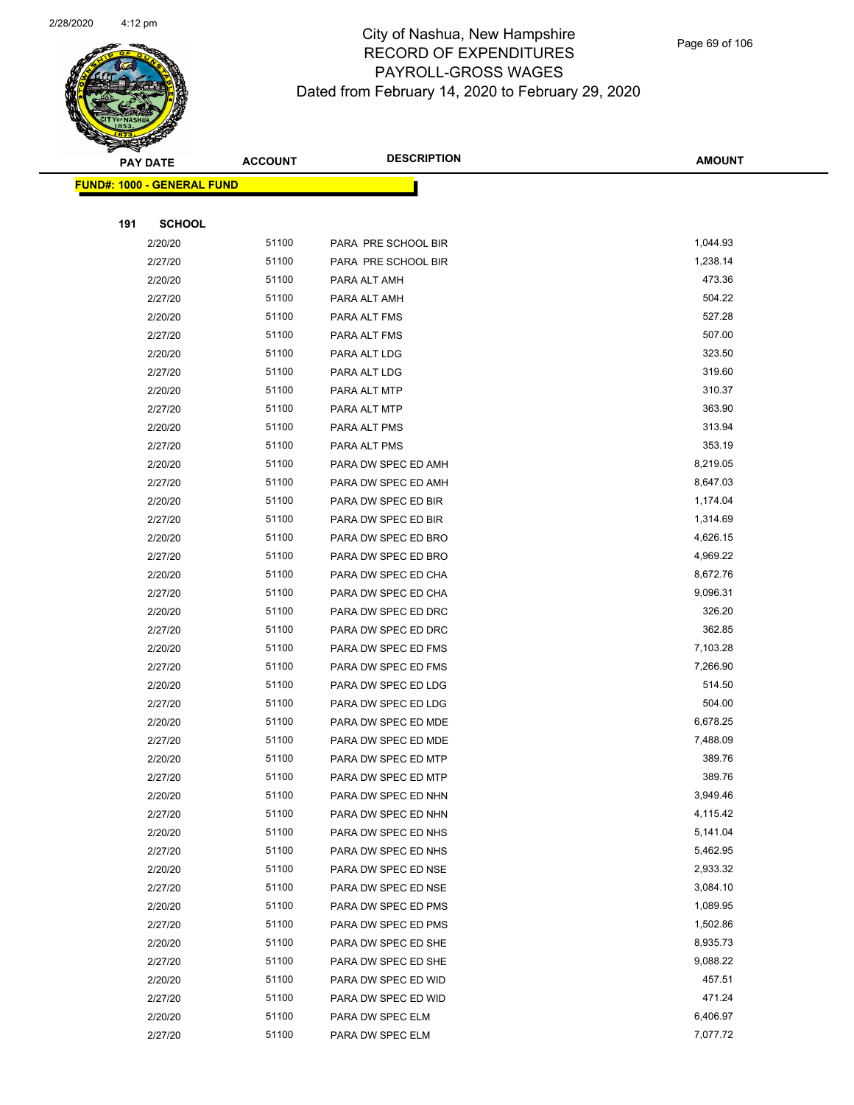

Page 69 of 106

|     | <b>PAY DATE</b>                    | <b>ACCOUNT</b> | <b>DESCRIPTION</b>  | <b>AMOUNT</b>    |  |
|-----|------------------------------------|----------------|---------------------|------------------|--|
|     | <u> FUND#: 1000 - GENERAL FUND</u> |                |                     |                  |  |
|     |                                    |                |                     |                  |  |
| 191 | <b>SCHOOL</b>                      |                |                     |                  |  |
|     | 2/20/20                            | 51100          | PARA PRE SCHOOL BIR | 1,044.93         |  |
|     | 2/27/20                            | 51100          | PARA PRE SCHOOL BIR | 1,238.14         |  |
|     | 2/20/20                            | 51100          | PARA ALT AMH        | 473.36           |  |
|     | 2/27/20                            | 51100          | PARA ALT AMH        | 504.22           |  |
|     | 2/20/20                            | 51100          | PARA ALT FMS        | 527.28           |  |
|     | 2/27/20                            | 51100          | PARA ALT FMS        | 507.00           |  |
|     | 2/20/20                            | 51100          | PARA ALT LDG        | 323.50           |  |
|     | 2/27/20                            | 51100          | PARA ALT LDG        | 319.60           |  |
|     | 2/20/20                            | 51100          | PARA ALT MTP        | 310.37           |  |
|     | 2/27/20                            | 51100          | PARA ALT MTP        | 363.90           |  |
|     | 2/20/20                            | 51100          | PARA ALT PMS        | 313.94           |  |
|     | 2/27/20                            | 51100          | PARA ALT PMS        | 353.19           |  |
|     | 2/20/20                            | 51100          | PARA DW SPEC ED AMH | 8,219.05         |  |
|     | 2/27/20                            | 51100          | PARA DW SPEC ED AMH | 8,647.03         |  |
|     | 2/20/20                            | 51100          | PARA DW SPEC ED BIR | 1,174.04         |  |
|     | 2/27/20                            | 51100          | PARA DW SPEC ED BIR | 1,314.69         |  |
|     | 2/20/20                            | 51100          | PARA DW SPEC ED BRO | 4,626.15         |  |
|     | 2/27/20                            | 51100          | PARA DW SPEC ED BRO | 4,969.22         |  |
|     | 2/20/20                            | 51100          | PARA DW SPEC ED CHA | 8,672.76         |  |
|     | 2/27/20                            | 51100          | PARA DW SPEC ED CHA | 9,096.31         |  |
|     | 2/20/20                            | 51100          | PARA DW SPEC ED DRC | 326.20           |  |
|     | 2/27/20                            | 51100          | PARA DW SPEC ED DRC | 362.85           |  |
|     | 2/20/20                            | 51100          | PARA DW SPEC ED FMS | 7,103.28         |  |
|     | 2/27/20                            | 51100          | PARA DW SPEC ED FMS | 7,266.90         |  |
|     | 2/20/20                            | 51100          | PARA DW SPEC ED LDG | 514.50           |  |
|     | 2/27/20                            | 51100          | PARA DW SPEC ED LDG | 504.00           |  |
|     | 2/20/20                            | 51100          | PARA DW SPEC ED MDE | 6,678.25         |  |
|     | 2/27/20                            | 51100          | PARA DW SPEC ED MDE | 7,488.09         |  |
|     | 2/20/20                            | 51100          | PARA DW SPEC ED MTP | 389.76           |  |
|     | 2/27/20                            | 51100          | PARA DW SPEC ED MTP | 389.76           |  |
|     | 2/20/20                            | 51100          | PARA DW SPEC ED NHN | 3,949.46         |  |
|     | 2/27/20                            | 51100          | PARA DW SPEC ED NHN | 4,115.42         |  |
|     | 2/20/20                            | 51100          | PARA DW SPEC ED NHS | 5,141.04         |  |
|     | 2/27/20                            | 51100          | PARA DW SPEC ED NHS | 5,462.95         |  |
|     | 2/20/20                            | 51100          | PARA DW SPEC ED NSE | 2,933.32         |  |
|     | 2/27/20                            | 51100          | PARA DW SPEC ED NSE | 3,084.10         |  |
|     | 2/20/20                            | 51100          | PARA DW SPEC ED PMS | 1,089.95         |  |
|     | 2/27/20                            | 51100          | PARA DW SPEC ED PMS | 1,502.86         |  |
|     | 2/20/20                            | 51100          | PARA DW SPEC ED SHE | 8,935.73         |  |
|     | 2/27/20                            | 51100          | PARA DW SPEC ED SHE | 9,088.22         |  |
|     | 2/20/20                            | 51100          | PARA DW SPEC ED WID | 457.51<br>471.24 |  |
|     | 2/27/20                            | 51100          | PARA DW SPEC ED WID |                  |  |
|     | 2/20/20                            | 51100          | PARA DW SPEC ELM    | 6,406.97         |  |
|     | 2/27/20                            | 51100          | PARA DW SPEC ELM    | 7,077.72         |  |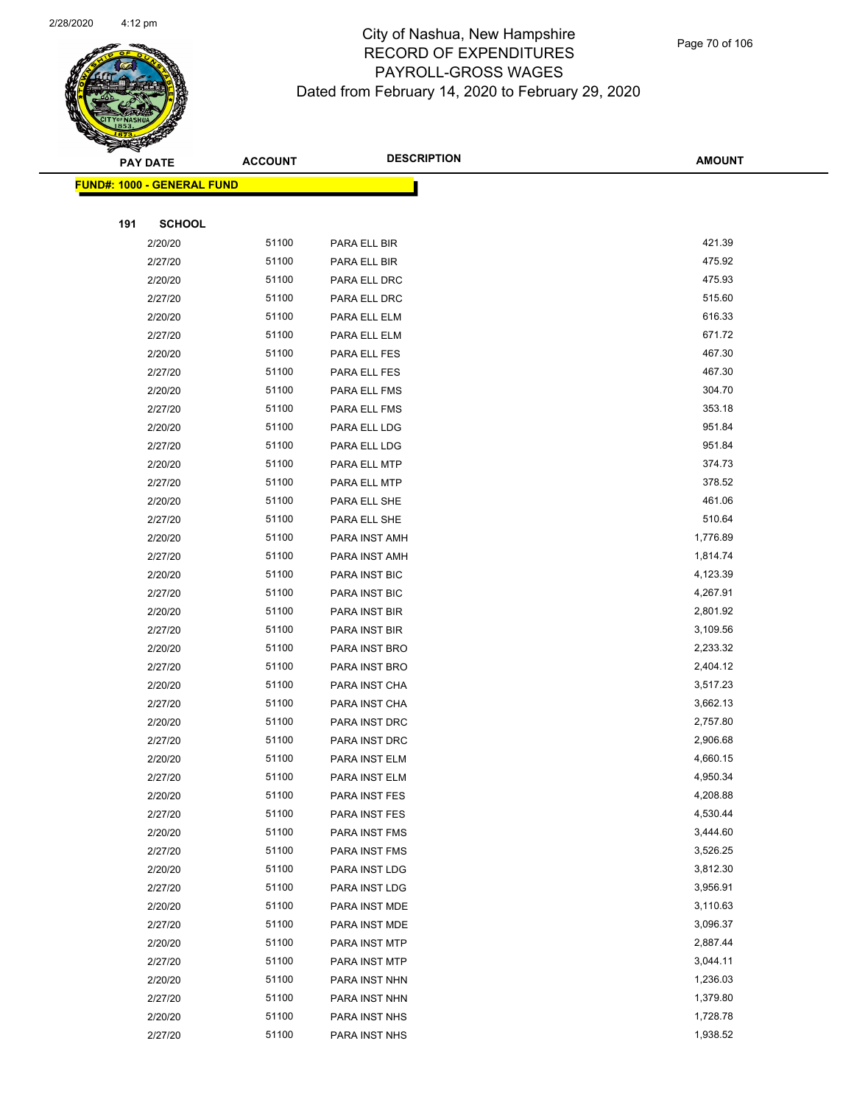

|     | <b>PAY DATE</b>                   | <b>ACCOUNT</b> | <b>DESCRIPTION</b> | <b>AMOUNT</b> |
|-----|-----------------------------------|----------------|--------------------|---------------|
|     | <b>FUND#: 1000 - GENERAL FUND</b> |                |                    |               |
|     |                                   |                |                    |               |
| 191 | <b>SCHOOL</b>                     |                |                    |               |
|     | 2/20/20                           | 51100          | PARA ELL BIR       | 421.39        |
|     | 2/27/20                           | 51100          | PARA ELL BIR       | 475.92        |
|     | 2/20/20                           | 51100          | PARA ELL DRC       | 475.93        |
|     | 2/27/20                           | 51100          | PARA ELL DRC       | 515.60        |
|     | 2/20/20                           | 51100          | PARA ELL ELM       | 616.33        |
|     | 2/27/20                           | 51100          | PARA ELL ELM       | 671.72        |
|     | 2/20/20                           | 51100          | PARA ELL FES       | 467.30        |
|     | 2/27/20                           | 51100          | PARA ELL FES       | 467.30        |
|     | 2/20/20                           | 51100          | PARA ELL FMS       | 304.70        |
|     | 2/27/20                           | 51100          | PARA ELL FMS       | 353.18        |
|     | 2/20/20                           | 51100          | PARA ELL LDG       | 951.84        |
|     | 2/27/20                           | 51100          | PARA ELL LDG       | 951.84        |
|     | 2/20/20                           | 51100          | PARA ELL MTP       | 374.73        |
|     | 2/27/20                           | 51100          | PARA ELL MTP       | 378.52        |
|     | 2/20/20                           | 51100          | PARA ELL SHE       | 461.06        |
|     | 2/27/20                           | 51100          | PARA ELL SHE       | 510.64        |
|     | 2/20/20                           | 51100          | PARA INST AMH      | 1,776.89      |
|     | 2/27/20                           | 51100          | PARA INST AMH      | 1,814.74      |
|     | 2/20/20                           | 51100          | PARA INST BIC      | 4,123.39      |
|     | 2/27/20                           | 51100          | PARA INST BIC      | 4,267.91      |
|     | 2/20/20                           | 51100          | PARA INST BIR      | 2,801.92      |
|     | 2/27/20                           | 51100          | PARA INST BIR      | 3,109.56      |
|     | 2/20/20                           | 51100          | PARA INST BRO      | 2,233.32      |
|     | 2/27/20                           | 51100          | PARA INST BRO      | 2,404.12      |
|     | 2/20/20                           | 51100          | PARA INST CHA      | 3,517.23      |
|     | 2/27/20                           | 51100          | PARA INST CHA      | 3,662.13      |
|     | 2/20/20                           | 51100          | PARA INST DRC      | 2,757.80      |
|     | 2/27/20                           | 51100          | PARA INST DRC      | 2,906.68      |
|     | 2/20/20                           | 51100          | PARA INST ELM      | 4,660.15      |
|     | 2/27/20                           | 51100          | PARA INST ELM      | 4,950.34      |
|     | 2/20/20                           | 51100          | PARA INST FES      | 4,208.88      |
|     | 2/27/20                           | 51100          | PARA INST FES      | 4,530.44      |
|     | 2/20/20                           | 51100          | PARA INST FMS      | 3,444.60      |
|     | 2/27/20                           | 51100          | PARA INST FMS      | 3,526.25      |
|     | 2/20/20                           | 51100          | PARA INST LDG      | 3,812.30      |
|     | 2/27/20                           | 51100          | PARA INST LDG      | 3,956.91      |
|     | 2/20/20                           | 51100          | PARA INST MDE      | 3,110.63      |
|     | 2/27/20                           | 51100          | PARA INST MDE      | 3,096.37      |
|     | 2/20/20                           | 51100          | PARA INST MTP      | 2,887.44      |
|     | 2/27/20                           | 51100          | PARA INST MTP      | 3,044.11      |
|     | 2/20/20                           | 51100          | PARA INST NHN      | 1,236.03      |
|     | 2/27/20                           | 51100          | PARA INST NHN      | 1,379.80      |
|     | 2/20/20                           | 51100          | PARA INST NHS      | 1,728.78      |
|     | 2/27/20                           | 51100          | PARA INST NHS      | 1,938.52      |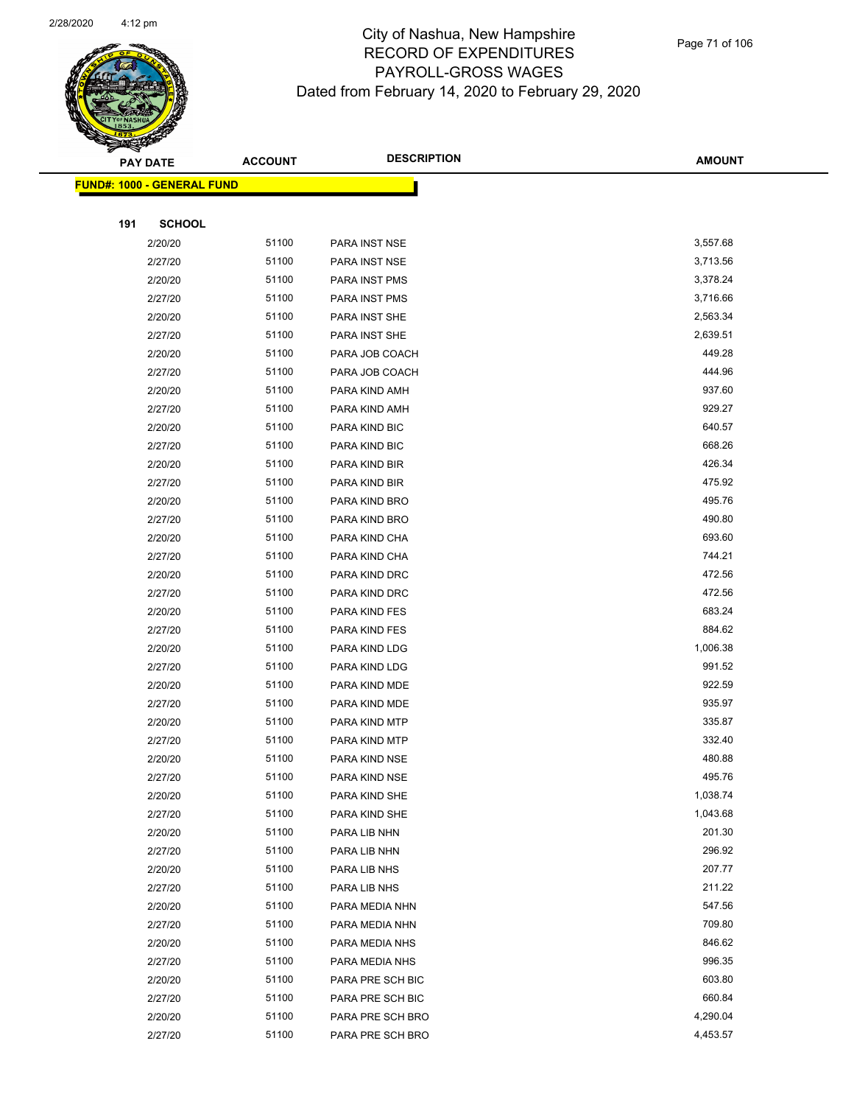

|                                   | <b>PAY DATE</b> | <b>ACCOUNT</b> | <b>DESCRIPTION</b> | <b>AMOUNT</b> |
|-----------------------------------|-----------------|----------------|--------------------|---------------|
| <b>FUND#: 1000 - GENERAL FUND</b> |                 |                |                    |               |
|                                   |                 |                |                    |               |
| 191                               | <b>SCHOOL</b>   |                |                    |               |
|                                   | 2/20/20         | 51100          | PARA INST NSE      | 3,557.68      |
|                                   | 2/27/20         | 51100          | PARA INST NSE      | 3,713.56      |
|                                   | 2/20/20         | 51100          | PARA INST PMS      | 3,378.24      |
|                                   | 2/27/20         | 51100          | PARA INST PMS      | 3,716.66      |
|                                   | 2/20/20         | 51100          | PARA INST SHE      | 2,563.34      |
|                                   | 2/27/20         | 51100          | PARA INST SHE      | 2,639.51      |
|                                   | 2/20/20         | 51100          | PARA JOB COACH     | 449.28        |
|                                   | 2/27/20         | 51100          | PARA JOB COACH     | 444.96        |
|                                   | 2/20/20         | 51100          | PARA KIND AMH      | 937.60        |
|                                   | 2/27/20         | 51100          | PARA KIND AMH      | 929.27        |
|                                   | 2/20/20         | 51100          | PARA KIND BIC      | 640.57        |
|                                   | 2/27/20         | 51100          | PARA KIND BIC      | 668.26        |
|                                   | 2/20/20         | 51100          | PARA KIND BIR      | 426.34        |
|                                   | 2/27/20         | 51100          | PARA KIND BIR      | 475.92        |
|                                   | 2/20/20         | 51100          | PARA KIND BRO      | 495.76        |
|                                   | 2/27/20         | 51100          | PARA KIND BRO      | 490.80        |
|                                   | 2/20/20         | 51100          | PARA KIND CHA      | 693.60        |
|                                   | 2/27/20         | 51100          | PARA KIND CHA      | 744.21        |
|                                   | 2/20/20         | 51100          | PARA KIND DRC      | 472.56        |
|                                   | 2/27/20         | 51100          | PARA KIND DRC      | 472.56        |
|                                   | 2/20/20         | 51100          | PARA KIND FES      | 683.24        |
|                                   | 2/27/20         | 51100          | PARA KIND FES      | 884.62        |
|                                   | 2/20/20         | 51100          | PARA KIND LDG      | 1,006.38      |
|                                   | 2/27/20         | 51100          | PARA KIND LDG      | 991.52        |
|                                   | 2/20/20         | 51100          | PARA KIND MDE      | 922.59        |
|                                   | 2/27/20         | 51100          | PARA KIND MDE      | 935.97        |
|                                   | 2/20/20         | 51100          | PARA KIND MTP      | 335.87        |
|                                   | 2/27/20         | 51100          | PARA KIND MTP      | 332.40        |
|                                   | 2/20/20         | 51100          | PARA KIND NSE      | 480.88        |
|                                   | 2/27/20         | 51100          | PARA KIND NSE      | 495.76        |
|                                   | 2/20/20         | 51100          | PARA KIND SHE      | 1,038.74      |
|                                   | 2/27/20         | 51100          | PARA KIND SHE      | 1,043.68      |
|                                   | 2/20/20         | 51100          | PARA LIB NHN       | 201.30        |
|                                   | 2/27/20         | 51100          | PARA LIB NHN       | 296.92        |
|                                   | 2/20/20         | 51100          | PARA LIB NHS       | 207.77        |
|                                   | 2/27/20         | 51100          | PARA LIB NHS       | 211.22        |
|                                   | 2/20/20         | 51100          | PARA MEDIA NHN     | 547.56        |
|                                   | 2/27/20         | 51100          | PARA MEDIA NHN     | 709.80        |
|                                   | 2/20/20         | 51100          | PARA MEDIA NHS     | 846.62        |
|                                   | 2/27/20         | 51100          | PARA MEDIA NHS     | 996.35        |
|                                   | 2/20/20         | 51100          | PARA PRE SCH BIC   | 603.80        |
|                                   | 2/27/20         | 51100          | PARA PRE SCH BIC   | 660.84        |
|                                   | 2/20/20         | 51100          | PARA PRE SCH BRO   | 4,290.04      |
|                                   | 2/27/20         | 51100          | PARA PRE SCH BRO   | 4,453.57      |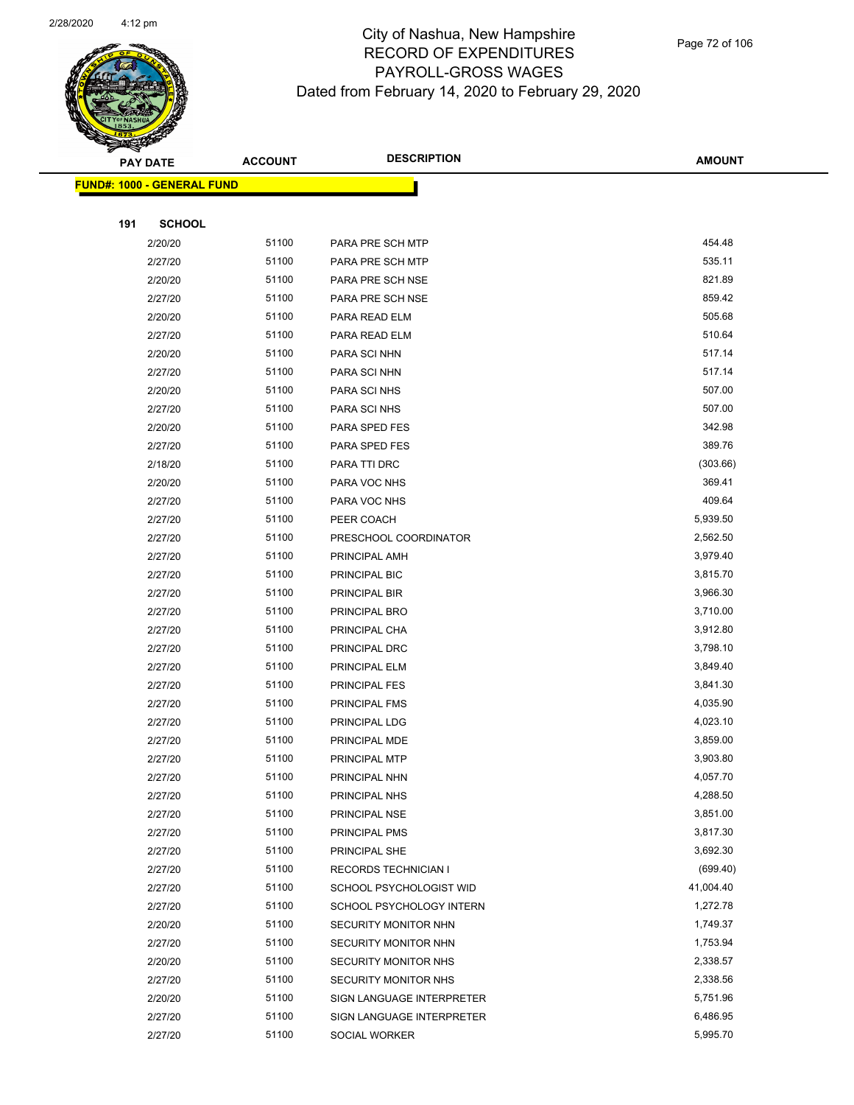

|                                   | <b>PAY DATE</b> | <b>ACCOUNT</b> | <b>DESCRIPTION</b>          | <b>AMOUNT</b> |
|-----------------------------------|-----------------|----------------|-----------------------------|---------------|
| <b>FUND#: 1000 - GENERAL FUND</b> |                 |                |                             |               |
|                                   |                 |                |                             |               |
| 191                               | <b>SCHOOL</b>   |                |                             |               |
|                                   | 2/20/20         | 51100          | PARA PRE SCH MTP            | 454.48        |
|                                   | 2/27/20         | 51100          | PARA PRE SCH MTP            | 535.11        |
|                                   | 2/20/20         | 51100          | PARA PRE SCH NSE            | 821.89        |
|                                   | 2/27/20         | 51100          | PARA PRE SCH NSE            | 859.42        |
|                                   | 2/20/20         | 51100          | PARA READ ELM               | 505.68        |
|                                   | 2/27/20         | 51100          | PARA READ ELM               | 510.64        |
|                                   | 2/20/20         | 51100          | PARA SCI NHN                | 517.14        |
|                                   | 2/27/20         | 51100          | PARA SCI NHN                | 517.14        |
|                                   | 2/20/20         | 51100          | PARA SCI NHS                | 507.00        |
|                                   | 2/27/20         | 51100          | PARA SCI NHS                | 507.00        |
|                                   | 2/20/20         | 51100          | PARA SPED FES               | 342.98        |
|                                   | 2/27/20         | 51100          | PARA SPED FES               | 389.76        |
|                                   | 2/18/20         | 51100          | PARA TTI DRC                | (303.66)      |
|                                   | 2/20/20         | 51100          | PARA VOC NHS                | 369.41        |
|                                   | 2/27/20         | 51100          | PARA VOC NHS                | 409.64        |
|                                   | 2/27/20         | 51100          | PEER COACH                  | 5,939.50      |
|                                   | 2/27/20         | 51100          | PRESCHOOL COORDINATOR       | 2,562.50      |
|                                   | 2/27/20         | 51100          | PRINCIPAL AMH               | 3,979.40      |
|                                   | 2/27/20         | 51100          | PRINCIPAL BIC               | 3,815.70      |
|                                   | 2/27/20         | 51100          | PRINCIPAL BIR               | 3,966.30      |
|                                   | 2/27/20         | 51100          | PRINCIPAL BRO               | 3,710.00      |
|                                   | 2/27/20         | 51100          | PRINCIPAL CHA               | 3,912.80      |
|                                   | 2/27/20         | 51100          | PRINCIPAL DRC               | 3,798.10      |
|                                   | 2/27/20         | 51100          | PRINCIPAL ELM               | 3,849.40      |
|                                   | 2/27/20         | 51100          | <b>PRINCIPAL FES</b>        | 3,841.30      |
|                                   | 2/27/20         | 51100          | PRINCIPAL FMS               | 4,035.90      |
|                                   | 2/27/20         | 51100          | PRINCIPAL LDG               | 4,023.10      |
|                                   | 2/27/20         | 51100          | PRINCIPAL MDE               | 3,859.00      |
|                                   | 2/27/20         | 51100          | PRINCIPAL MTP               | 3,903.80      |
|                                   | 2/27/20         | 51100          | PRINCIPAL NHN               | 4,057.70      |
|                                   | 2/27/20         | 51100          | PRINCIPAL NHS               | 4,288.50      |
|                                   | 2/27/20         | 51100          | PRINCIPAL NSE               | 3,851.00      |
|                                   | 2/27/20         | 51100          | PRINCIPAL PMS               | 3,817.30      |
|                                   | 2/27/20         | 51100          | PRINCIPAL SHE               | 3,692.30      |
|                                   | 2/27/20         | 51100          | <b>RECORDS TECHNICIAN I</b> | (699.40)      |
|                                   | 2/27/20         | 51100          | SCHOOL PSYCHOLOGIST WID     | 41,004.40     |
|                                   | 2/27/20         | 51100          | SCHOOL PSYCHOLOGY INTERN    | 1,272.78      |
|                                   | 2/20/20         | 51100          | SECURITY MONITOR NHN        | 1,749.37      |
|                                   | 2/27/20         | 51100          | SECURITY MONITOR NHN        | 1,753.94      |
|                                   | 2/20/20         | 51100          | <b>SECURITY MONITOR NHS</b> | 2,338.57      |
|                                   | 2/27/20         | 51100          | <b>SECURITY MONITOR NHS</b> | 2,338.56      |
|                                   | 2/20/20         | 51100          | SIGN LANGUAGE INTERPRETER   | 5,751.96      |
|                                   | 2/27/20         | 51100          | SIGN LANGUAGE INTERPRETER   | 6,486.95      |
|                                   | 2/27/20         | 51100          | <b>SOCIAL WORKER</b>        | 5,995.70      |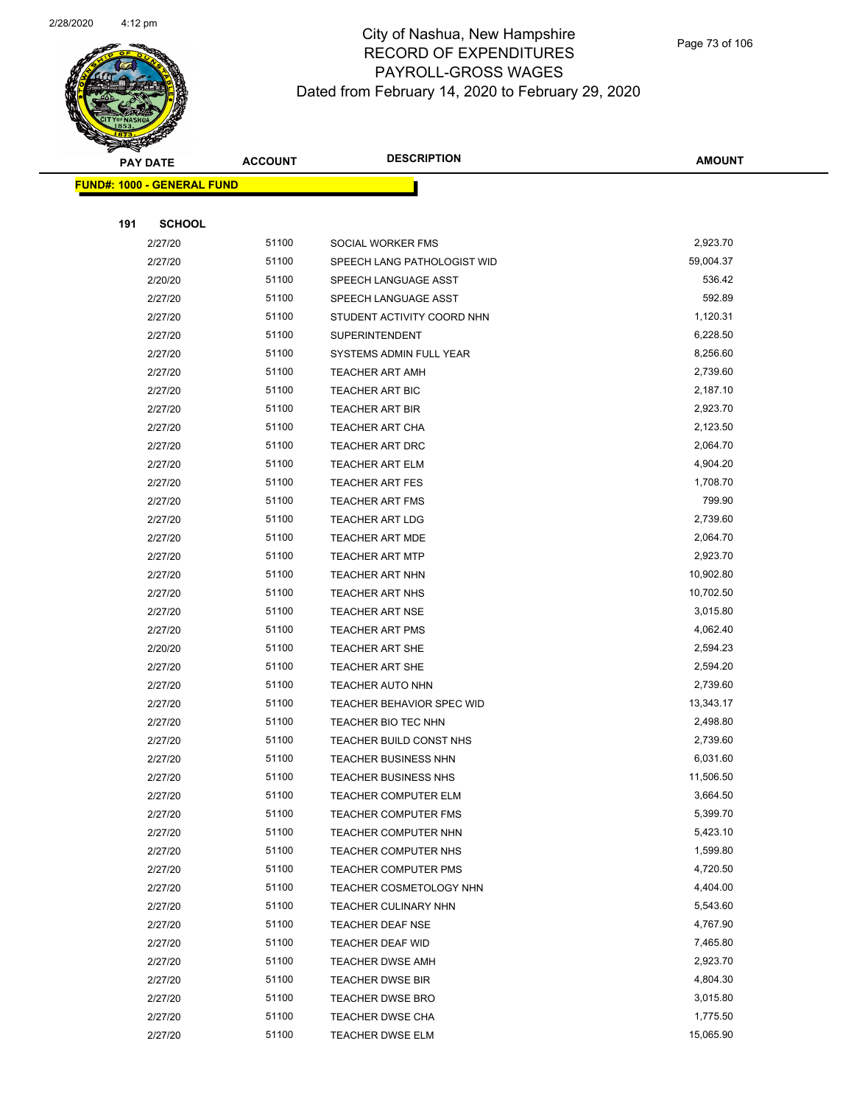

|     | <b>PAY DATE</b>                   | <b>ACCOUNT</b> | <b>DESCRIPTION</b>          | <b>AMOUNT</b> |
|-----|-----------------------------------|----------------|-----------------------------|---------------|
|     | <b>FUND#: 1000 - GENERAL FUND</b> |                |                             |               |
|     |                                   |                |                             |               |
| 191 | <b>SCHOOL</b>                     |                |                             |               |
|     | 2/27/20                           | 51100          | SOCIAL WORKER FMS           | 2,923.70      |
|     | 2/27/20                           | 51100          | SPEECH LANG PATHOLOGIST WID | 59,004.37     |
|     | 2/20/20                           | 51100          | SPEECH LANGUAGE ASST        | 536.42        |
|     | 2/27/20                           | 51100          | SPEECH LANGUAGE ASST        | 592.89        |
|     | 2/27/20                           | 51100          | STUDENT ACTIVITY COORD NHN  | 1,120.31      |
|     | 2/27/20                           | 51100          | <b>SUPERINTENDENT</b>       | 6,228.50      |
|     | 2/27/20                           | 51100          | SYSTEMS ADMIN FULL YEAR     | 8,256.60      |
|     | 2/27/20                           | 51100          | <b>TEACHER ART AMH</b>      | 2,739.60      |
|     | 2/27/20                           | 51100          | <b>TEACHER ART BIC</b>      | 2,187.10      |
|     | 2/27/20                           | 51100          | <b>TEACHER ART BIR</b>      | 2,923.70      |
|     | 2/27/20                           | 51100          | <b>TEACHER ART CHA</b>      | 2,123.50      |
|     | 2/27/20                           | 51100          | <b>TEACHER ART DRC</b>      | 2,064.70      |
|     | 2/27/20                           | 51100          | <b>TEACHER ART ELM</b>      | 4,904.20      |
|     | 2/27/20                           | 51100          | <b>TEACHER ART FES</b>      | 1,708.70      |
|     | 2/27/20                           | 51100          | <b>TEACHER ART FMS</b>      | 799.90        |
|     | 2/27/20                           | 51100          | <b>TEACHER ART LDG</b>      | 2,739.60      |
|     | 2/27/20                           | 51100          | <b>TEACHER ART MDE</b>      | 2,064.70      |
|     | 2/27/20                           | 51100          | <b>TEACHER ART MTP</b>      | 2,923.70      |
|     | 2/27/20                           | 51100          | <b>TEACHER ART NHN</b>      | 10,902.80     |
|     | 2/27/20                           | 51100          | <b>TEACHER ART NHS</b>      | 10,702.50     |
|     | 2/27/20                           | 51100          | <b>TEACHER ART NSE</b>      | 3,015.80      |
|     | 2/27/20                           | 51100          | <b>TEACHER ART PMS</b>      | 4,062.40      |
|     | 2/20/20                           | 51100          | <b>TEACHER ART SHE</b>      | 2,594.23      |
|     | 2/27/20                           | 51100          | <b>TEACHER ART SHE</b>      | 2,594.20      |
|     | 2/27/20                           | 51100          | <b>TEACHER AUTO NHN</b>     | 2,739.60      |
|     | 2/27/20                           | 51100          | TEACHER BEHAVIOR SPEC WID   | 13,343.17     |
|     | 2/27/20                           | 51100          | TEACHER BIO TEC NHN         | 2,498.80      |
|     | 2/27/20                           | 51100          | TEACHER BUILD CONST NHS     | 2,739.60      |
|     | 2/27/20                           | 51100          | <b>TEACHER BUSINESS NHN</b> | 6,031.60      |
|     | 2/27/20                           | 51100          | <b>TEACHER BUSINESS NHS</b> | 11,506.50     |
|     | 2/27/20                           | 51100          | TEACHER COMPUTER ELM        | 3,664.50      |
|     | 2/27/20                           | 51100          | <b>TEACHER COMPUTER FMS</b> | 5,399.70      |
|     | 2/27/20                           | 51100          | TEACHER COMPUTER NHN        | 5,423.10      |
|     | 2/27/20                           | 51100          | TEACHER COMPUTER NHS        | 1,599.80      |
|     | 2/27/20                           | 51100          | TEACHER COMPUTER PMS        | 4,720.50      |
|     | 2/27/20                           | 51100          | TEACHER COSMETOLOGY NHN     | 4,404.00      |
|     | 2/27/20                           | 51100          | TEACHER CULINARY NHN        | 5,543.60      |
|     | 2/27/20                           | 51100          | <b>TEACHER DEAF NSE</b>     | 4,767.90      |
|     | 2/27/20                           | 51100          | TEACHER DEAF WID            | 7,465.80      |
|     | 2/27/20                           | 51100          | <b>TEACHER DWSE AMH</b>     | 2,923.70      |
|     | 2/27/20                           | 51100          | <b>TEACHER DWSE BIR</b>     | 4,804.30      |
|     | 2/27/20                           | 51100          | <b>TEACHER DWSE BRO</b>     | 3,015.80      |
|     | 2/27/20                           | 51100          | <b>TEACHER DWSE CHA</b>     | 1,775.50      |
|     | 2/27/20                           | 51100          | <b>TEACHER DWSE ELM</b>     | 15,065.90     |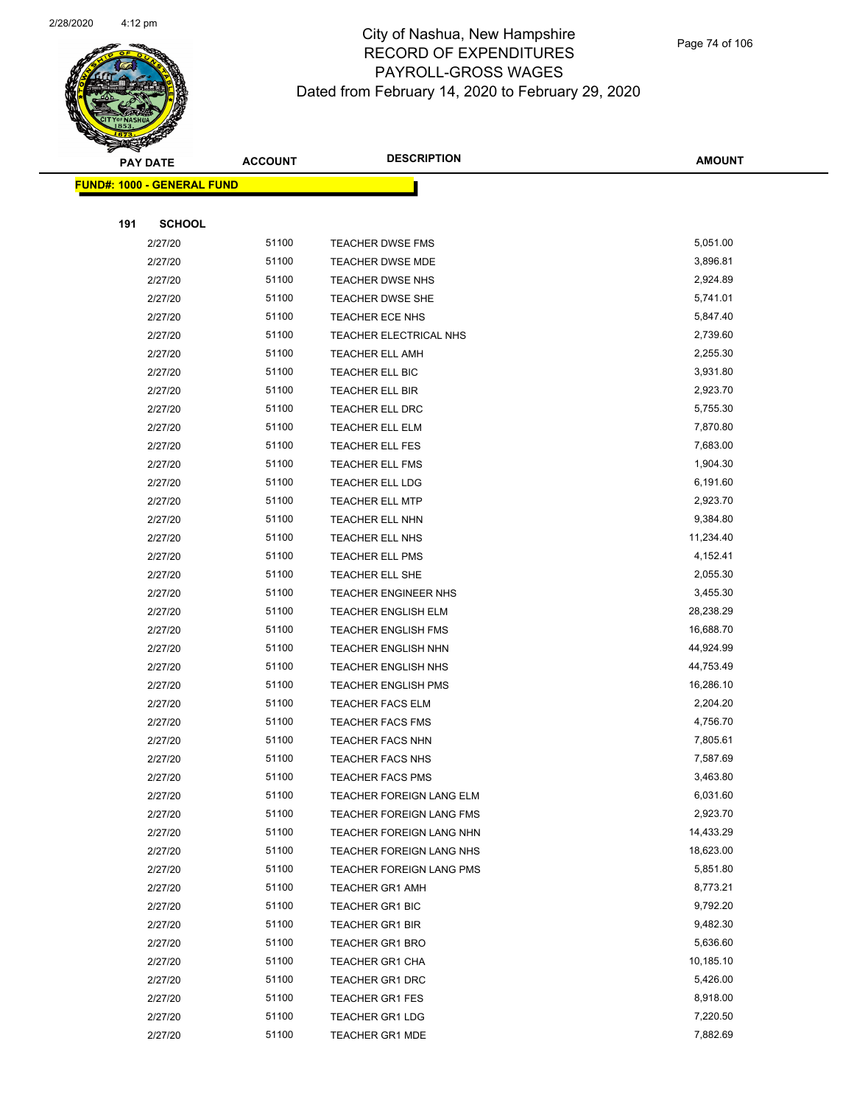

| <b>FUND#: 1000 - GENERAL FUND</b> |                |                                                             |                       |
|-----------------------------------|----------------|-------------------------------------------------------------|-----------------------|
|                                   |                |                                                             |                       |
| 191<br><b>SCHOOL</b>              |                |                                                             |                       |
| 2/27/20                           | 51100          | <b>TEACHER DWSE FMS</b>                                     | 5,051.00              |
| 2/27/20                           | 51100          | <b>TEACHER DWSE MDE</b>                                     | 3,896.81              |
| 2/27/20                           | 51100          | <b>TEACHER DWSE NHS</b>                                     | 2,924.89              |
| 2/27/20                           | 51100          | TEACHER DWSE SHE                                            | 5,741.01              |
| 2/27/20                           | 51100          | <b>TEACHER ECE NHS</b>                                      | 5,847.40              |
| 2/27/20                           | 51100          | TEACHER ELECTRICAL NHS                                      | 2,739.60              |
| 2/27/20                           | 51100          | <b>TEACHER ELL AMH</b>                                      | 2,255.30              |
| 2/27/20                           | 51100          | TEACHER ELL BIC                                             | 3,931.80              |
| 2/27/20                           | 51100          | TEACHER ELL BIR                                             | 2,923.70              |
| 2/27/20                           | 51100          | TEACHER ELL DRC                                             | 5,755.30              |
| 2/27/20                           | 51100          | TEACHER ELL ELM                                             | 7,870.80              |
| 2/27/20                           | 51100          | TEACHER ELL FES                                             | 7,683.00              |
| 2/27/20                           | 51100          | <b>TEACHER ELL FMS</b>                                      | 1,904.30              |
| 2/27/20                           | 51100          | TEACHER ELL LDG                                             | 6,191.60              |
| 2/27/20                           | 51100          | <b>TEACHER ELL MTP</b>                                      | 2,923.70              |
| 2/27/20                           | 51100          | TEACHER ELL NHN                                             | 9,384.80              |
| 2/27/20                           | 51100          | TEACHER ELL NHS                                             | 11,234.40             |
| 2/27/20                           | 51100          | TEACHER ELL PMS                                             | 4,152.41              |
| 2/27/20                           | 51100          | TEACHER ELL SHE                                             | 2,055.30              |
| 2/27/20                           | 51100          | <b>TEACHER ENGINEER NHS</b>                                 | 3,455.30              |
| 2/27/20                           | 51100          | <b>TEACHER ENGLISH ELM</b>                                  | 28,238.29             |
| 2/27/20                           | 51100          | <b>TEACHER ENGLISH FMS</b>                                  | 16,688.70             |
| 2/27/20                           | 51100          | TEACHER ENGLISH NHN                                         | 44,924.99             |
| 2/27/20                           | 51100          | TEACHER ENGLISH NHS                                         | 44,753.49             |
| 2/27/20                           | 51100          | <b>TEACHER ENGLISH PMS</b>                                  | 16,286.10             |
| 2/27/20                           | 51100          | <b>TEACHER FACS ELM</b>                                     | 2,204.20              |
| 2/27/20                           | 51100          | <b>TEACHER FACS FMS</b>                                     | 4,756.70              |
| 2/27/20                           | 51100          | TEACHER FACS NHN                                            | 7,805.61              |
| 2/27/20                           | 51100          | <b>TEACHER FACS NHS</b>                                     | 7,587.69              |
| 2/27/20                           | 51100          | <b>TEACHER FACS PMS</b>                                     | 3,463.80              |
| 2/27/20                           | 51100          | TEACHER FOREIGN LANG ELM                                    | 6,031.60              |
| 2/27/20<br>2/27/20                | 51100<br>51100 | <b>TEACHER FOREIGN LANG FMS</b><br>TEACHER FOREIGN LANG NHN | 2,923.70<br>14,433.29 |
| 2/27/20                           | 51100          | TEACHER FOREIGN LANG NHS                                    | 18,623.00             |
| 2/27/20                           | 51100          | TEACHER FOREIGN LANG PMS                                    | 5,851.80              |
| 2/27/20                           | 51100          | <b>TEACHER GR1 AMH</b>                                      | 8,773.21              |
| 2/27/20                           | 51100          | TEACHER GR1 BIC                                             | 9,792.20              |
| 2/27/20                           | 51100          | <b>TEACHER GR1 BIR</b>                                      | 9,482.30              |
| 2/27/20                           | 51100          | <b>TEACHER GR1 BRO</b>                                      | 5,636.60              |
| 2/27/20                           | 51100          | <b>TEACHER GR1 CHA</b>                                      | 10,185.10             |
| 2/27/20                           | 51100          | TEACHER GR1 DRC                                             | 5,426.00              |
| 2/27/20                           | 51100          | <b>TEACHER GR1 FES</b>                                      | 8,918.00              |
| 2/27/20                           | 51100          | <b>TEACHER GR1 LDG</b>                                      | 7,220.50              |
| 2/27/20                           | 51100          | <b>TEACHER GR1 MDE</b>                                      | 7,882.69              |
|                                   |                |                                                             |                       |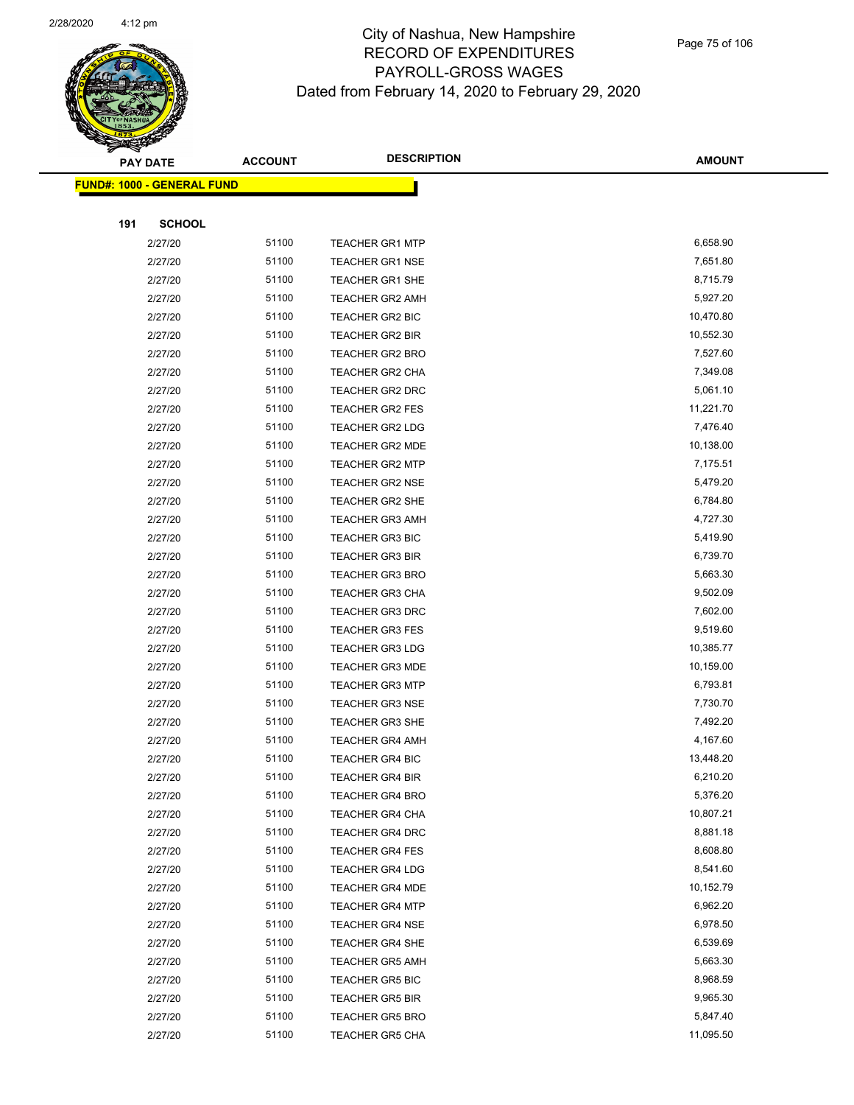

|     | <b>PAY DATE</b>                   | <b>ACCOUNT</b> | <b>DESCRIPTION</b>     | <b>AMOUNT</b> |
|-----|-----------------------------------|----------------|------------------------|---------------|
|     | <b>FUND#: 1000 - GENERAL FUND</b> |                |                        |               |
|     |                                   |                |                        |               |
| 191 | <b>SCHOOL</b>                     |                |                        |               |
|     | 2/27/20                           | 51100          | <b>TEACHER GR1 MTP</b> | 6,658.90      |
|     | 2/27/20                           | 51100          | <b>TEACHER GR1 NSE</b> | 7,651.80      |
|     | 2/27/20                           | 51100          | TEACHER GR1 SHE        | 8,715.79      |
|     | 2/27/20                           | 51100          | <b>TEACHER GR2 AMH</b> | 5,927.20      |
|     | 2/27/20                           | 51100          | TEACHER GR2 BIC        | 10,470.80     |
|     | 2/27/20                           | 51100          | <b>TEACHER GR2 BIR</b> | 10,552.30     |
|     | 2/27/20                           | 51100          | <b>TEACHER GR2 BRO</b> | 7,527.60      |
|     | 2/27/20                           | 51100          | TEACHER GR2 CHA        | 7,349.08      |
|     | 2/27/20                           | 51100          | TEACHER GR2 DRC        | 5,061.10      |
|     | 2/27/20                           | 51100          | TEACHER GR2 FES        | 11,221.70     |
|     | 2/27/20                           | 51100          | <b>TEACHER GR2 LDG</b> | 7,476.40      |
|     | 2/27/20                           | 51100          | <b>TEACHER GR2 MDE</b> | 10,138.00     |
|     | 2/27/20                           | 51100          | <b>TEACHER GR2 MTP</b> | 7,175.51      |
|     | 2/27/20                           | 51100          | <b>TEACHER GR2 NSE</b> | 5,479.20      |
|     | 2/27/20                           | 51100          | TEACHER GR2 SHE        | 6,784.80      |
|     | 2/27/20                           | 51100          | <b>TEACHER GR3 AMH</b> | 4,727.30      |
|     | 2/27/20                           | 51100          | <b>TEACHER GR3 BIC</b> | 5,419.90      |
|     | 2/27/20                           | 51100          | <b>TEACHER GR3 BIR</b> | 6,739.70      |
|     | 2/27/20                           | 51100          | <b>TEACHER GR3 BRO</b> | 5,663.30      |
|     | 2/27/20                           | 51100          | TEACHER GR3 CHA        | 9,502.09      |
|     | 2/27/20                           | 51100          | <b>TEACHER GR3 DRC</b> | 7,602.00      |
|     | 2/27/20                           | 51100          | <b>TEACHER GR3 FES</b> | 9,519.60      |
|     | 2/27/20                           | 51100          | <b>TEACHER GR3 LDG</b> | 10,385.77     |
|     | 2/27/20                           | 51100          | <b>TEACHER GR3 MDE</b> | 10,159.00     |
|     | 2/27/20                           | 51100          | <b>TEACHER GR3 MTP</b> | 6,793.81      |
|     | 2/27/20                           | 51100          | <b>TEACHER GR3 NSE</b> | 7,730.70      |
|     | 2/27/20                           | 51100          | <b>TEACHER GR3 SHE</b> | 7,492.20      |
|     | 2/27/20                           | 51100          | <b>TEACHER GR4 AMH</b> | 4,167.60      |
|     | 2/27/20                           | 51100          | <b>TEACHER GR4 BIC</b> | 13,448.20     |
|     | 2/27/20                           | 51100          | TEACHER GR4 BIR        | 6,210.20      |
|     | 2/27/20                           | 51100          | <b>TEACHER GR4 BRO</b> | 5,376.20      |
|     | 2/27/20                           | 51100          | <b>TEACHER GR4 CHA</b> | 10,807.21     |
|     | 2/27/20                           | 51100          | <b>TEACHER GR4 DRC</b> | 8,881.18      |
|     | 2/27/20                           | 51100          | <b>TEACHER GR4 FES</b> | 8,608.80      |
|     | 2/27/20                           | 51100          | <b>TEACHER GR4 LDG</b> | 8,541.60      |
|     | 2/27/20                           | 51100          | <b>TEACHER GR4 MDE</b> | 10,152.79     |
|     | 2/27/20                           | 51100          | <b>TEACHER GR4 MTP</b> | 6,962.20      |
|     | 2/27/20                           | 51100          | <b>TEACHER GR4 NSE</b> | 6,978.50      |
|     | 2/27/20                           | 51100          | <b>TEACHER GR4 SHE</b> | 6,539.69      |
|     | 2/27/20                           | 51100          | <b>TEACHER GR5 AMH</b> | 5,663.30      |
|     | 2/27/20                           | 51100          | <b>TEACHER GR5 BIC</b> | 8,968.59      |
|     | 2/27/20                           | 51100          | <b>TEACHER GR5 BIR</b> | 9,965.30      |
|     | 2/27/20                           | 51100          | <b>TEACHER GR5 BRO</b> | 5,847.40      |
|     | 2/27/20                           | 51100          | <b>TEACHER GR5 CHA</b> | 11,095.50     |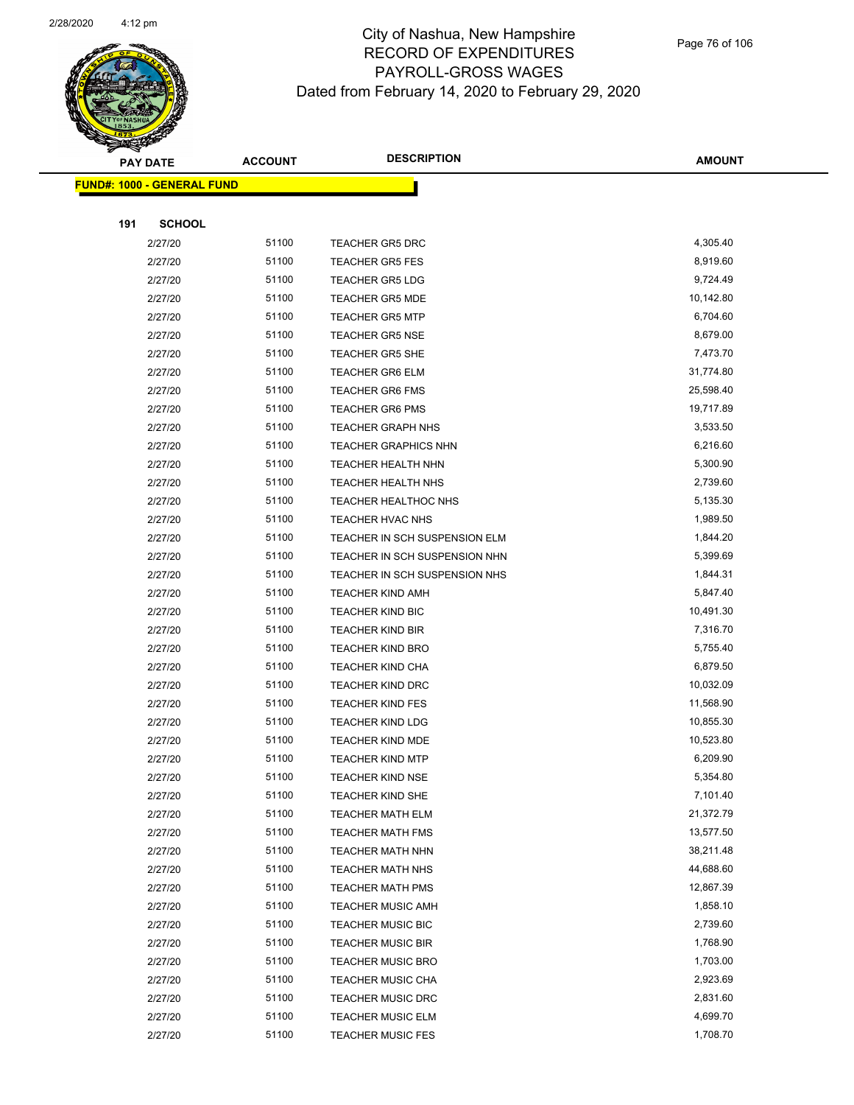

|     | <u> FUND#: 1000 - GENERAL FUND</u> |       |                               |           |
|-----|------------------------------------|-------|-------------------------------|-----------|
|     |                                    |       |                               |           |
| 191 | <b>SCHOOL</b>                      |       |                               |           |
|     | 2/27/20                            | 51100 | <b>TEACHER GR5 DRC</b>        | 4,305.40  |
|     | 2/27/20                            | 51100 | <b>TEACHER GR5 FES</b>        | 8,919.60  |
|     | 2/27/20                            | 51100 | <b>TEACHER GR5 LDG</b>        | 9,724.49  |
|     | 2/27/20                            | 51100 | <b>TEACHER GR5 MDE</b>        | 10,142.80 |
|     | 2/27/20                            | 51100 | <b>TEACHER GR5 MTP</b>        | 6,704.60  |
|     | 2/27/20                            | 51100 | <b>TEACHER GR5 NSE</b>        | 8,679.00  |
|     | 2/27/20                            | 51100 | <b>TEACHER GR5 SHE</b>        | 7,473.70  |
|     | 2/27/20                            | 51100 | <b>TEACHER GR6 ELM</b>        | 31,774.80 |
|     | 2/27/20                            | 51100 | <b>TEACHER GR6 FMS</b>        | 25,598.40 |
|     | 2/27/20                            | 51100 | <b>TEACHER GR6 PMS</b>        | 19,717.89 |
|     | 2/27/20                            | 51100 | <b>TEACHER GRAPH NHS</b>      | 3,533.50  |
|     | 2/27/20                            | 51100 | <b>TEACHER GRAPHICS NHN</b>   | 6,216.60  |
|     | 2/27/20                            | 51100 | TEACHER HEALTH NHN            | 5,300.90  |
|     | 2/27/20                            | 51100 | TEACHER HEALTH NHS            | 2,739.60  |
|     | 2/27/20                            | 51100 | TEACHER HEALTHOC NHS          | 5,135.30  |
|     | 2/27/20                            | 51100 | TEACHER HVAC NHS              | 1,989.50  |
|     | 2/27/20                            | 51100 | TEACHER IN SCH SUSPENSION ELM | 1,844.20  |
|     | 2/27/20                            | 51100 | TEACHER IN SCH SUSPENSION NHN | 5,399.69  |
|     | 2/27/20                            | 51100 | TEACHER IN SCH SUSPENSION NHS | 1,844.31  |
|     | 2/27/20                            | 51100 | TEACHER KIND AMH              | 5,847.40  |
|     | 2/27/20                            | 51100 | <b>TEACHER KIND BIC</b>       | 10,491.30 |
|     | 2/27/20                            | 51100 | <b>TEACHER KIND BIR</b>       | 7,316.70  |
|     | 2/27/20                            | 51100 | <b>TEACHER KIND BRO</b>       | 5,755.40  |
|     | 2/27/20                            | 51100 | <b>TEACHER KIND CHA</b>       | 6,879.50  |
|     | 2/27/20                            | 51100 | TEACHER KIND DRC              | 10,032.09 |
|     | 2/27/20                            | 51100 | <b>TEACHER KIND FES</b>       | 11,568.90 |
|     | 2/27/20                            | 51100 | <b>TEACHER KIND LDG</b>       | 10,855.30 |
|     | 2/27/20                            | 51100 | <b>TEACHER KIND MDE</b>       | 10,523.80 |
|     | 2/27/20                            | 51100 | <b>TEACHER KIND MTP</b>       | 6,209.90  |
|     | 2/27/20                            | 51100 | <b>TEACHER KIND NSE</b>       | 5,354.80  |
|     | 2/27/20                            | 51100 | TEACHER KIND SHE              | 7,101.40  |
|     | 2/27/20                            | 51100 | <b>TEACHER MATH ELM</b>       | 21,372.79 |
|     | 2/27/20                            | 51100 | <b>TEACHER MATH FMS</b>       | 13,577.50 |
|     | 2/27/20                            | 51100 | TEACHER MATH NHN              | 38,211.48 |
|     | 2/27/20                            | 51100 | TEACHER MATH NHS              | 44,688.60 |
|     | 2/27/20                            | 51100 | <b>TEACHER MATH PMS</b>       | 12,867.39 |
|     | 2/27/20                            | 51100 | <b>TEACHER MUSIC AMH</b>      | 1,858.10  |
|     | 2/27/20                            | 51100 | <b>TEACHER MUSIC BIC</b>      | 2,739.60  |
|     | 2/27/20                            | 51100 | <b>TEACHER MUSIC BIR</b>      | 1,768.90  |
|     | 2/27/20                            | 51100 | <b>TEACHER MUSIC BRO</b>      | 1,703.00  |
|     | 2/27/20                            | 51100 | <b>TEACHER MUSIC CHA</b>      | 2,923.69  |
|     | 2/27/20                            | 51100 | <b>TEACHER MUSIC DRC</b>      | 2,831.60  |
|     | 2/27/20                            | 51100 | <b>TEACHER MUSIC ELM</b>      | 4,699.70  |
|     | 2/27/20                            | 51100 | <b>TEACHER MUSIC FES</b>      | 1,708.70  |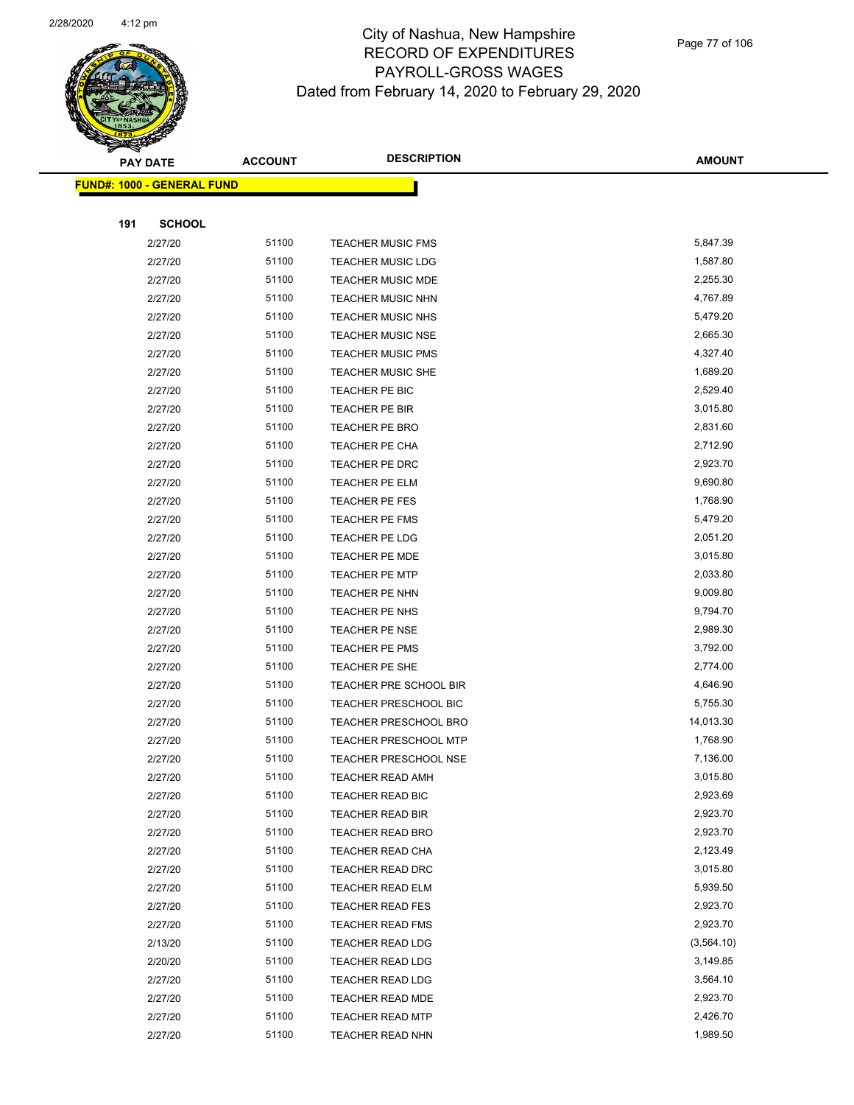

|     | <b>PAY DATE</b>                   | <b>ACCOUNT</b> | <b>DESCRIPTION</b>           | <b>AMOUNT</b> |
|-----|-----------------------------------|----------------|------------------------------|---------------|
|     | <b>FUND#: 1000 - GENERAL FUND</b> |                |                              |               |
|     |                                   |                |                              |               |
| 191 | <b>SCHOOL</b>                     |                |                              |               |
|     | 2/27/20                           | 51100          | <b>TEACHER MUSIC FMS</b>     | 5,847.39      |
|     | 2/27/20                           | 51100          | <b>TEACHER MUSIC LDG</b>     | 1,587.80      |
|     | 2/27/20                           | 51100          | <b>TEACHER MUSIC MDE</b>     | 2,255.30      |
|     | 2/27/20                           | 51100          | <b>TEACHER MUSIC NHN</b>     | 4,767.89      |
|     | 2/27/20                           | 51100          | <b>TEACHER MUSIC NHS</b>     | 5,479.20      |
|     | 2/27/20                           | 51100          | <b>TEACHER MUSIC NSE</b>     | 2,665.30      |
|     | 2/27/20                           | 51100          | <b>TEACHER MUSIC PMS</b>     | 4,327.40      |
|     | 2/27/20                           | 51100          | TEACHER MUSIC SHE            | 1,689.20      |
|     | 2/27/20                           | 51100          | TEACHER PE BIC               | 2,529.40      |
|     | 2/27/20                           | 51100          | TEACHER PE BIR               | 3,015.80      |
|     | 2/27/20                           | 51100          | TEACHER PE BRO               | 2,831.60      |
|     | 2/27/20                           | 51100          | TEACHER PE CHA               | 2,712.90      |
|     | 2/27/20                           | 51100          | TEACHER PE DRC               | 2,923.70      |
|     | 2/27/20                           | 51100          | TEACHER PE ELM               | 9,690.80      |
|     | 2/27/20                           | 51100          | TEACHER PE FES               | 1,768.90      |
|     | 2/27/20                           | 51100          | <b>TEACHER PE FMS</b>        | 5,479.20      |
|     | 2/27/20                           | 51100          | TEACHER PE LDG               | 2,051.20      |
|     | 2/27/20                           | 51100          | TEACHER PE MDE               | 3,015.80      |
|     | 2/27/20                           | 51100          | TEACHER PE MTP               | 2,033.80      |
|     | 2/27/20                           | 51100          | TEACHER PE NHN               | 9,009.80      |
|     | 2/27/20                           | 51100          | TEACHER PE NHS               | 9,794.70      |
|     | 2/27/20                           | 51100          | <b>TEACHER PE NSE</b>        | 2,989.30      |
|     | 2/27/20                           | 51100          | TEACHER PE PMS               | 3,792.00      |
|     | 2/27/20                           | 51100          | TEACHER PE SHE               | 2,774.00      |
|     | 2/27/20                           | 51100          | TEACHER PRE SCHOOL BIR       | 4,646.90      |
|     | 2/27/20                           | 51100          | <b>TEACHER PRESCHOOL BIC</b> | 5,755.30      |
|     | 2/27/20                           | 51100          | TEACHER PRESCHOOL BRO        | 14,013.30     |
|     | 2/27/20                           | 51100          | <b>TEACHER PRESCHOOL MTP</b> | 1,768.90      |
|     | 2/27/20                           | 51100          | <b>TEACHER PRESCHOOL NSE</b> | 7,136.00      |
|     | 2/27/20                           | 51100          | TEACHER READ AMH             | 3,015.80      |
|     | 2/27/20                           | 51100          | <b>TEACHER READ BIC</b>      | 2,923.69      |
|     | 2/27/20                           | 51100          | <b>TEACHER READ BIR</b>      | 2,923.70      |
|     | 2/27/20                           | 51100          | <b>TEACHER READ BRO</b>      | 2,923.70      |
|     | 2/27/20                           | 51100          | TEACHER READ CHA             | 2,123.49      |
|     | 2/27/20                           | 51100          | <b>TEACHER READ DRC</b>      | 3,015.80      |
|     | 2/27/20                           | 51100          | TEACHER READ ELM             | 5,939.50      |
|     | 2/27/20                           | 51100          | <b>TEACHER READ FES</b>      | 2,923.70      |
|     | 2/27/20                           | 51100          | <b>TEACHER READ FMS</b>      | 2,923.70      |
|     | 2/13/20                           | 51100          | <b>TEACHER READ LDG</b>      | (3, 564.10)   |
|     | 2/20/20                           | 51100          | <b>TEACHER READ LDG</b>      | 3,149.85      |
|     | 2/27/20                           | 51100          | <b>TEACHER READ LDG</b>      | 3,564.10      |
|     | 2/27/20                           | 51100          | <b>TEACHER READ MDE</b>      | 2,923.70      |
|     | 2/27/20                           | 51100          | <b>TEACHER READ MTP</b>      | 2,426.70      |
|     | 2/27/20                           | 51100          | <b>TEACHER READ NHN</b>      | 1,989.50      |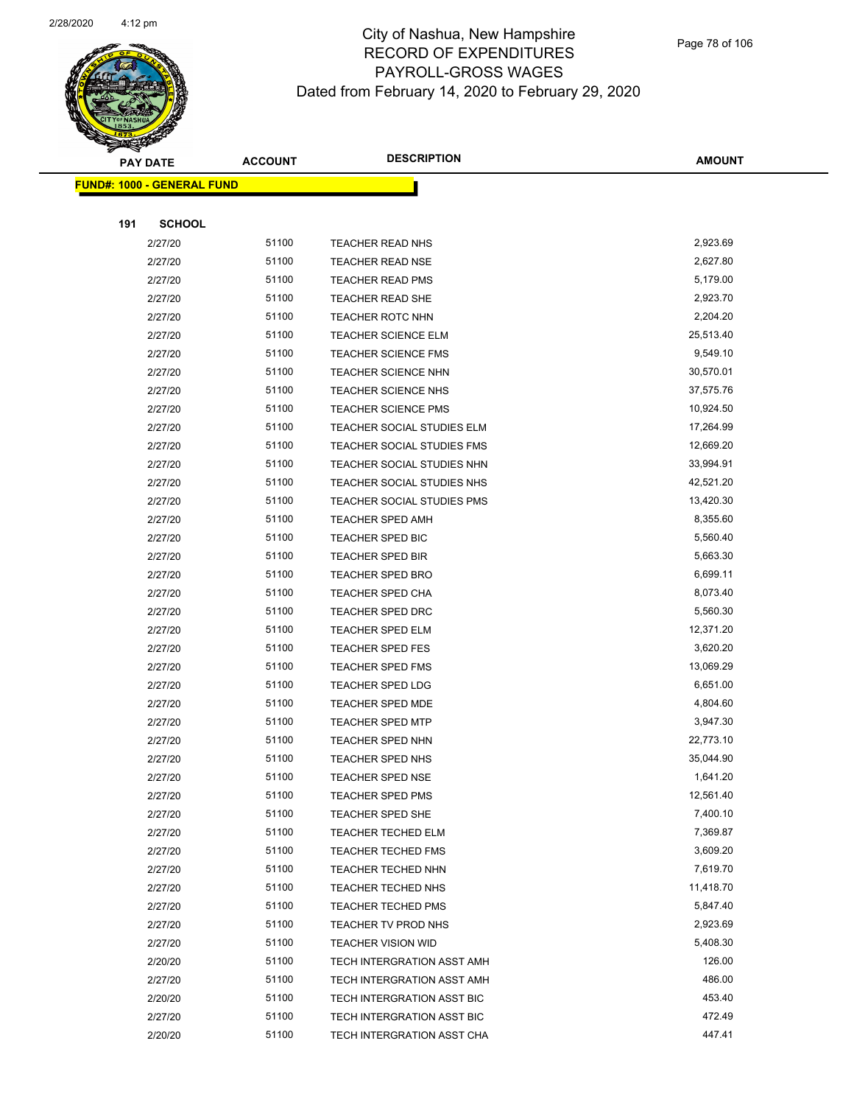

| <b>FUND#: 1000 - GENERAL FUND</b> |       |                            |           |
|-----------------------------------|-------|----------------------------|-----------|
|                                   |       |                            |           |
| 191<br><b>SCHOOL</b>              |       |                            |           |
| 2/27/20                           | 51100 | <b>TEACHER READ NHS</b>    | 2,923.69  |
| 2/27/20                           | 51100 | <b>TEACHER READ NSE</b>    | 2,627.80  |
| 2/27/20                           | 51100 | <b>TEACHER READ PMS</b>    | 5,179.00  |
| 2/27/20                           | 51100 | <b>TEACHER READ SHE</b>    | 2,923.70  |
| 2/27/20                           | 51100 | TEACHER ROTC NHN           | 2,204.20  |
| 2/27/20                           | 51100 | <b>TEACHER SCIENCE ELM</b> | 25,513.40 |
| 2/27/20                           | 51100 | <b>TEACHER SCIENCE FMS</b> | 9,549.10  |
| 2/27/20                           | 51100 | TEACHER SCIENCE NHN        | 30,570.01 |
| 2/27/20                           | 51100 | TEACHER SCIENCE NHS        | 37,575.76 |
| 2/27/20                           | 51100 | TEACHER SCIENCE PMS        | 10,924.50 |
| 2/27/20                           | 51100 | TEACHER SOCIAL STUDIES ELM | 17,264.99 |
| 2/27/20                           | 51100 | TEACHER SOCIAL STUDIES FMS | 12,669.20 |
| 2/27/20                           | 51100 | TEACHER SOCIAL STUDIES NHN | 33,994.91 |
| 2/27/20                           | 51100 | TEACHER SOCIAL STUDIES NHS | 42,521.20 |
| 2/27/20                           | 51100 | TEACHER SOCIAL STUDIES PMS | 13,420.30 |
| 2/27/20                           | 51100 | <b>TEACHER SPED AMH</b>    | 8,355.60  |
| 2/27/20                           | 51100 | TEACHER SPED BIC           | 5,560.40  |
| 2/27/20                           | 51100 | <b>TEACHER SPED BIR</b>    | 5,663.30  |
| 2/27/20                           | 51100 | TEACHER SPED BRO           | 6,699.11  |
| 2/27/20                           | 51100 | TEACHER SPED CHA           | 8,073.40  |
| 2/27/20                           | 51100 | TEACHER SPED DRC           | 5,560.30  |
| 2/27/20                           | 51100 | <b>TEACHER SPED ELM</b>    | 12,371.20 |
| 2/27/20                           | 51100 | <b>TEACHER SPED FES</b>    | 3,620.20  |
| 2/27/20                           | 51100 | <b>TEACHER SPED FMS</b>    | 13,069.29 |
| 2/27/20                           | 51100 | TEACHER SPED LDG           | 6,651.00  |
| 2/27/20                           | 51100 | <b>TEACHER SPED MDE</b>    | 4,804.60  |
| 2/27/20                           | 51100 | <b>TEACHER SPED MTP</b>    | 3,947.30  |
| 2/27/20                           | 51100 | <b>TEACHER SPED NHN</b>    | 22,773.10 |
| 2/27/20                           | 51100 | TEACHER SPED NHS           | 35,044.90 |
| 2/27/20                           | 51100 | TEACHER SPED NSE           | 1,641.20  |
| 2/27/20                           | 51100 | TEACHER SPED PMS           | 12,561.40 |
| 2/27/20                           | 51100 | TEACHER SPED SHE           | 7,400.10  |
| 2/27/20                           | 51100 | <b>TEACHER TECHED ELM</b>  | 7,369.87  |
| 2/27/20                           | 51100 | <b>TEACHER TECHED FMS</b>  | 3,609.20  |
| 2/27/20                           | 51100 | TEACHER TECHED NHN         | 7,619.70  |
| 2/27/20                           | 51100 | TEACHER TECHED NHS         | 11,418.70 |
| 2/27/20                           | 51100 | <b>TEACHER TECHED PMS</b>  | 5,847.40  |
| 2/27/20                           | 51100 | TEACHER TV PROD NHS        | 2,923.69  |
| 2/27/20                           | 51100 | <b>TEACHER VISION WID</b>  | 5,408.30  |
| 2/20/20                           | 51100 | TECH INTERGRATION ASST AMH | 126.00    |
| 2/27/20                           | 51100 | TECH INTERGRATION ASST AMH | 486.00    |
| 2/20/20                           | 51100 | TECH INTERGRATION ASST BIC | 453.40    |
| 2/27/20                           | 51100 | TECH INTERGRATION ASST BIC | 472.49    |
| 2/20/20                           | 51100 | TECH INTERGRATION ASST CHA | 447.41    |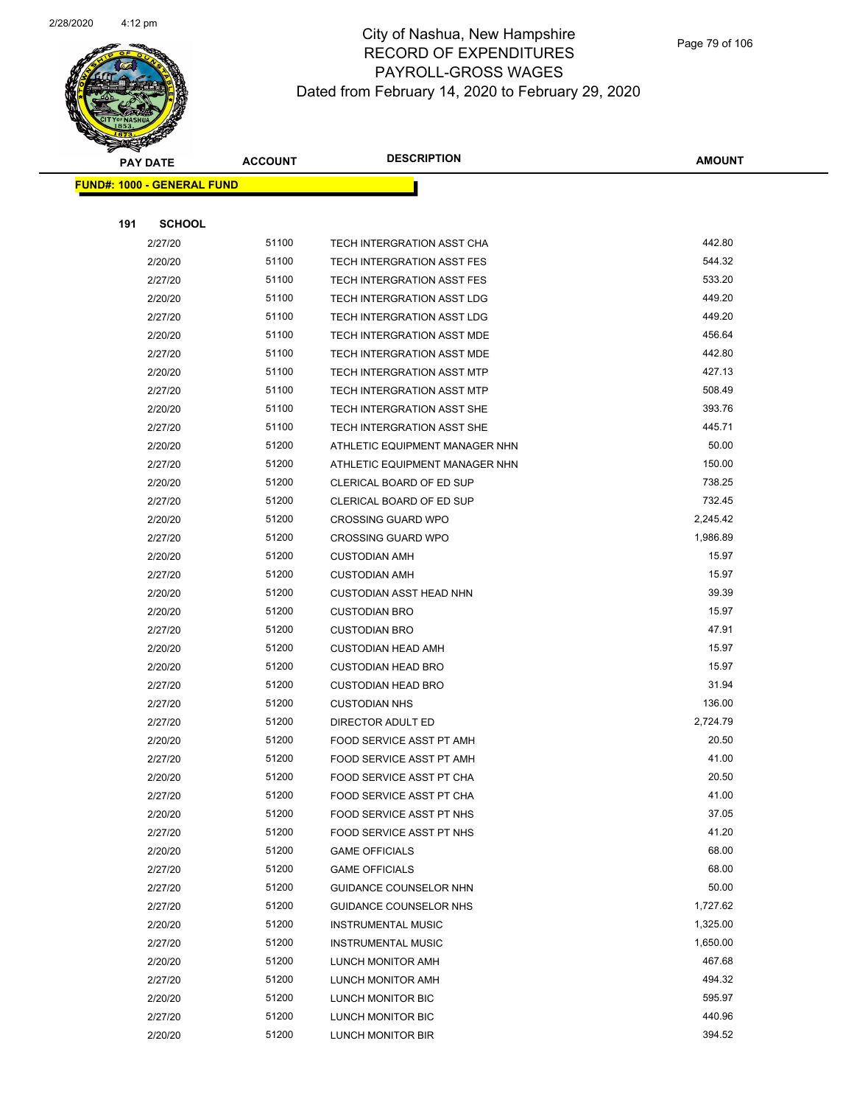

|     | <u> FUND#: 1000 - GENERAL FUND</u> |       |                                |          |
|-----|------------------------------------|-------|--------------------------------|----------|
|     |                                    |       |                                |          |
| 191 | <b>SCHOOL</b>                      |       |                                |          |
|     | 2/27/20                            | 51100 | TECH INTERGRATION ASST CHA     | 442.80   |
|     | 2/20/20                            | 51100 | TECH INTERGRATION ASST FES     | 544.32   |
|     | 2/27/20                            | 51100 | TECH INTERGRATION ASST FES     | 533.20   |
|     | 2/20/20                            | 51100 | TECH INTERGRATION ASST LDG     | 449.20   |
|     | 2/27/20                            | 51100 | TECH INTERGRATION ASST LDG     | 449.20   |
|     | 2/20/20                            | 51100 | TECH INTERGRATION ASST MDE     | 456.64   |
|     | 2/27/20                            | 51100 | TECH INTERGRATION ASST MDE     | 442.80   |
|     | 2/20/20                            | 51100 | TECH INTERGRATION ASST MTP     | 427.13   |
|     | 2/27/20                            | 51100 | TECH INTERGRATION ASST MTP     | 508.49   |
|     | 2/20/20                            | 51100 | TECH INTERGRATION ASST SHE     | 393.76   |
|     | 2/27/20                            | 51100 | TECH INTERGRATION ASST SHE     | 445.71   |
|     | 2/20/20                            | 51200 | ATHLETIC EQUIPMENT MANAGER NHN | 50.00    |
|     | 2/27/20                            | 51200 | ATHLETIC EQUIPMENT MANAGER NHN | 150.00   |
|     | 2/20/20                            | 51200 | CLERICAL BOARD OF ED SUP       | 738.25   |
|     | 2/27/20                            | 51200 | CLERICAL BOARD OF ED SUP       | 732.45   |
|     | 2/20/20                            | 51200 | <b>CROSSING GUARD WPO</b>      | 2,245.42 |
|     | 2/27/20                            | 51200 | <b>CROSSING GUARD WPO</b>      | 1,986.89 |
|     | 2/20/20                            | 51200 | <b>CUSTODIAN AMH</b>           | 15.97    |
|     | 2/27/20                            | 51200 | <b>CUSTODIAN AMH</b>           | 15.97    |
|     | 2/20/20                            | 51200 | <b>CUSTODIAN ASST HEAD NHN</b> | 39.39    |
|     | 2/20/20                            | 51200 | <b>CUSTODIAN BRO</b>           | 15.97    |
|     | 2/27/20                            | 51200 | <b>CUSTODIAN BRO</b>           | 47.91    |
|     | 2/20/20                            | 51200 | <b>CUSTODIAN HEAD AMH</b>      | 15.97    |
|     | 2/20/20                            | 51200 | <b>CUSTODIAN HEAD BRO</b>      | 15.97    |
|     | 2/27/20                            | 51200 | <b>CUSTODIAN HEAD BRO</b>      | 31.94    |
|     | 2/27/20                            | 51200 | <b>CUSTODIAN NHS</b>           | 136.00   |
|     | 2/27/20                            | 51200 | DIRECTOR ADULT ED              | 2,724.79 |
|     | 2/20/20                            | 51200 | FOOD SERVICE ASST PT AMH       | 20.50    |
|     | 2/27/20                            | 51200 | FOOD SERVICE ASST PT AMH       | 41.00    |
|     | 2/20/20                            | 51200 | FOOD SERVICE ASST PT CHA       | 20.50    |
|     | 2/27/20                            | 51200 | FOOD SERVICE ASST PT CHA       | 41.00    |
|     | 2/20/20                            | 51200 | FOOD SERVICE ASST PT NHS       | 37.05    |
|     | 2/27/20                            | 51200 | FOOD SERVICE ASST PT NHS       | 41.20    |
|     | 2/20/20                            | 51200 | <b>GAME OFFICIALS</b>          | 68.00    |
|     | 2/27/20                            | 51200 | <b>GAME OFFICIALS</b>          | 68.00    |
|     | 2/27/20                            | 51200 | GUIDANCE COUNSELOR NHN         | 50.00    |
|     | 2/27/20                            | 51200 | GUIDANCE COUNSELOR NHS         | 1,727.62 |
|     | 2/20/20                            | 51200 | <b>INSTRUMENTAL MUSIC</b>      | 1,325.00 |
|     | 2/27/20                            | 51200 | <b>INSTRUMENTAL MUSIC</b>      | 1,650.00 |
|     | 2/20/20                            | 51200 | LUNCH MONITOR AMH              | 467.68   |
|     | 2/27/20                            | 51200 | LUNCH MONITOR AMH              | 494.32   |
|     | 2/20/20                            | 51200 | LUNCH MONITOR BIC              | 595.97   |
|     | 2/27/20                            | 51200 | LUNCH MONITOR BIC              | 440.96   |
|     | 2/20/20                            | 51200 | LUNCH MONITOR BIR              | 394.52   |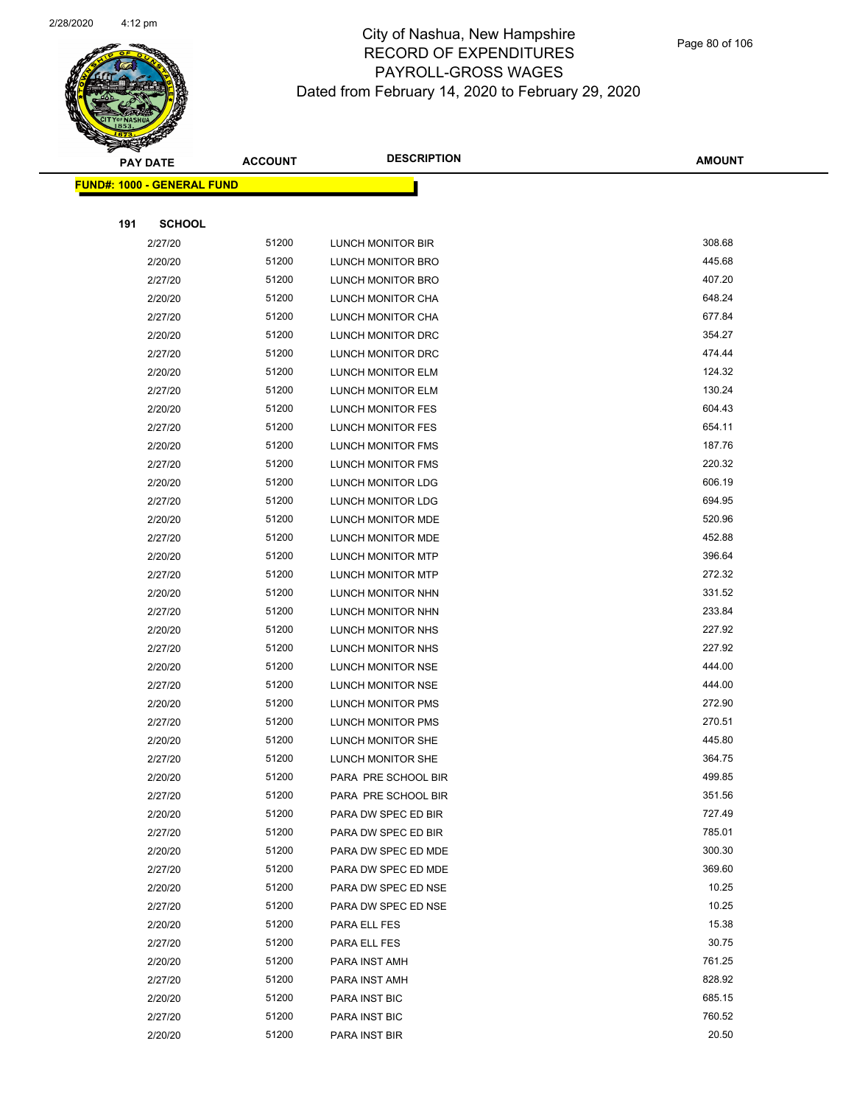

Page 80 of 106

|     | <b>PAY DATE</b>                    | <b>ACCOUNT</b> | <b>DESCRIPTION</b>  | <b>AMOUNT</b> |
|-----|------------------------------------|----------------|---------------------|---------------|
|     | <u> FUND#: 1000 - GENERAL FUND</u> |                |                     |               |
|     |                                    |                |                     |               |
| 191 | <b>SCHOOL</b>                      |                |                     |               |
|     | 2/27/20                            | 51200          | LUNCH MONITOR BIR   | 308.68        |
|     | 2/20/20                            | 51200          | LUNCH MONITOR BRO   | 445.68        |
|     | 2/27/20                            | 51200          | LUNCH MONITOR BRO   | 407.20        |
|     | 2/20/20                            | 51200          | LUNCH MONITOR CHA   | 648.24        |
|     | 2/27/20                            | 51200          | LUNCH MONITOR CHA   | 677.84        |
|     | 2/20/20                            | 51200          | LUNCH MONITOR DRC   | 354.27        |
|     | 2/27/20                            | 51200          | LUNCH MONITOR DRC   | 474.44        |
|     | 2/20/20                            | 51200          | LUNCH MONITOR ELM   | 124.32        |
|     | 2/27/20                            | 51200          | LUNCH MONITOR ELM   | 130.24        |
|     | 2/20/20                            | 51200          | LUNCH MONITOR FES   | 604.43        |
|     | 2/27/20                            | 51200          | LUNCH MONITOR FES   | 654.11        |
|     | 2/20/20                            | 51200          | LUNCH MONITOR FMS   | 187.76        |
|     | 2/27/20                            | 51200          | LUNCH MONITOR FMS   | 220.32        |
|     | 2/20/20                            | 51200          | LUNCH MONITOR LDG   | 606.19        |
|     | 2/27/20                            | 51200          | LUNCH MONITOR LDG   | 694.95        |
|     | 2/20/20                            | 51200          | LUNCH MONITOR MDE   | 520.96        |
|     | 2/27/20                            | 51200          | LUNCH MONITOR MDE   | 452.88        |
|     | 2/20/20                            | 51200          | LUNCH MONITOR MTP   | 396.64        |
|     | 2/27/20                            | 51200          | LUNCH MONITOR MTP   | 272.32        |
|     | 2/20/20                            | 51200          | LUNCH MONITOR NHN   | 331.52        |
|     | 2/27/20                            | 51200          | LUNCH MONITOR NHN   | 233.84        |
|     | 2/20/20                            | 51200          | LUNCH MONITOR NHS   | 227.92        |
|     | 2/27/20                            | 51200          | LUNCH MONITOR NHS   | 227.92        |
|     | 2/20/20                            | 51200          | LUNCH MONITOR NSE   | 444.00        |
|     | 2/27/20                            | 51200          | LUNCH MONITOR NSE   | 444.00        |
|     | 2/20/20                            | 51200          | LUNCH MONITOR PMS   | 272.90        |
|     | 2/27/20                            | 51200          | LUNCH MONITOR PMS   | 270.51        |
|     | 2/20/20                            | 51200          | LUNCH MONITOR SHE   | 445.80        |
|     | 2/27/20                            | 51200          | LUNCH MONITOR SHE   | 364.75        |
|     | 2/20/20                            | 51200          | PARA PRE SCHOOL BIR | 499.85        |
|     | 2/27/20                            | 51200          | PARA PRE SCHOOL BIR | 351.56        |
|     | 2/20/20                            | 51200          | PARA DW SPEC ED BIR | 727.49        |
|     | 2/27/20                            | 51200          | PARA DW SPEC ED BIR | 785.01        |
|     | 2/20/20                            | 51200          | PARA DW SPEC ED MDE | 300.30        |
|     | 2/27/20                            | 51200          | PARA DW SPEC ED MDE | 369.60        |
|     | 2/20/20                            | 51200          | PARA DW SPEC ED NSE | 10.25         |
|     | 2/27/20                            | 51200          | PARA DW SPEC ED NSE | 10.25         |
|     | 2/20/20                            | 51200          | PARA ELL FES        | 15.38         |
|     | 2/27/20                            | 51200          | PARA ELL FES        | 30.75         |
|     | 2/20/20                            | 51200          | PARA INST AMH       | 761.25        |
|     | 2/27/20                            | 51200          | PARA INST AMH       | 828.92        |
|     | 2/20/20                            | 51200          | PARA INST BIC       | 685.15        |
|     | 2/27/20                            | 51200          | PARA INST BIC       | 760.52        |
|     | 2/20/20                            | 51200          | PARA INST BIR       | 20.50         |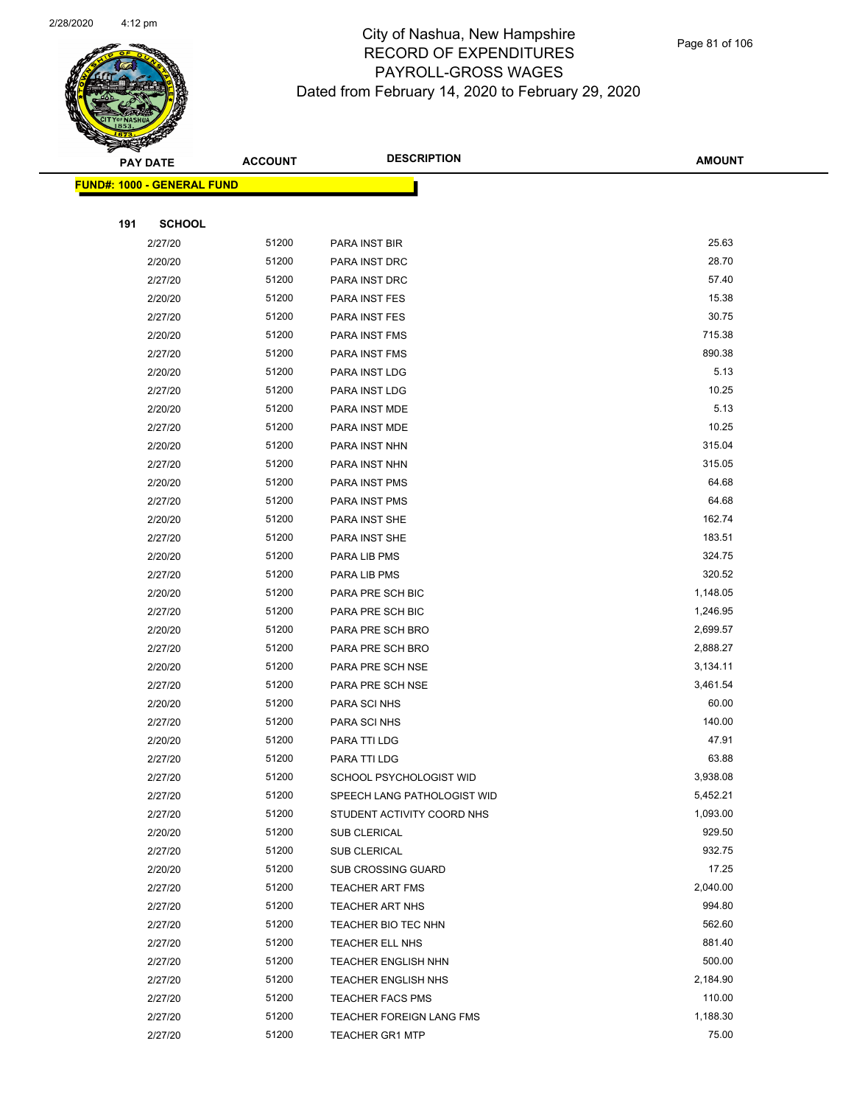

|     | <b>PAY DATE</b>                   | <b>ACCOUNT</b> | <b>DESCRIPTION</b>          | <b>AMOUNT</b> |
|-----|-----------------------------------|----------------|-----------------------------|---------------|
|     | <b>FUND#: 1000 - GENERAL FUND</b> |                |                             |               |
|     |                                   |                |                             |               |
| 191 | <b>SCHOOL</b>                     |                |                             |               |
|     | 2/27/20                           | 51200          | PARA INST BIR               | 25.63         |
|     | 2/20/20                           | 51200          | PARA INST DRC               | 28.70         |
|     | 2/27/20                           | 51200          | PARA INST DRC               | 57.40         |
|     | 2/20/20                           | 51200          | PARA INST FES               | 15.38         |
|     | 2/27/20                           | 51200          | PARA INST FES               | 30.75         |
|     | 2/20/20                           | 51200          | PARA INST FMS               | 715.38        |
|     | 2/27/20                           | 51200          | PARA INST FMS               | 890.38        |
|     | 2/20/20                           | 51200          | PARA INST LDG               | 5.13          |
|     | 2/27/20                           | 51200          | PARA INST LDG               | 10.25         |
|     | 2/20/20                           | 51200          | PARA INST MDE               | 5.13          |
|     | 2/27/20                           | 51200          | PARA INST MDE               | 10.25         |
|     | 2/20/20                           | 51200          | PARA INST NHN               | 315.04        |
|     | 2/27/20                           | 51200          | PARA INST NHN               | 315.05        |
|     | 2/20/20                           | 51200          | PARA INST PMS               | 64.68         |
|     | 2/27/20                           | 51200          | PARA INST PMS               | 64.68         |
|     | 2/20/20                           | 51200          | PARA INST SHE               | 162.74        |
|     | 2/27/20                           | 51200          | PARA INST SHE               | 183.51        |
|     | 2/20/20                           | 51200          | PARA LIB PMS                | 324.75        |
|     | 2/27/20                           | 51200          | PARA LIB PMS                | 320.52        |
|     | 2/20/20                           | 51200          | PARA PRE SCH BIC            | 1,148.05      |
|     | 2/27/20                           | 51200          | PARA PRE SCH BIC            | 1,246.95      |
|     | 2/20/20                           | 51200          | PARA PRE SCH BRO            | 2,699.57      |
|     | 2/27/20                           | 51200          | PARA PRE SCH BRO            | 2,888.27      |
|     | 2/20/20                           | 51200          | PARA PRE SCH NSE            | 3,134.11      |
|     | 2/27/20                           | 51200          | PARA PRE SCH NSE            | 3,461.54      |
|     | 2/20/20                           | 51200          | PARA SCI NHS                | 60.00         |
|     | 2/27/20                           | 51200          | PARA SCI NHS                | 140.00        |
|     | 2/20/20                           | 51200          | PARA TTI LDG                | 47.91         |
|     | 2/27/20                           | 51200          | PARA TTI LDG                | 63.88         |
|     | 2/27/20                           | 51200          | SCHOOL PSYCHOLOGIST WID     | 3,938.08      |
|     | 2/27/20                           | 51200          | SPEECH LANG PATHOLOGIST WID | 5,452.21      |
|     | 2/27/20                           | 51200          | STUDENT ACTIVITY COORD NHS  | 1,093.00      |
|     | 2/20/20                           | 51200          | SUB CLERICAL                | 929.50        |
|     | 2/27/20                           | 51200          | <b>SUB CLERICAL</b>         | 932.75        |
|     | 2/20/20                           | 51200          | <b>SUB CROSSING GUARD</b>   | 17.25         |
|     | 2/27/20                           | 51200          | <b>TEACHER ART FMS</b>      | 2,040.00      |
|     | 2/27/20                           | 51200          | <b>TEACHER ART NHS</b>      | 994.80        |
|     | 2/27/20                           | 51200          | TEACHER BIO TEC NHN         | 562.60        |
|     | 2/27/20                           | 51200          | TEACHER ELL NHS             | 881.40        |
|     | 2/27/20                           | 51200          | <b>TEACHER ENGLISH NHN</b>  | 500.00        |
|     | 2/27/20                           | 51200          | <b>TEACHER ENGLISH NHS</b>  | 2,184.90      |
|     | 2/27/20                           | 51200          | <b>TEACHER FACS PMS</b>     | 110.00        |
|     | 2/27/20                           | 51200          | TEACHER FOREIGN LANG FMS    | 1,188.30      |
|     | 2/27/20                           | 51200          | <b>TEACHER GR1 MTP</b>      | 75.00         |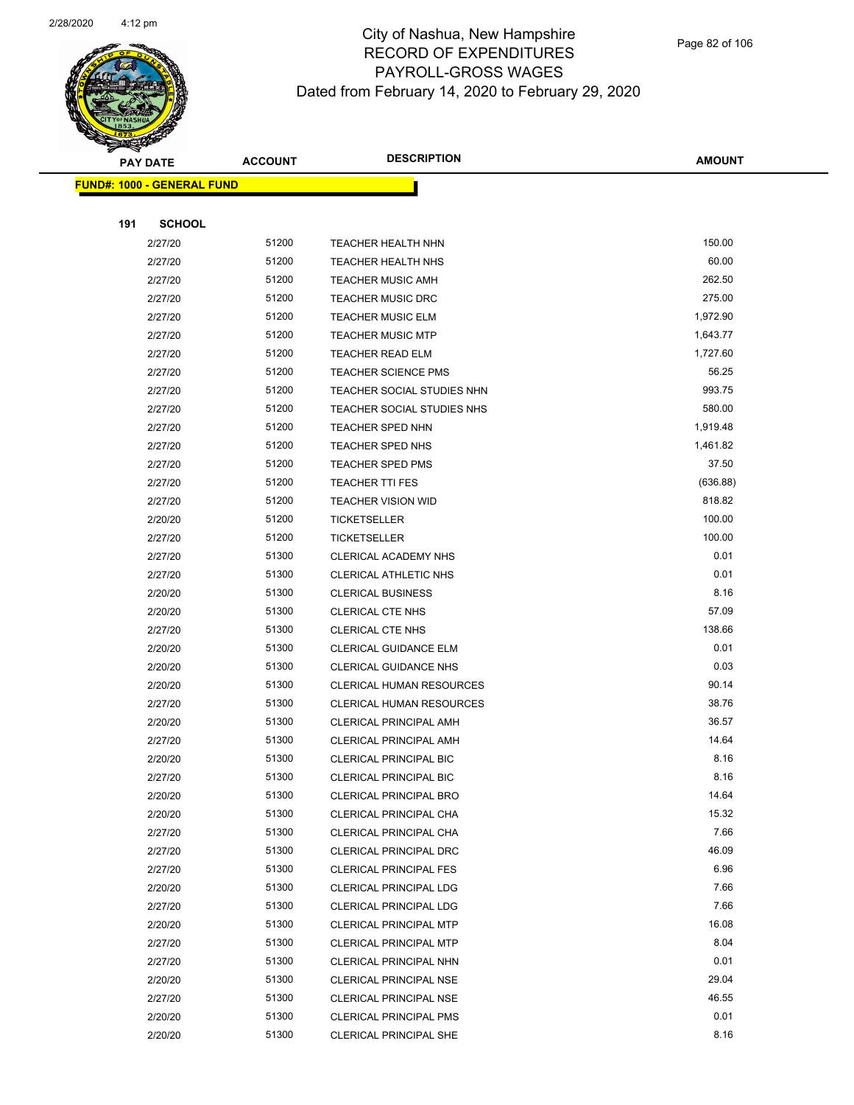

|     | <b>PAY DATE</b>                   | <b>ACCOUNT</b> | <b>DESCRIPTION</b>              | <b>AMOUNT</b> |
|-----|-----------------------------------|----------------|---------------------------------|---------------|
|     | <b>FUND#: 1000 - GENERAL FUND</b> |                |                                 |               |
|     |                                   |                |                                 |               |
| 191 | <b>SCHOOL</b>                     |                |                                 |               |
|     | 2/27/20                           | 51200          | <b>TEACHER HEALTH NHN</b>       | 150.00        |
|     | 2/27/20                           | 51200          | <b>TEACHER HEALTH NHS</b>       | 60.00         |
|     | 2/27/20                           | 51200          | <b>TEACHER MUSIC AMH</b>        | 262.50        |
|     | 2/27/20                           | 51200          | <b>TEACHER MUSIC DRC</b>        | 275.00        |
|     | 2/27/20                           | 51200          | <b>TEACHER MUSIC ELM</b>        | 1,972.90      |
|     | 2/27/20                           | 51200          | <b>TEACHER MUSIC MTP</b>        | 1,643.77      |
|     | 2/27/20                           | 51200          | <b>TEACHER READ ELM</b>         | 1,727.60      |
|     | 2/27/20                           | 51200          | <b>TEACHER SCIENCE PMS</b>      | 56.25         |
|     | 2/27/20                           | 51200          | TEACHER SOCIAL STUDIES NHN      | 993.75        |
|     | 2/27/20                           | 51200          | TEACHER SOCIAL STUDIES NHS      | 580.00        |
|     | 2/27/20                           | 51200          | <b>TEACHER SPED NHN</b>         | 1,919.48      |
|     | 2/27/20                           | 51200          | TEACHER SPED NHS                | 1,461.82      |
|     | 2/27/20                           | 51200          | <b>TEACHER SPED PMS</b>         | 37.50         |
|     | 2/27/20                           | 51200          | <b>TEACHER TTI FES</b>          | (636.88)      |
|     | 2/27/20                           | 51200          | <b>TEACHER VISION WID</b>       | 818.82        |
|     | 2/20/20                           | 51200          | <b>TICKETSELLER</b>             | 100.00        |
|     | 2/27/20                           | 51200          | <b>TICKETSELLER</b>             | 100.00        |
|     | 2/27/20                           | 51300          | CLERICAL ACADEMY NHS            | 0.01          |
|     | 2/27/20                           | 51300          | <b>CLERICAL ATHLETIC NHS</b>    | 0.01          |
|     | 2/20/20                           | 51300          | <b>CLERICAL BUSINESS</b>        | 8.16          |
|     | 2/20/20                           | 51300          | CLERICAL CTE NHS                | 57.09         |
|     | 2/27/20                           | 51300          | <b>CLERICAL CTE NHS</b>         | 138.66        |
|     | 2/20/20                           | 51300          | CLERICAL GUIDANCE ELM           | 0.01          |
|     | 2/20/20                           | 51300          | <b>CLERICAL GUIDANCE NHS</b>    | 0.03          |
|     | 2/20/20                           | 51300          | <b>CLERICAL HUMAN RESOURCES</b> | 90.14         |
|     | 2/27/20                           | 51300          | <b>CLERICAL HUMAN RESOURCES</b> | 38.76         |
|     | 2/20/20                           | 51300          | <b>CLERICAL PRINCIPAL AMH</b>   | 36.57         |
|     | 2/27/20                           | 51300          | <b>CLERICAL PRINCIPAL AMH</b>   | 14.64         |
|     | 2/20/20                           | 51300          | <b>CLERICAL PRINCIPAL BIC</b>   | 8.16          |
|     | 2/27/20                           | 51300          | CLERICAL PRINCIPAL BIC          | 8.16          |
|     | 2/20/20                           | 51300          | <b>CLERICAL PRINCIPAL BRO</b>   | 14.64         |
|     | 2/20/20                           | 51300          | CLERICAL PRINCIPAL CHA          | 15.32         |
|     | 2/27/20                           | 51300          | CLERICAL PRINCIPAL CHA          | 7.66          |
|     | 2/27/20                           | 51300          | CLERICAL PRINCIPAL DRC          | 46.09         |
|     | 2/27/20                           | 51300          | <b>CLERICAL PRINCIPAL FES</b>   | 6.96          |
|     | 2/20/20                           | 51300          | CLERICAL PRINCIPAL LDG          | 7.66          |
|     | 2/27/20                           | 51300          | CLERICAL PRINCIPAL LDG          | 7.66          |
|     | 2/20/20                           | 51300          | <b>CLERICAL PRINCIPAL MTP</b>   | 16.08         |
|     | 2/27/20                           | 51300          | <b>CLERICAL PRINCIPAL MTP</b>   | 8.04          |
|     | 2/27/20                           | 51300          | CLERICAL PRINCIPAL NHN          | 0.01          |
|     | 2/20/20                           | 51300          | CLERICAL PRINCIPAL NSE          | 29.04         |
|     | 2/27/20                           | 51300          | <b>CLERICAL PRINCIPAL NSE</b>   | 46.55         |
|     | 2/20/20                           | 51300          | <b>CLERICAL PRINCIPAL PMS</b>   | 0.01          |
|     | 2/20/20                           | 51300          | CLERICAL PRINCIPAL SHE          | 8.16          |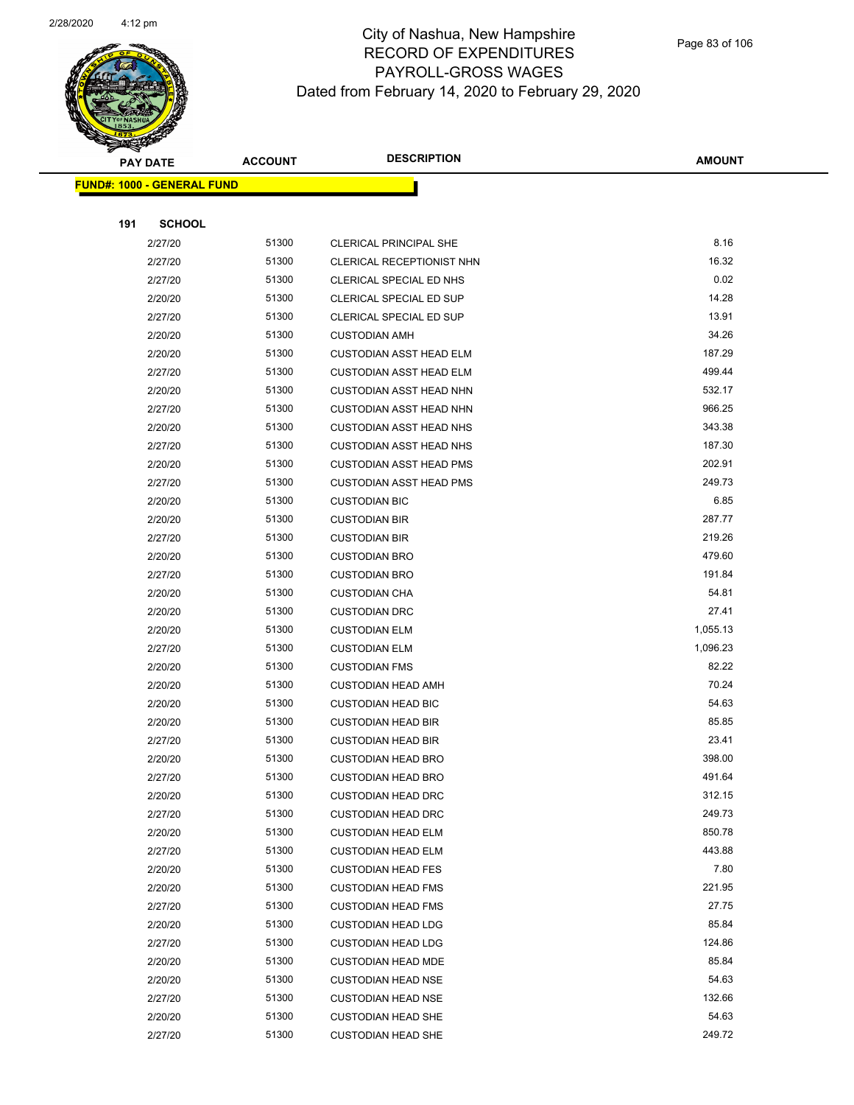

|     | <b>PAY DATE</b>                    | <b>ACCOUNT</b> | <b>DESCRIPTION</b>             | <b>AMOUNT</b> |
|-----|------------------------------------|----------------|--------------------------------|---------------|
|     | <u> FUND#: 1000 - GENERAL FUND</u> |                |                                |               |
|     |                                    |                |                                |               |
| 191 | <b>SCHOOL</b>                      |                |                                |               |
|     | 2/27/20                            | 51300          | CLERICAL PRINCIPAL SHE         | 8.16          |
|     | 2/27/20                            | 51300          | CLERICAL RECEPTIONIST NHN      | 16.32         |
|     | 2/27/20                            | 51300          | CLERICAL SPECIAL ED NHS        | 0.02          |
|     | 2/20/20                            | 51300          | CLERICAL SPECIAL ED SUP        | 14.28         |
|     | 2/27/20                            | 51300          | <b>CLERICAL SPECIAL ED SUP</b> | 13.91         |
|     | 2/20/20                            | 51300          | <b>CUSTODIAN AMH</b>           | 34.26         |
|     | 2/20/20                            | 51300          | <b>CUSTODIAN ASST HEAD ELM</b> | 187.29        |
|     | 2/27/20                            | 51300          | <b>CUSTODIAN ASST HEAD ELM</b> | 499.44        |
|     | 2/20/20                            | 51300          | <b>CUSTODIAN ASST HEAD NHN</b> | 532.17        |
|     | 2/27/20                            | 51300          | <b>CUSTODIAN ASST HEAD NHN</b> | 966.25        |
|     | 2/20/20                            | 51300          | <b>CUSTODIAN ASST HEAD NHS</b> | 343.38        |
|     | 2/27/20                            | 51300          | <b>CUSTODIAN ASST HEAD NHS</b> | 187.30        |
|     | 2/20/20                            | 51300          | <b>CUSTODIAN ASST HEAD PMS</b> | 202.91        |
|     | 2/27/20                            | 51300          | <b>CUSTODIAN ASST HEAD PMS</b> | 249.73        |
|     | 2/20/20                            | 51300          | <b>CUSTODIAN BIC</b>           | 6.85          |
|     | 2/20/20                            | 51300          | <b>CUSTODIAN BIR</b>           | 287.77        |
|     | 2/27/20                            | 51300          | <b>CUSTODIAN BIR</b>           | 219.26        |
|     | 2/20/20                            | 51300          | <b>CUSTODIAN BRO</b>           | 479.60        |
|     | 2/27/20                            | 51300          | <b>CUSTODIAN BRO</b>           | 191.84        |
|     | 2/20/20                            | 51300          | <b>CUSTODIAN CHA</b>           | 54.81         |
|     | 2/20/20                            | 51300          | <b>CUSTODIAN DRC</b>           | 27.41         |
|     | 2/20/20                            | 51300          | <b>CUSTODIAN ELM</b>           | 1,055.13      |
|     | 2/27/20                            | 51300          | <b>CUSTODIAN ELM</b>           | 1,096.23      |
|     | 2/20/20                            | 51300          | <b>CUSTODIAN FMS</b>           | 82.22         |
|     | 2/20/20                            | 51300          | <b>CUSTODIAN HEAD AMH</b>      | 70.24         |
|     | 2/20/20                            | 51300          | <b>CUSTODIAN HEAD BIC</b>      | 54.63         |
|     | 2/20/20                            | 51300          | <b>CUSTODIAN HEAD BIR</b>      | 85.85         |
|     | 2/27/20                            | 51300          | <b>CUSTODIAN HEAD BIR</b>      | 23.41         |
|     | 2/20/20                            | 51300          | <b>CUSTODIAN HEAD BRO</b>      | 398.00        |
|     | 2/27/20                            | 51300          | <b>CUSTODIAN HEAD BRO</b>      | 491.64        |
|     | 2/20/20                            | 51300          | <b>CUSTODIAN HEAD DRC</b>      | 312.15        |
|     | 2/27/20                            | 51300          | <b>CUSTODIAN HEAD DRC</b>      | 249.73        |
|     | 2/20/20                            | 51300          | <b>CUSTODIAN HEAD ELM</b>      | 850.78        |
|     | 2/27/20                            | 51300          | <b>CUSTODIAN HEAD ELM</b>      | 443.88        |
|     | 2/20/20                            | 51300          | <b>CUSTODIAN HEAD FES</b>      | 7.80          |
|     | 2/20/20                            | 51300          | <b>CUSTODIAN HEAD FMS</b>      | 221.95        |
|     | 2/27/20                            | 51300          | <b>CUSTODIAN HEAD FMS</b>      | 27.75         |
|     | 2/20/20                            | 51300          | <b>CUSTODIAN HEAD LDG</b>      | 85.84         |
|     | 2/27/20                            | 51300          | <b>CUSTODIAN HEAD LDG</b>      | 124.86        |
|     | 2/20/20                            | 51300          | <b>CUSTODIAN HEAD MDE</b>      | 85.84         |
|     | 2/20/20                            | 51300          | <b>CUSTODIAN HEAD NSE</b>      | 54.63         |
|     | 2/27/20                            | 51300          | <b>CUSTODIAN HEAD NSE</b>      | 132.66        |
|     | 2/20/20                            | 51300          | <b>CUSTODIAN HEAD SHE</b>      | 54.63         |
|     | 2/27/20                            | 51300          | <b>CUSTODIAN HEAD SHE</b>      | 249.72        |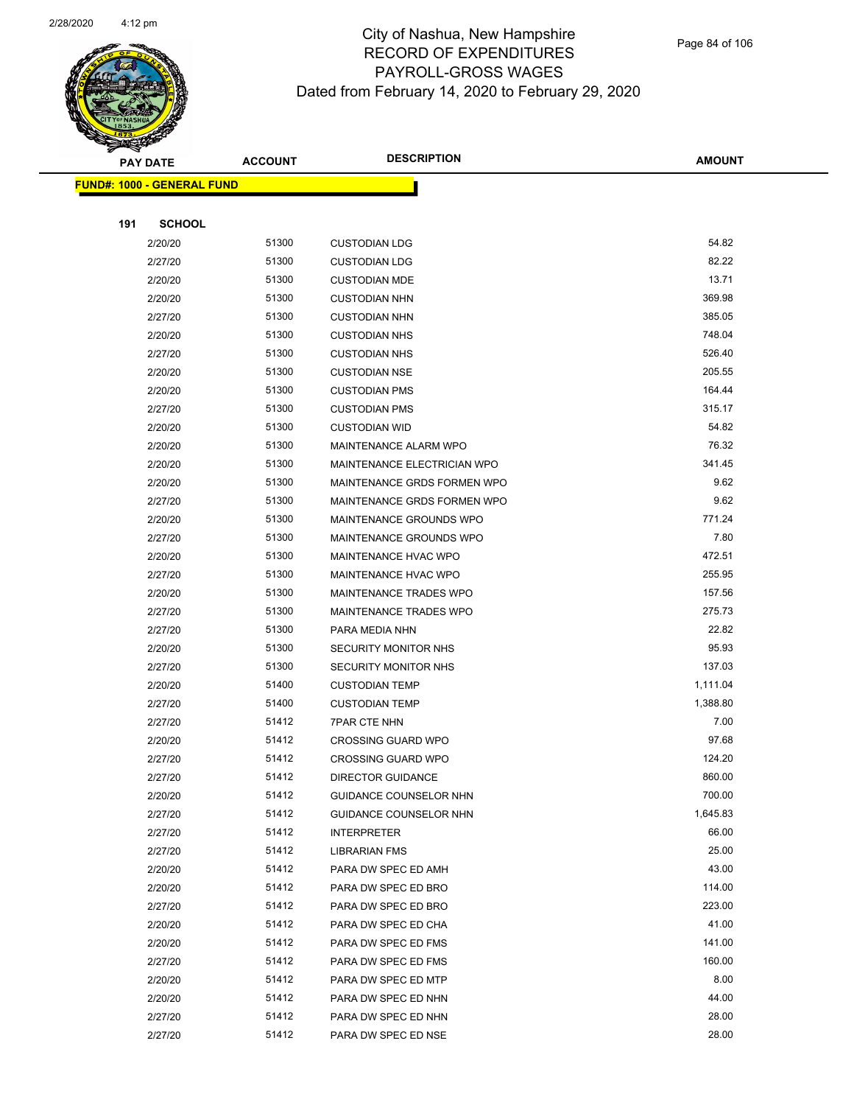

|     | <u> FUND#: 1000 - GENERAL FUND</u> |                |                                            |                |  |
|-----|------------------------------------|----------------|--------------------------------------------|----------------|--|
|     |                                    |                |                                            |                |  |
| 191 | <b>SCHOOL</b>                      |                |                                            |                |  |
|     | 2/20/20                            | 51300          | <b>CUSTODIAN LDG</b>                       | 54.82          |  |
|     | 2/27/20                            | 51300          | <b>CUSTODIAN LDG</b>                       | 82.22          |  |
|     | 2/20/20                            | 51300          | <b>CUSTODIAN MDE</b>                       | 13.71          |  |
|     | 2/20/20                            | 51300          | <b>CUSTODIAN NHN</b>                       | 369.98         |  |
|     | 2/27/20                            | 51300          | <b>CUSTODIAN NHN</b>                       | 385.05         |  |
|     | 2/20/20                            | 51300          | <b>CUSTODIAN NHS</b>                       | 748.04         |  |
|     | 2/27/20                            | 51300          | <b>CUSTODIAN NHS</b>                       | 526.40         |  |
|     | 2/20/20                            | 51300          | <b>CUSTODIAN NSE</b>                       | 205.55         |  |
|     | 2/20/20                            | 51300          | <b>CUSTODIAN PMS</b>                       | 164.44         |  |
|     | 2/27/20                            | 51300          | <b>CUSTODIAN PMS</b>                       | 315.17         |  |
|     | 2/20/20                            | 51300          | <b>CUSTODIAN WID</b>                       | 54.82          |  |
|     | 2/20/20                            | 51300          | MAINTENANCE ALARM WPO                      | 76.32          |  |
|     | 2/20/20                            | 51300          | MAINTENANCE ELECTRICIAN WPO                | 341.45         |  |
|     | 2/20/20                            | 51300          | MAINTENANCE GRDS FORMEN WPO                | 9.62           |  |
|     | 2/27/20                            | 51300          | MAINTENANCE GRDS FORMEN WPO                | 9.62           |  |
|     | 2/20/20                            | 51300          | MAINTENANCE GROUNDS WPO                    | 771.24         |  |
|     | 2/27/20                            | 51300          | MAINTENANCE GROUNDS WPO                    | 7.80           |  |
|     | 2/20/20                            | 51300          | <b>MAINTENANCE HVAC WPO</b>                | 472.51         |  |
|     | 2/27/20                            | 51300          | <b>MAINTENANCE HVAC WPO</b>                | 255.95         |  |
|     | 2/20/20                            | 51300          | MAINTENANCE TRADES WPO                     | 157.56         |  |
|     | 2/27/20                            | 51300          | MAINTENANCE TRADES WPO                     | 275.73         |  |
|     | 2/27/20                            | 51300          | PARA MEDIA NHN                             | 22.82          |  |
|     | 2/20/20                            | 51300          | <b>SECURITY MONITOR NHS</b>                | 95.93          |  |
|     | 2/27/20                            | 51300          | <b>SECURITY MONITOR NHS</b>                | 137.03         |  |
|     | 2/20/20                            | 51400          | <b>CUSTODIAN TEMP</b>                      | 1,111.04       |  |
|     | 2/27/20                            | 51400          | <b>CUSTODIAN TEMP</b>                      | 1,388.80       |  |
|     | 2/27/20                            | 51412          | <b>7PAR CTE NHN</b>                        | 7.00           |  |
|     | 2/20/20                            | 51412          | <b>CROSSING GUARD WPO</b>                  | 97.68          |  |
|     | 2/27/20                            | 51412          | <b>CROSSING GUARD WPO</b>                  | 124.20         |  |
|     | 2/27/20                            | 51412          | <b>DIRECTOR GUIDANCE</b>                   | 860.00         |  |
|     | 2/20/20                            | 51412          | GUIDANCE COUNSELOR NHN                     | 700.00         |  |
|     | 2/27/20                            | 51412          | GUIDANCE COUNSELOR NHN                     | 1,645.83       |  |
|     | 2/27/20                            | 51412          | <b>INTERPRETER</b>                         | 66.00          |  |
|     | 2/27/20                            | 51412          | <b>LIBRARIAN FMS</b>                       | 25.00          |  |
|     | 2/20/20                            | 51412          | PARA DW SPEC ED AMH                        | 43.00          |  |
|     | 2/20/20                            | 51412          | PARA DW SPEC ED BRO                        | 114.00         |  |
|     | 2/27/20                            | 51412          | PARA DW SPEC ED BRO                        | 223.00         |  |
|     | 2/20/20                            | 51412          | PARA DW SPEC ED CHA                        | 41.00          |  |
|     | 2/20/20                            | 51412          | PARA DW SPEC ED FMS                        | 141.00         |  |
|     | 2/27/20                            | 51412          | PARA DW SPEC ED FMS                        | 160.00<br>8.00 |  |
|     | 2/20/20                            | 51412<br>51412 | PARA DW SPEC ED MTP                        | 44.00          |  |
|     | 2/20/20<br>2/27/20                 | 51412          | PARA DW SPEC ED NHN<br>PARA DW SPEC ED NHN | 28.00          |  |
|     | 2/27/20                            | 51412          | PARA DW SPEC ED NSE                        | 28.00          |  |
|     |                                    |                |                                            |                |  |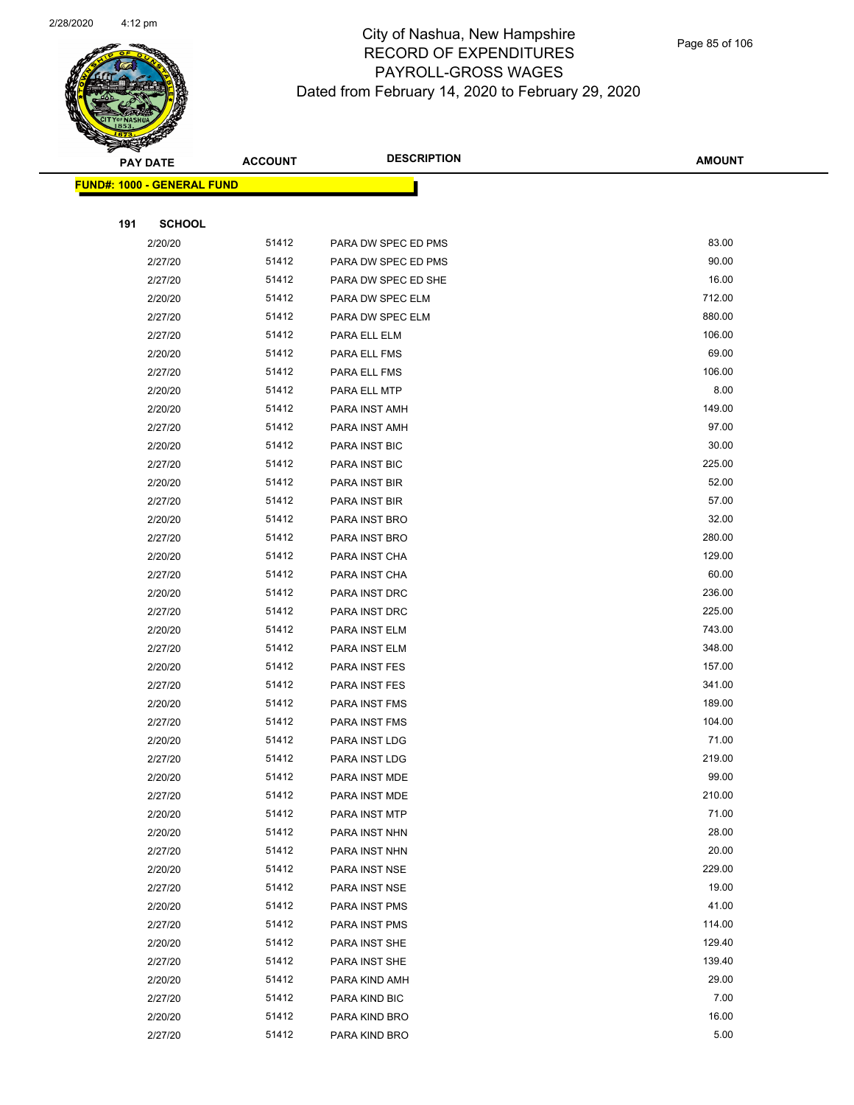

Page 85 of 106

|     | <b>PAY DATE</b>                    | <b>ACCOUNT</b> | <b>DESCRIPTION</b>  | <b>AMOUNT</b>    |
|-----|------------------------------------|----------------|---------------------|------------------|
|     | <u> FUND#: 1000 - GENERAL FUND</u> |                |                     |                  |
|     |                                    |                |                     |                  |
| 191 | <b>SCHOOL</b>                      |                |                     |                  |
|     | 2/20/20                            | 51412          | PARA DW SPEC ED PMS | 83.00            |
|     | 2/27/20                            | 51412          | PARA DW SPEC ED PMS | 90.00            |
|     | 2/27/20                            | 51412          | PARA DW SPEC ED SHE | 16.00            |
|     | 2/20/20                            | 51412          | PARA DW SPEC ELM    | 712.00           |
|     | 2/27/20                            | 51412          | PARA DW SPEC ELM    | 880.00           |
|     | 2/27/20                            | 51412          | PARA ELL ELM        | 106.00           |
|     | 2/20/20                            | 51412          | PARA ELL FMS        | 69.00            |
|     | 2/27/20                            | 51412          | PARA ELL FMS        | 106.00           |
|     | 2/20/20                            | 51412          | PARA ELL MTP        | 8.00             |
|     | 2/20/20                            | 51412          | PARA INST AMH       | 149.00           |
|     | 2/27/20                            | 51412          | PARA INST AMH       | 97.00            |
|     | 2/20/20                            | 51412          | PARA INST BIC       | 30.00            |
|     | 2/27/20                            | 51412          | PARA INST BIC       | 225.00           |
|     | 2/20/20                            | 51412          | PARA INST BIR       | 52.00            |
|     | 2/27/20                            | 51412          | PARA INST BIR       | 57.00            |
|     | 2/20/20                            | 51412          | PARA INST BRO       | 32.00            |
|     | 2/27/20                            | 51412          | PARA INST BRO       | 280.00           |
|     | 2/20/20                            | 51412          | PARA INST CHA       | 129.00           |
|     | 2/27/20                            | 51412          | PARA INST CHA       | 60.00            |
|     | 2/20/20                            | 51412          | PARA INST DRC       | 236.00           |
|     | 2/27/20                            | 51412          | PARA INST DRC       | 225.00           |
|     | 2/20/20                            | 51412          | PARA INST ELM       | 743.00           |
|     | 2/27/20                            | 51412          | PARA INST ELM       | 348.00           |
|     | 2/20/20                            | 51412          | PARA INST FES       | 157.00           |
|     | 2/27/20                            | 51412          | PARA INST FES       | 341.00           |
|     | 2/20/20                            | 51412          | PARA INST FMS       | 189.00           |
|     | 2/27/20                            | 51412          | PARA INST FMS       | 104.00           |
|     | 2/20/20                            | 51412          | PARA INST LDG       | 71.00            |
|     | 2/27/20                            | 51412          | PARA INST LDG       | 219.00           |
|     | 2/20/20                            | 51412          | PARA INST MDE       | 99.00            |
|     | 2/27/20                            | 51412          | PARA INST MDE       | 210.00           |
|     | 2/20/20                            | 51412          | PARA INST MTP       | 71.00            |
|     | 2/20/20                            | 51412          | PARA INST NHN       | 28.00            |
|     | 2/27/20                            | 51412          | PARA INST NHN       | 20.00            |
|     | 2/20/20                            | 51412          | PARA INST NSE       | 229.00<br>19.00  |
|     | 2/27/20                            | 51412          | PARA INST NSE       | 41.00            |
|     | 2/20/20                            | 51412          | PARA INST PMS       |                  |
|     | 2/27/20                            | 51412<br>51412 | PARA INST PMS       | 114.00<br>129.40 |
|     | 2/20/20                            |                | PARA INST SHE       |                  |
|     | 2/27/20                            | 51412          | PARA INST SHE       | 139.40<br>29.00  |
|     | 2/20/20                            | 51412          | PARA KIND AMH       | 7.00             |
|     | 2/27/20                            | 51412<br>51412 | PARA KIND BIC       | 16.00            |
|     | 2/20/20                            |                | PARA KIND BRO       |                  |
|     | 2/27/20                            | 51412          | PARA KIND BRO       | 5.00             |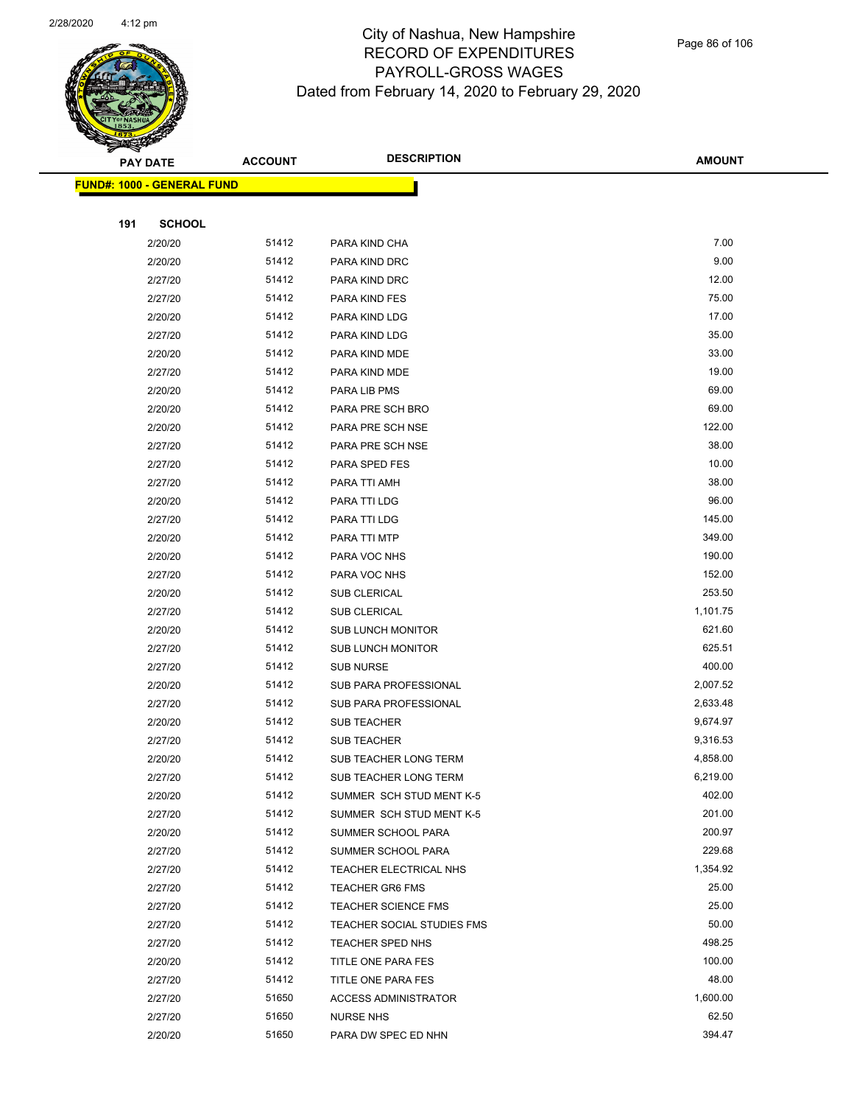

|     | <b>PAY DATE</b>                   | <b>ACCOUNT</b> | <b>DESCRIPTION</b>          | <b>AMOUNT</b> |
|-----|-----------------------------------|----------------|-----------------------------|---------------|
|     | <b>FUND#: 1000 - GENERAL FUND</b> |                |                             |               |
|     |                                   |                |                             |               |
| 191 | <b>SCHOOL</b>                     |                |                             |               |
|     | 2/20/20                           | 51412          | PARA KIND CHA               | 7.00          |
|     | 2/20/20                           | 51412          | PARA KIND DRC               | 9.00          |
|     | 2/27/20                           | 51412          | PARA KIND DRC               | 12.00         |
|     | 2/27/20                           | 51412          | PARA KIND FES               | 75.00         |
|     | 2/20/20                           | 51412          | PARA KIND LDG               | 17.00         |
|     | 2/27/20                           | 51412          | PARA KIND LDG               | 35.00         |
|     | 2/20/20                           | 51412          | PARA KIND MDE               | 33.00         |
|     | 2/27/20                           | 51412          | PARA KIND MDE               | 19.00         |
|     | 2/20/20                           | 51412          | PARA LIB PMS                | 69.00         |
|     | 2/20/20                           | 51412          | PARA PRE SCH BRO            | 69.00         |
|     | 2/20/20                           | 51412          | PARA PRE SCH NSE            | 122.00        |
|     | 2/27/20                           | 51412          | PARA PRE SCH NSE            | 38.00         |
|     | 2/27/20                           | 51412          | PARA SPED FES               | 10.00         |
|     | 2/27/20                           | 51412          | PARA TTI AMH                | 38.00         |
|     | 2/20/20                           | 51412          | PARA TTI LDG                | 96.00         |
|     | 2/27/20                           | 51412          | PARA TTI LDG                | 145.00        |
|     | 2/20/20                           | 51412          | PARA TTI MTP                | 349.00        |
|     | 2/20/20                           | 51412          | PARA VOC NHS                | 190.00        |
|     | 2/27/20                           | 51412          | PARA VOC NHS                | 152.00        |
|     | 2/20/20                           | 51412          | <b>SUB CLERICAL</b>         | 253.50        |
|     | 2/27/20                           | 51412          | SUB CLERICAL                | 1,101.75      |
|     | 2/20/20                           | 51412          | <b>SUB LUNCH MONITOR</b>    | 621.60        |
|     | 2/27/20                           | 51412          | <b>SUB LUNCH MONITOR</b>    | 625.51        |
|     | 2/27/20                           | 51412          | <b>SUB NURSE</b>            | 400.00        |
|     | 2/20/20                           | 51412          | SUB PARA PROFESSIONAL       | 2,007.52      |
|     | 2/27/20                           | 51412          | SUB PARA PROFESSIONAL       | 2,633.48      |
|     | 2/20/20                           | 51412          | <b>SUB TEACHER</b>          | 9,674.97      |
|     | 2/27/20                           | 51412          | <b>SUB TEACHER</b>          | 9,316.53      |
|     | 2/20/20                           | 51412          | SUB TEACHER LONG TERM       | 4,858.00      |
|     | 2/27/20                           | 51412          | SUB TEACHER LONG TERM       | 6,219.00      |
|     | 2/20/20                           | 51412          | SUMMER SCH STUD MENT K-5    | 402.00        |
|     | 2/27/20                           | 51412          | SUMMER SCH STUD MENT K-5    | 201.00        |
|     | 2/20/20                           | 51412          | SUMMER SCHOOL PARA          | 200.97        |
|     | 2/27/20                           | 51412          | SUMMER SCHOOL PARA          | 229.68        |
|     | 2/27/20                           | 51412          | TEACHER ELECTRICAL NHS      | 1,354.92      |
|     | 2/27/20                           | 51412          | <b>TEACHER GR6 FMS</b>      | 25.00         |
|     | 2/27/20                           | 51412          | <b>TEACHER SCIENCE FMS</b>  | 25.00         |
|     | 2/27/20                           | 51412          | TEACHER SOCIAL STUDIES FMS  | 50.00         |
|     | 2/27/20                           | 51412          | <b>TEACHER SPED NHS</b>     | 498.25        |
|     | 2/20/20                           | 51412          | TITLE ONE PARA FES          | 100.00        |
|     | 2/27/20                           | 51412          | TITLE ONE PARA FES          | 48.00         |
|     | 2/27/20                           | 51650          | <b>ACCESS ADMINISTRATOR</b> | 1,600.00      |
|     | 2/27/20                           | 51650          | <b>NURSE NHS</b>            | 62.50         |
|     | 2/20/20                           | 51650          | PARA DW SPEC ED NHN         | 394.47        |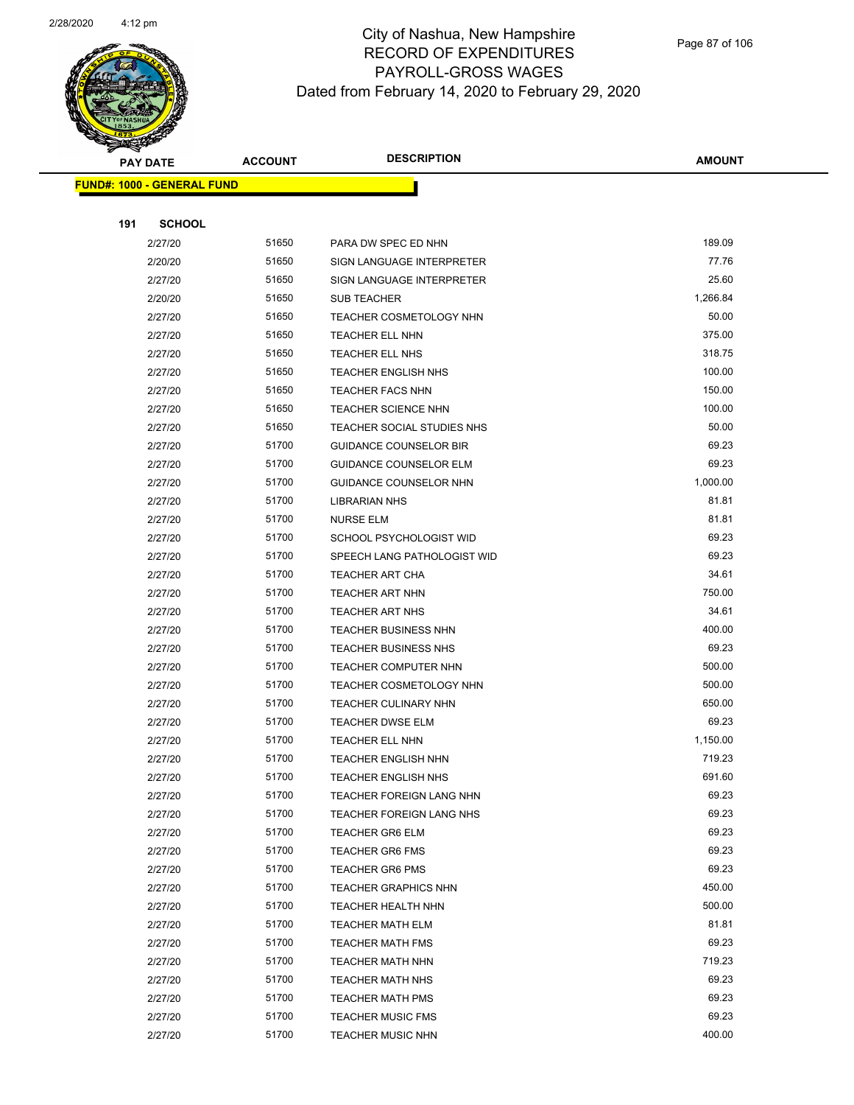

|     | <b>PAY DATE</b>                   | <b>ACCOUNT</b> | <b>DESCRIPTION</b>            | AMOUNT   |
|-----|-----------------------------------|----------------|-------------------------------|----------|
|     | <b>FUND#: 1000 - GENERAL FUND</b> |                |                               |          |
|     |                                   |                |                               |          |
| 191 | <b>SCHOOL</b>                     |                |                               |          |
|     | 2/27/20                           | 51650          | PARA DW SPEC ED NHN           | 189.09   |
|     | 2/20/20                           | 51650          | SIGN LANGUAGE INTERPRETER     | 77.76    |
|     | 2/27/20                           | 51650          | SIGN LANGUAGE INTERPRETER     | 25.60    |
|     | 2/20/20                           | 51650          | <b>SUB TEACHER</b>            | 1,266.84 |
|     | 2/27/20                           | 51650          | TEACHER COSMETOLOGY NHN       | 50.00    |
|     | 2/27/20                           | 51650          | TEACHER ELL NHN               | 375.00   |
|     | 2/27/20                           | 51650          | <b>TEACHER ELL NHS</b>        | 318.75   |
|     | 2/27/20                           | 51650          | <b>TEACHER ENGLISH NHS</b>    | 100.00   |
|     | 2/27/20                           | 51650          | TEACHER FACS NHN              | 150.00   |
|     | 2/27/20                           | 51650          | <b>TEACHER SCIENCE NHN</b>    | 100.00   |
|     | 2/27/20                           | 51650          | TEACHER SOCIAL STUDIES NHS    | 50.00    |
|     | 2/27/20                           | 51700          | <b>GUIDANCE COUNSELOR BIR</b> | 69.23    |
|     | 2/27/20                           | 51700          | <b>GUIDANCE COUNSELOR ELM</b> | 69.23    |
|     | 2/27/20                           | 51700          | GUIDANCE COUNSELOR NHN        | 1,000.00 |
|     | 2/27/20                           | 51700          | <b>LIBRARIAN NHS</b>          | 81.81    |
|     | 2/27/20                           | 51700          | <b>NURSE ELM</b>              | 81.81    |
|     | 2/27/20                           | 51700          | SCHOOL PSYCHOLOGIST WID       | 69.23    |
|     | 2/27/20                           | 51700          | SPEECH LANG PATHOLOGIST WID   | 69.23    |
|     | 2/27/20                           | 51700          | TEACHER ART CHA               | 34.61    |
|     | 2/27/20                           | 51700          | TEACHER ART NHN               | 750.00   |
|     | 2/27/20                           | 51700          | <b>TEACHER ART NHS</b>        | 34.61    |
|     | 2/27/20                           | 51700          | <b>TEACHER BUSINESS NHN</b>   | 400.00   |
|     | 2/27/20                           | 51700          | <b>TEACHER BUSINESS NHS</b>   | 69.23    |
|     | 2/27/20                           | 51700          | TEACHER COMPUTER NHN          | 500.00   |
|     | 2/27/20                           | 51700          | TEACHER COSMETOLOGY NHN       | 500.00   |
|     | 2/27/20                           | 51700          | TEACHER CULINARY NHN          | 650.00   |
|     | 2/27/20                           | 51700          | <b>TEACHER DWSE ELM</b>       | 69.23    |
|     | 2/27/20                           | 51700          | TEACHER ELL NHN               | 1,150.00 |
|     | 2/27/20                           | 51700          | <b>TEACHER ENGLISH NHN</b>    | 719.23   |
|     | 2/27/20                           | 51700          | TEACHER ENGLISH NHS           | 691.60   |
|     | 2/27/20                           | 51700          | TEACHER FOREIGN LANG NHN      | 69.23    |
|     | 2/27/20                           | 51700          | TEACHER FOREIGN LANG NHS      | 69.23    |
|     | 2/27/20                           | 51700          | <b>TEACHER GR6 ELM</b>        | 69.23    |
|     | 2/27/20                           | 51700          | <b>TEACHER GR6 FMS</b>        | 69.23    |
|     | 2/27/20                           | 51700          | <b>TEACHER GR6 PMS</b>        | 69.23    |
|     | 2/27/20                           | 51700          | <b>TEACHER GRAPHICS NHN</b>   | 450.00   |
|     | 2/27/20                           | 51700          | TEACHER HEALTH NHN            | 500.00   |
|     | 2/27/20                           | 51700          | <b>TEACHER MATH ELM</b>       | 81.81    |
|     | 2/27/20                           | 51700          | <b>TEACHER MATH FMS</b>       | 69.23    |
|     | 2/27/20                           | 51700          | <b>TEACHER MATH NHN</b>       | 719.23   |
|     | 2/27/20                           | 51700          | <b>TEACHER MATH NHS</b>       | 69.23    |
|     | 2/27/20                           | 51700          | <b>TEACHER MATH PMS</b>       | 69.23    |
|     | 2/27/20                           | 51700          | <b>TEACHER MUSIC FMS</b>      | 69.23    |
|     | 2/27/20                           | 51700          | <b>TEACHER MUSIC NHN</b>      | 400.00   |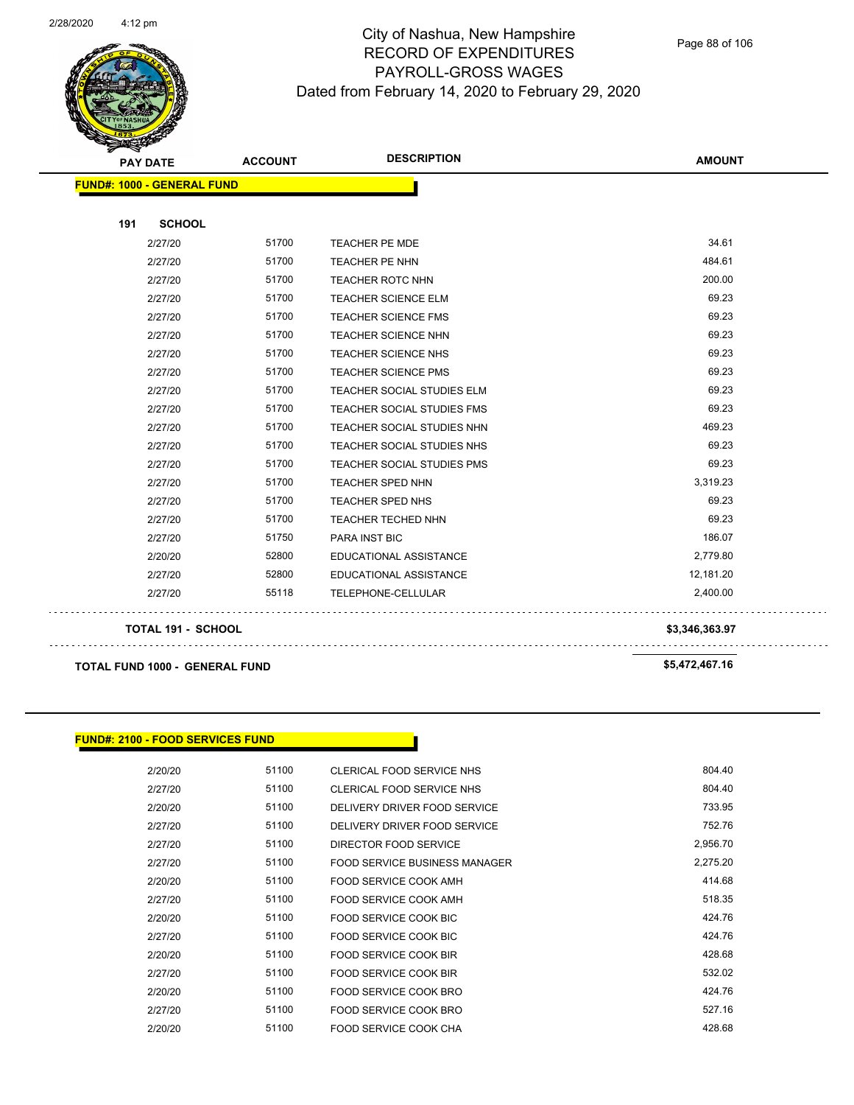

Page 88 of 106

| <b>PAY DATE</b>                   | <b>ACCOUNT</b> | <b>DESCRIPTION</b>                | <b>AMOUNT</b>  |
|-----------------------------------|----------------|-----------------------------------|----------------|
| <b>FUND#: 1000 - GENERAL FUND</b> |                |                                   |                |
|                                   |                |                                   |                |
| <b>SCHOOL</b><br>191              |                |                                   |                |
| 2/27/20                           | 51700          | TEACHER PE MDE                    | 34.61          |
| 2/27/20                           | 51700          | TEACHER PE NHN                    | 484.61         |
| 2/27/20                           | 51700          | TEACHER ROTC NHN                  | 200.00         |
| 2/27/20                           | 51700          | <b>TEACHER SCIENCE ELM</b>        | 69.23          |
| 2/27/20                           | 51700          | <b>TEACHER SCIENCE FMS</b>        | 69.23          |
| 2/27/20                           | 51700          | <b>TEACHER SCIENCE NHN</b>        | 69.23          |
| 2/27/20                           | 51700          | <b>TEACHER SCIENCE NHS</b>        | 69.23          |
| 2/27/20                           | 51700          | <b>TEACHER SCIENCE PMS</b>        | 69.23          |
| 2/27/20                           | 51700          | TEACHER SOCIAL STUDIES ELM        | 69.23          |
| 2/27/20                           | 51700          | <b>TEACHER SOCIAL STUDIES FMS</b> | 69.23          |
| 2/27/20                           | 51700          | <b>TEACHER SOCIAL STUDIES NHN</b> | 469.23         |
| 2/27/20                           | 51700          | TEACHER SOCIAL STUDIES NHS        | 69.23          |
| 2/27/20                           | 51700          | <b>TEACHER SOCIAL STUDIES PMS</b> | 69.23          |
| 2/27/20                           | 51700          | <b>TEACHER SPED NHN</b>           | 3,319.23       |
| 2/27/20                           | 51700          | <b>TEACHER SPED NHS</b>           | 69.23          |
| 2/27/20                           | 51700          | <b>TEACHER TECHED NHN</b>         | 69.23          |
| 2/27/20                           | 51750          | PARA INST BIC                     | 186.07         |
| 2/20/20                           | 52800          | EDUCATIONAL ASSISTANCE            | 2,779.80       |
| 2/27/20                           | 52800          | <b>EDUCATIONAL ASSISTANCE</b>     | 12,181.20      |
| 2/27/20                           | 55118          | TELEPHONE-CELLULAR                | 2,400.00       |
| <b>TOTAL 191 - SCHOOL</b>         |                |                                   | \$3,346,363.97 |

**TOTAL FUND 1000 - GENERAL FUND \$5,472,467.16** 

#### **FUND#: 2100 - FOOD SERVICES FUND**

| 804.40   | CLERICAL FOOD SERVICE NHS     | 51100 | 2/20/20 |
|----------|-------------------------------|-------|---------|
| 804.40   | CLERICAL FOOD SERVICE NHS     | 51100 | 2/27/20 |
| 733.95   | DELIVERY DRIVER FOOD SERVICE  | 51100 | 2/20/20 |
| 752.76   | DELIVERY DRIVER FOOD SERVICE  | 51100 | 2/27/20 |
| 2,956.70 | DIRECTOR FOOD SERVICE         | 51100 | 2/27/20 |
| 2.275.20 | FOOD SERVICE BUSINESS MANAGER | 51100 | 2/27/20 |
| 414.68   | FOOD SERVICE COOK AMH         | 51100 | 2/20/20 |
| 518.35   | FOOD SERVICE COOK AMH         | 51100 | 2/27/20 |
| 424.76   | FOOD SERVICE COOK BIC         | 51100 | 2/20/20 |
| 424.76   | FOOD SERVICE COOK BIC         | 51100 | 2/27/20 |
| 428.68   | FOOD SERVICE COOK BIR         | 51100 | 2/20/20 |
| 532.02   | FOOD SERVICE COOK BIR         | 51100 | 2/27/20 |
| 424.76   | FOOD SERVICE COOK BRO         | 51100 | 2/20/20 |
| 527.16   | FOOD SERVICE COOK BRO         | 51100 | 2/27/20 |
| 428.68   | FOOD SERVICE COOK CHA         | 51100 | 2/20/20 |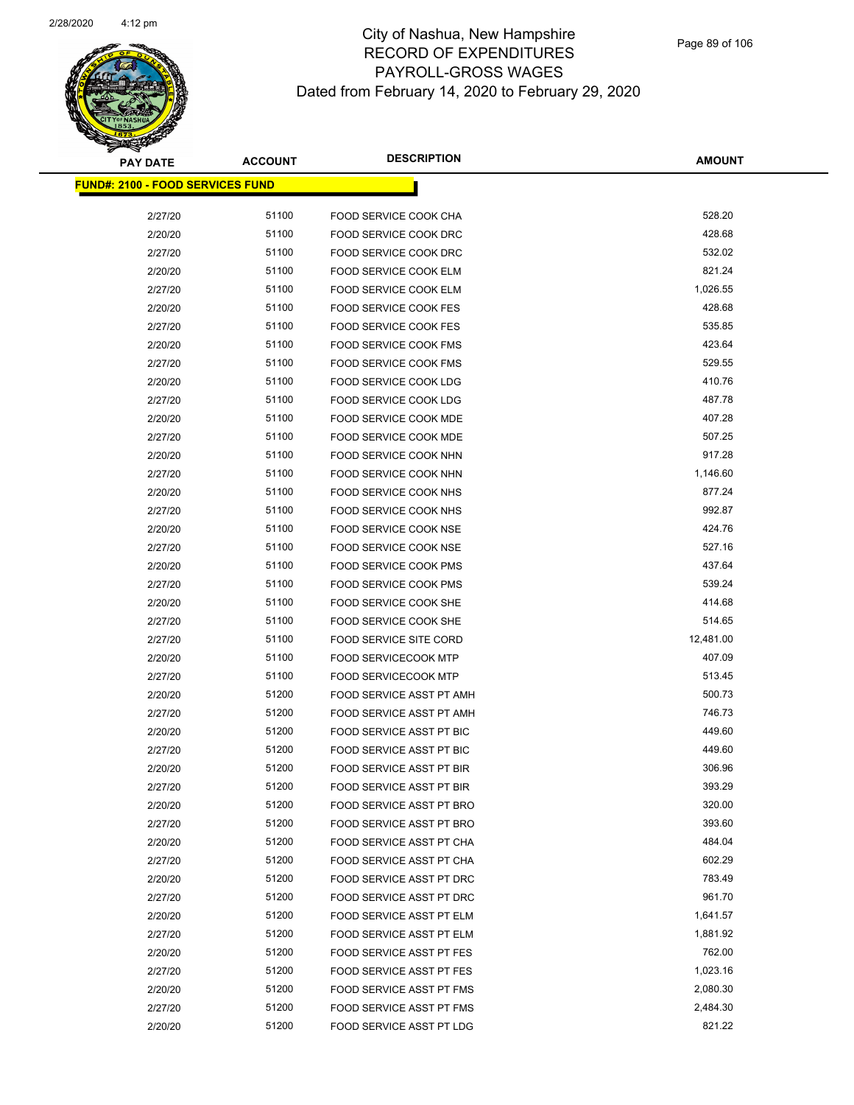

| <b>PAY DATE</b>                          | <b>ACCOUNT</b> | <b>DESCRIPTION</b>              | <b>AMOUNT</b> |
|------------------------------------------|----------------|---------------------------------|---------------|
| <u> FUND#: 2100 - FOOD SERVICES FUND</u> |                |                                 |               |
|                                          |                |                                 |               |
| 2/27/20                                  | 51100          | FOOD SERVICE COOK CHA           | 528.20        |
| 2/20/20                                  | 51100          | FOOD SERVICE COOK DRC           | 428.68        |
| 2/27/20                                  | 51100          | FOOD SERVICE COOK DRC           | 532.02        |
| 2/20/20                                  | 51100          | FOOD SERVICE COOK ELM           | 821.24        |
| 2/27/20                                  | 51100          | FOOD SERVICE COOK ELM           | 1,026.55      |
| 2/20/20                                  | 51100          | <b>FOOD SERVICE COOK FES</b>    | 428.68        |
| 2/27/20                                  | 51100          | <b>FOOD SERVICE COOK FES</b>    | 535.85        |
| 2/20/20                                  | 51100          | <b>FOOD SERVICE COOK FMS</b>    | 423.64        |
| 2/27/20                                  | 51100          | FOOD SERVICE COOK FMS           | 529.55        |
| 2/20/20                                  | 51100          | FOOD SERVICE COOK LDG           | 410.76        |
| 2/27/20                                  | 51100          | FOOD SERVICE COOK LDG           | 487.78        |
| 2/20/20                                  | 51100          | FOOD SERVICE COOK MDE           | 407.28        |
| 2/27/20                                  | 51100          | <b>FOOD SERVICE COOK MDE</b>    | 507.25        |
| 2/20/20                                  | 51100          | FOOD SERVICE COOK NHN           | 917.28        |
| 2/27/20                                  | 51100          | FOOD SERVICE COOK NHN           | 1,146.60      |
| 2/20/20                                  | 51100          | FOOD SERVICE COOK NHS           | 877.24        |
| 2/27/20                                  | 51100          | FOOD SERVICE COOK NHS           | 992.87        |
| 2/20/20                                  | 51100          | FOOD SERVICE COOK NSE           | 424.76        |
| 2/27/20                                  | 51100          | FOOD SERVICE COOK NSE           | 527.16        |
| 2/20/20                                  | 51100          | <b>FOOD SERVICE COOK PMS</b>    | 437.64        |
| 2/27/20                                  | 51100          | <b>FOOD SERVICE COOK PMS</b>    | 539.24        |
| 2/20/20                                  | 51100          | FOOD SERVICE COOK SHE           | 414.68        |
| 2/27/20                                  | 51100          | FOOD SERVICE COOK SHE           | 514.65        |
| 2/27/20                                  | 51100          | FOOD SERVICE SITE CORD          | 12,481.00     |
| 2/20/20                                  | 51100          | <b>FOOD SERVICECOOK MTP</b>     | 407.09        |
| 2/27/20                                  | 51100          | <b>FOOD SERVICECOOK MTP</b>     | 513.45        |
| 2/20/20                                  | 51200          | FOOD SERVICE ASST PT AMH        | 500.73        |
| 2/27/20                                  | 51200          | FOOD SERVICE ASST PT AMH        | 746.73        |
| 2/20/20                                  | 51200          | FOOD SERVICE ASST PT BIC        | 449.60        |
| 2/27/20                                  | 51200          | FOOD SERVICE ASST PT BIC        | 449.60        |
| 2/20/20                                  | 51200          | <b>FOOD SERVICE ASST PT BIR</b> | 306.96        |
| 2/27/20                                  | 51200          | FOOD SERVICE ASST PT BIR        | 393.29        |
| 2/20/20                                  | 51200          | FOOD SERVICE ASST PT BRO        | 320.00        |
| 2/27/20                                  | 51200          | FOOD SERVICE ASST PT BRO        | 393.60        |
| 2/20/20                                  | 51200          | FOOD SERVICE ASST PT CHA        | 484.04        |
| 2/27/20                                  | 51200          | FOOD SERVICE ASST PT CHA        | 602.29        |
| 2/20/20                                  | 51200          | FOOD SERVICE ASST PT DRC        | 783.49        |
| 2/27/20                                  | 51200          | FOOD SERVICE ASST PT DRC        | 961.70        |
| 2/20/20                                  | 51200          | FOOD SERVICE ASST PT ELM        | 1,641.57      |
| 2/27/20                                  | 51200          | FOOD SERVICE ASST PT ELM        | 1,881.92      |
| 2/20/20                                  | 51200          | <b>FOOD SERVICE ASST PT FES</b> | 762.00        |
| 2/27/20                                  | 51200          | FOOD SERVICE ASST PT FES        | 1,023.16      |
| 2/20/20                                  | 51200          | FOOD SERVICE ASST PT FMS        | 2,080.30      |
| 2/27/20                                  | 51200          | FOOD SERVICE ASST PT FMS        | 2,484.30      |
| 2/20/20                                  | 51200          | FOOD SERVICE ASST PT LDG        | 821.22        |
|                                          |                |                                 |               |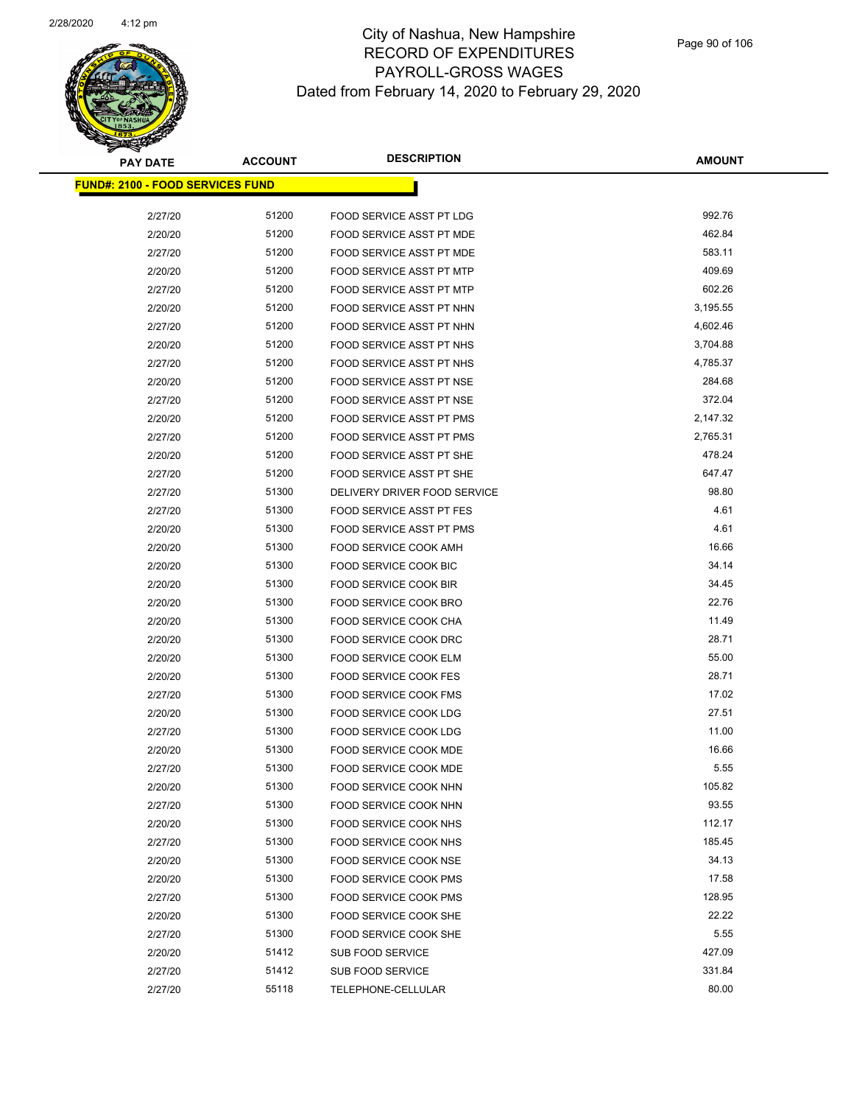

| <u> FUND#: 2100 - FOOD SERVICES FUND</u> |       |                                 |          |
|------------------------------------------|-------|---------------------------------|----------|
|                                          |       |                                 |          |
| 2/27/20                                  | 51200 | FOOD SERVICE ASST PT LDG        | 992.76   |
| 2/20/20                                  | 51200 | FOOD SERVICE ASST PT MDE        | 462.84   |
| 2/27/20                                  | 51200 | FOOD SERVICE ASST PT MDE        | 583.11   |
| 2/20/20                                  | 51200 | FOOD SERVICE ASST PT MTP        | 409.69   |
| 2/27/20                                  | 51200 | FOOD SERVICE ASST PT MTP        | 602.26   |
| 2/20/20                                  | 51200 | FOOD SERVICE ASST PT NHN        | 3,195.55 |
| 2/27/20                                  | 51200 | FOOD SERVICE ASST PT NHN        | 4,602.46 |
| 2/20/20                                  | 51200 | FOOD SERVICE ASST PT NHS        | 3,704.88 |
| 2/27/20                                  | 51200 | <b>FOOD SERVICE ASST PT NHS</b> | 4,785.37 |
| 2/20/20                                  | 51200 | FOOD SERVICE ASST PT NSE        | 284.68   |
| 2/27/20                                  | 51200 | FOOD SERVICE ASST PT NSE        | 372.04   |
| 2/20/20                                  | 51200 | FOOD SERVICE ASST PT PMS        | 2,147.32 |
| 2/27/20                                  | 51200 | FOOD SERVICE ASST PT PMS        | 2,765.31 |
| 2/20/20                                  | 51200 | FOOD SERVICE ASST PT SHE        | 478.24   |
| 2/27/20                                  | 51200 | FOOD SERVICE ASST PT SHE        | 647.47   |
| 2/27/20                                  | 51300 | DELIVERY DRIVER FOOD SERVICE    | 98.80    |
| 2/27/20                                  | 51300 | <b>FOOD SERVICE ASST PT FES</b> | 4.61     |
| 2/20/20                                  | 51300 | FOOD SERVICE ASST PT PMS        | 4.61     |
| 2/20/20                                  | 51300 | FOOD SERVICE COOK AMH           | 16.66    |
| 2/20/20                                  | 51300 | FOOD SERVICE COOK BIC           | 34.14    |
| 2/20/20                                  | 51300 | FOOD SERVICE COOK BIR           | 34.45    |
| 2/20/20                                  | 51300 | FOOD SERVICE COOK BRO           | 22.76    |
| 2/20/20                                  | 51300 | FOOD SERVICE COOK CHA           | 11.49    |
| 2/20/20                                  | 51300 | FOOD SERVICE COOK DRC           | 28.71    |
| 2/20/20                                  | 51300 | FOOD SERVICE COOK ELM           | 55.00    |
| 2/20/20                                  | 51300 | <b>FOOD SERVICE COOK FES</b>    | 28.71    |
| 2/27/20                                  | 51300 | FOOD SERVICE COOK FMS           | 17.02    |
| 2/20/20                                  | 51300 | FOOD SERVICE COOK LDG           | 27.51    |
| 2/27/20                                  | 51300 | FOOD SERVICE COOK LDG           | 11.00    |
| 2/20/20                                  | 51300 | FOOD SERVICE COOK MDE           | 16.66    |
| 2/27/20                                  | 51300 | FOOD SERVICE COOK MDE           | 5.55     |
| 2/20/20                                  | 51300 | FOOD SERVICE COOK NHN           | 105.82   |
| 2/27/20                                  | 51300 | FOOD SERVICE COOK NHN           | 93.55    |
| 2/20/20                                  | 51300 | FOOD SERVICE COOK NHS           | 112.17   |
| 2/27/20                                  | 51300 | FOOD SERVICE COOK NHS           | 185.45   |
| 2/20/20                                  | 51300 | FOOD SERVICE COOK NSE           | 34.13    |
| 2/20/20                                  | 51300 | FOOD SERVICE COOK PMS           | 17.58    |
| 2/27/20                                  | 51300 | FOOD SERVICE COOK PMS           | 128.95   |
| 2/20/20                                  | 51300 | FOOD SERVICE COOK SHE           | 22.22    |
| 2/27/20                                  | 51300 | FOOD SERVICE COOK SHE           | 5.55     |
| 2/20/20                                  | 51412 | <b>SUB FOOD SERVICE</b>         | 427.09   |
| 2/27/20                                  | 51412 | <b>SUB FOOD SERVICE</b>         | 331.84   |
| 2/27/20                                  | 55118 | TELEPHONE-CELLULAR              | 80.00    |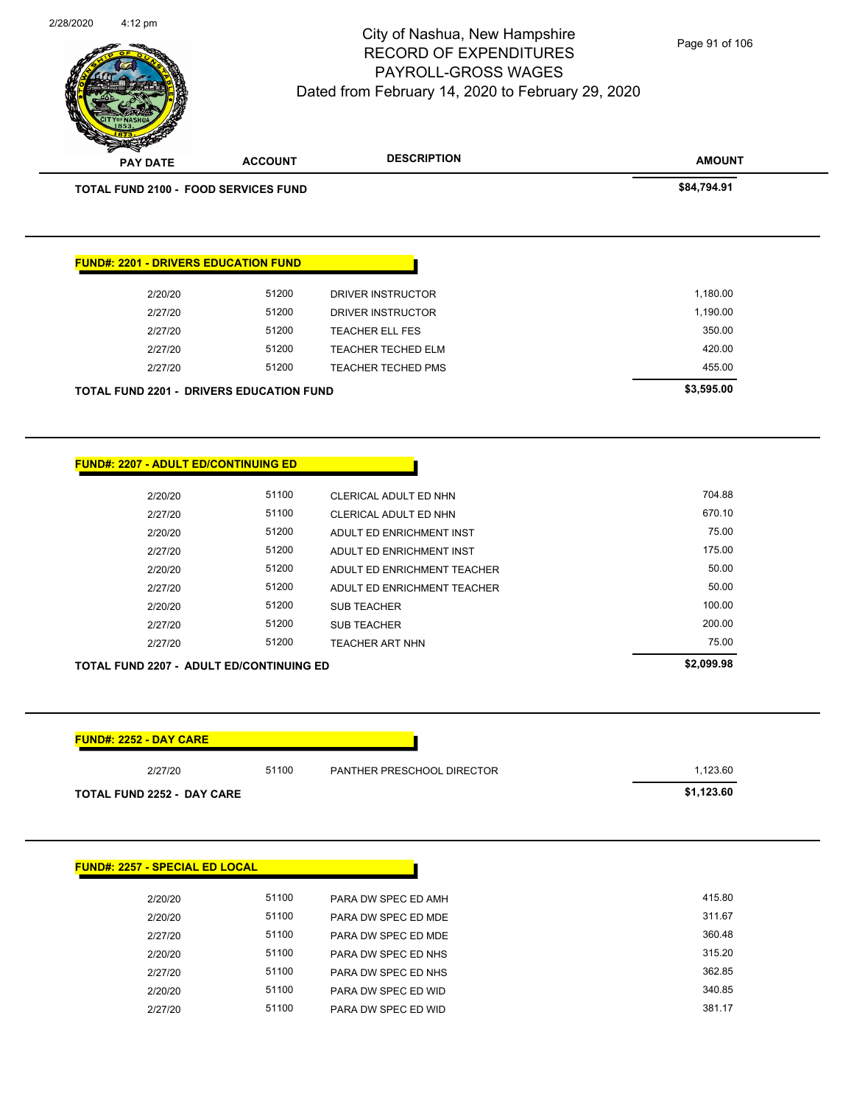**AMOUNT** City of Nashua, New Hampshire RECORD OF EXPENDITURES PAYROLL-GROSS WAGES Dated from February 14, 2020 to February 29, 2020 **PAY DATE ACCOUNT DESCRIPTION** Page 91 of 106

2/28/2020 4:12 pm

**FUND#: 2257 - SPECIAL ED LOCAL**

| <b>TOTAL FUND 2100 - FOOD SERVICES FUND</b>     |       |                             | \$84,794.91 |
|-------------------------------------------------|-------|-----------------------------|-------------|
|                                                 |       |                             |             |
| <b>FUND#: 2201 - DRIVERS EDUCATION FUND</b>     |       |                             |             |
| 2/20/20                                         | 51200 | DRIVER INSTRUCTOR           | 1,180.00    |
| 2/27/20                                         | 51200 | DRIVER INSTRUCTOR           | 1,190.00    |
| 2/27/20                                         | 51200 | <b>TEACHER ELL FES</b>      | 350.00      |
| 2/27/20                                         | 51200 | <b>TEACHER TECHED ELM</b>   | 420.00      |
| 2/27/20                                         | 51200 | <b>TEACHER TECHED PMS</b>   | 455.00      |
| TOTAL FUND 2201 - DRIVERS EDUCATION FUND        |       |                             | \$3,595.00  |
|                                                 |       |                             |             |
|                                                 |       |                             |             |
|                                                 |       |                             |             |
| <b>FUND#: 2207 - ADULT ED/CONTINUING ED</b>     |       |                             |             |
| 2/20/20                                         | 51100 | CLERICAL ADULT ED NHN       | 704.88      |
| 2/27/20                                         | 51100 | CLERICAL ADULT ED NHN       | 670.10      |
| 2/20/20                                         | 51200 | ADULT ED ENRICHMENT INST    | 75.00       |
| 2/27/20                                         | 51200 | ADULT ED ENRICHMENT INST    | 175.00      |
| 2/20/20                                         | 51200 | ADULT ED ENRICHMENT TEACHER | 50.00       |
| 2/27/20                                         | 51200 | ADULT ED ENRICHMENT TEACHER | 50.00       |
| 2/20/20                                         | 51200 | <b>SUB TEACHER</b>          | 100.00      |
| 2/27/20                                         | 51200 | SUB TEACHER                 | 200.00      |
| 2/27/20                                         | 51200 | <b>TEACHER ART NHN</b>      | 75.00       |
| <b>TOTAL FUND 2207 - ADULT ED/CONTINUING ED</b> |       |                             | \$2,099.98  |
|                                                 |       |                             |             |
| FUND#: 2252 - DAY CARE                          |       |                             |             |
| 2/27/20                                         | 51100 | PANTHER PRESCHOOL DIRECTOR  | 1,123.60    |
| TOTAL FUND 2252 - DAY CARE                      |       |                             | \$1,123.60  |
|                                                 |       |                             |             |

| 2/20/20 | 51100 | PARA DW SPEC ED AMH | 415.80 |
|---------|-------|---------------------|--------|
| 2/20/20 | 51100 | PARA DW SPEC ED MDE | 311.67 |
| 2/27/20 | 51100 | PARA DW SPEC ED MDE | 360.48 |
| 2/20/20 | 51100 | PARA DW SPEC ED NHS | 315.20 |
| 2/27/20 | 51100 | PARA DW SPEC ED NHS | 362.85 |
| 2/20/20 | 51100 | PARA DW SPEC ED WID | 340.85 |
| 2/27/20 | 51100 | PARA DW SPEC ED WID | 381.17 |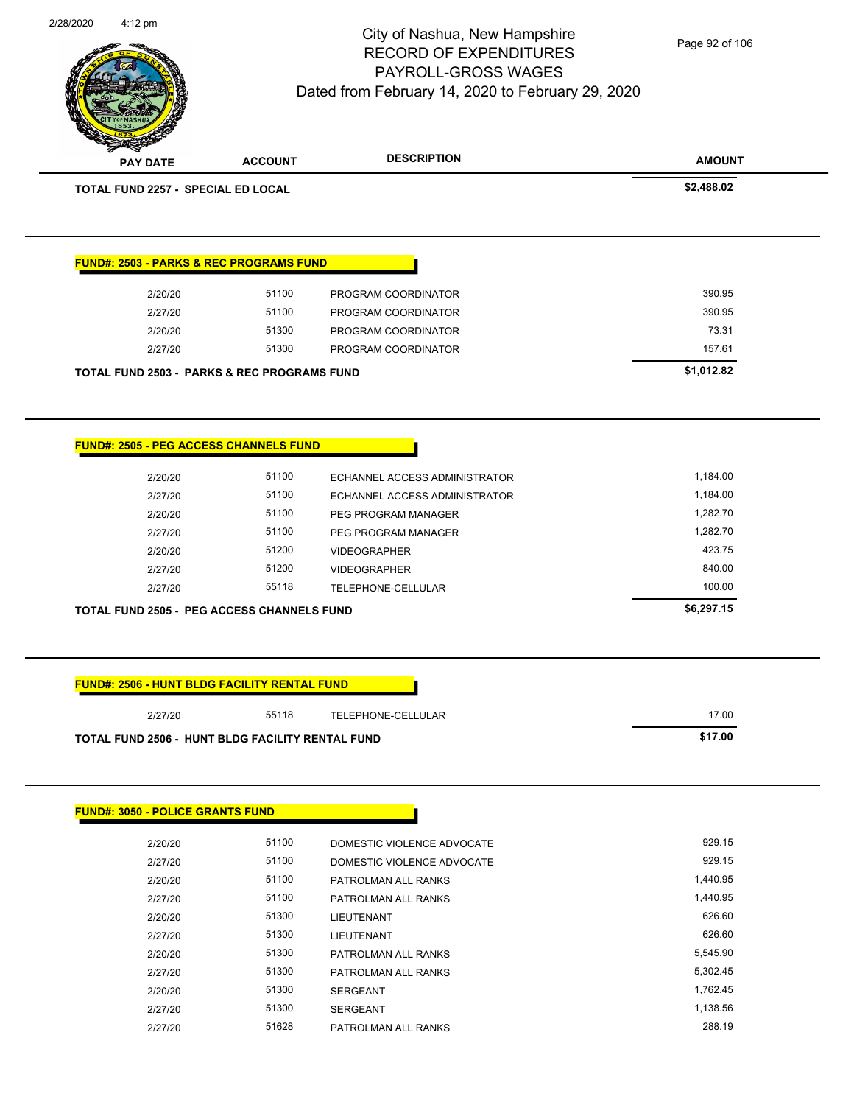| 2/28/2020 | 4:12 pm                                             |                                                        | City of Nashua, New Hampshire<br><b>RECORD OF EXPENDITURES</b><br>PAYROLL-GROSS WAGES<br>Dated from February 14, 2020 to February 29, 2020 | Page 92 of 106                                         |
|-----------|-----------------------------------------------------|--------------------------------------------------------|--------------------------------------------------------------------------------------------------------------------------------------------|--------------------------------------------------------|
|           | <b>PAY DATE</b>                                     | <b>ACCOUNT</b>                                         | <b>DESCRIPTION</b>                                                                                                                         | <b>AMOUNT</b>                                          |
|           | TOTAL FUND 2257 - SPECIAL ED LOCAL                  |                                                        |                                                                                                                                            | \$2,488.02                                             |
|           |                                                     | <b>FUND#: 2503 - PARKS &amp; REC PROGRAMS FUND</b>     |                                                                                                                                            |                                                        |
|           | 2/20/20                                             | 51100                                                  | PROGRAM COORDINATOR                                                                                                                        | 390.95                                                 |
|           | 2/27/20                                             | 51100                                                  | PROGRAM COORDINATOR                                                                                                                        | 390.95                                                 |
|           | 2/20/20                                             | 51300                                                  | PROGRAM COORDINATOR                                                                                                                        | 73.31                                                  |
|           | 2/27/20                                             | 51300                                                  | PROGRAM COORDINATOR                                                                                                                        | 157.61                                                 |
|           |                                                     | <b>TOTAL FUND 2503 - PARKS &amp; REC PROGRAMS FUND</b> |                                                                                                                                            | \$1,012.82                                             |
|           | 2/20/20<br>2/27/20<br>2/20/20<br>2/27/20<br>2/20/20 | 51100<br>51100<br>51100<br>51100<br>51200              | ECHANNEL ACCESS ADMINISTRATOR<br>ECHANNEL ACCESS ADMINISTRATOR<br>PEG PROGRAM MANAGER<br>PEG PROGRAM MANAGER<br><b>VIDEOGRAPHER</b>        | 1,184.00<br>1,184.00<br>1,282.70<br>1,282.70<br>423.75 |
|           | 2/27/20                                             | 51200                                                  | <b>VIDEOGRAPHER</b>                                                                                                                        | 840.00                                                 |
|           | 2/27/20                                             | 55118                                                  | TELEPHONE-CELLULAR                                                                                                                         | 100.00                                                 |
|           |                                                     | <b>TOTAL FUND 2505 - PEG ACCESS CHANNELS FUND</b>      |                                                                                                                                            | \$6,297.15                                             |
|           |                                                     | <b>FUND#: 2506 - HUNT BLDG FACILITY RENTAL FUND</b>    |                                                                                                                                            |                                                        |
|           | 2/27/20                                             | 55118                                                  | TELEPHONE-CELLULAR                                                                                                                         | 17.00                                                  |
|           | <b>FUND#: 3050 - POLICE GRANTS FUND</b>             | TOTAL FUND 2506 - HUNT BLDG FACILITY RENTAL FUND       |                                                                                                                                            | \$17.00                                                |
|           |                                                     |                                                        |                                                                                                                                            |                                                        |
|           | 2/20/20                                             | 51100                                                  | DOMESTIC VIOLENCE ADVOCATE                                                                                                                 | 929.15                                                 |
|           | 2/27/20                                             | 51100                                                  | DOMESTIC VIOLENCE ADVOCATE                                                                                                                 | 929.15                                                 |
|           | 2/20/20                                             | 51100                                                  | PATROLMAN ALL RANKS                                                                                                                        | 1,440.95                                               |
|           | 2/27/20                                             | 51100                                                  | PATROLMAN ALL RANKS                                                                                                                        | 1,440.95                                               |
|           | 2/20/20                                             | 51300                                                  | LIEUTENANT                                                                                                                                 | 626.60                                                 |

2/27/20 51300 LIEUTENANT 626.60 2/20/20 51300 PATROLMAN ALL RANKS 5,545.90 2/27/20 51300 PATROLMAN ALL RANKS 5,302.45 2/20/20 51300 SERGEANT 1,762.45 2/27/20 51300 SERGEANT 1,138.56 2/27/20 51628 PATROLMAN ALL RANKS 288.19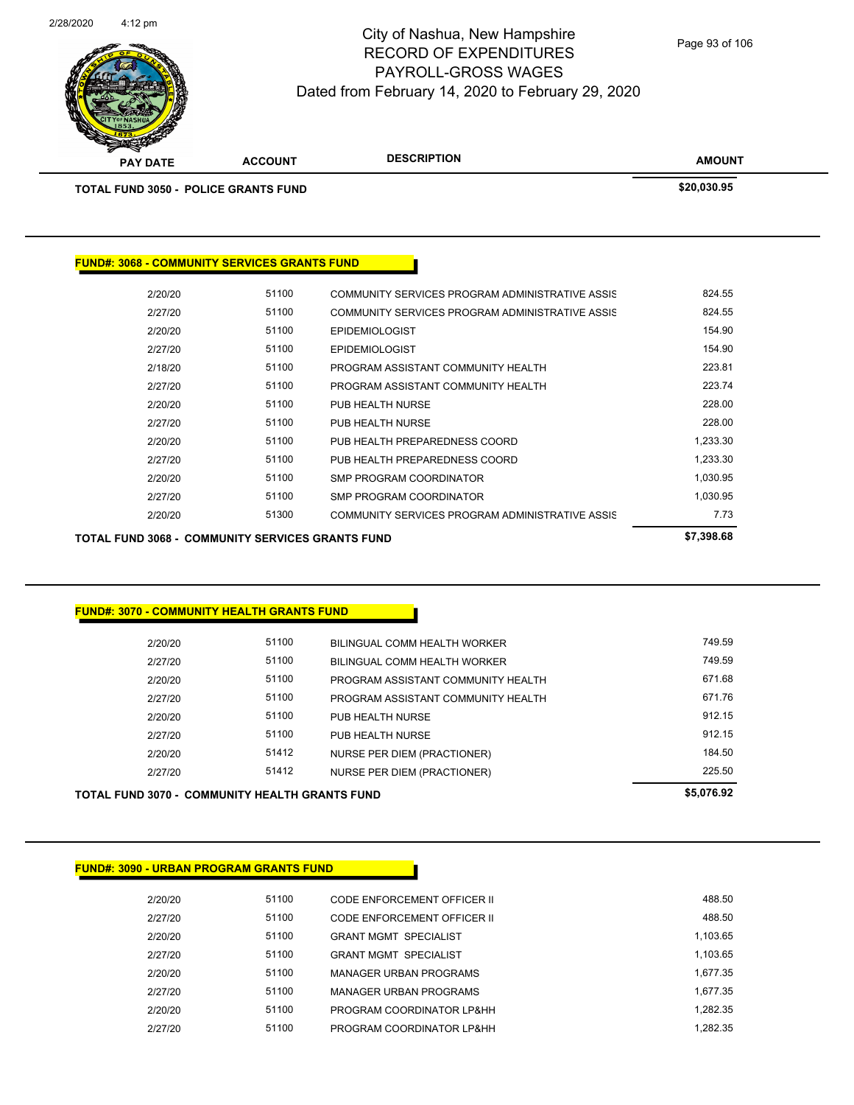

| <b>THE REAL PROPERTY</b>                            |                |                                                 |               |
|-----------------------------------------------------|----------------|-------------------------------------------------|---------------|
| <b>PAY DATE</b>                                     | <b>ACCOUNT</b> | <b>DESCRIPTION</b>                              | <b>AMOUNT</b> |
| <b>TOTAL FUND 3050 - POLICE GRANTS FUND</b>         |                |                                                 | \$20,030.95   |
|                                                     |                |                                                 |               |
|                                                     |                |                                                 |               |
| <b>FUND#: 3068 - COMMUNITY SERVICES GRANTS FUND</b> |                |                                                 |               |
|                                                     |                |                                                 |               |
| 2/20/20                                             | 51100          | COMMUNITY SERVICES PROGRAM ADMINISTRATIVE ASSIS | 824.55        |
| 2/27/20                                             | 51100          | COMMUNITY SERVICES PROGRAM ADMINISTRATIVE ASSIS | 824.55        |
| 2/20/20                                             | 51100          | <b>EPIDEMIOLOGIST</b>                           | 154.90        |
| 2/27/20                                             | 51100          | <b>EPIDEMIOLOGIST</b>                           | 154.90        |
| 2/18/20                                             | 51100          | PROGRAM ASSISTANT COMMUNITY HEALTH              | 223.81        |
| 2/27/20                                             | 51100          | PROGRAM ASSISTANT COMMUNITY HEALTH              | 223.74        |
|                                                     |                |                                                 |               |

| <b>TOTAL FUND 3068 - COMMUNITY SERVICES GRANTS FUND</b> |       |                                                 |          |  |  |
|---------------------------------------------------------|-------|-------------------------------------------------|----------|--|--|
| 2/20/20                                                 | 51300 | COMMUNITY SERVICES PROGRAM ADMINISTRATIVE ASSIS | 7.73     |  |  |
| 2/27/20                                                 | 51100 | SMP PROGRAM COORDINATOR                         | 1.030.95 |  |  |
| 2/20/20                                                 | 51100 | SMP PROGRAM COORDINATOR                         | 1.030.95 |  |  |
| 2/27/20                                                 | 51100 | PUB HEALTH PREPAREDNESS COORD                   | 1.233.30 |  |  |
| 2/20/20                                                 | 51100 | PUB HEALTH PREPAREDNESS COORD                   | 1.233.30 |  |  |
| 2/27/20                                                 | 51100 | PUB HEALTH NURSE                                | 228.00   |  |  |
| 2/20/20                                                 | 51100 | PUB HEALTH NURSE                                | 228.00   |  |  |
| 2/27/20                                                 | 51100 | PROGRAM ASSISTANT COMMUNITY HEALTH              | 223.74   |  |  |

**FUND#: 3070 - COMMUNITY HEALTH GRANTS FUND**

| <b>TOTAL FUND 3070 - COMMUNITY HEALTH GRANTS FUND</b> | \$5,076.92 |                                    |        |
|-------------------------------------------------------|------------|------------------------------------|--------|
| 2/27/20                                               | 51412      | <b>NURSE PER DIEM (PRACTIONER)</b> | 225.50 |
| 2/20/20                                               | 51412      | NURSE PER DIEM (PRACTIONER)        | 184.50 |
| 2/27/20                                               | 51100      | PUB HEALTH NURSE                   | 912.15 |
| 2/20/20                                               | 51100      | PUB HEALTH NURSE                   | 912.15 |
| 2/27/20                                               | 51100      | PROGRAM ASSISTANT COMMUNITY HEALTH | 671.76 |
| 2/20/20                                               | 51100      | PROGRAM ASSISTANT COMMUNITY HEALTH | 671.68 |
| 2/27/20                                               | 51100      | BILINGUAL COMM HEALTH WORKER       | 749.59 |
| 2/20/20                                               | 51100      | BILINGUAL COMM HEALTH WORKER       | 749.59 |
|                                                       |            |                                    |        |

г

| <b>FUND#: 3090 - URBAN PROGRAM GRANTS FUND</b> |       |                               |          |
|------------------------------------------------|-------|-------------------------------|----------|
| 2/20/20                                        | 51100 | CODE ENFORCEMENT OFFICER II   | 488.50   |
| 2/27/20                                        | 51100 | CODE ENFORCEMENT OFFICER II   | 488.50   |
| 2/20/20                                        | 51100 | <b>GRANT MGMT SPECIALIST</b>  | 1.103.65 |
| 2/27/20                                        | 51100 | <b>GRANT MGMT SPECIALIST</b>  | 1.103.65 |
| 2/20/20                                        | 51100 | <b>MANAGER URBAN PROGRAMS</b> | 1.677.35 |
| 2/27/20                                        | 51100 | <b>MANAGER URBAN PROGRAMS</b> | 1.677.35 |
| 2/20/20                                        | 51100 | PROGRAM COORDINATOR LP&HH     | 1.282.35 |
| 2/27/20                                        | 51100 | PROGRAM COORDINATOR LP&HH     | 1.282.35 |
|                                                |       |                               |          |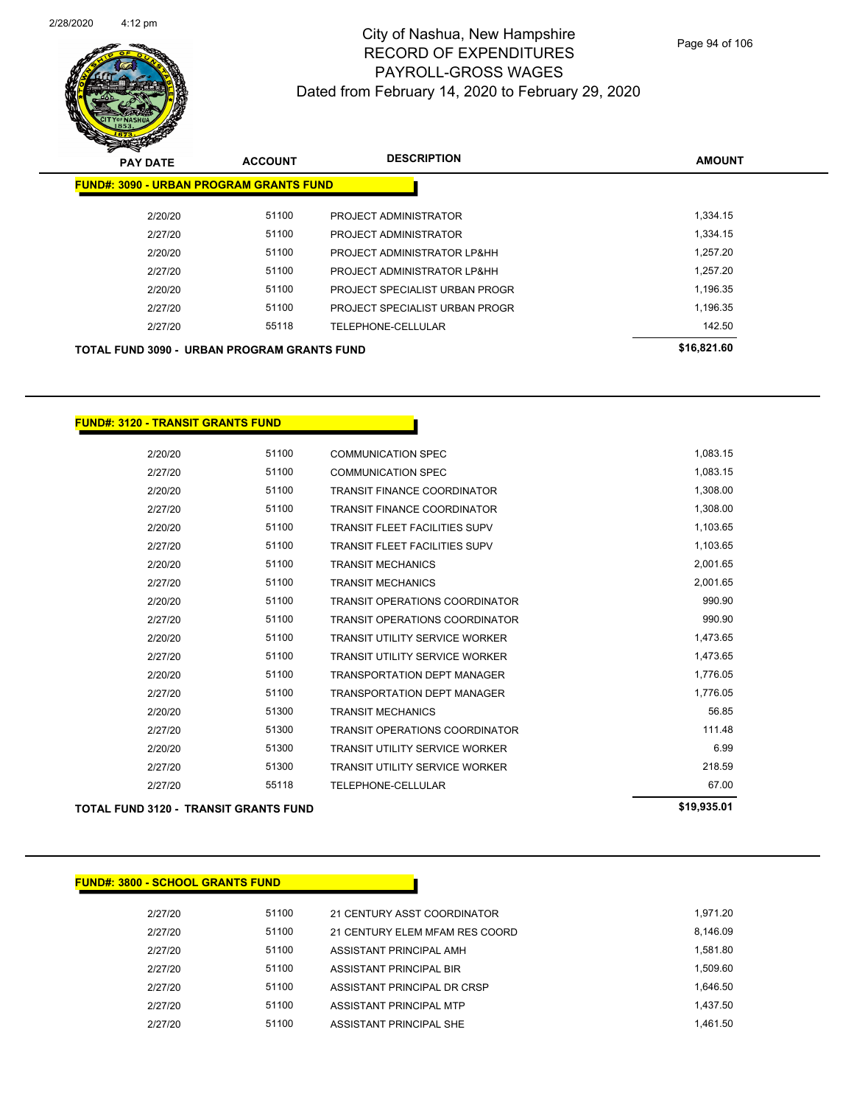

Page 94 of 106

| <b>PAY DATE</b>                                    | <b>ACCOUNT</b> | <b>DESCRIPTION</b>             | <b>AMOUNT</b> |
|----------------------------------------------------|----------------|--------------------------------|---------------|
| <b>FUND#: 3090 - URBAN PROGRAM GRANTS FUND</b>     |                |                                |               |
| 2/20/20                                            | 51100          | PROJECT ADMINISTRATOR          | 1,334.15      |
| 2/27/20                                            | 51100          | PROJECT ADMINISTRATOR          | 1,334.15      |
| 2/20/20                                            | 51100          | PROJECT ADMINISTRATOR LP&HH    | 1.257.20      |
| 2/27/20                                            | 51100          | PROJECT ADMINISTRATOR LP&HH    | 1,257.20      |
| 2/20/20                                            | 51100          | PROJECT SPECIALIST URBAN PROGR | 1,196.35      |
| 2/27/20                                            | 51100          | PROJECT SPECIALIST URBAN PROGR | 1,196.35      |
| 2/27/20                                            | 55118          | TELEPHONE-CELLULAR             | 142.50        |
| <b>TOTAL FUND 3090 - URBAN PROGRAM GRANTS FUND</b> |                |                                | \$16,821.60   |

#### **FUND#: 3120 - TRANSIT GRANTS FUND**

| <b>TOTAL FUND 3120 - TRANSIT GRANTS FUND</b> | \$19,935.01 |                                       |          |
|----------------------------------------------|-------------|---------------------------------------|----------|
| 2/27/20                                      | 55118       | <b>TELEPHONE-CELLULAR</b>             | 67.00    |
| 2/27/20                                      | 51300       | <b>TRANSIT UTILITY SERVICE WORKER</b> | 218.59   |
| 2/20/20                                      | 51300       | <b>TRANSIT UTILITY SERVICE WORKER</b> | 6.99     |
| 2/27/20                                      | 51300       | <b>TRANSIT OPERATIONS COORDINATOR</b> | 111.48   |
| 2/20/20                                      | 51300       | <b>TRANSIT MECHANICS</b>              | 56.85    |
| 2/27/20                                      | 51100       | <b>TRANSPORTATION DEPT MANAGER</b>    | 1,776.05 |
| 2/20/20                                      | 51100       | <b>TRANSPORTATION DEPT MANAGER</b>    | 1,776.05 |
| 2/27/20                                      | 51100       | <b>TRANSIT UTILITY SERVICE WORKER</b> | 1,473.65 |
| 2/20/20                                      | 51100       | <b>TRANSIT UTILITY SERVICE WORKER</b> | 1,473.65 |
| 2/27/20                                      | 51100       | <b>TRANSIT OPERATIONS COORDINATOR</b> | 990.90   |
| 2/20/20                                      | 51100       | <b>TRANSIT OPERATIONS COORDINATOR</b> | 990.90   |
| 2/27/20                                      | 51100       | <b>TRANSIT MECHANICS</b>              | 2,001.65 |
| 2/20/20                                      | 51100       | <b>TRANSIT MECHANICS</b>              | 2,001.65 |
| 2/27/20                                      | 51100       | <b>TRANSIT FLEET FACILITIES SUPV</b>  | 1,103.65 |
| 2/20/20                                      | 51100       | <b>TRANSIT FLEET FACILITIES SUPV</b>  | 1,103.65 |
| 2/27/20                                      | 51100       | <b>TRANSIT FINANCE COORDINATOR</b>    | 1,308.00 |
| 2/20/20                                      | 51100       | <b>TRANSIT FINANCE COORDINATOR</b>    | 1,308.00 |
| 2/27/20                                      | 51100       | <b>COMMUNICATION SPEC</b>             | 1,083.15 |
| 2/20/20                                      | 51100       | <b>COMMUNICATION SPEC</b>             | 1,083.15 |

#### **FUND#: 3800 - SCHOOL GRANTS FUND**

2/27/20 51100 21 CENTURY ASST COORDINATOR 1,971.20 2/27/20 51100 21 CENTURY ELEM MFAM RES COORD 8,146.09 2/27/20 51100 ASSISTANT PRINCIPAL AMH 2/27/20 51100 ASSISTANT PRINCIPAL BIR 1,509.60 2/27/20 51100 ASSISTANT PRINCIPAL DR CRSP 1,646.50 2/27/20 51100 ASSISTANT PRINCIPAL MTP 1,437.50 2/27/20 51100 ASSISTANT PRINCIPAL SHE 1,461.50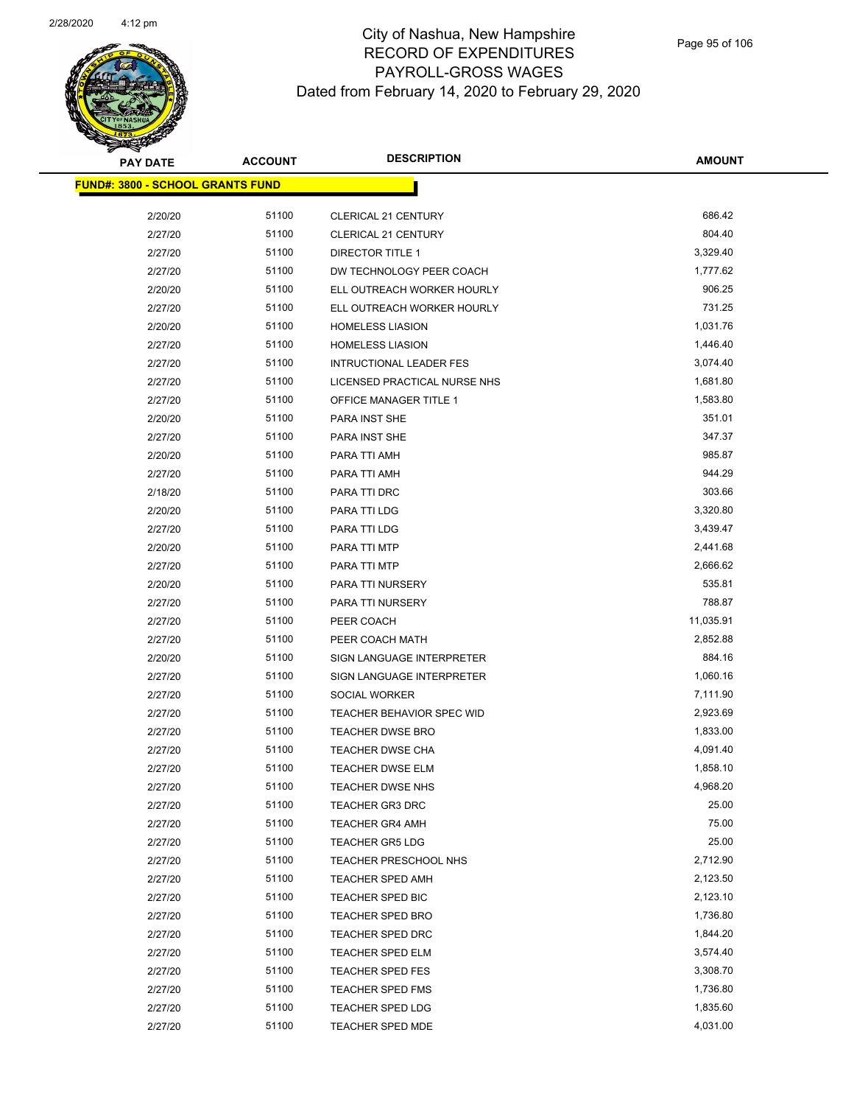

| <b>PAY DATE</b>                         | <b>ACCOUNT</b> | <b>DESCRIPTION</b>               | <b>AMOUNT</b> |
|-----------------------------------------|----------------|----------------------------------|---------------|
| <b>FUND#: 3800 - SCHOOL GRANTS FUND</b> |                |                                  |               |
|                                         |                |                                  |               |
| 2/20/20                                 | 51100          | CLERICAL 21 CENTURY              | 686.42        |
| 2/27/20                                 | 51100          | <b>CLERICAL 21 CENTURY</b>       | 804.40        |
| 2/27/20                                 | 51100          | DIRECTOR TITLE 1                 | 3,329.40      |
| 2/27/20                                 | 51100          | DW TECHNOLOGY PEER COACH         | 1,777.62      |
| 2/20/20                                 | 51100          | ELL OUTREACH WORKER HOURLY       | 906.25        |
| 2/27/20                                 | 51100          | ELL OUTREACH WORKER HOURLY       | 731.25        |
| 2/20/20                                 | 51100          | <b>HOMELESS LIASION</b>          | 1,031.76      |
| 2/27/20                                 | 51100          | <b>HOMELESS LIASION</b>          | 1,446.40      |
| 2/27/20                                 | 51100          | <b>INTRUCTIONAL LEADER FES</b>   | 3,074.40      |
| 2/27/20                                 | 51100          | LICENSED PRACTICAL NURSE NHS     | 1,681.80      |
| 2/27/20                                 | 51100          | OFFICE MANAGER TITLE 1           | 1,583.80      |
| 2/20/20                                 | 51100          | PARA INST SHE                    | 351.01        |
| 2/27/20                                 | 51100          | PARA INST SHE                    | 347.37        |
| 2/20/20                                 | 51100          | PARA TTI AMH                     | 985.87        |
| 2/27/20                                 | 51100          | PARA TTI AMH                     | 944.29        |
| 2/18/20                                 | 51100          | PARA TTI DRC                     | 303.66        |
| 2/20/20                                 | 51100          | PARA TTI LDG                     | 3,320.80      |
| 2/27/20                                 | 51100          | PARA TTI LDG                     | 3,439.47      |
| 2/20/20                                 | 51100          | PARA TTI MTP                     | 2,441.68      |
| 2/27/20                                 | 51100          | PARA TTI MTP                     | 2,666.62      |
| 2/20/20                                 | 51100          | PARA TTI NURSERY                 | 535.81        |
| 2/27/20                                 | 51100          | PARA TTI NURSERY                 | 788.87        |
| 2/27/20                                 | 51100          | PEER COACH                       | 11,035.91     |
| 2/27/20                                 | 51100          | PEER COACH MATH                  | 2,852.88      |
| 2/20/20                                 | 51100          | SIGN LANGUAGE INTERPRETER        | 884.16        |
| 2/27/20                                 | 51100          | SIGN LANGUAGE INTERPRETER        | 1,060.16      |
| 2/27/20                                 | 51100          | <b>SOCIAL WORKER</b>             | 7,111.90      |
| 2/27/20                                 | 51100          | <b>TEACHER BEHAVIOR SPEC WID</b> | 2,923.69      |
| 2/27/20                                 | 51100          | <b>TEACHER DWSE BRO</b>          | 1,833.00      |
| 2/27/20                                 | 51100          | <b>TEACHER DWSE CHA</b>          | 4,091.40      |
| 2/27/20                                 | 51100          | <b>TEACHER DWSE ELM</b>          | 1,858.10      |
| 2/27/20                                 | 51100          | <b>TEACHER DWSE NHS</b>          | 4,968.20      |
| 2/27/20                                 | 51100          | <b>TEACHER GR3 DRC</b>           | 25.00         |
| 2/27/20                                 | 51100          | <b>TEACHER GR4 AMH</b>           | 75.00         |
| 2/27/20                                 | 51100          | <b>TEACHER GR5 LDG</b>           | 25.00         |
| 2/27/20                                 | 51100          | TEACHER PRESCHOOL NHS            | 2,712.90      |
| 2/27/20                                 | 51100          | <b>TEACHER SPED AMH</b>          | 2,123.50      |
| 2/27/20                                 | 51100          | TEACHER SPED BIC                 | 2,123.10      |
| 2/27/20                                 | 51100          | <b>TEACHER SPED BRO</b>          | 1,736.80      |
| 2/27/20                                 | 51100          | <b>TEACHER SPED DRC</b>          | 1,844.20      |
| 2/27/20                                 | 51100          | TEACHER SPED ELM                 | 3,574.40      |
| 2/27/20                                 | 51100          | <b>TEACHER SPED FES</b>          | 3,308.70      |
| 2/27/20                                 | 51100          | TEACHER SPED FMS                 | 1,736.80      |
| 2/27/20                                 | 51100          | <b>TEACHER SPED LDG</b>          | 1,835.60      |
| 2/27/20                                 | 51100          | <b>TEACHER SPED MDE</b>          | 4,031.00      |
|                                         |                |                                  |               |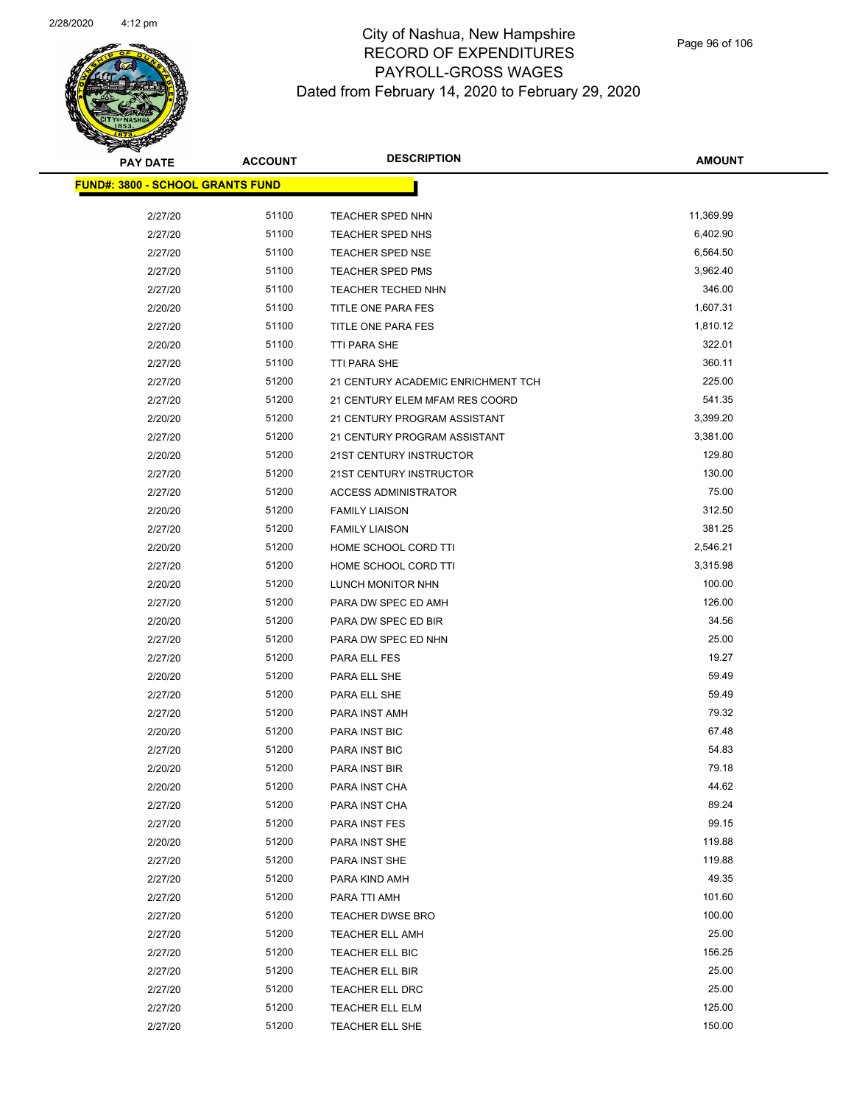

| <b>PAY DATE</b>                         | <b>ACCOUNT</b> | <b>DESCRIPTION</b>                 | <b>AMOUNT</b> |
|-----------------------------------------|----------------|------------------------------------|---------------|
| <b>FUND#: 3800 - SCHOOL GRANTS FUND</b> |                |                                    |               |
|                                         |                |                                    |               |
| 2/27/20                                 | 51100          | TEACHER SPED NHN                   | 11,369.99     |
| 2/27/20                                 | 51100          | <b>TEACHER SPED NHS</b>            | 6,402.90      |
| 2/27/20                                 | 51100          | <b>TEACHER SPED NSE</b>            | 6,564.50      |
| 2/27/20                                 | 51100          | TEACHER SPED PMS                   | 3,962.40      |
| 2/27/20                                 | 51100          | <b>TEACHER TECHED NHN</b>          | 346.00        |
| 2/20/20                                 | 51100          | TITLE ONE PARA FES                 | 1,607.31      |
| 2/27/20                                 | 51100          | TITLE ONE PARA FES                 | 1,810.12      |
| 2/20/20                                 | 51100          | <b>TTI PARA SHE</b>                | 322.01        |
| 2/27/20                                 | 51100          | TTI PARA SHE                       | 360.11        |
| 2/27/20                                 | 51200          | 21 CENTURY ACADEMIC ENRICHMENT TCH | 225.00        |
| 2/27/20                                 | 51200          | 21 CENTURY ELEM MFAM RES COORD     | 541.35        |
| 2/20/20                                 | 51200          | 21 CENTURY PROGRAM ASSISTANT       | 3,399.20      |
| 2/27/20                                 | 51200          | 21 CENTURY PROGRAM ASSISTANT       | 3,381.00      |
| 2/20/20                                 | 51200          | 21ST CENTURY INSTRUCTOR            | 129.80        |
| 2/27/20                                 | 51200          | 21ST CENTURY INSTRUCTOR            | 130.00        |
| 2/27/20                                 | 51200          | <b>ACCESS ADMINISTRATOR</b>        | 75.00         |
| 2/20/20                                 | 51200          | <b>FAMILY LIAISON</b>              | 312.50        |
| 2/27/20                                 | 51200          | <b>FAMILY LIAISON</b>              | 381.25        |
| 2/20/20                                 | 51200          | HOME SCHOOL CORD TTI               | 2,546.21      |
| 2/27/20                                 | 51200          | HOME SCHOOL CORD TTI               | 3,315.98      |
| 2/20/20                                 | 51200          | LUNCH MONITOR NHN                  | 100.00        |
| 2/27/20                                 | 51200          | PARA DW SPEC ED AMH                | 126.00        |
| 2/20/20                                 | 51200          | PARA DW SPEC ED BIR                | 34.56         |
| 2/27/20                                 | 51200          | PARA DW SPEC ED NHN                | 25.00         |
| 2/27/20                                 | 51200          | PARA ELL FES                       | 19.27         |
| 2/20/20                                 | 51200          | PARA ELL SHE                       | 59.49         |
| 2/27/20                                 | 51200          | PARA ELL SHE                       | 59.49         |
| 2/27/20                                 | 51200          | PARA INST AMH                      | 79.32         |
| 2/20/20                                 | 51200          | PARA INST BIC                      | 67.48         |
| 2/27/20                                 | 51200          | PARA INST BIC                      | 54.83         |
| 2/20/20                                 | 51200          | PARA INST BIR                      | 79.18         |
| 2/20/20                                 | 51200          | PARA INST CHA                      | 44.62         |
| 2/27/20                                 | 51200          | PARA INST CHA                      | 89.24         |
| 2/27/20                                 | 51200          | PARA INST FES                      | 99.15         |
| 2/20/20                                 | 51200          | PARA INST SHE                      | 119.88        |
| 2/27/20                                 | 51200          | PARA INST SHE                      | 119.88        |
| 2/27/20                                 | 51200          | PARA KIND AMH                      | 49.35         |
| 2/27/20                                 | 51200          | PARA TTI AMH                       | 101.60        |
| 2/27/20                                 | 51200          | TEACHER DWSE BRO                   | 100.00        |
| 2/27/20                                 | 51200          | <b>TEACHER ELL AMH</b>             | 25.00         |
| 2/27/20                                 | 51200          | TEACHER ELL BIC                    | 156.25        |
| 2/27/20                                 | 51200          | TEACHER ELL BIR                    | 25.00         |
| 2/27/20                                 | 51200          | TEACHER ELL DRC                    | 25.00         |
| 2/27/20                                 | 51200          | TEACHER ELL ELM                    | 125.00        |
| 2/27/20                                 | 51200          | TEACHER ELL SHE                    | 150.00        |
|                                         |                |                                    |               |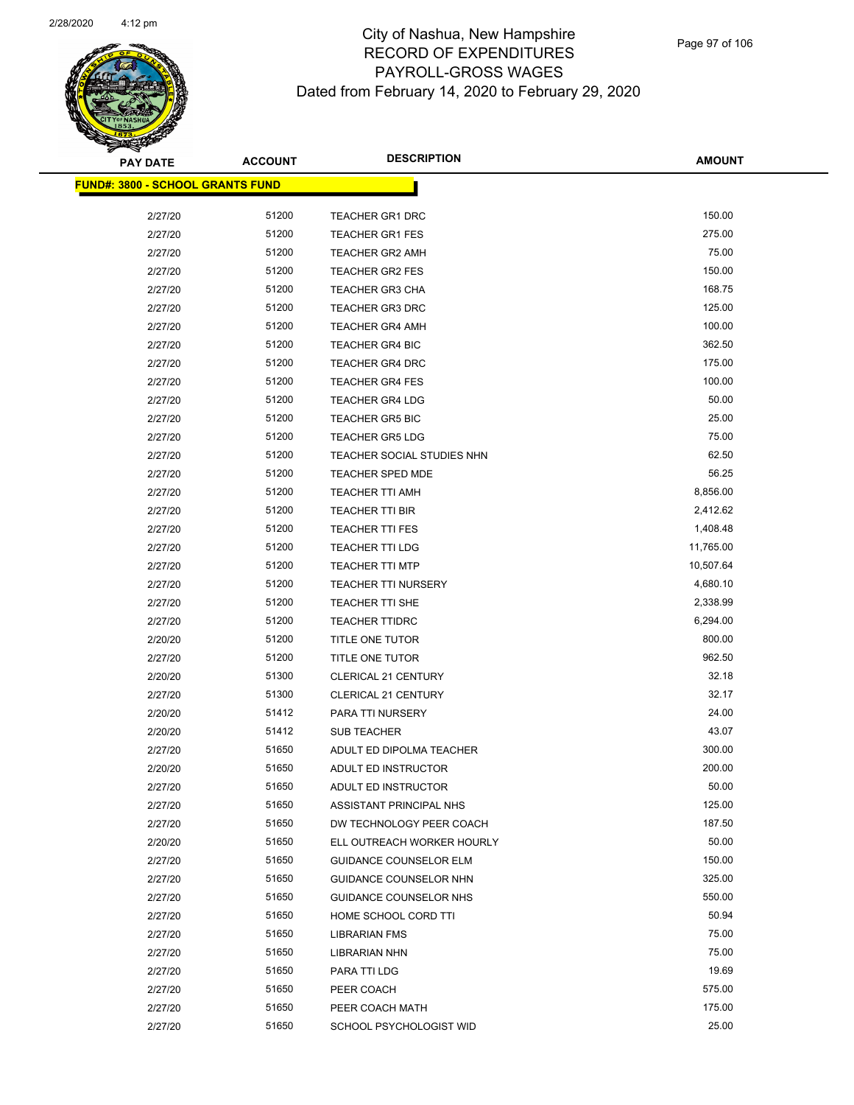

| <b>PAY DATE</b>                          | <b>ACCOUNT</b> | <b>DESCRIPTION</b>            | <b>AMOUNT</b> |
|------------------------------------------|----------------|-------------------------------|---------------|
| <u> FUND#: 3800 - SCHOOL GRANTS FUND</u> |                |                               |               |
|                                          |                |                               |               |
| 2/27/20                                  | 51200          | <b>TEACHER GR1 DRC</b>        | 150.00        |
| 2/27/20                                  | 51200          | <b>TEACHER GR1 FES</b>        | 275.00        |
| 2/27/20                                  | 51200          | <b>TEACHER GR2 AMH</b>        | 75.00         |
| 2/27/20                                  | 51200          | <b>TEACHER GR2 FES</b>        | 150.00        |
| 2/27/20                                  | 51200          | <b>TEACHER GR3 CHA</b>        | 168.75        |
| 2/27/20                                  | 51200          | <b>TEACHER GR3 DRC</b>        | 125.00        |
| 2/27/20                                  | 51200          | <b>TEACHER GR4 AMH</b>        | 100.00        |
| 2/27/20                                  | 51200          | <b>TEACHER GR4 BIC</b>        | 362.50        |
| 2/27/20                                  | 51200          | <b>TEACHER GR4 DRC</b>        | 175.00        |
| 2/27/20                                  | 51200          | <b>TEACHER GR4 FES</b>        | 100.00        |
| 2/27/20                                  | 51200          | <b>TEACHER GR4 LDG</b>        | 50.00         |
| 2/27/20                                  | 51200          | <b>TEACHER GR5 BIC</b>        | 25.00         |
| 2/27/20                                  | 51200          | <b>TEACHER GR5 LDG</b>        | 75.00         |
| 2/27/20                                  | 51200          | TEACHER SOCIAL STUDIES NHN    | 62.50         |
| 2/27/20                                  | 51200          | <b>TEACHER SPED MDE</b>       | 56.25         |
| 2/27/20                                  | 51200          | <b>TEACHER TTI AMH</b>        | 8,856.00      |
| 2/27/20                                  | 51200          | TEACHER TTI BIR               | 2,412.62      |
| 2/27/20                                  | 51200          | <b>TEACHER TTI FES</b>        | 1,408.48      |
| 2/27/20                                  | 51200          | TEACHER TTI LDG               | 11,765.00     |
| 2/27/20                                  | 51200          | <b>TEACHER TTI MTP</b>        | 10,507.64     |
| 2/27/20                                  | 51200          | <b>TEACHER TTI NURSERY</b>    | 4,680.10      |
| 2/27/20                                  | 51200          | TEACHER TTI SHE               | 2,338.99      |
| 2/27/20                                  | 51200          | <b>TEACHER TTIDRC</b>         | 6,294.00      |
| 2/20/20                                  | 51200          | TITLE ONE TUTOR               | 800.00        |
| 2/27/20                                  | 51200          | TITLE ONE TUTOR               | 962.50        |
| 2/20/20                                  | 51300          | <b>CLERICAL 21 CENTURY</b>    | 32.18         |
| 2/27/20                                  | 51300          | <b>CLERICAL 21 CENTURY</b>    | 32.17         |
| 2/20/20                                  | 51412          | PARA TTI NURSERY              | 24.00         |
| 2/20/20                                  | 51412          | <b>SUB TEACHER</b>            | 43.07         |
| 2/27/20                                  | 51650          | ADULT ED DIPOLMA TEACHER      | 300.00        |
| 2/20/20                                  | 51650          | ADULT ED INSTRUCTOR           | 200.00        |
| 2/27/20                                  | 51650          | ADULT ED INSTRUCTOR           | 50.00         |
| 2/27/20                                  | 51650          | ASSISTANT PRINCIPAL NHS       | 125.00        |
| 2/27/20                                  | 51650          | DW TECHNOLOGY PEER COACH      | 187.50        |
| 2/20/20                                  | 51650          | ELL OUTREACH WORKER HOURLY    | 50.00         |
| 2/27/20                                  | 51650          | <b>GUIDANCE COUNSELOR ELM</b> | 150.00        |
| 2/27/20                                  | 51650          | GUIDANCE COUNSELOR NHN        | 325.00        |
| 2/27/20                                  | 51650          | GUIDANCE COUNSELOR NHS        | 550.00        |
| 2/27/20                                  | 51650          | HOME SCHOOL CORD TTI          | 50.94         |
| 2/27/20                                  | 51650          | <b>LIBRARIAN FMS</b>          | 75.00         |
| 2/27/20                                  | 51650          | <b>LIBRARIAN NHN</b>          | 75.00         |
| 2/27/20                                  | 51650          | PARA TTI LDG                  | 19.69         |
| 2/27/20                                  | 51650          | PEER COACH                    | 575.00        |
| 2/27/20                                  | 51650          | PEER COACH MATH               | 175.00        |
| 2/27/20                                  | 51650          | SCHOOL PSYCHOLOGIST WID       | 25.00         |
|                                          |                |                               |               |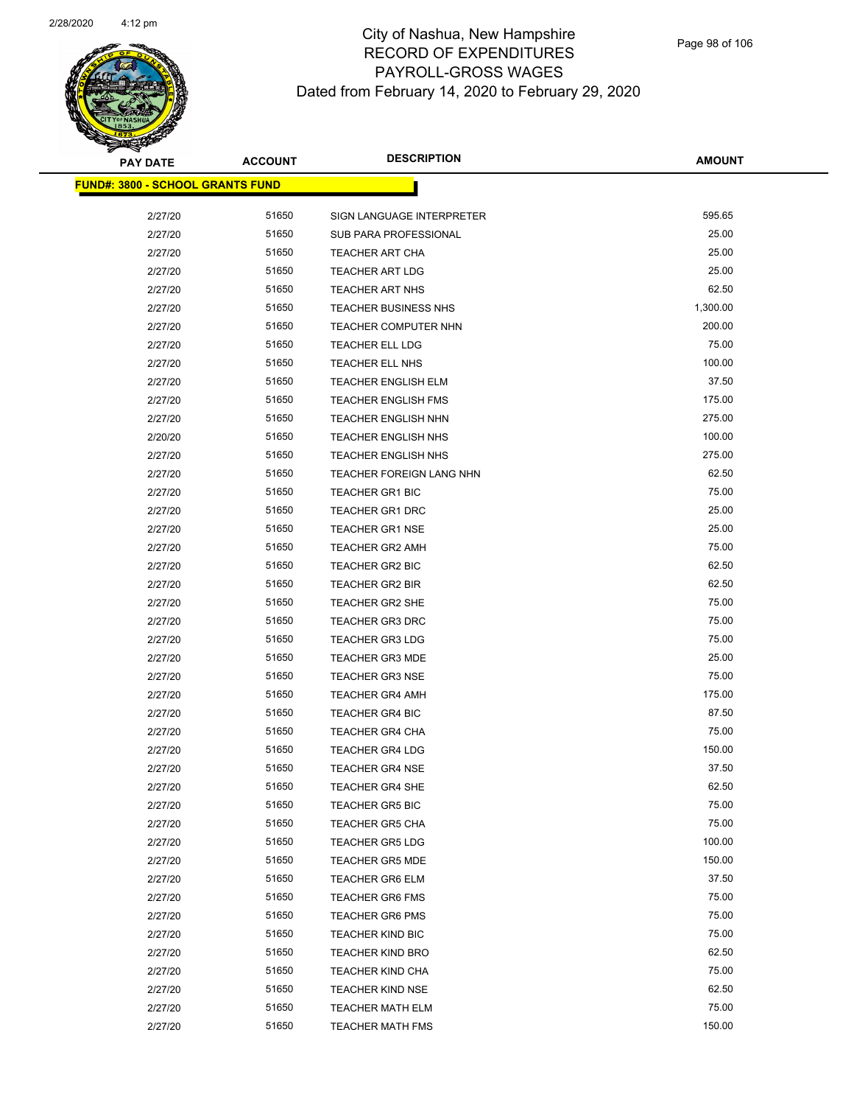

| <u> FUND#: 3800 - SCHOOL GRANTS FUND</u> |       |                             |          |
|------------------------------------------|-------|-----------------------------|----------|
| 2/27/20                                  | 51650 | SIGN LANGUAGE INTERPRETER   | 595.65   |
| 2/27/20                                  | 51650 | SUB PARA PROFESSIONAL       | 25.00    |
| 2/27/20                                  | 51650 | <b>TEACHER ART CHA</b>      | 25.00    |
| 2/27/20                                  | 51650 | <b>TEACHER ART LDG</b>      | 25.00    |
| 2/27/20                                  | 51650 | TEACHER ART NHS             | 62.50    |
| 2/27/20                                  | 51650 | <b>TEACHER BUSINESS NHS</b> | 1,300.00 |
| 2/27/20                                  | 51650 | TEACHER COMPUTER NHN        | 200.00   |
| 2/27/20                                  | 51650 | <b>TEACHER ELL LDG</b>      | 75.00    |
| 2/27/20                                  | 51650 | TEACHER ELL NHS             | 100.00   |
| 2/27/20                                  | 51650 | <b>TEACHER ENGLISH ELM</b>  | 37.50    |
| 2/27/20                                  | 51650 | <b>TEACHER ENGLISH FMS</b>  | 175.00   |
| 2/27/20                                  | 51650 | <b>TEACHER ENGLISH NHN</b>  | 275.00   |
| 2/20/20                                  | 51650 | <b>TEACHER ENGLISH NHS</b>  | 100.00   |
| 2/27/20                                  | 51650 | <b>TEACHER ENGLISH NHS</b>  | 275.00   |
| 2/27/20                                  | 51650 | TEACHER FOREIGN LANG NHN    | 62.50    |
| 2/27/20                                  | 51650 | TEACHER GR1 BIC             | 75.00    |
| 2/27/20                                  | 51650 | <b>TEACHER GR1 DRC</b>      | 25.00    |
| 2/27/20                                  | 51650 | <b>TEACHER GR1 NSE</b>      | 25.00    |
| 2/27/20                                  | 51650 | <b>TEACHER GR2 AMH</b>      | 75.00    |
| 2/27/20                                  | 51650 | TEACHER GR2 BIC             | 62.50    |
| 2/27/20                                  | 51650 | <b>TEACHER GR2 BIR</b>      | 62.50    |
| 2/27/20                                  | 51650 | <b>TEACHER GR2 SHE</b>      | 75.00    |
| 2/27/20                                  | 51650 | <b>TEACHER GR3 DRC</b>      | 75.00    |
| 2/27/20                                  | 51650 | <b>TEACHER GR3 LDG</b>      | 75.00    |
| 2/27/20                                  | 51650 | <b>TEACHER GR3 MDE</b>      | 25.00    |
| 2/27/20                                  | 51650 | <b>TEACHER GR3 NSE</b>      | 75.00    |
| 2/27/20                                  | 51650 | <b>TEACHER GR4 AMH</b>      | 175.00   |
| 2/27/20                                  | 51650 | <b>TEACHER GR4 BIC</b>      | 87.50    |
| 2/27/20                                  | 51650 | <b>TEACHER GR4 CHA</b>      | 75.00    |
| 2/27/20                                  | 51650 | <b>TEACHER GR4 LDG</b>      | 150.00   |
| 2/27/20                                  | 51650 | <b>TEACHER GR4 NSE</b>      | 37.50    |
| 2/27/20                                  | 51650 | <b>TEACHER GR4 SHE</b>      | 62.50    |
| 2/27/20                                  | 51650 | <b>TEACHER GR5 BIC</b>      | 75.00    |
| 2/27/20                                  | 51650 | <b>TEACHER GR5 CHA</b>      | 75.00    |
| 2/27/20                                  | 51650 | <b>TEACHER GR5 LDG</b>      | 100.00   |
| 2/27/20                                  | 51650 | <b>TEACHER GR5 MDE</b>      | 150.00   |
| 2/27/20                                  | 51650 | <b>TEACHER GR6 ELM</b>      | 37.50    |
| 2/27/20                                  | 51650 | <b>TEACHER GR6 FMS</b>      | 75.00    |
| 2/27/20                                  | 51650 | <b>TEACHER GR6 PMS</b>      | 75.00    |
| 2/27/20                                  | 51650 | <b>TEACHER KIND BIC</b>     | 75.00    |
| 2/27/20                                  | 51650 | <b>TEACHER KIND BRO</b>     | 62.50    |
| 2/27/20                                  | 51650 | <b>TEACHER KIND CHA</b>     | 75.00    |
| 2/27/20                                  | 51650 | <b>TEACHER KIND NSE</b>     | 62.50    |
| 2/27/20                                  | 51650 | <b>TEACHER MATH ELM</b>     | 75.00    |
| 2/27/20                                  | 51650 | <b>TEACHER MATH FMS</b>     | 150.00   |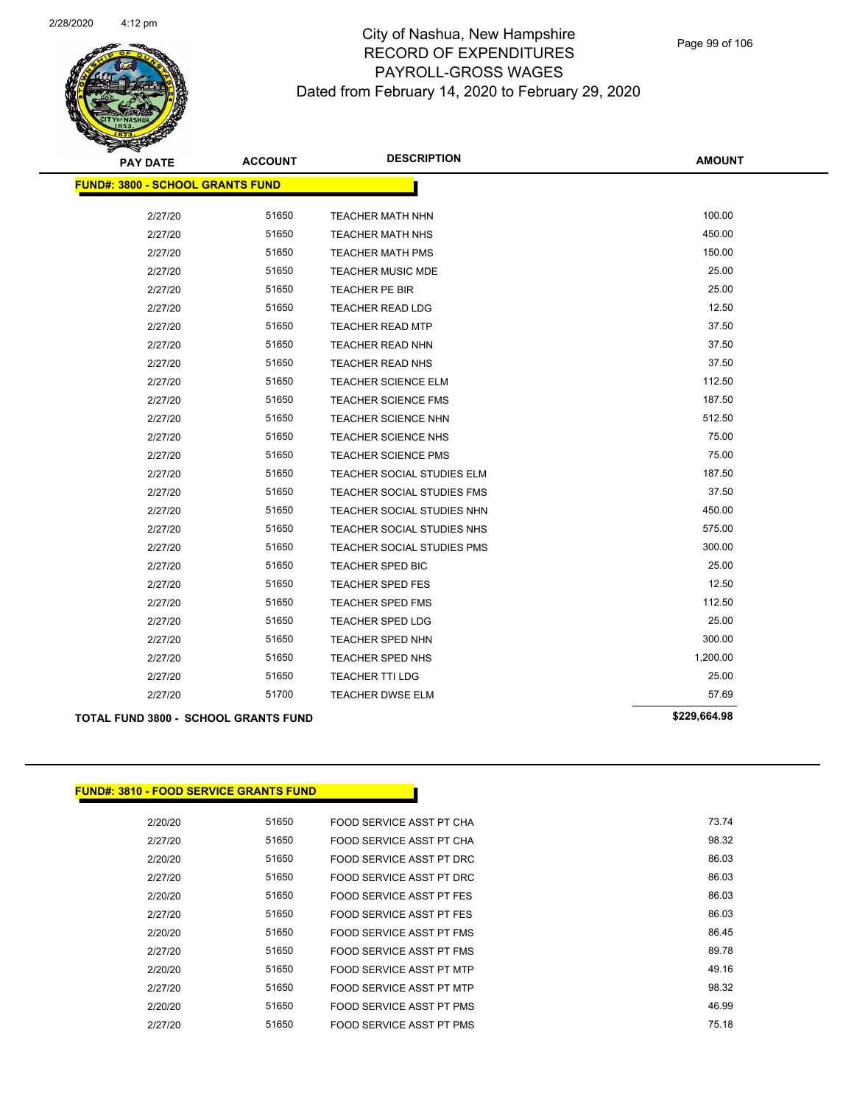

| <b>PAY DATE</b>                         | <b>ACCOUNT</b> | <b>DESCRIPTION</b>         | <b>AMOUNT</b> |
|-----------------------------------------|----------------|----------------------------|---------------|
| <b>FUND#: 3800 - SCHOOL GRANTS FUND</b> |                |                            |               |
|                                         |                |                            |               |
| 2/27/20                                 | 51650          | <b>TEACHER MATH NHN</b>    | 100.00        |
| 2/27/20                                 | 51650          | <b>TEACHER MATH NHS</b>    | 450.00        |
| 2/27/20                                 | 51650          | <b>TEACHER MATH PMS</b>    | 150.00        |
| 2/27/20                                 | 51650          | <b>TEACHER MUSIC MDE</b>   | 25.00         |
| 2/27/20                                 | 51650          | <b>TEACHER PE BIR</b>      | 25.00         |
| 2/27/20                                 | 51650          | <b>TEACHER READ LDG</b>    | 12.50         |
| 2/27/20                                 | 51650          | <b>TEACHER READ MTP</b>    | 37.50         |
| 2/27/20                                 | 51650          | <b>TEACHER READ NHN</b>    | 37.50         |
| 2/27/20                                 | 51650          | <b>TEACHER READ NHS</b>    | 37.50         |
| 2/27/20                                 | 51650          | <b>TEACHER SCIENCE ELM</b> | 112.50        |
| 2/27/20                                 | 51650          | <b>TEACHER SCIENCE FMS</b> | 187.50        |
| 2/27/20                                 | 51650          | <b>TEACHER SCIENCE NHN</b> | 512.50        |
| 2/27/20                                 | 51650          | <b>TEACHER SCIENCE NHS</b> | 75.00         |
| 2/27/20                                 | 51650          | <b>TEACHER SCIENCE PMS</b> | 75.00         |
| 2/27/20                                 | 51650          | TEACHER SOCIAL STUDIES ELM | 187.50        |
| 2/27/20                                 | 51650          | TEACHER SOCIAL STUDIES FMS | 37.50         |
| 2/27/20                                 | 51650          | TEACHER SOCIAL STUDIES NHN | 450.00        |
| 2/27/20                                 | 51650          | TEACHER SOCIAL STUDIES NHS | 575.00        |
| 2/27/20                                 | 51650          | TEACHER SOCIAL STUDIES PMS | 300.00        |
| 2/27/20                                 | 51650          | TEACHER SPED BIC           | 25.00         |
| 2/27/20                                 | 51650          | <b>TEACHER SPED FES</b>    | 12.50         |
| 2/27/20                                 | 51650          | <b>TEACHER SPED FMS</b>    | 112.50        |
| 2/27/20                                 | 51650          | <b>TEACHER SPED LDG</b>    | 25.00         |
| 2/27/20                                 | 51650          | <b>TEACHER SPED NHN</b>    | 300.00        |
| 2/27/20                                 | 51650          | TEACHER SPED NHS           | 1,200.00      |
| 2/27/20                                 | 51650          | TEACHER TTI LDG            | 25.00         |
| 2/27/20                                 | 51700          | <b>TEACHER DWSE ELM</b>    | 57.69         |
| TOTAL FUND 3800 - SCHOOL GRANTS FUND    |                |                            | \$229,664.98  |

**FUND#: 3810 - FOOD SERVICE GRANTS FUND**

| 2/20/20 | 51650 | FOOD SERVICE ASST PT CHA | 73.74 |
|---------|-------|--------------------------|-------|
| 2/27/20 | 51650 | FOOD SERVICE ASST PT CHA | 98.32 |
| 2/20/20 | 51650 | FOOD SERVICE ASST PT DRC | 86.03 |
| 2/27/20 | 51650 | FOOD SERVICE ASST PT DRC | 86.03 |
| 2/20/20 | 51650 | FOOD SERVICE ASST PT FES | 86.03 |
| 2/27/20 | 51650 | FOOD SERVICE ASST PT FES | 86.03 |
| 2/20/20 | 51650 | FOOD SERVICE ASST PT FMS | 86.45 |
| 2/27/20 | 51650 | FOOD SERVICE ASST PT FMS | 89.78 |
| 2/20/20 | 51650 | FOOD SERVICE ASST PT MTP | 49.16 |
| 2/27/20 | 51650 | FOOD SERVICE ASST PT MTP | 98.32 |
| 2/20/20 | 51650 | FOOD SERVICE ASST PT PMS | 46.99 |
| 2/27/20 | 51650 | FOOD SERVICE ASST PT PMS | 75.18 |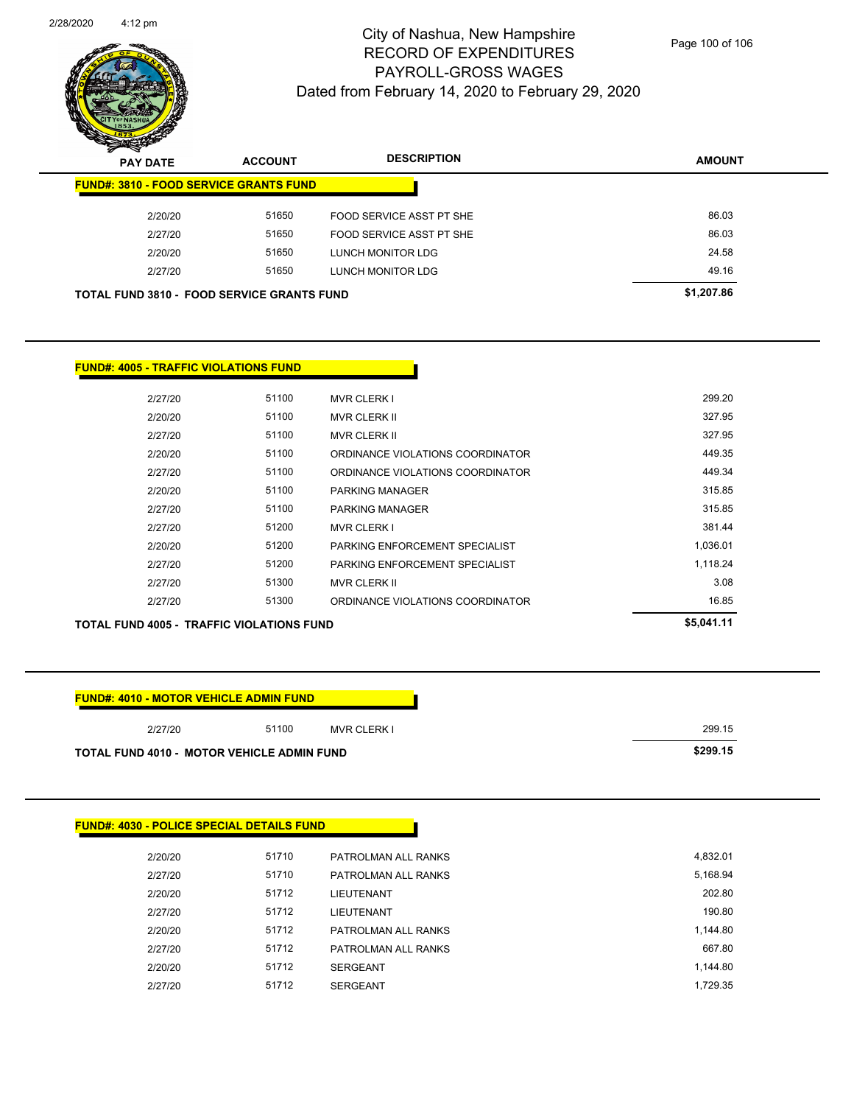

| $\boldsymbol{\nu}$<br>--<br><b>PAY DATE</b> | <b>ACCOUNT</b>                                    | <b>DESCRIPTION</b>       | <b>AMOUNT</b> |
|---------------------------------------------|---------------------------------------------------|--------------------------|---------------|
|                                             | <b>FUND#: 3810 - FOOD SERVICE GRANTS FUND</b>     |                          |               |
| 2/20/20                                     | 51650                                             | FOOD SERVICE ASST PT SHE | 86.03         |
| 2/27/20                                     | 51650                                             | FOOD SERVICE ASST PT SHE | 86.03         |
| 2/20/20                                     | 51650                                             | LUNCH MONITOR LDG        | 24.58         |
| 2/27/20                                     | 51650                                             | LUNCH MONITOR LDG        | 49.16         |
|                                             | <b>TOTAL FUND 3810 - FOOD SERVICE GRANTS FUND</b> |                          | \$1,207.86    |

#### **FUND#: 4005 - TRAFFIC VIOLATIONS FUND**

| 2/27/20 | 51100 | <b>MVR CLERK I</b>               | 299.20   |
|---------|-------|----------------------------------|----------|
| 2/20/20 | 51100 | <b>MVR CLERK II</b>              | 327.95   |
| 2/27/20 | 51100 | <b>MVR CLERK II</b>              | 327.95   |
| 2/20/20 | 51100 | ORDINANCE VIOLATIONS COORDINATOR | 449.35   |
| 2/27/20 | 51100 | ORDINANCE VIOLATIONS COORDINATOR | 449.34   |
| 2/20/20 | 51100 | PARKING MANAGER                  | 315.85   |
| 2/27/20 | 51100 | PARKING MANAGER                  | 315.85   |
| 2/27/20 | 51200 | <b>MVR CLERK I</b>               | 381.44   |
| 2/20/20 | 51200 | PARKING ENFORCEMENT SPECIALIST   | 1,036.01 |
| 2/27/20 | 51200 | PARKING ENFORCEMENT SPECIALIST   | 1,118.24 |
| 2/27/20 | 51300 | <b>MVR CLERK II</b>              | 3.08     |
| 2/27/20 | 51300 | ORDINANCE VIOLATIONS COORDINATOR | 16.85    |
|         |       |                                  |          |

**TOTAL FUND 4005 - TRAFFIC VIOLATIONS FUND \$5,041.11** 

### **FUND#: 4010 - MOTOR VEHICLE ADMIN FUND**

| 2/27/20                                           | 51100 | <b>MVR CLERK I</b> | 299.15   |
|---------------------------------------------------|-------|--------------------|----------|
| <b>TOTAL FUND 4010 - MOTOR VEHICLE ADMIN FUND</b> |       |                    | \$299.15 |

# **FUND#: 4030 - POLICE SPECIAL DETAILS FUND** 2/20/20 51710 PATROLMAN ALL RANKS 4,832.01 2/27/20 51710 PATROLMAN ALL RANKS 5,168.94 2/20/20 51712 LIEUTENANT 202.80 2/27/20 51712 LIEUTENANT 190.80 2/20/20 51712 PATROLMAN ALL RANKS 1,144.80 2/27/20 51712 PATROLMAN ALL RANKS 667.80 2/20/20 51712 SERGEANT 1,144.80 2/27/20 51712 SERGEANT 1,729.35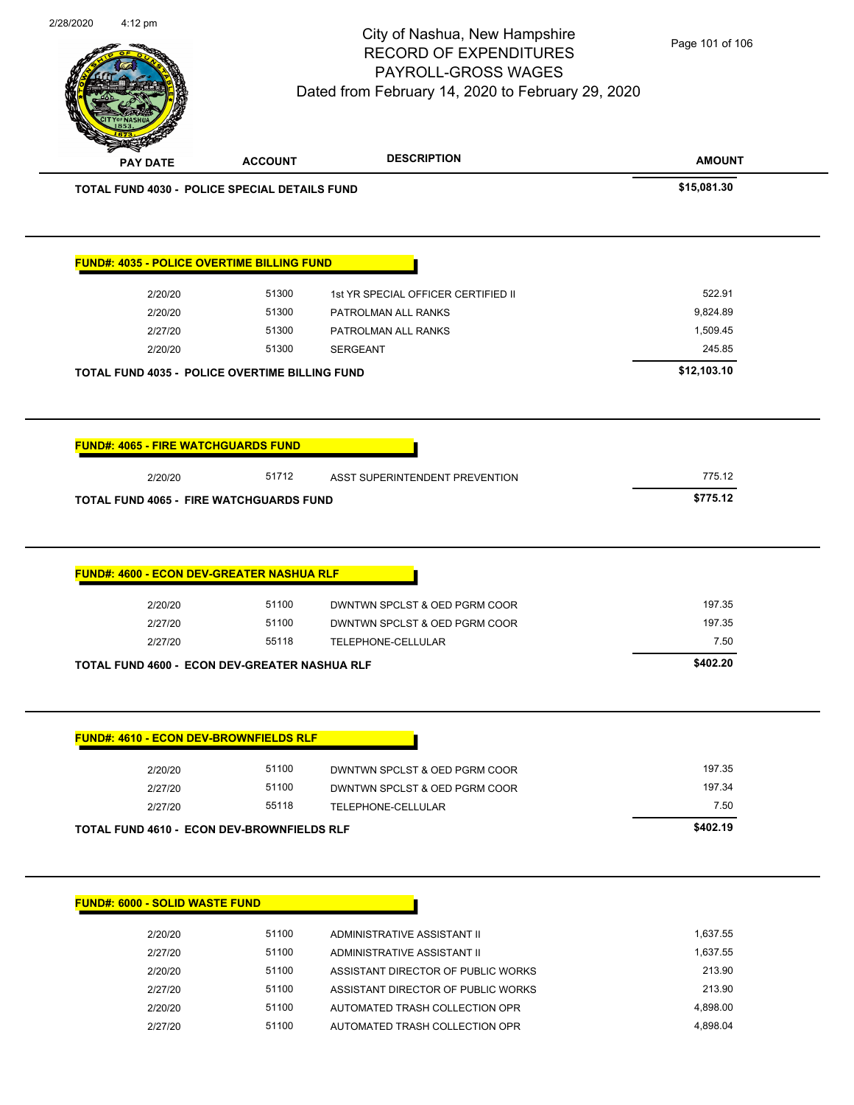| 2/28/2020 |                                                       |                | City of Nashua, New Hampshire<br><b>RECORD OF EXPENDITURES</b><br>PAYROLL-GROSS WAGES<br>Dated from February 14, 2020 to February 29, 2020 | Page 101 of 106    |
|-----------|-------------------------------------------------------|----------------|--------------------------------------------------------------------------------------------------------------------------------------------|--------------------|
|           | <b>PAY DATE</b>                                       | <b>ACCOUNT</b> | <b>DESCRIPTION</b>                                                                                                                         | <b>AMOUNT</b>      |
|           | TOTAL FUND 4030 - POLICE SPECIAL DETAILS FUND         |                |                                                                                                                                            | \$15,081.30        |
|           | FUND#: 4035 - POLICE OVERTIME BILLING FUND            |                |                                                                                                                                            |                    |
|           | 2/20/20                                               | 51300          | 1st YR SPECIAL OFFICER CERTIFIED II                                                                                                        | 522.91             |
|           | 2/20/20                                               | 51300          | PATROLMAN ALL RANKS                                                                                                                        | 9,824.89           |
|           | 2/27/20                                               | 51300          | PATROLMAN ALL RANKS                                                                                                                        | 1,509.45           |
|           | 2/20/20                                               | 51300          | <b>SERGEANT</b>                                                                                                                            | 245.85             |
|           | <b>TOTAL FUND 4035 - POLICE OVERTIME BILLING FUND</b> |                |                                                                                                                                            | \$12,103.10        |
|           | <b>FUND#: 4065 - FIRE WATCHGUARDS FUND</b>            |                |                                                                                                                                            |                    |
|           |                                                       |                |                                                                                                                                            |                    |
|           | 2/20/20                                               | 51712          | ASST SUPERINTENDENT PREVENTION                                                                                                             | 775.12             |
|           | <b>TOTAL FUND 4065 - FIRE WATCHGUARDS FUND</b>        |                |                                                                                                                                            | \$775.12           |
|           | FUND#: 4600 - ECON DEV-GREATER NASHUA RLF             |                |                                                                                                                                            |                    |
|           |                                                       |                |                                                                                                                                            |                    |
|           | 2/20/20                                               | 51100<br>51100 | DWNTWN SPCLST & OED PGRM COOR                                                                                                              | 197.35<br>197.35   |
|           | 2/27/20<br>2/27/20                                    | 55118          | DWNTWN SPCLST & OED PGRM COOR<br>TELEPHONE-CELLULAR                                                                                        | 7.50               |
|           | <b>TOTAL FUND 4600 - ECON DEV-GREATER NASHUA RLF</b>  |                |                                                                                                                                            | \$402.20           |
|           | <b>FUND#: 4610 - ECON DEV-BROWNFIELDS RLF</b>         |                |                                                                                                                                            |                    |
|           | 2/20/20                                               | 51100          | DWNTWN SPCLST & OED PGRM COOR                                                                                                              | 197.35             |
|           | 2/27/20                                               | 51100          | DWNTWN SPCLST & OED PGRM COOR                                                                                                              | 197.34             |
|           | 2/27/20                                               | 55118          | TELEPHONE-CELLULAR                                                                                                                         | 7.50               |
|           | TOTAL FUND 4610 - ECON DEV-BROWNFIELDS RLF            |                |                                                                                                                                            | \$402.19           |
|           | <b>FUND#: 6000 - SOLID WASTE FUND</b>                 |                |                                                                                                                                            |                    |
|           |                                                       |                |                                                                                                                                            |                    |
|           | 2/20/20                                               | 51100          | ADMINISTRATIVE ASSISTANT II                                                                                                                | 1,637.55           |
|           | 2/27/20<br>2/20/20                                    | 51100<br>51100 | ADMINISTRATIVE ASSISTANT II<br>ASSISTANT DIRECTOR OF PUBLIC WORKS                                                                          | 1,637.55<br>213.90 |

 $\overline{\phantom{0}}$ 

2/20/20 51100 AUTOMATED TRASH COLLECTION OPR 4,898.00 2/27/20 51100 AUTOMATED TRASH COLLECTION OPR 4,898.04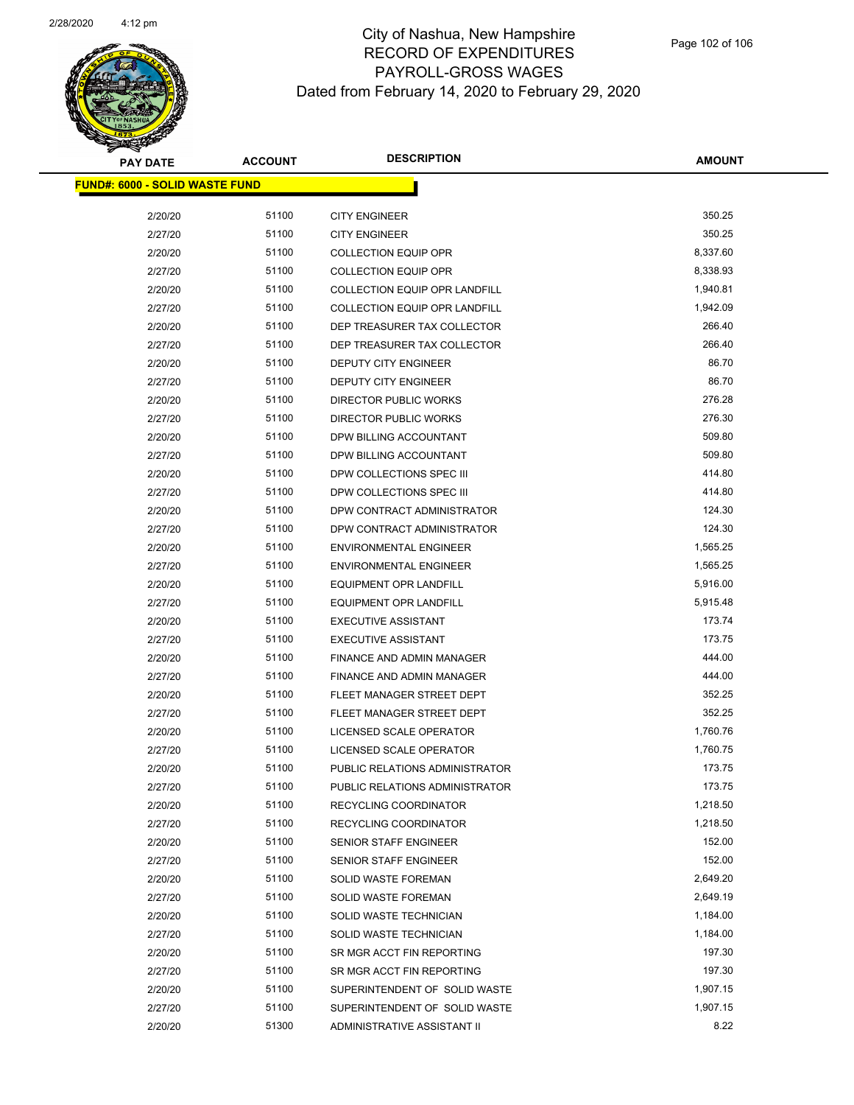

| <b>PAY DATE</b>                        | <b>ACCOUNT</b> | <b>DESCRIPTION</b>                   | <b>AMOUNT</b> |
|----------------------------------------|----------------|--------------------------------------|---------------|
| <u> FUND#: 6000 - SOLID WASTE FUND</u> |                |                                      |               |
|                                        |                |                                      |               |
| 2/20/20                                | 51100          | <b>CITY ENGINEER</b>                 | 350.25        |
| 2/27/20                                | 51100          | <b>CITY ENGINEER</b>                 | 350.25        |
| 2/20/20                                | 51100          | <b>COLLECTION EQUIP OPR</b>          | 8,337.60      |
| 2/27/20                                | 51100          | <b>COLLECTION EQUIP OPR</b>          | 8,338.93      |
| 2/20/20                                | 51100          | <b>COLLECTION EQUIP OPR LANDFILL</b> | 1,940.81      |
| 2/27/20                                | 51100          | <b>COLLECTION EQUIP OPR LANDFILL</b> | 1,942.09      |
| 2/20/20                                | 51100          | DEP TREASURER TAX COLLECTOR          | 266.40        |
| 2/27/20                                | 51100          | DEP TREASURER TAX COLLECTOR          | 266.40        |
| 2/20/20                                | 51100          | DEPUTY CITY ENGINEER                 | 86.70         |
| 2/27/20                                | 51100          | DEPUTY CITY ENGINEER                 | 86.70         |
| 2/20/20                                | 51100          | <b>DIRECTOR PUBLIC WORKS</b>         | 276.28        |
| 2/27/20                                | 51100          | DIRECTOR PUBLIC WORKS                | 276.30        |
| 2/20/20                                | 51100          | DPW BILLING ACCOUNTANT               | 509.80        |
| 2/27/20                                | 51100          | DPW BILLING ACCOUNTANT               | 509.80        |
| 2/20/20                                | 51100          | DPW COLLECTIONS SPEC III             | 414.80        |
| 2/27/20                                | 51100          | DPW COLLECTIONS SPEC III             | 414.80        |
| 2/20/20                                | 51100          | DPW CONTRACT ADMINISTRATOR           | 124.30        |
| 2/27/20                                | 51100          | DPW CONTRACT ADMINISTRATOR           | 124.30        |
| 2/20/20                                | 51100          | <b>ENVIRONMENTAL ENGINEER</b>        | 1,565.25      |
| 2/27/20                                | 51100          | <b>ENVIRONMENTAL ENGINEER</b>        | 1,565.25      |
| 2/20/20                                | 51100          | <b>EQUIPMENT OPR LANDFILL</b>        | 5,916.00      |
| 2/27/20                                | 51100          | <b>EQUIPMENT OPR LANDFILL</b>        | 5,915.48      |
| 2/20/20                                | 51100          | <b>EXECUTIVE ASSISTANT</b>           | 173.74        |
| 2/27/20                                | 51100          | <b>EXECUTIVE ASSISTANT</b>           | 173.75        |
| 2/20/20                                | 51100          | FINANCE AND ADMIN MANAGER            | 444.00        |
| 2/27/20                                | 51100          | FINANCE AND ADMIN MANAGER            | 444.00        |
| 2/20/20                                | 51100          | FLEET MANAGER STREET DEPT            | 352.25        |
| 2/27/20                                | 51100          | FLEET MANAGER STREET DEPT            | 352.25        |
| 2/20/20                                | 51100          | LICENSED SCALE OPERATOR              | 1,760.76      |
| 2/27/20                                | 51100          | LICENSED SCALE OPERATOR              | 1,760.75      |
| 2/20/20                                | 51100          | PUBLIC RELATIONS ADMINISTRATOR       | 173.75        |
| 2/27/20                                | 51100          | PUBLIC RELATIONS ADMINISTRATOR       | 173.75        |
| 2/20/20                                | 51100          | RECYCLING COORDINATOR                | 1,218.50      |
| 2/27/20                                | 51100          | RECYCLING COORDINATOR                | 1,218.50      |
| 2/20/20                                | 51100          | SENIOR STAFF ENGINEER                | 152.00        |
| 2/27/20                                | 51100          | SENIOR STAFF ENGINEER                | 152.00        |
| 2/20/20                                | 51100          | SOLID WASTE FOREMAN                  | 2,649.20      |
| 2/27/20                                | 51100          | <b>SOLID WASTE FOREMAN</b>           | 2,649.19      |
| 2/20/20                                | 51100          | SOLID WASTE TECHNICIAN               | 1,184.00      |
| 2/27/20                                | 51100          | SOLID WASTE TECHNICIAN               | 1,184.00      |
| 2/20/20                                | 51100          | SR MGR ACCT FIN REPORTING            | 197.30        |
| 2/27/20                                | 51100          | SR MGR ACCT FIN REPORTING            | 197.30        |
| 2/20/20                                | 51100          | SUPERINTENDENT OF SOLID WASTE        | 1,907.15      |
| 2/27/20                                | 51100          | SUPERINTENDENT OF SOLID WASTE        | 1,907.15      |
| 2/20/20                                | 51300          | ADMINISTRATIVE ASSISTANT II          | 8.22          |
|                                        |                |                                      |               |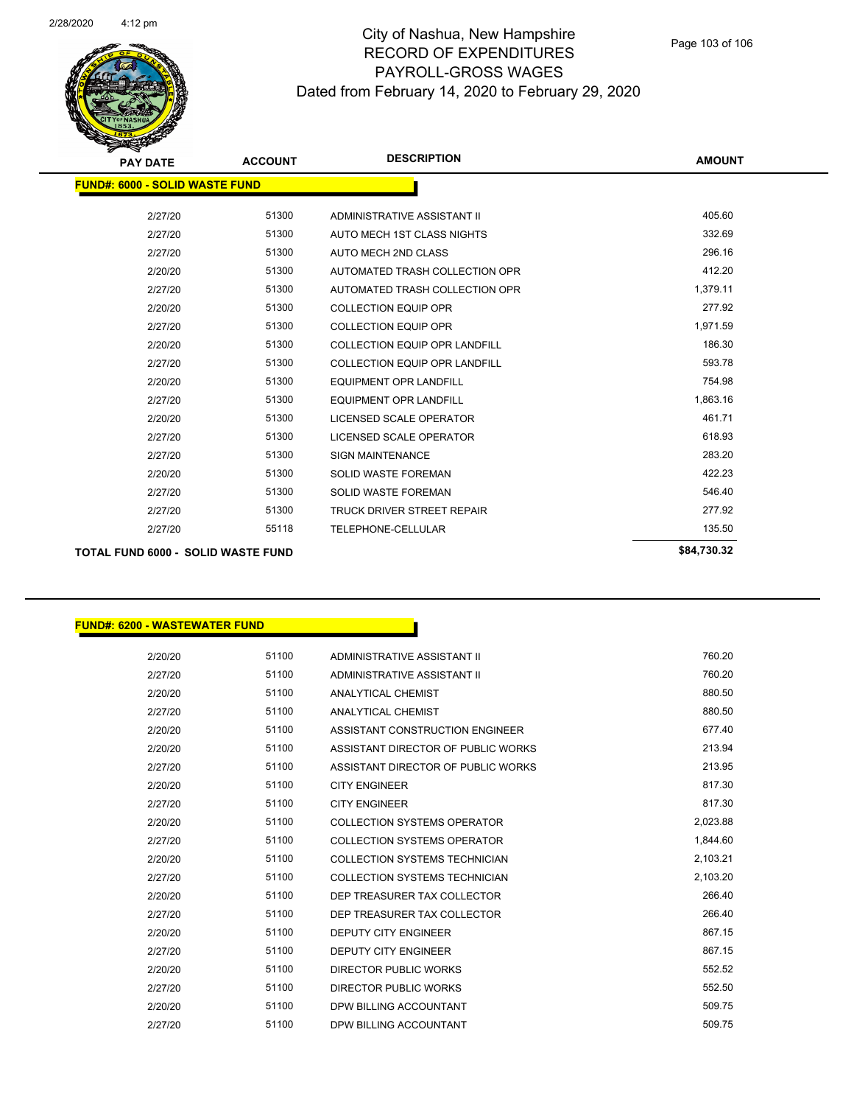

| <b>PAY DATE</b>                           | <b>ACCOUNT</b> | <b>DESCRIPTION</b>                   | <b>AMOUNT</b> |
|-------------------------------------------|----------------|--------------------------------------|---------------|
| <b>FUND#: 6000 - SOLID WASTE FUND</b>     |                |                                      |               |
| 2/27/20                                   | 51300          | ADMINISTRATIVE ASSISTANT II          | 405.60        |
| 2/27/20                                   | 51300          | AUTO MECH 1ST CLASS NIGHTS           | 332.69        |
| 2/27/20                                   | 51300          | AUTO MECH 2ND CLASS                  | 296.16        |
| 2/20/20                                   | 51300          | AUTOMATED TRASH COLLECTION OPR       | 412.20        |
| 2/27/20                                   | 51300          | AUTOMATED TRASH COLLECTION OPR       | 1,379.11      |
| 2/20/20                                   | 51300          | <b>COLLECTION EQUIP OPR</b>          | 277.92        |
| 2/27/20                                   | 51300          | <b>COLLECTION EQUIP OPR</b>          | 1,971.59      |
| 2/20/20                                   | 51300          | <b>COLLECTION EQUIP OPR LANDFILL</b> | 186.30        |
| 2/27/20                                   | 51300          | <b>COLLECTION EQUIP OPR LANDFILL</b> | 593.78        |
| 2/20/20                                   | 51300          | <b>EQUIPMENT OPR LANDFILL</b>        | 754.98        |
| 2/27/20                                   | 51300          | <b>EQUIPMENT OPR LANDFILL</b>        | 1,863.16      |
| 2/20/20                                   | 51300          | LICENSED SCALE OPERATOR              | 461.71        |
| 2/27/20                                   | 51300          | LICENSED SCALE OPERATOR              | 618.93        |
| 2/27/20                                   | 51300          | <b>SIGN MAINTENANCE</b>              | 283.20        |
| 2/20/20                                   | 51300          | <b>SOLID WASTE FOREMAN</b>           | 422.23        |
| 2/27/20                                   | 51300          | <b>SOLID WASTE FOREMAN</b>           | 546.40        |
| 2/27/20                                   | 51300          | <b>TRUCK DRIVER STREET REPAIR</b>    | 277.92        |
| 2/27/20                                   | 55118          | TELEPHONE-CELLULAR                   | 135.50        |
| <b>TOTAL FUND 6000 - SOLID WASTE FUND</b> |                |                                      | \$84,730.32   |

#### **FUND#: 6200 - WASTEWATER FUND**

| 2/20/20 | 51100 | ADMINISTRATIVE ASSISTANT II        | 760.20   |
|---------|-------|------------------------------------|----------|
| 2/27/20 | 51100 | ADMINISTRATIVE ASSISTANT II        | 760.20   |
| 2/20/20 | 51100 | <b>ANALYTICAL CHEMIST</b>          | 880.50   |
| 2/27/20 | 51100 | <b>ANALYTICAL CHEMIST</b>          | 880.50   |
| 2/20/20 | 51100 | ASSISTANT CONSTRUCTION ENGINEER    | 677.40   |
| 2/20/20 | 51100 | ASSISTANT DIRECTOR OF PUBLIC WORKS | 213.94   |
| 2/27/20 | 51100 | ASSISTANT DIRECTOR OF PUBLIC WORKS | 213.95   |
| 2/20/20 | 51100 | <b>CITY ENGINEER</b>               | 817.30   |
| 2/27/20 | 51100 | <b>CITY ENGINEER</b>               | 817.30   |
| 2/20/20 | 51100 | <b>COLLECTION SYSTEMS OPERATOR</b> | 2,023.88 |
| 2/27/20 | 51100 | <b>COLLECTION SYSTEMS OPERATOR</b> | 1,844.60 |
| 2/20/20 | 51100 | COLLECTION SYSTEMS TECHNICIAN      | 2,103.21 |
| 2/27/20 | 51100 | COLLECTION SYSTEMS TECHNICIAN      | 2,103.20 |
| 2/20/20 | 51100 | DEP TREASURER TAX COLLECTOR        | 266.40   |
| 2/27/20 | 51100 | DEP TREASURER TAX COLLECTOR        | 266.40   |
| 2/20/20 | 51100 | <b>DEPUTY CITY ENGINEER</b>        | 867.15   |
| 2/27/20 | 51100 | <b>DEPUTY CITY ENGINEER</b>        | 867.15   |
| 2/20/20 | 51100 | <b>DIRECTOR PUBLIC WORKS</b>       | 552.52   |
| 2/27/20 | 51100 | DIRECTOR PUBLIC WORKS              | 552.50   |
| 2/20/20 | 51100 | DPW BILLING ACCOUNTANT             | 509.75   |
| 2/27/20 | 51100 | DPW BILLING ACCOUNTANT             | 509.75   |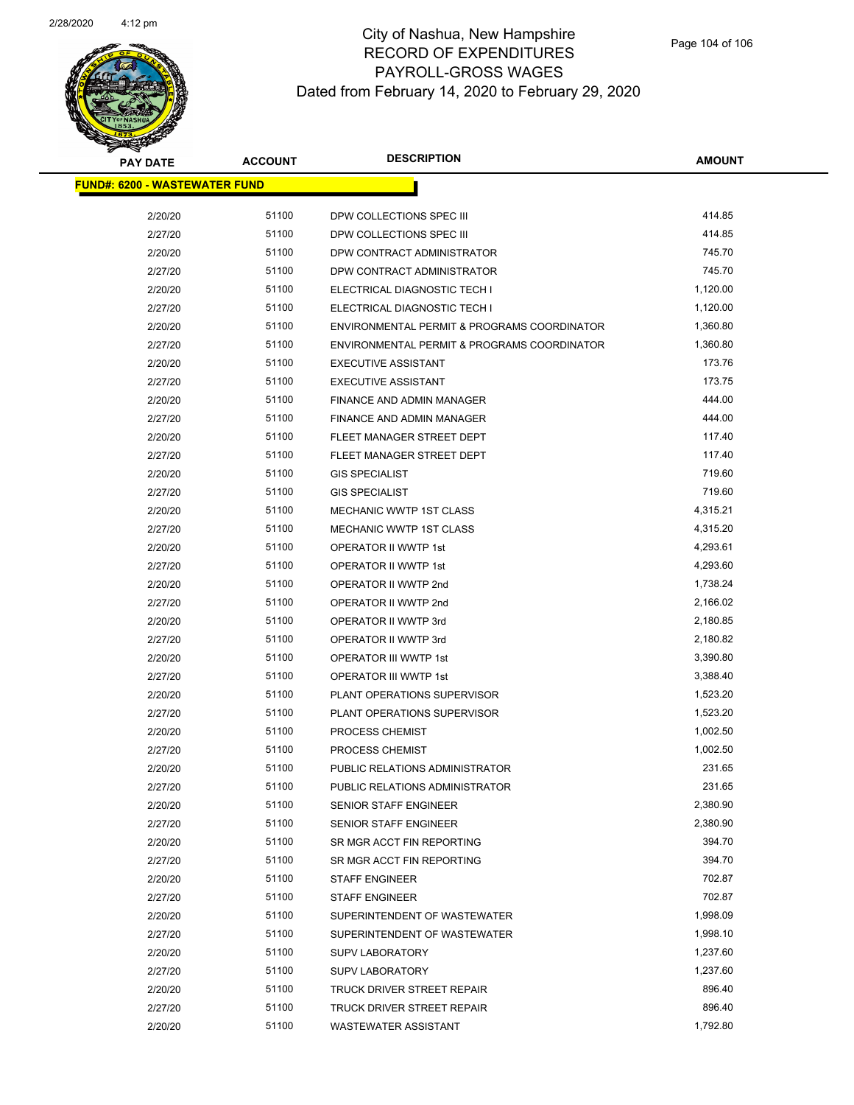

| <b>PAY DATE</b>                       | <b>ACCOUNT</b> | <b>DESCRIPTION</b>                          | <b>AMOUNT</b> |
|---------------------------------------|----------------|---------------------------------------------|---------------|
| <u> FUND#: 6200 - WASTEWATER FUND</u> |                |                                             |               |
|                                       |                |                                             |               |
| 2/20/20                               | 51100          | DPW COLLECTIONS SPEC III                    | 414.85        |
| 2/27/20                               | 51100          | DPW COLLECTIONS SPEC III                    | 414.85        |
| 2/20/20                               | 51100          | DPW CONTRACT ADMINISTRATOR                  | 745.70        |
| 2/27/20                               | 51100          | DPW CONTRACT ADMINISTRATOR                  | 745.70        |
| 2/20/20                               | 51100          | ELECTRICAL DIAGNOSTIC TECH I                | 1,120.00      |
| 2/27/20                               | 51100          | ELECTRICAL DIAGNOSTIC TECH I                | 1,120.00      |
| 2/20/20                               | 51100          | ENVIRONMENTAL PERMIT & PROGRAMS COORDINATOR | 1,360.80      |
| 2/27/20                               | 51100          | ENVIRONMENTAL PERMIT & PROGRAMS COORDINATOR | 1,360.80      |
| 2/20/20                               | 51100          | <b>EXECUTIVE ASSISTANT</b>                  | 173.76        |
| 2/27/20                               | 51100          | <b>EXECUTIVE ASSISTANT</b>                  | 173.75        |
| 2/20/20                               | 51100          | <b>FINANCE AND ADMIN MANAGER</b>            | 444.00        |
| 2/27/20                               | 51100          | FINANCE AND ADMIN MANAGER                   | 444.00        |
| 2/20/20                               | 51100          | FLEET MANAGER STREET DEPT                   | 117.40        |
| 2/27/20                               | 51100          | FLEET MANAGER STREET DEPT                   | 117.40        |
| 2/20/20                               | 51100          | <b>GIS SPECIALIST</b>                       | 719.60        |
| 2/27/20                               | 51100          | <b>GIS SPECIALIST</b>                       | 719.60        |
| 2/20/20                               | 51100          | MECHANIC WWTP 1ST CLASS                     | 4,315.21      |
| 2/27/20                               | 51100          | MECHANIC WWTP 1ST CLASS                     | 4,315.20      |
| 2/20/20                               | 51100          | <b>OPERATOR II WWTP 1st</b>                 | 4,293.61      |
| 2/27/20                               | 51100          | OPERATOR II WWTP 1st                        | 4,293.60      |
| 2/20/20                               | 51100          | OPERATOR II WWTP 2nd                        | 1,738.24      |
| 2/27/20                               | 51100          | OPERATOR II WWTP 2nd                        | 2,166.02      |
| 2/20/20                               | 51100          | OPERATOR II WWTP 3rd                        | 2,180.85      |
| 2/27/20                               | 51100          | OPERATOR II WWTP 3rd                        | 2,180.82      |
| 2/20/20                               | 51100          | OPERATOR III WWTP 1st                       | 3,390.80      |
| 2/27/20                               | 51100          | OPERATOR III WWTP 1st                       | 3,388.40      |
| 2/20/20                               | 51100          | PLANT OPERATIONS SUPERVISOR                 | 1,523.20      |
| 2/27/20                               | 51100          | PLANT OPERATIONS SUPERVISOR                 | 1,523.20      |
| 2/20/20                               | 51100          | PROCESS CHEMIST                             | 1,002.50      |
| 2/27/20                               | 51100          | <b>PROCESS CHEMIST</b>                      | 1,002.50      |
| 2/20/20                               | 51100          | PUBLIC RELATIONS ADMINISTRATOR              | 231.65        |
| 2/27/20                               | 51100          | PUBLIC RELATIONS ADMINISTRATOR              | 231.65        |
| 2/20/20                               | 51100          | <b>SENIOR STAFF ENGINEER</b>                | 2,380.90      |
| 2/27/20                               | 51100          | SENIOR STAFF ENGINEER                       | 2,380.90      |
| 2/20/20                               | 51100          | SR MGR ACCT FIN REPORTING                   | 394.70        |
| 2/27/20                               | 51100          | SR MGR ACCT FIN REPORTING                   | 394.70        |
| 2/20/20                               | 51100          | <b>STAFF ENGINEER</b>                       | 702.87        |
| 2/27/20                               | 51100          | <b>STAFF ENGINEER</b>                       | 702.87        |
| 2/20/20                               | 51100          | SUPERINTENDENT OF WASTEWATER                | 1,998.09      |
| 2/27/20                               | 51100          | SUPERINTENDENT OF WASTEWATER                | 1,998.10      |
| 2/20/20                               | 51100          | <b>SUPV LABORATORY</b>                      | 1,237.60      |
| 2/27/20                               | 51100          | <b>SUPV LABORATORY</b>                      | 1,237.60      |
| 2/20/20                               | 51100          | TRUCK DRIVER STREET REPAIR                  | 896.40        |
| 2/27/20                               | 51100          | TRUCK DRIVER STREET REPAIR                  | 896.40        |
| 2/20/20                               | 51100          | <b>WASTEWATER ASSISTANT</b>                 | 1,792.80      |
|                                       |                |                                             |               |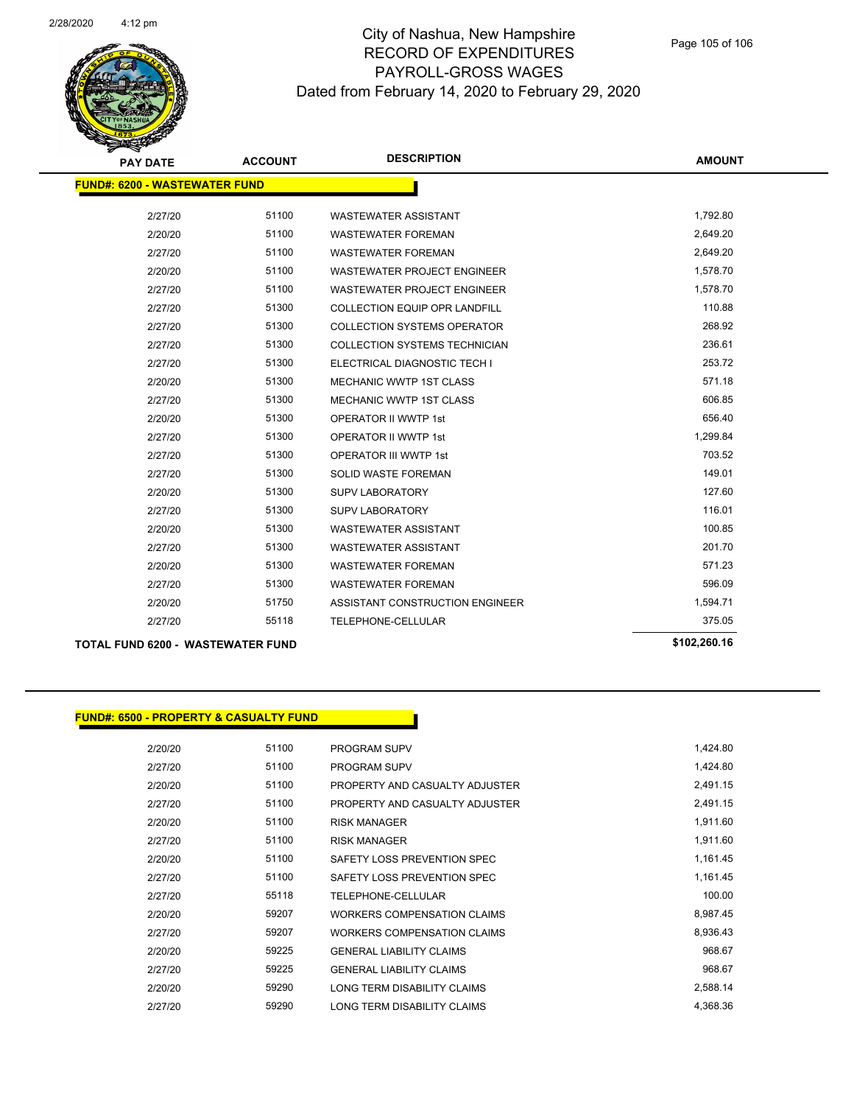

| <b>PAY DATE</b>                          | <b>ACCOUNT</b> | <b>DESCRIPTION</b>                   | <b>AMOUNT</b> |
|------------------------------------------|----------------|--------------------------------------|---------------|
| <b>FUND#: 6200 - WASTEWATER FUND</b>     |                |                                      |               |
| 2/27/20                                  | 51100          | <b>WASTEWATER ASSISTANT</b>          | 1,792.80      |
| 2/20/20                                  | 51100          | <b>WASTEWATER FOREMAN</b>            | 2,649.20      |
| 2/27/20                                  | 51100          | <b>WASTEWATER FOREMAN</b>            | 2,649.20      |
| 2/20/20                                  | 51100          | <b>WASTEWATER PROJECT ENGINEER</b>   | 1,578.70      |
| 2/27/20                                  | 51100          | <b>WASTEWATER PROJECT ENGINEER</b>   | 1,578.70      |
| 2/27/20                                  | 51300          | COLLECTION EQUIP OPR LANDFILL        | 110.88        |
| 2/27/20                                  | 51300          | <b>COLLECTION SYSTEMS OPERATOR</b>   | 268.92        |
| 2/27/20                                  | 51300          | <b>COLLECTION SYSTEMS TECHNICIAN</b> | 236.61        |
| 2/27/20                                  | 51300          | ELECTRICAL DIAGNOSTIC TECH I         | 253.72        |
| 2/20/20                                  | 51300          | <b>MECHANIC WWTP 1ST CLASS</b>       | 571.18        |
| 2/27/20                                  | 51300          | <b>MECHANIC WWTP 1ST CLASS</b>       | 606.85        |
| 2/20/20                                  | 51300          | <b>OPERATOR II WWTP 1st</b>          | 656.40        |
| 2/27/20                                  | 51300          | <b>OPERATOR II WWTP 1st</b>          | 1,299.84      |
| 2/27/20                                  | 51300          | <b>OPERATOR III WWTP 1st</b>         | 703.52        |
| 2/27/20                                  | 51300          | SOLID WASTE FOREMAN                  | 149.01        |
| 2/20/20                                  | 51300          | <b>SUPV LABORATORY</b>               | 127.60        |
| 2/27/20                                  | 51300          | <b>SUPV LABORATORY</b>               | 116.01        |
| 2/20/20                                  | 51300          | <b>WASTEWATER ASSISTANT</b>          | 100.85        |
| 2/27/20                                  | 51300          | <b>WASTEWATER ASSISTANT</b>          | 201.70        |
| 2/20/20                                  | 51300          | <b>WASTEWATER FOREMAN</b>            | 571.23        |
| 2/27/20                                  | 51300          | <b>WASTEWATER FOREMAN</b>            | 596.09        |
| 2/20/20                                  | 51750          | ASSISTANT CONSTRUCTION ENGINEER      | 1,594.71      |
| 2/27/20                                  | 55118          | TELEPHONE-CELLULAR                   | 375.05        |
| <b>TOTAL FUND 6200 - WASTEWATER FUND</b> |                |                                      | \$102,260.16  |

| <b>FUND#: 6500 - PROPERTY &amp; CASUALTY FUND</b> |       |                                    |
|---------------------------------------------------|-------|------------------------------------|
| 2/20/20                                           | 51100 | <b>PROGRAM SUPV</b>                |
| 2/27/20                                           | 51100 | <b>PROGRAM SUPV</b>                |
| 2/20/20                                           | 51100 | PROPERTY AND CASUALTY ADJUSTER     |
| 2/27/20                                           | 51100 | PROPERTY AND CASUALTY ADJUSTER     |
| 2/20/20                                           | 51100 | <b>RISK MANAGER</b>                |
| 2/27/20                                           | 51100 | <b>RISK MANAGER</b>                |
| 2/20/20                                           | 51100 | SAFETY LOSS PREVENTION SPEC        |
| 2/27/20                                           | 51100 | SAFETY LOSS PREVENTION SPEC        |
| 2/27/20                                           | 55118 | <b>TELEPHONE-CELLULAR</b>          |
| 2/20/20                                           | 59207 | <b>WORKERS COMPENSATION CLAIMS</b> |
| 2/27/20                                           | 59207 | <b>WORKERS COMPENSATION CLAIMS</b> |
| 2/20/20                                           | 59225 | <b>GENERAL LIABILITY CLAIMS</b>    |
| 2/27/20                                           | 59225 | <b>GENERAL LIABILITY CLAIMS</b>    |

2/20/20 59290 LONG TERM DISABILITY CLAIMS 2,588.14 2/27/20 59290 LONG TERM DISABILITY CLAIMS 4,368.36